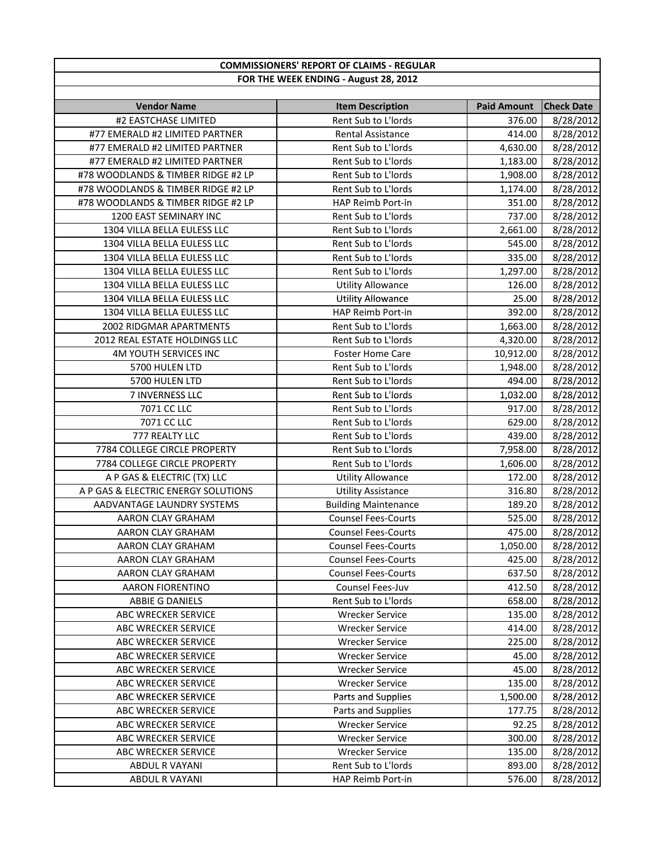|                                            | <b>COMMISSIONERS' REPORT OF CLAIMS - REGULAR</b> |                              |                                |
|--------------------------------------------|--------------------------------------------------|------------------------------|--------------------------------|
|                                            | FOR THE WEEK ENDING - August 28, 2012            |                              |                                |
|                                            |                                                  |                              |                                |
| <b>Vendor Name</b><br>#2 EASTCHASE LIMITED | <b>Item Description</b><br>Rent Sub to L'Iords   | <b>Paid Amount</b><br>376.00 | <b>Check Date</b><br>8/28/2012 |
| #77 EMERALD #2 LIMITED PARTNER             | Rental Assistance                                | 414.00                       | 8/28/2012                      |
| #77 EMERALD #2 LIMITED PARTNER             | Rent Sub to L'Iords                              | 4,630.00                     | 8/28/2012                      |
| #77 EMERALD #2 LIMITED PARTNER             | Rent Sub to L'Iords                              | 1,183.00                     | 8/28/2012                      |
| #78 WOODLANDS & TIMBER RIDGE #2 LP         | Rent Sub to L'Iords                              | 1,908.00                     | 8/28/2012                      |
| #78 WOODLANDS & TIMBER RIDGE #2 LP         | Rent Sub to L'Iords                              | 1,174.00                     | 8/28/2012                      |
| #78 WOODLANDS & TIMBER RIDGE #2 LP         | HAP Reimb Port-in                                | 351.00                       | 8/28/2012                      |
| 1200 EAST SEMINARY INC                     | Rent Sub to L'Iords                              | 737.00                       |                                |
| 1304 VILLA BELLA EULESS LLC                | Rent Sub to L'Iords                              | 2,661.00                     | 8/28/2012<br>8/28/2012         |
| 1304 VILLA BELLA EULESS LLC                | Rent Sub to L'Iords                              | 545.00                       | 8/28/2012                      |
| 1304 VILLA BELLA EULESS LLC                | Rent Sub to L'Iords                              | 335.00                       | 8/28/2012                      |
| 1304 VILLA BELLA EULESS LLC                | Rent Sub to L'Iords                              | 1,297.00                     | 8/28/2012                      |
| 1304 VILLA BELLA EULESS LLC                |                                                  |                              | 8/28/2012                      |
| 1304 VILLA BELLA EULESS LLC                | <b>Utility Allowance</b>                         | 126.00                       | 8/28/2012                      |
| 1304 VILLA BELLA EULESS LLC                | <b>Utility Allowance</b><br>HAP Reimb Port-in    | 25.00                        |                                |
| 2002 RIDGMAR APARTMENTS                    | Rent Sub to L'Iords                              | 392.00                       | 8/28/2012<br>8/28/2012         |
|                                            |                                                  | 1,663.00                     |                                |
| 2012 REAL ESTATE HOLDINGS LLC              | Rent Sub to L'Iords                              | 4,320.00                     | 8/28/2012                      |
| 4M YOUTH SERVICES INC                      | <b>Foster Home Care</b>                          | 10,912.00                    | 8/28/2012                      |
| 5700 HULEN LTD                             | Rent Sub to L'Iords                              | 1,948.00                     | 8/28/2012                      |
| 5700 HULEN LTD                             | Rent Sub to L'Iords                              | 494.00                       | 8/28/2012                      |
| 7 INVERNESS LLC                            | Rent Sub to L'Iords                              | 1,032.00                     | 8/28/2012                      |
| 7071 CC LLC                                | Rent Sub to L'Iords                              | 917.00                       | 8/28/2012                      |
| 7071 CC LLC                                | Rent Sub to L'Iords                              | 629.00                       | 8/28/2012                      |
| 777 REALTY LLC                             | Rent Sub to L'Iords                              | 439.00                       | 8/28/2012                      |
| 7784 COLLEGE CIRCLE PROPERTY               | Rent Sub to L'Iords                              | 7,958.00                     | 8/28/2012                      |
| 7784 COLLEGE CIRCLE PROPERTY               | Rent Sub to L'Iords                              | 1,606.00                     | 8/28/2012                      |
| A P GAS & ELECTRIC (TX) LLC                | <b>Utility Allowance</b>                         | 172.00                       | 8/28/2012                      |
| A P GAS & ELECTRIC ENERGY SOLUTIONS        | <b>Utility Assistance</b>                        | 316.80                       | 8/28/2012                      |
| AADVANTAGE LAUNDRY SYSTEMS                 | <b>Building Maintenance</b>                      | 189.20                       | 8/28/2012                      |
| AARON CLAY GRAHAM                          | <b>Counsel Fees-Courts</b>                       | 525.00                       | 8/28/2012                      |
| AARON CLAY GRAHAM                          | <b>Counsel Fees-Courts</b>                       | 475.00                       | 8/28/2012                      |
| AARON CLAY GRAHAM                          | <b>Counsel Fees-Courts</b>                       | 1,050.00                     | 8/28/2012                      |
| AARON CLAY GRAHAM                          | <b>Counsel Fees-Courts</b>                       | 425.00                       | 8/28/2012                      |
| AARON CLAY GRAHAM                          | <b>Counsel Fees-Courts</b>                       | 637.50                       | 8/28/2012                      |
| <b>AARON FIORENTINO</b>                    | Counsel Fees-Juv                                 | 412.50                       | 8/28/2012                      |
| <b>ABBIE G DANIELS</b>                     | Rent Sub to L'Iords                              | 658.00                       | 8/28/2012                      |
| ABC WRECKER SERVICE                        | <b>Wrecker Service</b>                           | 135.00                       | 8/28/2012                      |
| ABC WRECKER SERVICE                        | <b>Wrecker Service</b>                           | 414.00                       | 8/28/2012                      |
| ABC WRECKER SERVICE                        | <b>Wrecker Service</b>                           | 225.00                       | 8/28/2012                      |
| <b>ABC WRECKER SERVICE</b>                 | <b>Wrecker Service</b>                           | 45.00                        | 8/28/2012                      |
| ABC WRECKER SERVICE                        | <b>Wrecker Service</b>                           | 45.00                        | 8/28/2012                      |
| ABC WRECKER SERVICE                        | <b>Wrecker Service</b>                           | 135.00                       | 8/28/2012                      |
| ABC WRECKER SERVICE                        | Parts and Supplies                               | 1,500.00                     | 8/28/2012                      |
| ABC WRECKER SERVICE                        | Parts and Supplies                               | 177.75                       | 8/28/2012                      |
| ABC WRECKER SERVICE                        | <b>Wrecker Service</b>                           | 92.25                        | 8/28/2012                      |
| ABC WRECKER SERVICE                        | <b>Wrecker Service</b>                           | 300.00                       | 8/28/2012                      |
| ABC WRECKER SERVICE                        | <b>Wrecker Service</b>                           | 135.00                       | 8/28/2012                      |
| ABDUL R VAYANI                             | Rent Sub to L'Iords                              | 893.00                       | 8/28/2012                      |
| ABDUL R VAYANI                             | HAP Reimb Port-in                                | 576.00                       | 8/28/2012                      |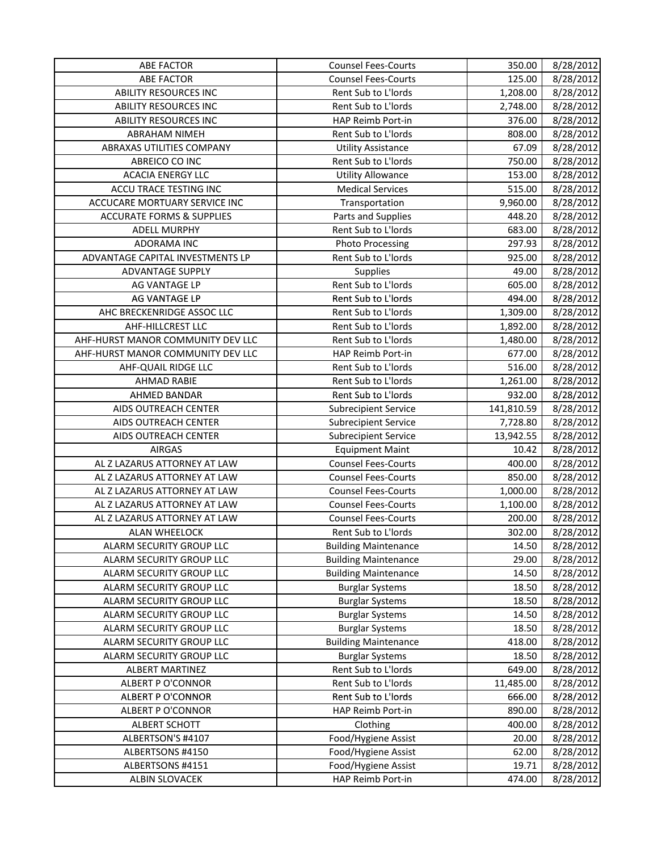| 8/28/2012<br><b>ABE FACTOR</b><br><b>Counsel Fees-Courts</b><br>125.00<br>8/28/2012<br><b>ABILITY RESOURCES INC</b><br>Rent Sub to L'Iords<br>1,208.00<br><b>ABILITY RESOURCES INC</b><br>Rent Sub to L'Iords<br>8/28/2012<br>2,748.00<br><b>ABILITY RESOURCES INC</b><br>376.00<br>8/28/2012<br>HAP Reimb Port-in<br>Rent Sub to L'Iords<br><b>ABRAHAM NIMEH</b><br>808.00<br>8/28/2012<br>8/28/2012<br>ABRAXAS UTILITIES COMPANY<br><b>Utility Assistance</b><br>67.09<br>Rent Sub to L'Iords<br>8/28/2012<br>ABREICO CO INC<br>750.00<br><b>ACACIA ENERGY LLC</b><br><b>Utility Allowance</b><br>153.00<br>8/28/2012<br>ACCU TRACE TESTING INC<br><b>Medical Services</b><br>515.00<br>8/28/2012<br>ACCUCARE MORTUARY SERVICE INC<br>Transportation<br>9,960.00<br>8/28/2012<br><b>ACCURATE FORMS &amp; SUPPLIES</b><br>448.20<br>8/28/2012<br>Parts and Supplies<br>Rent Sub to L'Iords<br>8/28/2012<br>683.00<br>ADELL MURPHY<br>8/28/2012<br><b>ADORAMA INC</b><br><b>Photo Processing</b><br>297.93<br>8/28/2012<br>ADVANTAGE CAPITAL INVESTMENTS LP<br>Rent Sub to L'Iords<br>925.00<br>ADVANTAGE SUPPLY<br><b>Supplies</b><br>49.00<br>8/28/2012<br>Rent Sub to L'Iords<br>605.00<br>8/28/2012<br>AG VANTAGE LP<br>Rent Sub to L'Iords<br>8/28/2012<br>AG VANTAGE LP<br>494.00<br>8/28/2012<br>AHC BRECKENRIDGE ASSOC LLC<br>Rent Sub to L'Iords<br>1,309.00<br>AHF-HILLCREST LLC<br>Rent Sub to L'Iords<br>8/28/2012<br>1,892.00<br>AHF-HURST MANOR COMMUNITY DEV LLC<br>8/28/2012<br>Rent Sub to L'Iords<br>1,480.00<br>8/28/2012<br>AHF-HURST MANOR COMMUNITY DEV LLC<br>HAP Reimb Port-in<br>677.00<br>Rent Sub to L'Iords<br>8/28/2012<br>AHF-QUAIL RIDGE LLC<br>516.00<br>Rent Sub to L'Iords<br>1,261.00<br>8/28/2012<br><b>AHMAD RABIE</b><br>AHMED BANDAR<br>Rent Sub to L'Iords<br>8/28/2012<br>932.00<br>8/28/2012<br>AIDS OUTREACH CENTER<br>141,810.59<br><b>Subrecipient Service</b><br>AIDS OUTREACH CENTER<br>8/28/2012<br>7,728.80<br><b>Subrecipient Service</b><br>AIDS OUTREACH CENTER<br>8/28/2012<br>13,942.55<br><b>Subrecipient Service</b><br><b>AIRGAS</b><br><b>Equipment Maint</b><br>10.42<br>8/28/2012<br>AL Z LAZARUS ATTORNEY AT LAW<br><b>Counsel Fees-Courts</b><br>8/28/2012<br>400.00<br><b>Counsel Fees-Courts</b><br>8/28/2012<br>AL Z LAZARUS ATTORNEY AT LAW<br>850.00<br><b>Counsel Fees-Courts</b><br>AL Z LAZARUS ATTORNEY AT LAW<br>1,000.00<br>8/28/2012<br><b>Counsel Fees-Courts</b><br>AL Z LAZARUS ATTORNEY AT LAW<br>1,100.00<br>8/28/2012<br>AL Z LAZARUS ATTORNEY AT LAW<br><b>Counsel Fees-Courts</b><br>200.00<br>8/28/2012<br>Rent Sub to L'Iords<br>302.00<br>8/28/2012<br><b>ALAN WHEELOCK</b><br>14.50<br>ALARM SECURITY GROUP LLC<br><b>Building Maintenance</b><br>ALARM SECURITY GROUP LLC<br><b>Building Maintenance</b><br>29.00<br>8/28/2012<br><b>Building Maintenance</b><br>8/28/2012<br>ALARM SECURITY GROUP LLC<br>14.50<br>ALARM SECURITY GROUP LLC<br><b>Burglar Systems</b><br>18.50<br>8/28/2012<br>ALARM SECURITY GROUP LLC<br>8/28/2012<br><b>Burglar Systems</b><br>18.50<br>8/28/2012<br>ALARM SECURITY GROUP LLC<br><b>Burglar Systems</b><br>14.50<br>ALARM SECURITY GROUP LLC<br><b>Burglar Systems</b><br>18.50<br>8/28/2012<br>ALARM SECURITY GROUP LLC<br><b>Building Maintenance</b><br>418.00<br>8/28/2012<br>ALARM SECURITY GROUP LLC<br>8/28/2012<br><b>Burglar Systems</b><br>18.50<br>Rent Sub to L'Iords<br>ALBERT MARTINEZ<br>649.00<br>8/28/2012<br>Rent Sub to L'Iords<br>ALBERT P O'CONNOR<br>11,485.00<br>8/28/2012<br><b>ALBERT P O'CONNOR</b><br>Rent Sub to L'Iords<br>666.00<br>8/28/2012<br>HAP Reimb Port-in<br>8/28/2012<br>ALBERT P O'CONNOR<br>890.00<br>8/28/2012<br><b>ALBERT SCHOTT</b><br>Clothing<br>400.00<br>Food/Hygiene Assist<br>ALBERTSON'S #4107<br>20.00<br>8/28/2012<br>ALBERTSONS #4150<br>Food/Hygiene Assist<br>62.00<br>8/28/2012<br>Food/Hygiene Assist<br>ALBERTSONS #4151<br>19.71<br>8/28/2012<br>HAP Reimb Port-in<br>ALBIN SLOVACEK<br>474.00 | <b>ABE FACTOR</b> | <b>Counsel Fees-Courts</b> | 350.00 | 8/28/2012 |
|----------------------------------------------------------------------------------------------------------------------------------------------------------------------------------------------------------------------------------------------------------------------------------------------------------------------------------------------------------------------------------------------------------------------------------------------------------------------------------------------------------------------------------------------------------------------------------------------------------------------------------------------------------------------------------------------------------------------------------------------------------------------------------------------------------------------------------------------------------------------------------------------------------------------------------------------------------------------------------------------------------------------------------------------------------------------------------------------------------------------------------------------------------------------------------------------------------------------------------------------------------------------------------------------------------------------------------------------------------------------------------------------------------------------------------------------------------------------------------------------------------------------------------------------------------------------------------------------------------------------------------------------------------------------------------------------------------------------------------------------------------------------------------------------------------------------------------------------------------------------------------------------------------------------------------------------------------------------------------------------------------------------------------------------------------------------------------------------------------------------------------------------------------------------------------------------------------------------------------------------------------------------------------------------------------------------------------------------------------------------------------------------------------------------------------------------------------------------------------------------------------------------------------------------------------------------------------------------------------------------------------------------------------------------------------------------------------------------------------------------------------------------------------------------------------------------------------------------------------------------------------------------------------------------------------------------------------------------------------------------------------------------------------------------------------------------------------------------------------------------------------------------------------------------------------------------------------------------------------------------------------------------------------------------------------------------------------------------------------------------------------------------------------------------------------------------------------------------------------------------------------------------------------------------------------------------------------------------------------------------------------------------------------------------------------------------------------------------------------------------------------------------------------------------------------------------------------------------------------------------------------------------------------------------------------------------------------------------------------------|-------------------|----------------------------|--------|-----------|
|                                                                                                                                                                                                                                                                                                                                                                                                                                                                                                                                                                                                                                                                                                                                                                                                                                                                                                                                                                                                                                                                                                                                                                                                                                                                                                                                                                                                                                                                                                                                                                                                                                                                                                                                                                                                                                                                                                                                                                                                                                                                                                                                                                                                                                                                                                                                                                                                                                                                                                                                                                                                                                                                                                                                                                                                                                                                                                                                                                                                                                                                                                                                                                                                                                                                                                                                                                                                                                                                                                                                                                                                                                                                                                                                                                                                                                                                                                                                                                                        |                   |                            |        |           |
|                                                                                                                                                                                                                                                                                                                                                                                                                                                                                                                                                                                                                                                                                                                                                                                                                                                                                                                                                                                                                                                                                                                                                                                                                                                                                                                                                                                                                                                                                                                                                                                                                                                                                                                                                                                                                                                                                                                                                                                                                                                                                                                                                                                                                                                                                                                                                                                                                                                                                                                                                                                                                                                                                                                                                                                                                                                                                                                                                                                                                                                                                                                                                                                                                                                                                                                                                                                                                                                                                                                                                                                                                                                                                                                                                                                                                                                                                                                                                                                        |                   |                            |        |           |
| 8/28/2012<br>8/28/2012                                                                                                                                                                                                                                                                                                                                                                                                                                                                                                                                                                                                                                                                                                                                                                                                                                                                                                                                                                                                                                                                                                                                                                                                                                                                                                                                                                                                                                                                                                                                                                                                                                                                                                                                                                                                                                                                                                                                                                                                                                                                                                                                                                                                                                                                                                                                                                                                                                                                                                                                                                                                                                                                                                                                                                                                                                                                                                                                                                                                                                                                                                                                                                                                                                                                                                                                                                                                                                                                                                                                                                                                                                                                                                                                                                                                                                                                                                                                                                 |                   |                            |        |           |
|                                                                                                                                                                                                                                                                                                                                                                                                                                                                                                                                                                                                                                                                                                                                                                                                                                                                                                                                                                                                                                                                                                                                                                                                                                                                                                                                                                                                                                                                                                                                                                                                                                                                                                                                                                                                                                                                                                                                                                                                                                                                                                                                                                                                                                                                                                                                                                                                                                                                                                                                                                                                                                                                                                                                                                                                                                                                                                                                                                                                                                                                                                                                                                                                                                                                                                                                                                                                                                                                                                                                                                                                                                                                                                                                                                                                                                                                                                                                                                                        |                   |                            |        |           |
|                                                                                                                                                                                                                                                                                                                                                                                                                                                                                                                                                                                                                                                                                                                                                                                                                                                                                                                                                                                                                                                                                                                                                                                                                                                                                                                                                                                                                                                                                                                                                                                                                                                                                                                                                                                                                                                                                                                                                                                                                                                                                                                                                                                                                                                                                                                                                                                                                                                                                                                                                                                                                                                                                                                                                                                                                                                                                                                                                                                                                                                                                                                                                                                                                                                                                                                                                                                                                                                                                                                                                                                                                                                                                                                                                                                                                                                                                                                                                                                        |                   |                            |        |           |
|                                                                                                                                                                                                                                                                                                                                                                                                                                                                                                                                                                                                                                                                                                                                                                                                                                                                                                                                                                                                                                                                                                                                                                                                                                                                                                                                                                                                                                                                                                                                                                                                                                                                                                                                                                                                                                                                                                                                                                                                                                                                                                                                                                                                                                                                                                                                                                                                                                                                                                                                                                                                                                                                                                                                                                                                                                                                                                                                                                                                                                                                                                                                                                                                                                                                                                                                                                                                                                                                                                                                                                                                                                                                                                                                                                                                                                                                                                                                                                                        |                   |                            |        |           |
|                                                                                                                                                                                                                                                                                                                                                                                                                                                                                                                                                                                                                                                                                                                                                                                                                                                                                                                                                                                                                                                                                                                                                                                                                                                                                                                                                                                                                                                                                                                                                                                                                                                                                                                                                                                                                                                                                                                                                                                                                                                                                                                                                                                                                                                                                                                                                                                                                                                                                                                                                                                                                                                                                                                                                                                                                                                                                                                                                                                                                                                                                                                                                                                                                                                                                                                                                                                                                                                                                                                                                                                                                                                                                                                                                                                                                                                                                                                                                                                        |                   |                            |        |           |
|                                                                                                                                                                                                                                                                                                                                                                                                                                                                                                                                                                                                                                                                                                                                                                                                                                                                                                                                                                                                                                                                                                                                                                                                                                                                                                                                                                                                                                                                                                                                                                                                                                                                                                                                                                                                                                                                                                                                                                                                                                                                                                                                                                                                                                                                                                                                                                                                                                                                                                                                                                                                                                                                                                                                                                                                                                                                                                                                                                                                                                                                                                                                                                                                                                                                                                                                                                                                                                                                                                                                                                                                                                                                                                                                                                                                                                                                                                                                                                                        |                   |                            |        |           |
|                                                                                                                                                                                                                                                                                                                                                                                                                                                                                                                                                                                                                                                                                                                                                                                                                                                                                                                                                                                                                                                                                                                                                                                                                                                                                                                                                                                                                                                                                                                                                                                                                                                                                                                                                                                                                                                                                                                                                                                                                                                                                                                                                                                                                                                                                                                                                                                                                                                                                                                                                                                                                                                                                                                                                                                                                                                                                                                                                                                                                                                                                                                                                                                                                                                                                                                                                                                                                                                                                                                                                                                                                                                                                                                                                                                                                                                                                                                                                                                        |                   |                            |        |           |
|                                                                                                                                                                                                                                                                                                                                                                                                                                                                                                                                                                                                                                                                                                                                                                                                                                                                                                                                                                                                                                                                                                                                                                                                                                                                                                                                                                                                                                                                                                                                                                                                                                                                                                                                                                                                                                                                                                                                                                                                                                                                                                                                                                                                                                                                                                                                                                                                                                                                                                                                                                                                                                                                                                                                                                                                                                                                                                                                                                                                                                                                                                                                                                                                                                                                                                                                                                                                                                                                                                                                                                                                                                                                                                                                                                                                                                                                                                                                                                                        |                   |                            |        |           |
|                                                                                                                                                                                                                                                                                                                                                                                                                                                                                                                                                                                                                                                                                                                                                                                                                                                                                                                                                                                                                                                                                                                                                                                                                                                                                                                                                                                                                                                                                                                                                                                                                                                                                                                                                                                                                                                                                                                                                                                                                                                                                                                                                                                                                                                                                                                                                                                                                                                                                                                                                                                                                                                                                                                                                                                                                                                                                                                                                                                                                                                                                                                                                                                                                                                                                                                                                                                                                                                                                                                                                                                                                                                                                                                                                                                                                                                                                                                                                                                        |                   |                            |        |           |
|                                                                                                                                                                                                                                                                                                                                                                                                                                                                                                                                                                                                                                                                                                                                                                                                                                                                                                                                                                                                                                                                                                                                                                                                                                                                                                                                                                                                                                                                                                                                                                                                                                                                                                                                                                                                                                                                                                                                                                                                                                                                                                                                                                                                                                                                                                                                                                                                                                                                                                                                                                                                                                                                                                                                                                                                                                                                                                                                                                                                                                                                                                                                                                                                                                                                                                                                                                                                                                                                                                                                                                                                                                                                                                                                                                                                                                                                                                                                                                                        |                   |                            |        |           |
|                                                                                                                                                                                                                                                                                                                                                                                                                                                                                                                                                                                                                                                                                                                                                                                                                                                                                                                                                                                                                                                                                                                                                                                                                                                                                                                                                                                                                                                                                                                                                                                                                                                                                                                                                                                                                                                                                                                                                                                                                                                                                                                                                                                                                                                                                                                                                                                                                                                                                                                                                                                                                                                                                                                                                                                                                                                                                                                                                                                                                                                                                                                                                                                                                                                                                                                                                                                                                                                                                                                                                                                                                                                                                                                                                                                                                                                                                                                                                                                        |                   |                            |        |           |
|                                                                                                                                                                                                                                                                                                                                                                                                                                                                                                                                                                                                                                                                                                                                                                                                                                                                                                                                                                                                                                                                                                                                                                                                                                                                                                                                                                                                                                                                                                                                                                                                                                                                                                                                                                                                                                                                                                                                                                                                                                                                                                                                                                                                                                                                                                                                                                                                                                                                                                                                                                                                                                                                                                                                                                                                                                                                                                                                                                                                                                                                                                                                                                                                                                                                                                                                                                                                                                                                                                                                                                                                                                                                                                                                                                                                                                                                                                                                                                                        |                   |                            |        |           |
|                                                                                                                                                                                                                                                                                                                                                                                                                                                                                                                                                                                                                                                                                                                                                                                                                                                                                                                                                                                                                                                                                                                                                                                                                                                                                                                                                                                                                                                                                                                                                                                                                                                                                                                                                                                                                                                                                                                                                                                                                                                                                                                                                                                                                                                                                                                                                                                                                                                                                                                                                                                                                                                                                                                                                                                                                                                                                                                                                                                                                                                                                                                                                                                                                                                                                                                                                                                                                                                                                                                                                                                                                                                                                                                                                                                                                                                                                                                                                                                        |                   |                            |        |           |
|                                                                                                                                                                                                                                                                                                                                                                                                                                                                                                                                                                                                                                                                                                                                                                                                                                                                                                                                                                                                                                                                                                                                                                                                                                                                                                                                                                                                                                                                                                                                                                                                                                                                                                                                                                                                                                                                                                                                                                                                                                                                                                                                                                                                                                                                                                                                                                                                                                                                                                                                                                                                                                                                                                                                                                                                                                                                                                                                                                                                                                                                                                                                                                                                                                                                                                                                                                                                                                                                                                                                                                                                                                                                                                                                                                                                                                                                                                                                                                                        |                   |                            |        |           |
|                                                                                                                                                                                                                                                                                                                                                                                                                                                                                                                                                                                                                                                                                                                                                                                                                                                                                                                                                                                                                                                                                                                                                                                                                                                                                                                                                                                                                                                                                                                                                                                                                                                                                                                                                                                                                                                                                                                                                                                                                                                                                                                                                                                                                                                                                                                                                                                                                                                                                                                                                                                                                                                                                                                                                                                                                                                                                                                                                                                                                                                                                                                                                                                                                                                                                                                                                                                                                                                                                                                                                                                                                                                                                                                                                                                                                                                                                                                                                                                        |                   |                            |        |           |
|                                                                                                                                                                                                                                                                                                                                                                                                                                                                                                                                                                                                                                                                                                                                                                                                                                                                                                                                                                                                                                                                                                                                                                                                                                                                                                                                                                                                                                                                                                                                                                                                                                                                                                                                                                                                                                                                                                                                                                                                                                                                                                                                                                                                                                                                                                                                                                                                                                                                                                                                                                                                                                                                                                                                                                                                                                                                                                                                                                                                                                                                                                                                                                                                                                                                                                                                                                                                                                                                                                                                                                                                                                                                                                                                                                                                                                                                                                                                                                                        |                   |                            |        |           |
|                                                                                                                                                                                                                                                                                                                                                                                                                                                                                                                                                                                                                                                                                                                                                                                                                                                                                                                                                                                                                                                                                                                                                                                                                                                                                                                                                                                                                                                                                                                                                                                                                                                                                                                                                                                                                                                                                                                                                                                                                                                                                                                                                                                                                                                                                                                                                                                                                                                                                                                                                                                                                                                                                                                                                                                                                                                                                                                                                                                                                                                                                                                                                                                                                                                                                                                                                                                                                                                                                                                                                                                                                                                                                                                                                                                                                                                                                                                                                                                        |                   |                            |        |           |
|                                                                                                                                                                                                                                                                                                                                                                                                                                                                                                                                                                                                                                                                                                                                                                                                                                                                                                                                                                                                                                                                                                                                                                                                                                                                                                                                                                                                                                                                                                                                                                                                                                                                                                                                                                                                                                                                                                                                                                                                                                                                                                                                                                                                                                                                                                                                                                                                                                                                                                                                                                                                                                                                                                                                                                                                                                                                                                                                                                                                                                                                                                                                                                                                                                                                                                                                                                                                                                                                                                                                                                                                                                                                                                                                                                                                                                                                                                                                                                                        |                   |                            |        |           |
|                                                                                                                                                                                                                                                                                                                                                                                                                                                                                                                                                                                                                                                                                                                                                                                                                                                                                                                                                                                                                                                                                                                                                                                                                                                                                                                                                                                                                                                                                                                                                                                                                                                                                                                                                                                                                                                                                                                                                                                                                                                                                                                                                                                                                                                                                                                                                                                                                                                                                                                                                                                                                                                                                                                                                                                                                                                                                                                                                                                                                                                                                                                                                                                                                                                                                                                                                                                                                                                                                                                                                                                                                                                                                                                                                                                                                                                                                                                                                                                        |                   |                            |        |           |
|                                                                                                                                                                                                                                                                                                                                                                                                                                                                                                                                                                                                                                                                                                                                                                                                                                                                                                                                                                                                                                                                                                                                                                                                                                                                                                                                                                                                                                                                                                                                                                                                                                                                                                                                                                                                                                                                                                                                                                                                                                                                                                                                                                                                                                                                                                                                                                                                                                                                                                                                                                                                                                                                                                                                                                                                                                                                                                                                                                                                                                                                                                                                                                                                                                                                                                                                                                                                                                                                                                                                                                                                                                                                                                                                                                                                                                                                                                                                                                                        |                   |                            |        |           |
|                                                                                                                                                                                                                                                                                                                                                                                                                                                                                                                                                                                                                                                                                                                                                                                                                                                                                                                                                                                                                                                                                                                                                                                                                                                                                                                                                                                                                                                                                                                                                                                                                                                                                                                                                                                                                                                                                                                                                                                                                                                                                                                                                                                                                                                                                                                                                                                                                                                                                                                                                                                                                                                                                                                                                                                                                                                                                                                                                                                                                                                                                                                                                                                                                                                                                                                                                                                                                                                                                                                                                                                                                                                                                                                                                                                                                                                                                                                                                                                        |                   |                            |        |           |
|                                                                                                                                                                                                                                                                                                                                                                                                                                                                                                                                                                                                                                                                                                                                                                                                                                                                                                                                                                                                                                                                                                                                                                                                                                                                                                                                                                                                                                                                                                                                                                                                                                                                                                                                                                                                                                                                                                                                                                                                                                                                                                                                                                                                                                                                                                                                                                                                                                                                                                                                                                                                                                                                                                                                                                                                                                                                                                                                                                                                                                                                                                                                                                                                                                                                                                                                                                                                                                                                                                                                                                                                                                                                                                                                                                                                                                                                                                                                                                                        |                   |                            |        |           |
|                                                                                                                                                                                                                                                                                                                                                                                                                                                                                                                                                                                                                                                                                                                                                                                                                                                                                                                                                                                                                                                                                                                                                                                                                                                                                                                                                                                                                                                                                                                                                                                                                                                                                                                                                                                                                                                                                                                                                                                                                                                                                                                                                                                                                                                                                                                                                                                                                                                                                                                                                                                                                                                                                                                                                                                                                                                                                                                                                                                                                                                                                                                                                                                                                                                                                                                                                                                                                                                                                                                                                                                                                                                                                                                                                                                                                                                                                                                                                                                        |                   |                            |        |           |
|                                                                                                                                                                                                                                                                                                                                                                                                                                                                                                                                                                                                                                                                                                                                                                                                                                                                                                                                                                                                                                                                                                                                                                                                                                                                                                                                                                                                                                                                                                                                                                                                                                                                                                                                                                                                                                                                                                                                                                                                                                                                                                                                                                                                                                                                                                                                                                                                                                                                                                                                                                                                                                                                                                                                                                                                                                                                                                                                                                                                                                                                                                                                                                                                                                                                                                                                                                                                                                                                                                                                                                                                                                                                                                                                                                                                                                                                                                                                                                                        |                   |                            |        |           |
|                                                                                                                                                                                                                                                                                                                                                                                                                                                                                                                                                                                                                                                                                                                                                                                                                                                                                                                                                                                                                                                                                                                                                                                                                                                                                                                                                                                                                                                                                                                                                                                                                                                                                                                                                                                                                                                                                                                                                                                                                                                                                                                                                                                                                                                                                                                                                                                                                                                                                                                                                                                                                                                                                                                                                                                                                                                                                                                                                                                                                                                                                                                                                                                                                                                                                                                                                                                                                                                                                                                                                                                                                                                                                                                                                                                                                                                                                                                                                                                        |                   |                            |        |           |
|                                                                                                                                                                                                                                                                                                                                                                                                                                                                                                                                                                                                                                                                                                                                                                                                                                                                                                                                                                                                                                                                                                                                                                                                                                                                                                                                                                                                                                                                                                                                                                                                                                                                                                                                                                                                                                                                                                                                                                                                                                                                                                                                                                                                                                                                                                                                                                                                                                                                                                                                                                                                                                                                                                                                                                                                                                                                                                                                                                                                                                                                                                                                                                                                                                                                                                                                                                                                                                                                                                                                                                                                                                                                                                                                                                                                                                                                                                                                                                                        |                   |                            |        |           |
|                                                                                                                                                                                                                                                                                                                                                                                                                                                                                                                                                                                                                                                                                                                                                                                                                                                                                                                                                                                                                                                                                                                                                                                                                                                                                                                                                                                                                                                                                                                                                                                                                                                                                                                                                                                                                                                                                                                                                                                                                                                                                                                                                                                                                                                                                                                                                                                                                                                                                                                                                                                                                                                                                                                                                                                                                                                                                                                                                                                                                                                                                                                                                                                                                                                                                                                                                                                                                                                                                                                                                                                                                                                                                                                                                                                                                                                                                                                                                                                        |                   |                            |        |           |
|                                                                                                                                                                                                                                                                                                                                                                                                                                                                                                                                                                                                                                                                                                                                                                                                                                                                                                                                                                                                                                                                                                                                                                                                                                                                                                                                                                                                                                                                                                                                                                                                                                                                                                                                                                                                                                                                                                                                                                                                                                                                                                                                                                                                                                                                                                                                                                                                                                                                                                                                                                                                                                                                                                                                                                                                                                                                                                                                                                                                                                                                                                                                                                                                                                                                                                                                                                                                                                                                                                                                                                                                                                                                                                                                                                                                                                                                                                                                                                                        |                   |                            |        |           |
|                                                                                                                                                                                                                                                                                                                                                                                                                                                                                                                                                                                                                                                                                                                                                                                                                                                                                                                                                                                                                                                                                                                                                                                                                                                                                                                                                                                                                                                                                                                                                                                                                                                                                                                                                                                                                                                                                                                                                                                                                                                                                                                                                                                                                                                                                                                                                                                                                                                                                                                                                                                                                                                                                                                                                                                                                                                                                                                                                                                                                                                                                                                                                                                                                                                                                                                                                                                                                                                                                                                                                                                                                                                                                                                                                                                                                                                                                                                                                                                        |                   |                            |        |           |
|                                                                                                                                                                                                                                                                                                                                                                                                                                                                                                                                                                                                                                                                                                                                                                                                                                                                                                                                                                                                                                                                                                                                                                                                                                                                                                                                                                                                                                                                                                                                                                                                                                                                                                                                                                                                                                                                                                                                                                                                                                                                                                                                                                                                                                                                                                                                                                                                                                                                                                                                                                                                                                                                                                                                                                                                                                                                                                                                                                                                                                                                                                                                                                                                                                                                                                                                                                                                                                                                                                                                                                                                                                                                                                                                                                                                                                                                                                                                                                                        |                   |                            |        |           |
|                                                                                                                                                                                                                                                                                                                                                                                                                                                                                                                                                                                                                                                                                                                                                                                                                                                                                                                                                                                                                                                                                                                                                                                                                                                                                                                                                                                                                                                                                                                                                                                                                                                                                                                                                                                                                                                                                                                                                                                                                                                                                                                                                                                                                                                                                                                                                                                                                                                                                                                                                                                                                                                                                                                                                                                                                                                                                                                                                                                                                                                                                                                                                                                                                                                                                                                                                                                                                                                                                                                                                                                                                                                                                                                                                                                                                                                                                                                                                                                        |                   |                            |        |           |
|                                                                                                                                                                                                                                                                                                                                                                                                                                                                                                                                                                                                                                                                                                                                                                                                                                                                                                                                                                                                                                                                                                                                                                                                                                                                                                                                                                                                                                                                                                                                                                                                                                                                                                                                                                                                                                                                                                                                                                                                                                                                                                                                                                                                                                                                                                                                                                                                                                                                                                                                                                                                                                                                                                                                                                                                                                                                                                                                                                                                                                                                                                                                                                                                                                                                                                                                                                                                                                                                                                                                                                                                                                                                                                                                                                                                                                                                                                                                                                                        |                   |                            |        |           |
|                                                                                                                                                                                                                                                                                                                                                                                                                                                                                                                                                                                                                                                                                                                                                                                                                                                                                                                                                                                                                                                                                                                                                                                                                                                                                                                                                                                                                                                                                                                                                                                                                                                                                                                                                                                                                                                                                                                                                                                                                                                                                                                                                                                                                                                                                                                                                                                                                                                                                                                                                                                                                                                                                                                                                                                                                                                                                                                                                                                                                                                                                                                                                                                                                                                                                                                                                                                                                                                                                                                                                                                                                                                                                                                                                                                                                                                                                                                                                                                        |                   |                            |        |           |
|                                                                                                                                                                                                                                                                                                                                                                                                                                                                                                                                                                                                                                                                                                                                                                                                                                                                                                                                                                                                                                                                                                                                                                                                                                                                                                                                                                                                                                                                                                                                                                                                                                                                                                                                                                                                                                                                                                                                                                                                                                                                                                                                                                                                                                                                                                                                                                                                                                                                                                                                                                                                                                                                                                                                                                                                                                                                                                                                                                                                                                                                                                                                                                                                                                                                                                                                                                                                                                                                                                                                                                                                                                                                                                                                                                                                                                                                                                                                                                                        |                   |                            |        |           |
|                                                                                                                                                                                                                                                                                                                                                                                                                                                                                                                                                                                                                                                                                                                                                                                                                                                                                                                                                                                                                                                                                                                                                                                                                                                                                                                                                                                                                                                                                                                                                                                                                                                                                                                                                                                                                                                                                                                                                                                                                                                                                                                                                                                                                                                                                                                                                                                                                                                                                                                                                                                                                                                                                                                                                                                                                                                                                                                                                                                                                                                                                                                                                                                                                                                                                                                                                                                                                                                                                                                                                                                                                                                                                                                                                                                                                                                                                                                                                                                        |                   |                            |        |           |
|                                                                                                                                                                                                                                                                                                                                                                                                                                                                                                                                                                                                                                                                                                                                                                                                                                                                                                                                                                                                                                                                                                                                                                                                                                                                                                                                                                                                                                                                                                                                                                                                                                                                                                                                                                                                                                                                                                                                                                                                                                                                                                                                                                                                                                                                                                                                                                                                                                                                                                                                                                                                                                                                                                                                                                                                                                                                                                                                                                                                                                                                                                                                                                                                                                                                                                                                                                                                                                                                                                                                                                                                                                                                                                                                                                                                                                                                                                                                                                                        |                   |                            |        |           |
|                                                                                                                                                                                                                                                                                                                                                                                                                                                                                                                                                                                                                                                                                                                                                                                                                                                                                                                                                                                                                                                                                                                                                                                                                                                                                                                                                                                                                                                                                                                                                                                                                                                                                                                                                                                                                                                                                                                                                                                                                                                                                                                                                                                                                                                                                                                                                                                                                                                                                                                                                                                                                                                                                                                                                                                                                                                                                                                                                                                                                                                                                                                                                                                                                                                                                                                                                                                                                                                                                                                                                                                                                                                                                                                                                                                                                                                                                                                                                                                        |                   |                            |        |           |
|                                                                                                                                                                                                                                                                                                                                                                                                                                                                                                                                                                                                                                                                                                                                                                                                                                                                                                                                                                                                                                                                                                                                                                                                                                                                                                                                                                                                                                                                                                                                                                                                                                                                                                                                                                                                                                                                                                                                                                                                                                                                                                                                                                                                                                                                                                                                                                                                                                                                                                                                                                                                                                                                                                                                                                                                                                                                                                                                                                                                                                                                                                                                                                                                                                                                                                                                                                                                                                                                                                                                                                                                                                                                                                                                                                                                                                                                                                                                                                                        |                   |                            |        |           |
|                                                                                                                                                                                                                                                                                                                                                                                                                                                                                                                                                                                                                                                                                                                                                                                                                                                                                                                                                                                                                                                                                                                                                                                                                                                                                                                                                                                                                                                                                                                                                                                                                                                                                                                                                                                                                                                                                                                                                                                                                                                                                                                                                                                                                                                                                                                                                                                                                                                                                                                                                                                                                                                                                                                                                                                                                                                                                                                                                                                                                                                                                                                                                                                                                                                                                                                                                                                                                                                                                                                                                                                                                                                                                                                                                                                                                                                                                                                                                                                        |                   |                            |        |           |
|                                                                                                                                                                                                                                                                                                                                                                                                                                                                                                                                                                                                                                                                                                                                                                                                                                                                                                                                                                                                                                                                                                                                                                                                                                                                                                                                                                                                                                                                                                                                                                                                                                                                                                                                                                                                                                                                                                                                                                                                                                                                                                                                                                                                                                                                                                                                                                                                                                                                                                                                                                                                                                                                                                                                                                                                                                                                                                                                                                                                                                                                                                                                                                                                                                                                                                                                                                                                                                                                                                                                                                                                                                                                                                                                                                                                                                                                                                                                                                                        |                   |                            |        |           |
|                                                                                                                                                                                                                                                                                                                                                                                                                                                                                                                                                                                                                                                                                                                                                                                                                                                                                                                                                                                                                                                                                                                                                                                                                                                                                                                                                                                                                                                                                                                                                                                                                                                                                                                                                                                                                                                                                                                                                                                                                                                                                                                                                                                                                                                                                                                                                                                                                                                                                                                                                                                                                                                                                                                                                                                                                                                                                                                                                                                                                                                                                                                                                                                                                                                                                                                                                                                                                                                                                                                                                                                                                                                                                                                                                                                                                                                                                                                                                                                        |                   |                            |        |           |
|                                                                                                                                                                                                                                                                                                                                                                                                                                                                                                                                                                                                                                                                                                                                                                                                                                                                                                                                                                                                                                                                                                                                                                                                                                                                                                                                                                                                                                                                                                                                                                                                                                                                                                                                                                                                                                                                                                                                                                                                                                                                                                                                                                                                                                                                                                                                                                                                                                                                                                                                                                                                                                                                                                                                                                                                                                                                                                                                                                                                                                                                                                                                                                                                                                                                                                                                                                                                                                                                                                                                                                                                                                                                                                                                                                                                                                                                                                                                                                                        |                   |                            |        |           |
|                                                                                                                                                                                                                                                                                                                                                                                                                                                                                                                                                                                                                                                                                                                                                                                                                                                                                                                                                                                                                                                                                                                                                                                                                                                                                                                                                                                                                                                                                                                                                                                                                                                                                                                                                                                                                                                                                                                                                                                                                                                                                                                                                                                                                                                                                                                                                                                                                                                                                                                                                                                                                                                                                                                                                                                                                                                                                                                                                                                                                                                                                                                                                                                                                                                                                                                                                                                                                                                                                                                                                                                                                                                                                                                                                                                                                                                                                                                                                                                        |                   |                            |        |           |
|                                                                                                                                                                                                                                                                                                                                                                                                                                                                                                                                                                                                                                                                                                                                                                                                                                                                                                                                                                                                                                                                                                                                                                                                                                                                                                                                                                                                                                                                                                                                                                                                                                                                                                                                                                                                                                                                                                                                                                                                                                                                                                                                                                                                                                                                                                                                                                                                                                                                                                                                                                                                                                                                                                                                                                                                                                                                                                                                                                                                                                                                                                                                                                                                                                                                                                                                                                                                                                                                                                                                                                                                                                                                                                                                                                                                                                                                                                                                                                                        |                   |                            |        |           |
|                                                                                                                                                                                                                                                                                                                                                                                                                                                                                                                                                                                                                                                                                                                                                                                                                                                                                                                                                                                                                                                                                                                                                                                                                                                                                                                                                                                                                                                                                                                                                                                                                                                                                                                                                                                                                                                                                                                                                                                                                                                                                                                                                                                                                                                                                                                                                                                                                                                                                                                                                                                                                                                                                                                                                                                                                                                                                                                                                                                                                                                                                                                                                                                                                                                                                                                                                                                                                                                                                                                                                                                                                                                                                                                                                                                                                                                                                                                                                                                        |                   |                            |        |           |
|                                                                                                                                                                                                                                                                                                                                                                                                                                                                                                                                                                                                                                                                                                                                                                                                                                                                                                                                                                                                                                                                                                                                                                                                                                                                                                                                                                                                                                                                                                                                                                                                                                                                                                                                                                                                                                                                                                                                                                                                                                                                                                                                                                                                                                                                                                                                                                                                                                                                                                                                                                                                                                                                                                                                                                                                                                                                                                                                                                                                                                                                                                                                                                                                                                                                                                                                                                                                                                                                                                                                                                                                                                                                                                                                                                                                                                                                                                                                                                                        |                   |                            |        |           |
|                                                                                                                                                                                                                                                                                                                                                                                                                                                                                                                                                                                                                                                                                                                                                                                                                                                                                                                                                                                                                                                                                                                                                                                                                                                                                                                                                                                                                                                                                                                                                                                                                                                                                                                                                                                                                                                                                                                                                                                                                                                                                                                                                                                                                                                                                                                                                                                                                                                                                                                                                                                                                                                                                                                                                                                                                                                                                                                                                                                                                                                                                                                                                                                                                                                                                                                                                                                                                                                                                                                                                                                                                                                                                                                                                                                                                                                                                                                                                                                        |                   |                            |        |           |
|                                                                                                                                                                                                                                                                                                                                                                                                                                                                                                                                                                                                                                                                                                                                                                                                                                                                                                                                                                                                                                                                                                                                                                                                                                                                                                                                                                                                                                                                                                                                                                                                                                                                                                                                                                                                                                                                                                                                                                                                                                                                                                                                                                                                                                                                                                                                                                                                                                                                                                                                                                                                                                                                                                                                                                                                                                                                                                                                                                                                                                                                                                                                                                                                                                                                                                                                                                                                                                                                                                                                                                                                                                                                                                                                                                                                                                                                                                                                                                                        |                   |                            |        |           |
|                                                                                                                                                                                                                                                                                                                                                                                                                                                                                                                                                                                                                                                                                                                                                                                                                                                                                                                                                                                                                                                                                                                                                                                                                                                                                                                                                                                                                                                                                                                                                                                                                                                                                                                                                                                                                                                                                                                                                                                                                                                                                                                                                                                                                                                                                                                                                                                                                                                                                                                                                                                                                                                                                                                                                                                                                                                                                                                                                                                                                                                                                                                                                                                                                                                                                                                                                                                                                                                                                                                                                                                                                                                                                                                                                                                                                                                                                                                                                                                        |                   |                            |        |           |
|                                                                                                                                                                                                                                                                                                                                                                                                                                                                                                                                                                                                                                                                                                                                                                                                                                                                                                                                                                                                                                                                                                                                                                                                                                                                                                                                                                                                                                                                                                                                                                                                                                                                                                                                                                                                                                                                                                                                                                                                                                                                                                                                                                                                                                                                                                                                                                                                                                                                                                                                                                                                                                                                                                                                                                                                                                                                                                                                                                                                                                                                                                                                                                                                                                                                                                                                                                                                                                                                                                                                                                                                                                                                                                                                                                                                                                                                                                                                                                                        |                   |                            |        |           |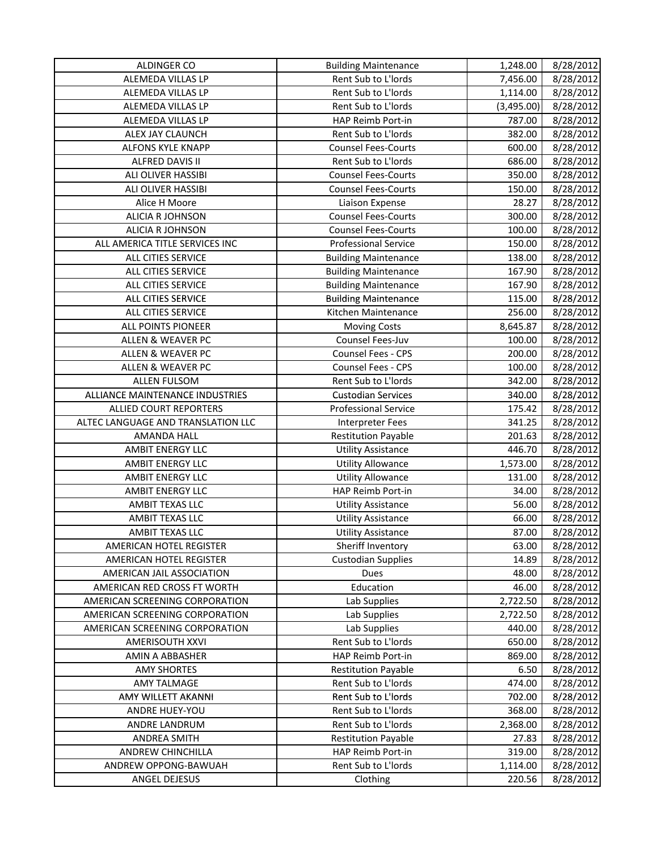| ALDINGER CO                        | <b>Building Maintenance</b> | 1,248.00   | 8/28/2012 |
|------------------------------------|-----------------------------|------------|-----------|
| ALEMEDA VILLAS LP                  | Rent Sub to L'Iords         | 7,456.00   | 8/28/2012 |
| ALEMEDA VILLAS LP                  | Rent Sub to L'Iords         | 1,114.00   | 8/28/2012 |
| ALEMEDA VILLAS LP                  | Rent Sub to L'Iords         | (3,495.00) | 8/28/2012 |
| ALEMEDA VILLAS LP                  | HAP Reimb Port-in           | 787.00     | 8/28/2012 |
| ALEX JAY CLAUNCH                   | Rent Sub to L'Iords         | 382.00     | 8/28/2012 |
| ALFONS KYLE KNAPP                  | <b>Counsel Fees-Courts</b>  | 600.00     | 8/28/2012 |
| ALFRED DAVIS II                    | Rent Sub to L'Iords         | 686.00     | 8/28/2012 |
| ALI OLIVER HASSIBI                 | <b>Counsel Fees-Courts</b>  | 350.00     | 8/28/2012 |
| ALI OLIVER HASSIBI                 | <b>Counsel Fees-Courts</b>  | 150.00     | 8/28/2012 |
| Alice H Moore                      | Liaison Expense             | 28.27      | 8/28/2012 |
| ALICIA R JOHNSON                   | <b>Counsel Fees-Courts</b>  | 300.00     | 8/28/2012 |
| ALICIA R JOHNSON                   | <b>Counsel Fees-Courts</b>  | 100.00     | 8/28/2012 |
| ALL AMERICA TITLE SERVICES INC     | <b>Professional Service</b> | 150.00     | 8/28/2012 |
| ALL CITIES SERVICE                 | <b>Building Maintenance</b> | 138.00     | 8/28/2012 |
| ALL CITIES SERVICE                 | <b>Building Maintenance</b> | 167.90     | 8/28/2012 |
| ALL CITIES SERVICE                 | <b>Building Maintenance</b> | 167.90     | 8/28/2012 |
| ALL CITIES SERVICE                 | <b>Building Maintenance</b> | 115.00     | 8/28/2012 |
| ALL CITIES SERVICE                 | Kitchen Maintenance         | 256.00     | 8/28/2012 |
| ALL POINTS PIONEER                 | <b>Moving Costs</b>         | 8,645.87   | 8/28/2012 |
| ALLEN & WEAVER PC                  | Counsel Fees-Juv            | 100.00     | 8/28/2012 |
| <b>ALLEN &amp; WEAVER PC</b>       | Counsel Fees - CPS          | 200.00     | 8/28/2012 |
| ALLEN & WEAVER PC                  | Counsel Fees - CPS          | 100.00     | 8/28/2012 |
| <b>ALLEN FULSOM</b>                | Rent Sub to L'Iords         | 342.00     | 8/28/2012 |
| ALLIANCE MAINTENANCE INDUSTRIES    | <b>Custodian Services</b>   | 340.00     | 8/28/2012 |
| <b>ALLIED COURT REPORTERS</b>      | <b>Professional Service</b> | 175.42     | 8/28/2012 |
| ALTEC LANGUAGE AND TRANSLATION LLC | <b>Interpreter Fees</b>     | 341.25     | 8/28/2012 |
| AMANDA HALL                        | <b>Restitution Payable</b>  | 201.63     | 8/28/2012 |
| AMBIT ENERGY LLC                   | <b>Utility Assistance</b>   | 446.70     | 8/28/2012 |
| <b>AMBIT ENERGY LLC</b>            | <b>Utility Allowance</b>    | 1,573.00   | 8/28/2012 |
| <b>AMBIT ENERGY LLC</b>            | <b>Utility Allowance</b>    | 131.00     | 8/28/2012 |
| <b>AMBIT ENERGY LLC</b>            | <b>HAP Reimb Port-in</b>    | 34.00      | 8/28/2012 |
| AMBIT TEXAS LLC                    | <b>Utility Assistance</b>   | 56.00      | 8/28/2012 |
| AMBIT TEXAS LLC                    | <b>Utility Assistance</b>   | 66.00      | 8/28/2012 |
| AMBIT TEXAS LLC                    | <b>Utility Assistance</b>   | 87.00      | 8/28/2012 |
| AMERICAN HOTEL REGISTER            | Sheriff Inventory           | 63.00      | 8/28/2012 |
| AMERICAN HOTEL REGISTER            | <b>Custodian Supplies</b>   | 14.89      | 8/28/2012 |
| AMERICAN JAIL ASSOCIATION          | Dues                        | 48.00      | 8/28/2012 |
| AMERICAN RED CROSS FT WORTH        | Education                   | 46.00      | 8/28/2012 |
| AMERICAN SCREENING CORPORATION     | Lab Supplies                | 2,722.50   | 8/28/2012 |
| AMERICAN SCREENING CORPORATION     | Lab Supplies                | 2,722.50   | 8/28/2012 |
| AMERICAN SCREENING CORPORATION     | Lab Supplies                | 440.00     | 8/28/2012 |
| AMERISOUTH XXVI                    | Rent Sub to L'Iords         | 650.00     | 8/28/2012 |
| AMIN A ABBASHER                    | HAP Reimb Port-in           | 869.00     | 8/28/2012 |
| <b>AMY SHORTES</b>                 | <b>Restitution Payable</b>  | 6.50       | 8/28/2012 |
| <b>AMY TALMAGE</b>                 | Rent Sub to L'Iords         | 474.00     | 8/28/2012 |
| AMY WILLETT AKANNI                 | Rent Sub to L'Iords         | 702.00     | 8/28/2012 |
| ANDRE HUEY-YOU                     | Rent Sub to L'Iords         | 368.00     | 8/28/2012 |
| ANDRE LANDRUM                      | Rent Sub to L'Iords         | 2,368.00   | 8/28/2012 |
| <b>ANDREA SMITH</b>                | <b>Restitution Payable</b>  | 27.83      | 8/28/2012 |
| ANDREW CHINCHILLA                  | HAP Reimb Port-in           | 319.00     | 8/28/2012 |
| ANDREW OPPONG-BAWUAH               | Rent Sub to L'Iords         | 1,114.00   | 8/28/2012 |
| ANGEL DEJESUS                      | Clothing                    | 220.56     | 8/28/2012 |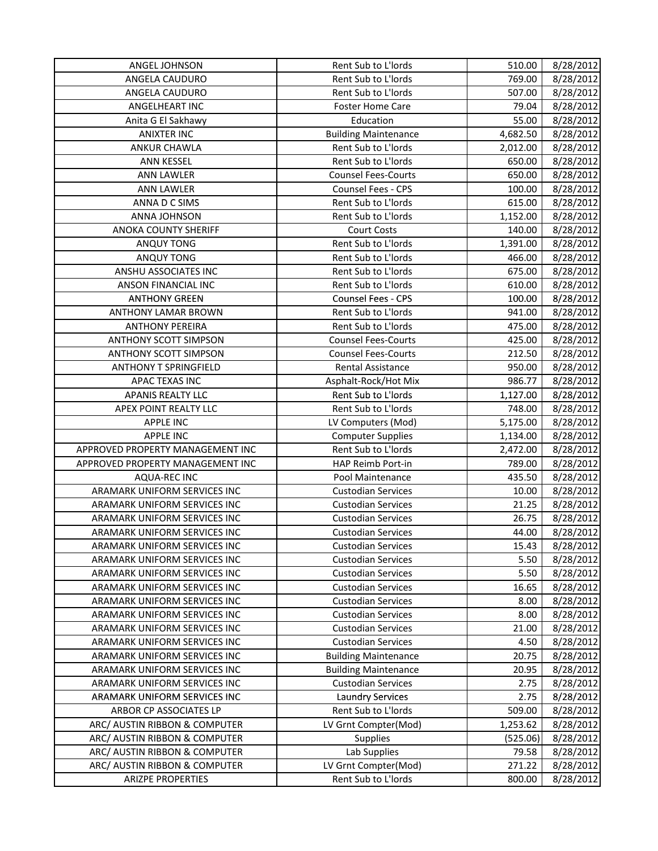| ANGEL JOHNSON                    | Rent Sub to L'Iords         | 510.00   | 8/28/2012 |
|----------------------------------|-----------------------------|----------|-----------|
| ANGELA CAUDURO                   | Rent Sub to L'Iords         | 769.00   | 8/28/2012 |
| ANGELA CAUDURO                   | Rent Sub to L'Iords         | 507.00   | 8/28/2012 |
| ANGELHEART INC                   | Foster Home Care            | 79.04    | 8/28/2012 |
| Anita G El Sakhawy               | Education                   | 55.00    | 8/28/2012 |
| <b>ANIXTER INC</b>               | <b>Building Maintenance</b> | 4,682.50 | 8/28/2012 |
| <b>ANKUR CHAWLA</b>              | Rent Sub to L'Iords         | 2,012.00 | 8/28/2012 |
| ANN KESSEL                       | Rent Sub to L'Iords         | 650.00   | 8/28/2012 |
| <b>ANN LAWLER</b>                | <b>Counsel Fees-Courts</b>  | 650.00   | 8/28/2012 |
| <b>ANN LAWLER</b>                | Counsel Fees - CPS          | 100.00   | 8/28/2012 |
| ANNA D C SIMS                    | Rent Sub to L'Iords         | 615.00   | 8/28/2012 |
| ANNA JOHNSON                     | Rent Sub to L'Iords         | 1,152.00 | 8/28/2012 |
| <b>ANOKA COUNTY SHERIFF</b>      | <b>Court Costs</b>          | 140.00   | 8/28/2012 |
| ANQUY TONG                       | Rent Sub to L'Iords         | 1,391.00 | 8/28/2012 |
| <b>ANQUY TONG</b>                | Rent Sub to L'Iords         | 466.00   | 8/28/2012 |
| ANSHU ASSOCIATES INC             | Rent Sub to L'Iords         | 675.00   | 8/28/2012 |
| ANSON FINANCIAL INC              | Rent Sub to L'Iords         | 610.00   | 8/28/2012 |
| <b>ANTHONY GREEN</b>             | Counsel Fees - CPS          | 100.00   | 8/28/2012 |
| <b>ANTHONY LAMAR BROWN</b>       | Rent Sub to L'Iords         | 941.00   | 8/28/2012 |
| <b>ANTHONY PEREIRA</b>           | Rent Sub to L'Iords         | 475.00   | 8/28/2012 |
| <b>ANTHONY SCOTT SIMPSON</b>     | <b>Counsel Fees-Courts</b>  | 425.00   | 8/28/2012 |
| <b>ANTHONY SCOTT SIMPSON</b>     | <b>Counsel Fees-Courts</b>  | 212.50   | 8/28/2012 |
| <b>ANTHONY T SPRINGFIELD</b>     | Rental Assistance           | 950.00   | 8/28/2012 |
| APAC TEXAS INC                   | Asphalt-Rock/Hot Mix        | 986.77   | 8/28/2012 |
| APANIS REALTY LLC                | Rent Sub to L'Iords         | 1,127.00 | 8/28/2012 |
| APEX POINT REALTY LLC            | Rent Sub to L'Iords         | 748.00   | 8/28/2012 |
| <b>APPLE INC</b>                 | LV Computers (Mod)          | 5,175.00 | 8/28/2012 |
| <b>APPLE INC</b>                 | <b>Computer Supplies</b>    | 1,134.00 | 8/28/2012 |
| APPROVED PROPERTY MANAGEMENT INC | Rent Sub to L'Iords         | 2,472.00 | 8/28/2012 |
| APPROVED PROPERTY MANAGEMENT INC | HAP Reimb Port-in           | 789.00   | 8/28/2012 |
| AQUA-REC INC                     | Pool Maintenance            | 435.50   | 8/28/2012 |
| ARAMARK UNIFORM SERVICES INC     | <b>Custodian Services</b>   | 10.00    | 8/28/2012 |
| ARAMARK UNIFORM SERVICES INC     | <b>Custodian Services</b>   | 21.25    | 8/28/2012 |
| ARAMARK UNIFORM SERVICES INC     | <b>Custodian Services</b>   | 26.75    | 8/28/2012 |
| ARAMARK UNIFORM SERVICES INC     | <b>Custodian Services</b>   | 44.00    | 8/28/2012 |
| ARAMARK UNIFORM SERVICES INC     | <b>Custodian Services</b>   | 15.43    | 8/28/2012 |
| ARAMARK UNIFORM SERVICES INC     | <b>Custodian Services</b>   | 5.50     | 8/28/2012 |
| ARAMARK UNIFORM SERVICES INC     | <b>Custodian Services</b>   | 5.50     | 8/28/2012 |
| ARAMARK UNIFORM SERVICES INC     | <b>Custodian Services</b>   | 16.65    | 8/28/2012 |
| ARAMARK UNIFORM SERVICES INC     | <b>Custodian Services</b>   | 8.00     | 8/28/2012 |
| ARAMARK UNIFORM SERVICES INC     | <b>Custodian Services</b>   | 8.00     | 8/28/2012 |
| ARAMARK UNIFORM SERVICES INC     | <b>Custodian Services</b>   | 21.00    | 8/28/2012 |
| ARAMARK UNIFORM SERVICES INC     | <b>Custodian Services</b>   | 4.50     | 8/28/2012 |
| ARAMARK UNIFORM SERVICES INC     | <b>Building Maintenance</b> | 20.75    | 8/28/2012 |
| ARAMARK UNIFORM SERVICES INC     | <b>Building Maintenance</b> | 20.95    | 8/28/2012 |
| ARAMARK UNIFORM SERVICES INC     | <b>Custodian Services</b>   | 2.75     | 8/28/2012 |
| ARAMARK UNIFORM SERVICES INC     | <b>Laundry Services</b>     | 2.75     | 8/28/2012 |
| ARBOR CP ASSOCIATES LP           | Rent Sub to L'Iords         | 509.00   | 8/28/2012 |
| ARC/ AUSTIN RIBBON & COMPUTER    | LV Grnt Compter(Mod)        | 1,253.62 | 8/28/2012 |
| ARC/ AUSTIN RIBBON & COMPUTER    | <b>Supplies</b>             | (525.06) | 8/28/2012 |
| ARC/ AUSTIN RIBBON & COMPUTER    | Lab Supplies                | 79.58    | 8/28/2012 |
| ARC/ AUSTIN RIBBON & COMPUTER    | LV Grnt Compter(Mod)        | 271.22   | 8/28/2012 |
| <b>ARIZPE PROPERTIES</b>         | Rent Sub to L'Iords         | 800.00   | 8/28/2012 |
|                                  |                             |          |           |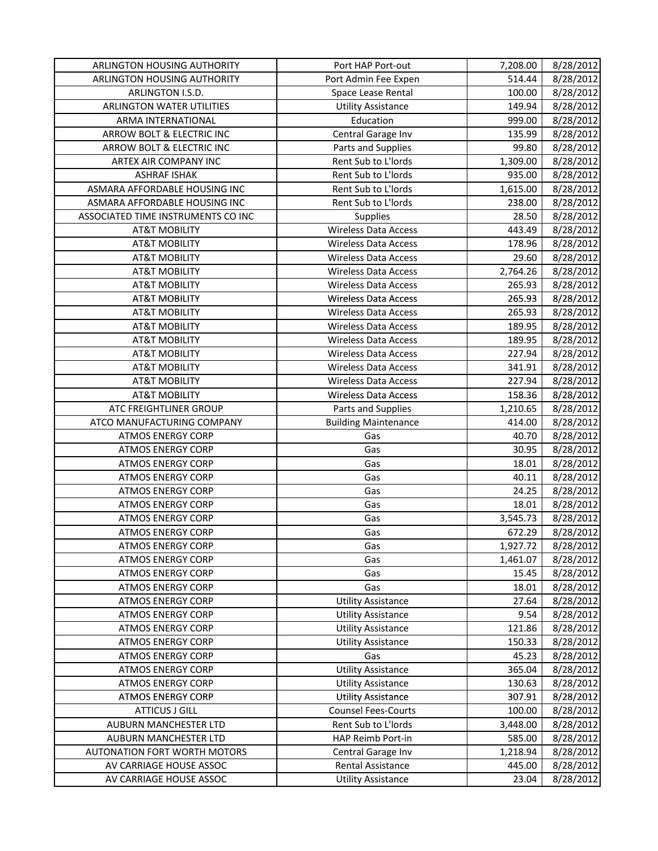| ARLINGTON HOUSING AUTHORITY        | Port HAP Port-out           | 7,208.00 | 8/28/2012 |
|------------------------------------|-----------------------------|----------|-----------|
| ARLINGTON HOUSING AUTHORITY        | Port Admin Fee Expen        | 514.44   | 8/28/2012 |
| ARLINGTON I.S.D.                   | Space Lease Rental          | 100.00   | 8/28/2012 |
| ARLINGTON WATER UTILITIES          | <b>Utility Assistance</b>   | 149.94   | 8/28/2012 |
| ARMA INTERNATIONAL                 | Education                   | 999.00   | 8/28/2012 |
| ARROW BOLT & ELECTRIC INC          | Central Garage Inv          | 135.99   | 8/28/2012 |
| ARROW BOLT & ELECTRIC INC          | Parts and Supplies          | 99.80    | 8/28/2012 |
| ARTEX AIR COMPANY INC              | Rent Sub to L'Iords         | 1,309.00 | 8/28/2012 |
| <b>ASHRAF ISHAK</b>                | Rent Sub to L'Iords         | 935.00   | 8/28/2012 |
| ASMARA AFFORDABLE HOUSING INC      | Rent Sub to L'Iords         | 1,615.00 | 8/28/2012 |
| ASMARA AFFORDABLE HOUSING INC      | Rent Sub to L'Iords         | 238.00   | 8/28/2012 |
| ASSOCIATED TIME INSTRUMENTS CO INC | Supplies                    | 28.50    | 8/28/2012 |
| <b>AT&amp;T MOBILITY</b>           | <b>Wireless Data Access</b> | 443.49   | 8/28/2012 |
| <b>AT&amp;T MOBILITY</b>           | <b>Wireless Data Access</b> | 178.96   | 8/28/2012 |
| <b>AT&amp;T MOBILITY</b>           | <b>Wireless Data Access</b> | 29.60    | 8/28/2012 |
| <b>AT&amp;T MOBILITY</b>           | <b>Wireless Data Access</b> | 2,764.26 | 8/28/2012 |
| <b>AT&amp;T MOBILITY</b>           | <b>Wireless Data Access</b> | 265.93   | 8/28/2012 |
| <b>AT&amp;T MOBILITY</b>           | <b>Wireless Data Access</b> | 265.93   | 8/28/2012 |
| <b>AT&amp;T MOBILITY</b>           | <b>Wireless Data Access</b> | 265.93   | 8/28/2012 |
| <b>AT&amp;T MOBILITY</b>           | <b>Wireless Data Access</b> | 189.95   | 8/28/2012 |
| <b>AT&amp;T MOBILITY</b>           | <b>Wireless Data Access</b> | 189.95   | 8/28/2012 |
| <b>AT&amp;T MOBILITY</b>           | <b>Wireless Data Access</b> | 227.94   | 8/28/2012 |
| <b>AT&amp;T MOBILITY</b>           | <b>Wireless Data Access</b> | 341.91   | 8/28/2012 |
| <b>AT&amp;T MOBILITY</b>           | <b>Wireless Data Access</b> | 227.94   | 8/28/2012 |
| <b>AT&amp;T MOBILITY</b>           | Wireless Data Access        | 158.36   | 8/28/2012 |
| ATC FREIGHTLINER GROUP             | Parts and Supplies          | 1,210.65 | 8/28/2012 |
| ATCO MANUFACTURING COMPANY         | <b>Building Maintenance</b> | 414.00   | 8/28/2012 |
| <b>ATMOS ENERGY CORP</b>           | Gas                         | 40.70    | 8/28/2012 |
| <b>ATMOS ENERGY CORP</b>           | Gas                         | 30.95    | 8/28/2012 |
| <b>ATMOS ENERGY CORP</b>           | Gas                         | 18.01    | 8/28/2012 |
| <b>ATMOS ENERGY CORP</b>           | Gas                         | 40.11    | 8/28/2012 |
| <b>ATMOS ENERGY CORP</b>           | Gas                         | 24.25    | 8/28/2012 |
| <b>ATMOS ENERGY CORP</b>           | Gas                         | 18.01    | 8/28/2012 |
| <b>ATMOS ENERGY CORP</b>           | Gas                         | 3,545.73 | 8/28/2012 |
| <b>ATMOS ENERGY CORP</b>           | Gas                         | 672.29   | 8/28/2012 |
| <b>ATMOS ENERGY CORP</b>           | Gas                         | 1,927.72 | 8/28/2012 |
| <b>ATMOS ENERGY CORP</b>           | Gas                         | 1,461.07 | 8/28/2012 |
| <b>ATMOS ENERGY CORP</b>           | Gas                         | 15.45    | 8/28/2012 |
| <b>ATMOS ENERGY CORP</b>           | Gas                         | 18.01    | 8/28/2012 |
| <b>ATMOS ENERGY CORP</b>           | <b>Utility Assistance</b>   | 27.64    | 8/28/2012 |
| <b>ATMOS ENERGY CORP</b>           | <b>Utility Assistance</b>   | 9.54     | 8/28/2012 |
| <b>ATMOS ENERGY CORP</b>           | <b>Utility Assistance</b>   | 121.86   | 8/28/2012 |
| <b>ATMOS ENERGY CORP</b>           | <b>Utility Assistance</b>   | 150.33   | 8/28/2012 |
| <b>ATMOS ENERGY CORP</b>           | Gas                         | 45.23    | 8/28/2012 |
| <b>ATMOS ENERGY CORP</b>           | <b>Utility Assistance</b>   | 365.04   | 8/28/2012 |
| <b>ATMOS ENERGY CORP</b>           | <b>Utility Assistance</b>   | 130.63   | 8/28/2012 |
| <b>ATMOS ENERGY CORP</b>           | <b>Utility Assistance</b>   | 307.91   | 8/28/2012 |
| <b>ATTICUS J GILL</b>              | <b>Counsel Fees-Courts</b>  | 100.00   | 8/28/2012 |
| AUBURN MANCHESTER LTD              | Rent Sub to L'Iords         | 3,448.00 | 8/28/2012 |
| AUBURN MANCHESTER LTD              | HAP Reimb Port-in           | 585.00   | 8/28/2012 |
| AUTONATION FORT WORTH MOTORS       | Central Garage Inv          | 1,218.94 | 8/28/2012 |
| AV CARRIAGE HOUSE ASSOC            | Rental Assistance           | 445.00   | 8/28/2012 |
| AV CARRIAGE HOUSE ASSOC            | <b>Utility Assistance</b>   | 23.04    | 8/28/2012 |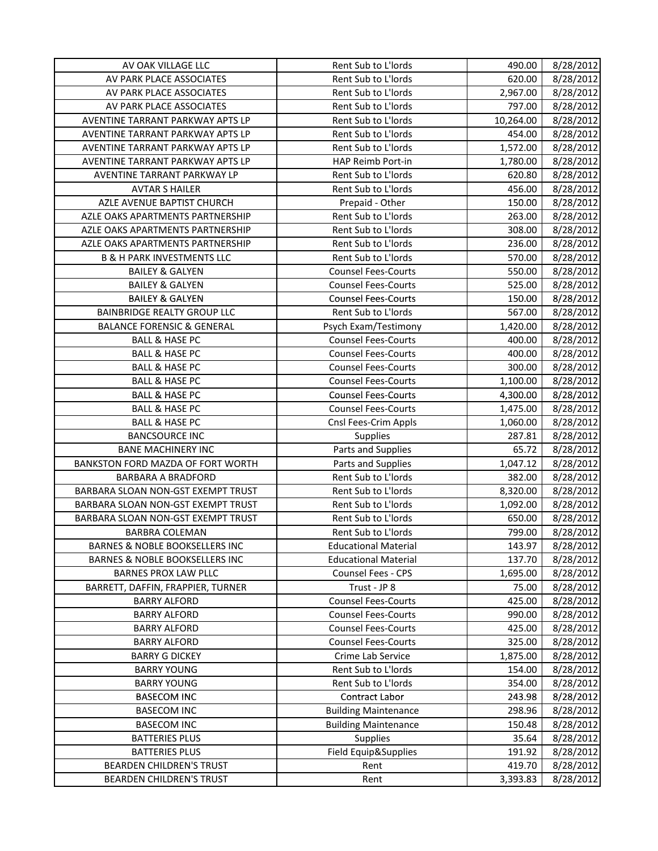| AV OAK VILLAGE LLC                        | Rent Sub to L'Iords         | 490.00    | 8/28/2012 |
|-------------------------------------------|-----------------------------|-----------|-----------|
| AV PARK PLACE ASSOCIATES                  | Rent Sub to L'Iords         | 620.00    | 8/28/2012 |
| AV PARK PLACE ASSOCIATES                  | Rent Sub to L'Iords         | 2,967.00  | 8/28/2012 |
| AV PARK PLACE ASSOCIATES                  | Rent Sub to L'Iords         | 797.00    | 8/28/2012 |
| AVENTINE TARRANT PARKWAY APTS LP          | Rent Sub to L'Iords         | 10,264.00 | 8/28/2012 |
| AVENTINE TARRANT PARKWAY APTS LP          | Rent Sub to L'Iords         | 454.00    | 8/28/2012 |
| AVENTINE TARRANT PARKWAY APTS LP          | Rent Sub to L'Iords         | 1,572.00  | 8/28/2012 |
| AVENTINE TARRANT PARKWAY APTS LP          | HAP Reimb Port-in           | 1,780.00  | 8/28/2012 |
| AVENTINE TARRANT PARKWAY LP               | Rent Sub to L'Iords         | 620.80    | 8/28/2012 |
| <b>AVTAR S HAILER</b>                     | Rent Sub to L'Iords         | 456.00    | 8/28/2012 |
| AZLE AVENUE BAPTIST CHURCH                | Prepaid - Other             | 150.00    | 8/28/2012 |
| AZLE OAKS APARTMENTS PARTNERSHIP          | Rent Sub to L'Iords         | 263.00    | 8/28/2012 |
| AZLE OAKS APARTMENTS PARTNERSHIP          | Rent Sub to L'Iords         | 308.00    | 8/28/2012 |
| AZLE OAKS APARTMENTS PARTNERSHIP          | Rent Sub to L'Iords         | 236.00    | 8/28/2012 |
| <b>B &amp; H PARK INVESTMENTS LLC</b>     | Rent Sub to L'Iords         | 570.00    | 8/28/2012 |
| <b>BAILEY &amp; GALYEN</b>                | <b>Counsel Fees-Courts</b>  | 550.00    | 8/28/2012 |
| <b>BAILEY &amp; GALYEN</b>                | <b>Counsel Fees-Courts</b>  | 525.00    | 8/28/2012 |
| <b>BAILEY &amp; GALYEN</b>                | <b>Counsel Fees-Courts</b>  | 150.00    | 8/28/2012 |
| <b>BAINBRIDGE REALTY GROUP LLC</b>        | Rent Sub to L'Iords         | 567.00    | 8/28/2012 |
| <b>BALANCE FORENSIC &amp; GENERAL</b>     | Psych Exam/Testimony        | 1,420.00  | 8/28/2012 |
| <b>BALL &amp; HASE PC</b>                 | <b>Counsel Fees-Courts</b>  | 400.00    | 8/28/2012 |
| <b>BALL &amp; HASE PC</b>                 | <b>Counsel Fees-Courts</b>  | 400.00    | 8/28/2012 |
| <b>BALL &amp; HASE PC</b>                 | <b>Counsel Fees-Courts</b>  | 300.00    | 8/28/2012 |
| <b>BALL &amp; HASE PC</b>                 | <b>Counsel Fees-Courts</b>  | 1,100.00  | 8/28/2012 |
| <b>BALL &amp; HASE PC</b>                 | <b>Counsel Fees-Courts</b>  | 4,300.00  | 8/28/2012 |
| <b>BALL &amp; HASE PC</b>                 | <b>Counsel Fees-Courts</b>  | 1,475.00  | 8/28/2012 |
| <b>BALL &amp; HASE PC</b>                 | Cnsl Fees-Crim Appls        | 1,060.00  | 8/28/2012 |
| <b>BANCSOURCE INC</b>                     | <b>Supplies</b>             | 287.81    | 8/28/2012 |
| <b>BANE MACHINERY INC</b>                 | Parts and Supplies          | 65.72     | 8/28/2012 |
| BANKSTON FORD MAZDA OF FORT WORTH         | Parts and Supplies          | 1,047.12  | 8/28/2012 |
| <b>BARBARA A BRADFORD</b>                 | Rent Sub to L'Iords         | 382.00    | 8/28/2012 |
| BARBARA SLOAN NON-GST EXEMPT TRUST        | Rent Sub to L'Iords         | 8,320.00  | 8/28/2012 |
| BARBARA SLOAN NON-GST EXEMPT TRUST        | Rent Sub to L'Iords         | 1,092.00  | 8/28/2012 |
| BARBARA SLOAN NON-GST EXEMPT TRUST        | Rent Sub to L'Iords         | 650.00    | 8/28/2012 |
| <b>BARBRA COLEMAN</b>                     | Rent Sub to L'Iords         | 799.00    | 8/28/2012 |
| <b>BARNES &amp; NOBLE BOOKSELLERS INC</b> | <b>Educational Material</b> | 143.97    | 8/28/2012 |
| <b>BARNES &amp; NOBLE BOOKSELLERS INC</b> | <b>Educational Material</b> | 137.70    | 8/28/2012 |
| <b>BARNES PROX LAW PLLC</b>               | Counsel Fees - CPS          | 1,695.00  | 8/28/2012 |
| BARRETT, DAFFIN, FRAPPIER, TURNER         | Trust - JP 8                | 75.00     | 8/28/2012 |
| <b>BARRY ALFORD</b>                       | <b>Counsel Fees-Courts</b>  | 425.00    | 8/28/2012 |
| <b>BARRY ALFORD</b>                       | <b>Counsel Fees-Courts</b>  | 990.00    | 8/28/2012 |
| <b>BARRY ALFORD</b>                       | <b>Counsel Fees-Courts</b>  | 425.00    | 8/28/2012 |
| <b>BARRY ALFORD</b>                       | <b>Counsel Fees-Courts</b>  | 325.00    | 8/28/2012 |
| <b>BARRY G DICKEY</b>                     | Crime Lab Service           | 1,875.00  | 8/28/2012 |
| <b>BARRY YOUNG</b>                        | Rent Sub to L'Iords         | 154.00    | 8/28/2012 |
| <b>BARRY YOUNG</b>                        | Rent Sub to L'Iords         | 354.00    | 8/28/2012 |
| <b>BASECOM INC</b>                        | Contract Labor              | 243.98    | 8/28/2012 |
| <b>BASECOM INC</b>                        | <b>Building Maintenance</b> | 298.96    | 8/28/2012 |
| <b>BASECOM INC</b>                        | <b>Building Maintenance</b> | 150.48    | 8/28/2012 |
| <b>BATTERIES PLUS</b>                     | Supplies                    | 35.64     | 8/28/2012 |
| <b>BATTERIES PLUS</b>                     | Field Equip&Supplies        | 191.92    | 8/28/2012 |
| BEARDEN CHILDREN'S TRUST                  | Rent                        | 419.70    | 8/28/2012 |
| BEARDEN CHILDREN'S TRUST                  | Rent                        | 3,393.83  | 8/28/2012 |
|                                           |                             |           |           |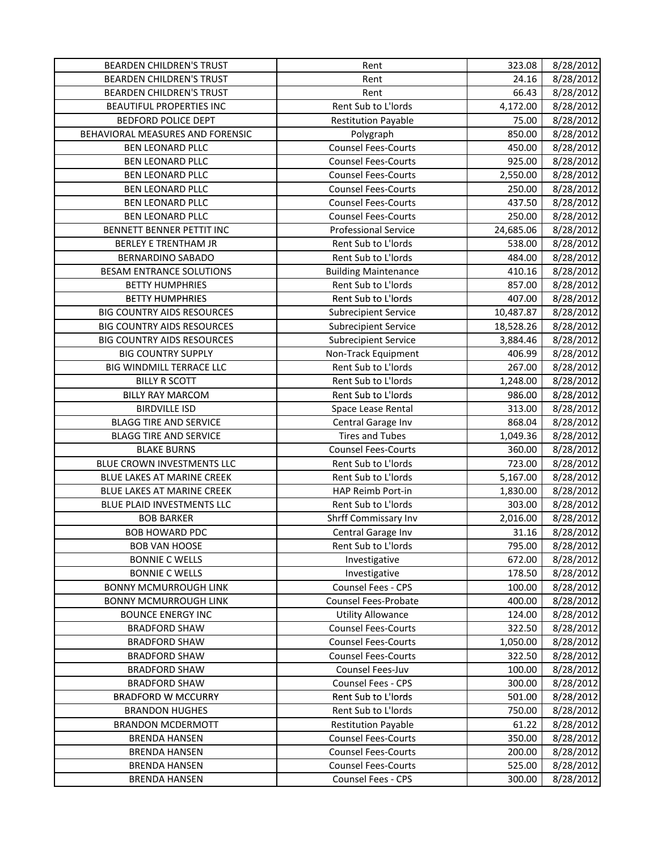| <b>BEARDEN CHILDREN'S TRUST</b>   | Rent                        | 323.08    | 8/28/2012 |
|-----------------------------------|-----------------------------|-----------|-----------|
| <b>BEARDEN CHILDREN'S TRUST</b>   | Rent                        | 24.16     | 8/28/2012 |
| <b>BEARDEN CHILDREN'S TRUST</b>   | Rent                        | 66.43     | 8/28/2012 |
| BEAUTIFUL PROPERTIES INC          | Rent Sub to L'Iords         | 4,172.00  | 8/28/2012 |
| <b>BEDFORD POLICE DEPT</b>        | <b>Restitution Payable</b>  | 75.00     | 8/28/2012 |
| BEHAVIORAL MEASURES AND FORENSIC  | Polygraph                   | 850.00    | 8/28/2012 |
| <b>BEN LEONARD PLLC</b>           | <b>Counsel Fees-Courts</b>  | 450.00    | 8/28/2012 |
| <b>BEN LEONARD PLLC</b>           | <b>Counsel Fees-Courts</b>  | 925.00    | 8/28/2012 |
| BEN LEONARD PLLC                  | <b>Counsel Fees-Courts</b>  | 2,550.00  | 8/28/2012 |
| BEN LEONARD PLLC                  | <b>Counsel Fees-Courts</b>  | 250.00    | 8/28/2012 |
| <b>BEN LEONARD PLLC</b>           | <b>Counsel Fees-Courts</b>  | 437.50    | 8/28/2012 |
| <b>BEN LEONARD PLLC</b>           | <b>Counsel Fees-Courts</b>  | 250.00    | 8/28/2012 |
| BENNETT BENNER PETTIT INC         | <b>Professional Service</b> | 24,685.06 | 8/28/2012 |
| <b>BERLEY E TRENTHAM JR</b>       | Rent Sub to L'Iords         | 538.00    | 8/28/2012 |
| <b>BERNARDINO SABADO</b>          | Rent Sub to L'Iords         | 484.00    | 8/28/2012 |
| <b>BESAM ENTRANCE SOLUTIONS</b>   | <b>Building Maintenance</b> | 410.16    | 8/28/2012 |
| <b>BETTY HUMPHRIES</b>            | Rent Sub to L'Iords         | 857.00    | 8/28/2012 |
| <b>BETTY HUMPHRIES</b>            | Rent Sub to L'Iords         | 407.00    | 8/28/2012 |
| <b>BIG COUNTRY AIDS RESOURCES</b> | <b>Subrecipient Service</b> | 10,487.87 | 8/28/2012 |
| <b>BIG COUNTRY AIDS RESOURCES</b> | <b>Subrecipient Service</b> | 18,528.26 | 8/28/2012 |
| <b>BIG COUNTRY AIDS RESOURCES</b> | <b>Subrecipient Service</b> | 3,884.46  | 8/28/2012 |
| <b>BIG COUNTRY SUPPLY</b>         | Non-Track Equipment         | 406.99    | 8/28/2012 |
| BIG WINDMILL TERRACE LLC          | Rent Sub to L'Iords         | 267.00    | 8/28/2012 |
| <b>BILLY R SCOTT</b>              | Rent Sub to L'Iords         | 1,248.00  | 8/28/2012 |
| <b>BILLY RAY MARCOM</b>           | Rent Sub to L'Iords         | 986.00    | 8/28/2012 |
| <b>BIRDVILLE ISD</b>              | Space Lease Rental          | 313.00    | 8/28/2012 |
| <b>BLAGG TIRE AND SERVICE</b>     | Central Garage Inv          | 868.04    | 8/28/2012 |
| <b>BLAGG TIRE AND SERVICE</b>     | <b>Tires and Tubes</b>      | 1,049.36  | 8/28/2012 |
| <b>BLAKE BURNS</b>                | <b>Counsel Fees-Courts</b>  | 360.00    | 8/28/2012 |
| BLUE CROWN INVESTMENTS LLC        | Rent Sub to L'Iords         | 723.00    | 8/28/2012 |
| BLUE LAKES AT MARINE CREEK        | Rent Sub to L'Iords         | 5,167.00  | 8/28/2012 |
| BLUE LAKES AT MARINE CREEK        | HAP Reimb Port-in           | 1,830.00  | 8/28/2012 |
| BLUE PLAID INVESTMENTS LLC        | Rent Sub to L'Iords         | 303.00    | 8/28/2012 |
| <b>BOB BARKER</b>                 | Shrff Commissary Inv        | 2,016.00  | 8/28/2012 |
| <b>BOB HOWARD PDC</b>             | Central Garage Inv          | 31.16     | 8/28/2012 |
| <b>BOB VAN HOOSE</b>              | Rent Sub to L'Iords         | 795.00    | 8/28/2012 |
| <b>BONNIE C WELLS</b>             | Investigative               | 672.00    | 8/28/2012 |
| <b>BONNIE C WELLS</b>             | Investigative               | 178.50    | 8/28/2012 |
| <b>BONNY MCMURROUGH LINK</b>      | Counsel Fees - CPS          | 100.00    | 8/28/2012 |
| <b>BONNY MCMURROUGH LINK</b>      | Counsel Fees-Probate        | 400.00    | 8/28/2012 |
| <b>BOUNCE ENERGY INC</b>          | <b>Utility Allowance</b>    | 124.00    | 8/28/2012 |
| <b>BRADFORD SHAW</b>              | <b>Counsel Fees-Courts</b>  | 322.50    | 8/28/2012 |
| <b>BRADFORD SHAW</b>              | <b>Counsel Fees-Courts</b>  | 1,050.00  | 8/28/2012 |
| <b>BRADFORD SHAW</b>              | <b>Counsel Fees-Courts</b>  | 322.50    | 8/28/2012 |
| <b>BRADFORD SHAW</b>              | Counsel Fees-Juv            | 100.00    | 8/28/2012 |
| <b>BRADFORD SHAW</b>              | Counsel Fees - CPS          | 300.00    | 8/28/2012 |
| <b>BRADFORD W MCCURRY</b>         | Rent Sub to L'Iords         | 501.00    | 8/28/2012 |
| <b>BRANDON HUGHES</b>             | Rent Sub to L'Iords         | 750.00    | 8/28/2012 |
| <b>BRANDON MCDERMOTT</b>          | <b>Restitution Payable</b>  | 61.22     | 8/28/2012 |
| <b>BRENDA HANSEN</b>              | <b>Counsel Fees-Courts</b>  | 350.00    | 8/28/2012 |
| <b>BRENDA HANSEN</b>              | <b>Counsel Fees-Courts</b>  | 200.00    | 8/28/2012 |
| <b>BRENDA HANSEN</b>              | <b>Counsel Fees-Courts</b>  | 525.00    | 8/28/2012 |
| <b>BRENDA HANSEN</b>              | Counsel Fees - CPS          | 300.00    | 8/28/2012 |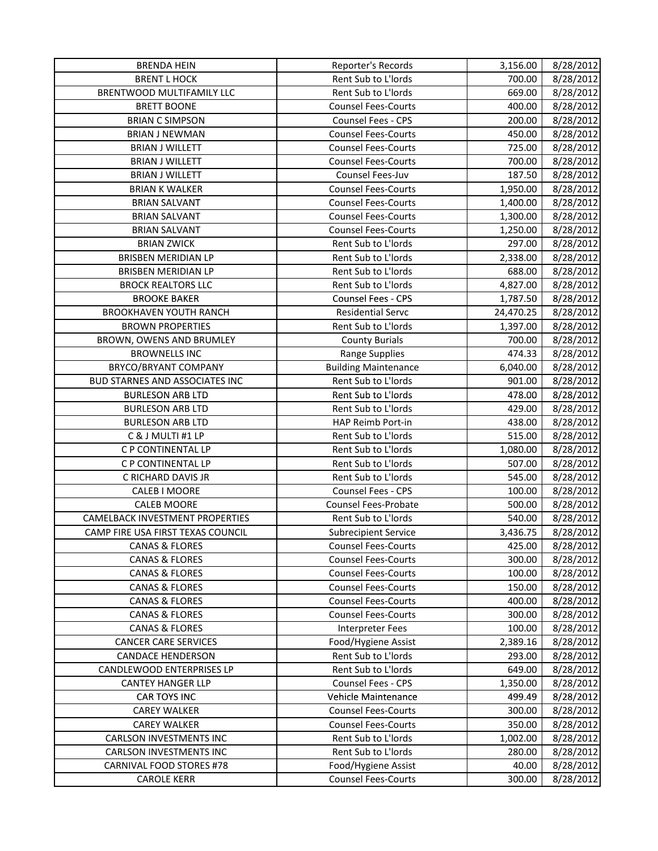| <b>BRENT L HOCK</b><br>Rent Sub to L'Iords<br>700.00<br>8/28/2012<br>8/28/2012<br>BRENTWOOD MULTIFAMILY LLC<br>Rent Sub to L'Iords<br>669.00<br><b>BRETT BOONE</b><br><b>Counsel Fees-Courts</b><br>400.00<br>8/28/2012<br>8/28/2012<br><b>BRIAN C SIMPSON</b><br>Counsel Fees - CPS<br>200.00<br>8/28/2012<br><b>BRIAN J NEWMAN</b><br><b>Counsel Fees-Courts</b><br>450.00<br><b>BRIAN J WILLETT</b><br><b>Counsel Fees-Courts</b><br>725.00<br>8/28/2012<br><b>BRIAN J WILLETT</b><br><b>Counsel Fees-Courts</b><br>700.00<br>8/28/2012<br>Counsel Fees-Juv<br>187.50<br>8/28/2012<br><b>BRIAN J WILLETT</b><br><b>Counsel Fees-Courts</b><br>8/28/2012<br><b>BRIAN K WALKER</b><br>1,950.00<br><b>Counsel Fees-Courts</b><br>1,400.00<br>8/28/2012<br><b>BRIAN SALVANT</b><br><b>Counsel Fees-Courts</b><br>1,300.00<br>8/28/2012<br><b>BRIAN SALVANT</b><br><b>BRIAN SALVANT</b><br><b>Counsel Fees-Courts</b><br>1,250.00<br>8/28/2012<br>8/28/2012<br><b>BRIAN ZWICK</b><br>Rent Sub to L'Iords<br>297.00<br><b>BRISBEN MERIDIAN LP</b><br>Rent Sub to L'Iords<br>8/28/2012<br>2,338.00<br>BRISBEN MERIDIAN LP<br>Rent Sub to L'Iords<br>688.00<br>8/28/2012<br><b>BROCK REALTORS LLC</b><br>Rent Sub to L'Iords<br>4,827.00<br>8/28/2012<br>Counsel Fees - CPS<br>8/28/2012<br><b>BROOKE BAKER</b><br>1,787.50<br><b>BROOKHAVEN YOUTH RANCH</b><br><b>Residential Servc</b><br>8/28/2012<br>24,470.25<br>Rent Sub to L'Iords<br><b>BROWN PROPERTIES</b><br>1,397.00<br>8/28/2012<br>BROWN, OWENS AND BRUMLEY<br><b>County Burials</b><br>700.00<br>8/28/2012<br>8/28/2012<br><b>BROWNELLS INC</b><br><b>Range Supplies</b><br>474.33<br>BRYCO/BRYANT COMPANY<br><b>Building Maintenance</b><br>6,040.00<br>8/28/2012<br>Rent Sub to L'Iords<br><b>BUD STARNES AND ASSOCIATES INC</b><br>8/28/2012<br>901.00<br><b>BURLESON ARB LTD</b><br>Rent Sub to L'Iords<br>478.00<br>8/28/2012<br>Rent Sub to L'Iords<br>429.00<br>8/28/2012<br><b>BURLESON ARB LTD</b><br>438.00<br><b>BURLESON ARB LTD</b><br>HAP Reimb Port-in<br>8/28/2012<br>C & J MULTI #1 LP<br>Rent Sub to L'Iords<br>515.00<br>8/28/2012<br>C P CONTINENTAL LP<br>Rent Sub to L'Iords<br>1,080.00<br>8/28/2012<br>C P CONTINENTAL LP<br>Rent Sub to L'Iords<br>507.00<br>8/28/2012<br>C RICHARD DAVIS JR<br>Rent Sub to L'Iords<br>545.00<br>8/28/2012<br>CALEB I MOORE<br>Counsel Fees - CPS<br>100.00<br>8/28/2012<br><b>CALEB MOORE</b><br><b>Counsel Fees-Probate</b><br>500.00<br>8/28/2012<br><b>CAMELBACK INVESTMENT PROPERTIES</b><br>Rent Sub to L'Iords<br>540.00<br>8/28/2012<br>CAMP FIRE USA FIRST TEXAS COUNCIL<br>3,436.75<br>8/28/2012<br><b>Subrecipient Service</b><br>425.00<br><b>CANAS &amp; FLORES</b><br><b>Counsel Fees-Courts</b><br>8/28/2012<br><b>CANAS &amp; FLORES</b><br>300.00<br>8/28/2012<br><b>Counsel Fees-Courts</b><br><b>CANAS &amp; FLORES</b><br><b>Counsel Fees-Courts</b><br>100.00<br>8/28/2012<br><b>CANAS &amp; FLORES</b><br><b>Counsel Fees-Courts</b><br>150.00<br>8/28/2012<br><b>CANAS &amp; FLORES</b><br><b>Counsel Fees-Courts</b><br>400.00<br>8/28/2012<br><b>CANAS &amp; FLORES</b><br>300.00<br><b>Counsel Fees-Courts</b><br>8/28/2012<br>100.00<br><b>CANAS &amp; FLORES</b><br>8/28/2012<br><b>Interpreter Fees</b><br>Food/Hygiene Assist<br><b>CANCER CARE SERVICES</b><br>2,389.16<br>8/28/2012<br>Rent Sub to L'Iords<br><b>CANDACE HENDERSON</b><br>293.00<br>8/28/2012<br>CANDLEWOOD ENTERPRISES LP<br>Rent Sub to L'Iords<br>649.00<br>8/28/2012<br>Counsel Fees - CPS<br><b>CANTEY HANGER LLP</b><br>8/28/2012<br>1,350.00<br>CAR TOYS INC<br>Vehicle Maintenance<br>499.49<br>8/28/2012<br><b>Counsel Fees-Courts</b><br>8/28/2012<br><b>CAREY WALKER</b><br>300.00<br><b>CAREY WALKER</b><br><b>Counsel Fees-Courts</b><br>350.00<br>8/28/2012<br><b>CARLSON INVESTMENTS INC</b><br>Rent Sub to L'Iords<br>1,002.00<br>8/28/2012<br><b>CARLSON INVESTMENTS INC</b><br>Rent Sub to L'Iords<br>280.00<br>8/28/2012<br>CARNIVAL FOOD STORES #78<br>Food/Hygiene Assist<br>40.00<br>8/28/2012 | <b>BRENDA HEIN</b> | Reporter's Records         | 3,156.00 | 8/28/2012 |
|-----------------------------------------------------------------------------------------------------------------------------------------------------------------------------------------------------------------------------------------------------------------------------------------------------------------------------------------------------------------------------------------------------------------------------------------------------------------------------------------------------------------------------------------------------------------------------------------------------------------------------------------------------------------------------------------------------------------------------------------------------------------------------------------------------------------------------------------------------------------------------------------------------------------------------------------------------------------------------------------------------------------------------------------------------------------------------------------------------------------------------------------------------------------------------------------------------------------------------------------------------------------------------------------------------------------------------------------------------------------------------------------------------------------------------------------------------------------------------------------------------------------------------------------------------------------------------------------------------------------------------------------------------------------------------------------------------------------------------------------------------------------------------------------------------------------------------------------------------------------------------------------------------------------------------------------------------------------------------------------------------------------------------------------------------------------------------------------------------------------------------------------------------------------------------------------------------------------------------------------------------------------------------------------------------------------------------------------------------------------------------------------------------------------------------------------------------------------------------------------------------------------------------------------------------------------------------------------------------------------------------------------------------------------------------------------------------------------------------------------------------------------------------------------------------------------------------------------------------------------------------------------------------------------------------------------------------------------------------------------------------------------------------------------------------------------------------------------------------------------------------------------------------------------------------------------------------------------------------------------------------------------------------------------------------------------------------------------------------------------------------------------------------------------------------------------------------------------------------------------------------------------------------------------------------------------------------------------------------------------------------------------------------------------------------------------------------------------------------------------------------------------------------------------------------------------------------------------------------------------------------------------------------------------------------------------------------------------------------------------------------------------------------------------|--------------------|----------------------------|----------|-----------|
|                                                                                                                                                                                                                                                                                                                                                                                                                                                                                                                                                                                                                                                                                                                                                                                                                                                                                                                                                                                                                                                                                                                                                                                                                                                                                                                                                                                                                                                                                                                                                                                                                                                                                                                                                                                                                                                                                                                                                                                                                                                                                                                                                                                                                                                                                                                                                                                                                                                                                                                                                                                                                                                                                                                                                                                                                                                                                                                                                                                                                                                                                                                                                                                                                                                                                                                                                                                                                                                                                                                                                                                                                                                                                                                                                                                                                                                                                                                                                                                                                                         |                    |                            |          |           |
|                                                                                                                                                                                                                                                                                                                                                                                                                                                                                                                                                                                                                                                                                                                                                                                                                                                                                                                                                                                                                                                                                                                                                                                                                                                                                                                                                                                                                                                                                                                                                                                                                                                                                                                                                                                                                                                                                                                                                                                                                                                                                                                                                                                                                                                                                                                                                                                                                                                                                                                                                                                                                                                                                                                                                                                                                                                                                                                                                                                                                                                                                                                                                                                                                                                                                                                                                                                                                                                                                                                                                                                                                                                                                                                                                                                                                                                                                                                                                                                                                                         |                    |                            |          |           |
|                                                                                                                                                                                                                                                                                                                                                                                                                                                                                                                                                                                                                                                                                                                                                                                                                                                                                                                                                                                                                                                                                                                                                                                                                                                                                                                                                                                                                                                                                                                                                                                                                                                                                                                                                                                                                                                                                                                                                                                                                                                                                                                                                                                                                                                                                                                                                                                                                                                                                                                                                                                                                                                                                                                                                                                                                                                                                                                                                                                                                                                                                                                                                                                                                                                                                                                                                                                                                                                                                                                                                                                                                                                                                                                                                                                                                                                                                                                                                                                                                                         |                    |                            |          |           |
|                                                                                                                                                                                                                                                                                                                                                                                                                                                                                                                                                                                                                                                                                                                                                                                                                                                                                                                                                                                                                                                                                                                                                                                                                                                                                                                                                                                                                                                                                                                                                                                                                                                                                                                                                                                                                                                                                                                                                                                                                                                                                                                                                                                                                                                                                                                                                                                                                                                                                                                                                                                                                                                                                                                                                                                                                                                                                                                                                                                                                                                                                                                                                                                                                                                                                                                                                                                                                                                                                                                                                                                                                                                                                                                                                                                                                                                                                                                                                                                                                                         |                    |                            |          |           |
|                                                                                                                                                                                                                                                                                                                                                                                                                                                                                                                                                                                                                                                                                                                                                                                                                                                                                                                                                                                                                                                                                                                                                                                                                                                                                                                                                                                                                                                                                                                                                                                                                                                                                                                                                                                                                                                                                                                                                                                                                                                                                                                                                                                                                                                                                                                                                                                                                                                                                                                                                                                                                                                                                                                                                                                                                                                                                                                                                                                                                                                                                                                                                                                                                                                                                                                                                                                                                                                                                                                                                                                                                                                                                                                                                                                                                                                                                                                                                                                                                                         |                    |                            |          |           |
|                                                                                                                                                                                                                                                                                                                                                                                                                                                                                                                                                                                                                                                                                                                                                                                                                                                                                                                                                                                                                                                                                                                                                                                                                                                                                                                                                                                                                                                                                                                                                                                                                                                                                                                                                                                                                                                                                                                                                                                                                                                                                                                                                                                                                                                                                                                                                                                                                                                                                                                                                                                                                                                                                                                                                                                                                                                                                                                                                                                                                                                                                                                                                                                                                                                                                                                                                                                                                                                                                                                                                                                                                                                                                                                                                                                                                                                                                                                                                                                                                                         |                    |                            |          |           |
|                                                                                                                                                                                                                                                                                                                                                                                                                                                                                                                                                                                                                                                                                                                                                                                                                                                                                                                                                                                                                                                                                                                                                                                                                                                                                                                                                                                                                                                                                                                                                                                                                                                                                                                                                                                                                                                                                                                                                                                                                                                                                                                                                                                                                                                                                                                                                                                                                                                                                                                                                                                                                                                                                                                                                                                                                                                                                                                                                                                                                                                                                                                                                                                                                                                                                                                                                                                                                                                                                                                                                                                                                                                                                                                                                                                                                                                                                                                                                                                                                                         |                    |                            |          |           |
|                                                                                                                                                                                                                                                                                                                                                                                                                                                                                                                                                                                                                                                                                                                                                                                                                                                                                                                                                                                                                                                                                                                                                                                                                                                                                                                                                                                                                                                                                                                                                                                                                                                                                                                                                                                                                                                                                                                                                                                                                                                                                                                                                                                                                                                                                                                                                                                                                                                                                                                                                                                                                                                                                                                                                                                                                                                                                                                                                                                                                                                                                                                                                                                                                                                                                                                                                                                                                                                                                                                                                                                                                                                                                                                                                                                                                                                                                                                                                                                                                                         |                    |                            |          |           |
|                                                                                                                                                                                                                                                                                                                                                                                                                                                                                                                                                                                                                                                                                                                                                                                                                                                                                                                                                                                                                                                                                                                                                                                                                                                                                                                                                                                                                                                                                                                                                                                                                                                                                                                                                                                                                                                                                                                                                                                                                                                                                                                                                                                                                                                                                                                                                                                                                                                                                                                                                                                                                                                                                                                                                                                                                                                                                                                                                                                                                                                                                                                                                                                                                                                                                                                                                                                                                                                                                                                                                                                                                                                                                                                                                                                                                                                                                                                                                                                                                                         |                    |                            |          |           |
|                                                                                                                                                                                                                                                                                                                                                                                                                                                                                                                                                                                                                                                                                                                                                                                                                                                                                                                                                                                                                                                                                                                                                                                                                                                                                                                                                                                                                                                                                                                                                                                                                                                                                                                                                                                                                                                                                                                                                                                                                                                                                                                                                                                                                                                                                                                                                                                                                                                                                                                                                                                                                                                                                                                                                                                                                                                                                                                                                                                                                                                                                                                                                                                                                                                                                                                                                                                                                                                                                                                                                                                                                                                                                                                                                                                                                                                                                                                                                                                                                                         |                    |                            |          |           |
|                                                                                                                                                                                                                                                                                                                                                                                                                                                                                                                                                                                                                                                                                                                                                                                                                                                                                                                                                                                                                                                                                                                                                                                                                                                                                                                                                                                                                                                                                                                                                                                                                                                                                                                                                                                                                                                                                                                                                                                                                                                                                                                                                                                                                                                                                                                                                                                                                                                                                                                                                                                                                                                                                                                                                                                                                                                                                                                                                                                                                                                                                                                                                                                                                                                                                                                                                                                                                                                                                                                                                                                                                                                                                                                                                                                                                                                                                                                                                                                                                                         |                    |                            |          |           |
|                                                                                                                                                                                                                                                                                                                                                                                                                                                                                                                                                                                                                                                                                                                                                                                                                                                                                                                                                                                                                                                                                                                                                                                                                                                                                                                                                                                                                                                                                                                                                                                                                                                                                                                                                                                                                                                                                                                                                                                                                                                                                                                                                                                                                                                                                                                                                                                                                                                                                                                                                                                                                                                                                                                                                                                                                                                                                                                                                                                                                                                                                                                                                                                                                                                                                                                                                                                                                                                                                                                                                                                                                                                                                                                                                                                                                                                                                                                                                                                                                                         |                    |                            |          |           |
|                                                                                                                                                                                                                                                                                                                                                                                                                                                                                                                                                                                                                                                                                                                                                                                                                                                                                                                                                                                                                                                                                                                                                                                                                                                                                                                                                                                                                                                                                                                                                                                                                                                                                                                                                                                                                                                                                                                                                                                                                                                                                                                                                                                                                                                                                                                                                                                                                                                                                                                                                                                                                                                                                                                                                                                                                                                                                                                                                                                                                                                                                                                                                                                                                                                                                                                                                                                                                                                                                                                                                                                                                                                                                                                                                                                                                                                                                                                                                                                                                                         |                    |                            |          |           |
|                                                                                                                                                                                                                                                                                                                                                                                                                                                                                                                                                                                                                                                                                                                                                                                                                                                                                                                                                                                                                                                                                                                                                                                                                                                                                                                                                                                                                                                                                                                                                                                                                                                                                                                                                                                                                                                                                                                                                                                                                                                                                                                                                                                                                                                                                                                                                                                                                                                                                                                                                                                                                                                                                                                                                                                                                                                                                                                                                                                                                                                                                                                                                                                                                                                                                                                                                                                                                                                                                                                                                                                                                                                                                                                                                                                                                                                                                                                                                                                                                                         |                    |                            |          |           |
|                                                                                                                                                                                                                                                                                                                                                                                                                                                                                                                                                                                                                                                                                                                                                                                                                                                                                                                                                                                                                                                                                                                                                                                                                                                                                                                                                                                                                                                                                                                                                                                                                                                                                                                                                                                                                                                                                                                                                                                                                                                                                                                                                                                                                                                                                                                                                                                                                                                                                                                                                                                                                                                                                                                                                                                                                                                                                                                                                                                                                                                                                                                                                                                                                                                                                                                                                                                                                                                                                                                                                                                                                                                                                                                                                                                                                                                                                                                                                                                                                                         |                    |                            |          |           |
|                                                                                                                                                                                                                                                                                                                                                                                                                                                                                                                                                                                                                                                                                                                                                                                                                                                                                                                                                                                                                                                                                                                                                                                                                                                                                                                                                                                                                                                                                                                                                                                                                                                                                                                                                                                                                                                                                                                                                                                                                                                                                                                                                                                                                                                                                                                                                                                                                                                                                                                                                                                                                                                                                                                                                                                                                                                                                                                                                                                                                                                                                                                                                                                                                                                                                                                                                                                                                                                                                                                                                                                                                                                                                                                                                                                                                                                                                                                                                                                                                                         |                    |                            |          |           |
|                                                                                                                                                                                                                                                                                                                                                                                                                                                                                                                                                                                                                                                                                                                                                                                                                                                                                                                                                                                                                                                                                                                                                                                                                                                                                                                                                                                                                                                                                                                                                                                                                                                                                                                                                                                                                                                                                                                                                                                                                                                                                                                                                                                                                                                                                                                                                                                                                                                                                                                                                                                                                                                                                                                                                                                                                                                                                                                                                                                                                                                                                                                                                                                                                                                                                                                                                                                                                                                                                                                                                                                                                                                                                                                                                                                                                                                                                                                                                                                                                                         |                    |                            |          |           |
|                                                                                                                                                                                                                                                                                                                                                                                                                                                                                                                                                                                                                                                                                                                                                                                                                                                                                                                                                                                                                                                                                                                                                                                                                                                                                                                                                                                                                                                                                                                                                                                                                                                                                                                                                                                                                                                                                                                                                                                                                                                                                                                                                                                                                                                                                                                                                                                                                                                                                                                                                                                                                                                                                                                                                                                                                                                                                                                                                                                                                                                                                                                                                                                                                                                                                                                                                                                                                                                                                                                                                                                                                                                                                                                                                                                                                                                                                                                                                                                                                                         |                    |                            |          |           |
|                                                                                                                                                                                                                                                                                                                                                                                                                                                                                                                                                                                                                                                                                                                                                                                                                                                                                                                                                                                                                                                                                                                                                                                                                                                                                                                                                                                                                                                                                                                                                                                                                                                                                                                                                                                                                                                                                                                                                                                                                                                                                                                                                                                                                                                                                                                                                                                                                                                                                                                                                                                                                                                                                                                                                                                                                                                                                                                                                                                                                                                                                                                                                                                                                                                                                                                                                                                                                                                                                                                                                                                                                                                                                                                                                                                                                                                                                                                                                                                                                                         |                    |                            |          |           |
|                                                                                                                                                                                                                                                                                                                                                                                                                                                                                                                                                                                                                                                                                                                                                                                                                                                                                                                                                                                                                                                                                                                                                                                                                                                                                                                                                                                                                                                                                                                                                                                                                                                                                                                                                                                                                                                                                                                                                                                                                                                                                                                                                                                                                                                                                                                                                                                                                                                                                                                                                                                                                                                                                                                                                                                                                                                                                                                                                                                                                                                                                                                                                                                                                                                                                                                                                                                                                                                                                                                                                                                                                                                                                                                                                                                                                                                                                                                                                                                                                                         |                    |                            |          |           |
|                                                                                                                                                                                                                                                                                                                                                                                                                                                                                                                                                                                                                                                                                                                                                                                                                                                                                                                                                                                                                                                                                                                                                                                                                                                                                                                                                                                                                                                                                                                                                                                                                                                                                                                                                                                                                                                                                                                                                                                                                                                                                                                                                                                                                                                                                                                                                                                                                                                                                                                                                                                                                                                                                                                                                                                                                                                                                                                                                                                                                                                                                                                                                                                                                                                                                                                                                                                                                                                                                                                                                                                                                                                                                                                                                                                                                                                                                                                                                                                                                                         |                    |                            |          |           |
|                                                                                                                                                                                                                                                                                                                                                                                                                                                                                                                                                                                                                                                                                                                                                                                                                                                                                                                                                                                                                                                                                                                                                                                                                                                                                                                                                                                                                                                                                                                                                                                                                                                                                                                                                                                                                                                                                                                                                                                                                                                                                                                                                                                                                                                                                                                                                                                                                                                                                                                                                                                                                                                                                                                                                                                                                                                                                                                                                                                                                                                                                                                                                                                                                                                                                                                                                                                                                                                                                                                                                                                                                                                                                                                                                                                                                                                                                                                                                                                                                                         |                    |                            |          |           |
|                                                                                                                                                                                                                                                                                                                                                                                                                                                                                                                                                                                                                                                                                                                                                                                                                                                                                                                                                                                                                                                                                                                                                                                                                                                                                                                                                                                                                                                                                                                                                                                                                                                                                                                                                                                                                                                                                                                                                                                                                                                                                                                                                                                                                                                                                                                                                                                                                                                                                                                                                                                                                                                                                                                                                                                                                                                                                                                                                                                                                                                                                                                                                                                                                                                                                                                                                                                                                                                                                                                                                                                                                                                                                                                                                                                                                                                                                                                                                                                                                                         |                    |                            |          |           |
|                                                                                                                                                                                                                                                                                                                                                                                                                                                                                                                                                                                                                                                                                                                                                                                                                                                                                                                                                                                                                                                                                                                                                                                                                                                                                                                                                                                                                                                                                                                                                                                                                                                                                                                                                                                                                                                                                                                                                                                                                                                                                                                                                                                                                                                                                                                                                                                                                                                                                                                                                                                                                                                                                                                                                                                                                                                                                                                                                                                                                                                                                                                                                                                                                                                                                                                                                                                                                                                                                                                                                                                                                                                                                                                                                                                                                                                                                                                                                                                                                                         |                    |                            |          |           |
|                                                                                                                                                                                                                                                                                                                                                                                                                                                                                                                                                                                                                                                                                                                                                                                                                                                                                                                                                                                                                                                                                                                                                                                                                                                                                                                                                                                                                                                                                                                                                                                                                                                                                                                                                                                                                                                                                                                                                                                                                                                                                                                                                                                                                                                                                                                                                                                                                                                                                                                                                                                                                                                                                                                                                                                                                                                                                                                                                                                                                                                                                                                                                                                                                                                                                                                                                                                                                                                                                                                                                                                                                                                                                                                                                                                                                                                                                                                                                                                                                                         |                    |                            |          |           |
|                                                                                                                                                                                                                                                                                                                                                                                                                                                                                                                                                                                                                                                                                                                                                                                                                                                                                                                                                                                                                                                                                                                                                                                                                                                                                                                                                                                                                                                                                                                                                                                                                                                                                                                                                                                                                                                                                                                                                                                                                                                                                                                                                                                                                                                                                                                                                                                                                                                                                                                                                                                                                                                                                                                                                                                                                                                                                                                                                                                                                                                                                                                                                                                                                                                                                                                                                                                                                                                                                                                                                                                                                                                                                                                                                                                                                                                                                                                                                                                                                                         |                    |                            |          |           |
|                                                                                                                                                                                                                                                                                                                                                                                                                                                                                                                                                                                                                                                                                                                                                                                                                                                                                                                                                                                                                                                                                                                                                                                                                                                                                                                                                                                                                                                                                                                                                                                                                                                                                                                                                                                                                                                                                                                                                                                                                                                                                                                                                                                                                                                                                                                                                                                                                                                                                                                                                                                                                                                                                                                                                                                                                                                                                                                                                                                                                                                                                                                                                                                                                                                                                                                                                                                                                                                                                                                                                                                                                                                                                                                                                                                                                                                                                                                                                                                                                                         |                    |                            |          |           |
|                                                                                                                                                                                                                                                                                                                                                                                                                                                                                                                                                                                                                                                                                                                                                                                                                                                                                                                                                                                                                                                                                                                                                                                                                                                                                                                                                                                                                                                                                                                                                                                                                                                                                                                                                                                                                                                                                                                                                                                                                                                                                                                                                                                                                                                                                                                                                                                                                                                                                                                                                                                                                                                                                                                                                                                                                                                                                                                                                                                                                                                                                                                                                                                                                                                                                                                                                                                                                                                                                                                                                                                                                                                                                                                                                                                                                                                                                                                                                                                                                                         |                    |                            |          |           |
|                                                                                                                                                                                                                                                                                                                                                                                                                                                                                                                                                                                                                                                                                                                                                                                                                                                                                                                                                                                                                                                                                                                                                                                                                                                                                                                                                                                                                                                                                                                                                                                                                                                                                                                                                                                                                                                                                                                                                                                                                                                                                                                                                                                                                                                                                                                                                                                                                                                                                                                                                                                                                                                                                                                                                                                                                                                                                                                                                                                                                                                                                                                                                                                                                                                                                                                                                                                                                                                                                                                                                                                                                                                                                                                                                                                                                                                                                                                                                                                                                                         |                    |                            |          |           |
|                                                                                                                                                                                                                                                                                                                                                                                                                                                                                                                                                                                                                                                                                                                                                                                                                                                                                                                                                                                                                                                                                                                                                                                                                                                                                                                                                                                                                                                                                                                                                                                                                                                                                                                                                                                                                                                                                                                                                                                                                                                                                                                                                                                                                                                                                                                                                                                                                                                                                                                                                                                                                                                                                                                                                                                                                                                                                                                                                                                                                                                                                                                                                                                                                                                                                                                                                                                                                                                                                                                                                                                                                                                                                                                                                                                                                                                                                                                                                                                                                                         |                    |                            |          |           |
|                                                                                                                                                                                                                                                                                                                                                                                                                                                                                                                                                                                                                                                                                                                                                                                                                                                                                                                                                                                                                                                                                                                                                                                                                                                                                                                                                                                                                                                                                                                                                                                                                                                                                                                                                                                                                                                                                                                                                                                                                                                                                                                                                                                                                                                                                                                                                                                                                                                                                                                                                                                                                                                                                                                                                                                                                                                                                                                                                                                                                                                                                                                                                                                                                                                                                                                                                                                                                                                                                                                                                                                                                                                                                                                                                                                                                                                                                                                                                                                                                                         |                    |                            |          |           |
|                                                                                                                                                                                                                                                                                                                                                                                                                                                                                                                                                                                                                                                                                                                                                                                                                                                                                                                                                                                                                                                                                                                                                                                                                                                                                                                                                                                                                                                                                                                                                                                                                                                                                                                                                                                                                                                                                                                                                                                                                                                                                                                                                                                                                                                                                                                                                                                                                                                                                                                                                                                                                                                                                                                                                                                                                                                                                                                                                                                                                                                                                                                                                                                                                                                                                                                                                                                                                                                                                                                                                                                                                                                                                                                                                                                                                                                                                                                                                                                                                                         |                    |                            |          |           |
|                                                                                                                                                                                                                                                                                                                                                                                                                                                                                                                                                                                                                                                                                                                                                                                                                                                                                                                                                                                                                                                                                                                                                                                                                                                                                                                                                                                                                                                                                                                                                                                                                                                                                                                                                                                                                                                                                                                                                                                                                                                                                                                                                                                                                                                                                                                                                                                                                                                                                                                                                                                                                                                                                                                                                                                                                                                                                                                                                                                                                                                                                                                                                                                                                                                                                                                                                                                                                                                                                                                                                                                                                                                                                                                                                                                                                                                                                                                                                                                                                                         |                    |                            |          |           |
|                                                                                                                                                                                                                                                                                                                                                                                                                                                                                                                                                                                                                                                                                                                                                                                                                                                                                                                                                                                                                                                                                                                                                                                                                                                                                                                                                                                                                                                                                                                                                                                                                                                                                                                                                                                                                                                                                                                                                                                                                                                                                                                                                                                                                                                                                                                                                                                                                                                                                                                                                                                                                                                                                                                                                                                                                                                                                                                                                                                                                                                                                                                                                                                                                                                                                                                                                                                                                                                                                                                                                                                                                                                                                                                                                                                                                                                                                                                                                                                                                                         |                    |                            |          |           |
|                                                                                                                                                                                                                                                                                                                                                                                                                                                                                                                                                                                                                                                                                                                                                                                                                                                                                                                                                                                                                                                                                                                                                                                                                                                                                                                                                                                                                                                                                                                                                                                                                                                                                                                                                                                                                                                                                                                                                                                                                                                                                                                                                                                                                                                                                                                                                                                                                                                                                                                                                                                                                                                                                                                                                                                                                                                                                                                                                                                                                                                                                                                                                                                                                                                                                                                                                                                                                                                                                                                                                                                                                                                                                                                                                                                                                                                                                                                                                                                                                                         |                    |                            |          |           |
|                                                                                                                                                                                                                                                                                                                                                                                                                                                                                                                                                                                                                                                                                                                                                                                                                                                                                                                                                                                                                                                                                                                                                                                                                                                                                                                                                                                                                                                                                                                                                                                                                                                                                                                                                                                                                                                                                                                                                                                                                                                                                                                                                                                                                                                                                                                                                                                                                                                                                                                                                                                                                                                                                                                                                                                                                                                                                                                                                                                                                                                                                                                                                                                                                                                                                                                                                                                                                                                                                                                                                                                                                                                                                                                                                                                                                                                                                                                                                                                                                                         |                    |                            |          |           |
|                                                                                                                                                                                                                                                                                                                                                                                                                                                                                                                                                                                                                                                                                                                                                                                                                                                                                                                                                                                                                                                                                                                                                                                                                                                                                                                                                                                                                                                                                                                                                                                                                                                                                                                                                                                                                                                                                                                                                                                                                                                                                                                                                                                                                                                                                                                                                                                                                                                                                                                                                                                                                                                                                                                                                                                                                                                                                                                                                                                                                                                                                                                                                                                                                                                                                                                                                                                                                                                                                                                                                                                                                                                                                                                                                                                                                                                                                                                                                                                                                                         |                    |                            |          |           |
|                                                                                                                                                                                                                                                                                                                                                                                                                                                                                                                                                                                                                                                                                                                                                                                                                                                                                                                                                                                                                                                                                                                                                                                                                                                                                                                                                                                                                                                                                                                                                                                                                                                                                                                                                                                                                                                                                                                                                                                                                                                                                                                                                                                                                                                                                                                                                                                                                                                                                                                                                                                                                                                                                                                                                                                                                                                                                                                                                                                                                                                                                                                                                                                                                                                                                                                                                                                                                                                                                                                                                                                                                                                                                                                                                                                                                                                                                                                                                                                                                                         |                    |                            |          |           |
|                                                                                                                                                                                                                                                                                                                                                                                                                                                                                                                                                                                                                                                                                                                                                                                                                                                                                                                                                                                                                                                                                                                                                                                                                                                                                                                                                                                                                                                                                                                                                                                                                                                                                                                                                                                                                                                                                                                                                                                                                                                                                                                                                                                                                                                                                                                                                                                                                                                                                                                                                                                                                                                                                                                                                                                                                                                                                                                                                                                                                                                                                                                                                                                                                                                                                                                                                                                                                                                                                                                                                                                                                                                                                                                                                                                                                                                                                                                                                                                                                                         |                    |                            |          |           |
|                                                                                                                                                                                                                                                                                                                                                                                                                                                                                                                                                                                                                                                                                                                                                                                                                                                                                                                                                                                                                                                                                                                                                                                                                                                                                                                                                                                                                                                                                                                                                                                                                                                                                                                                                                                                                                                                                                                                                                                                                                                                                                                                                                                                                                                                                                                                                                                                                                                                                                                                                                                                                                                                                                                                                                                                                                                                                                                                                                                                                                                                                                                                                                                                                                                                                                                                                                                                                                                                                                                                                                                                                                                                                                                                                                                                                                                                                                                                                                                                                                         |                    |                            |          |           |
|                                                                                                                                                                                                                                                                                                                                                                                                                                                                                                                                                                                                                                                                                                                                                                                                                                                                                                                                                                                                                                                                                                                                                                                                                                                                                                                                                                                                                                                                                                                                                                                                                                                                                                                                                                                                                                                                                                                                                                                                                                                                                                                                                                                                                                                                                                                                                                                                                                                                                                                                                                                                                                                                                                                                                                                                                                                                                                                                                                                                                                                                                                                                                                                                                                                                                                                                                                                                                                                                                                                                                                                                                                                                                                                                                                                                                                                                                                                                                                                                                                         |                    |                            |          |           |
|                                                                                                                                                                                                                                                                                                                                                                                                                                                                                                                                                                                                                                                                                                                                                                                                                                                                                                                                                                                                                                                                                                                                                                                                                                                                                                                                                                                                                                                                                                                                                                                                                                                                                                                                                                                                                                                                                                                                                                                                                                                                                                                                                                                                                                                                                                                                                                                                                                                                                                                                                                                                                                                                                                                                                                                                                                                                                                                                                                                                                                                                                                                                                                                                                                                                                                                                                                                                                                                                                                                                                                                                                                                                                                                                                                                                                                                                                                                                                                                                                                         |                    |                            |          |           |
|                                                                                                                                                                                                                                                                                                                                                                                                                                                                                                                                                                                                                                                                                                                                                                                                                                                                                                                                                                                                                                                                                                                                                                                                                                                                                                                                                                                                                                                                                                                                                                                                                                                                                                                                                                                                                                                                                                                                                                                                                                                                                                                                                                                                                                                                                                                                                                                                                                                                                                                                                                                                                                                                                                                                                                                                                                                                                                                                                                                                                                                                                                                                                                                                                                                                                                                                                                                                                                                                                                                                                                                                                                                                                                                                                                                                                                                                                                                                                                                                                                         |                    |                            |          |           |
|                                                                                                                                                                                                                                                                                                                                                                                                                                                                                                                                                                                                                                                                                                                                                                                                                                                                                                                                                                                                                                                                                                                                                                                                                                                                                                                                                                                                                                                                                                                                                                                                                                                                                                                                                                                                                                                                                                                                                                                                                                                                                                                                                                                                                                                                                                                                                                                                                                                                                                                                                                                                                                                                                                                                                                                                                                                                                                                                                                                                                                                                                                                                                                                                                                                                                                                                                                                                                                                                                                                                                                                                                                                                                                                                                                                                                                                                                                                                                                                                                                         |                    |                            |          |           |
|                                                                                                                                                                                                                                                                                                                                                                                                                                                                                                                                                                                                                                                                                                                                                                                                                                                                                                                                                                                                                                                                                                                                                                                                                                                                                                                                                                                                                                                                                                                                                                                                                                                                                                                                                                                                                                                                                                                                                                                                                                                                                                                                                                                                                                                                                                                                                                                                                                                                                                                                                                                                                                                                                                                                                                                                                                                                                                                                                                                                                                                                                                                                                                                                                                                                                                                                                                                                                                                                                                                                                                                                                                                                                                                                                                                                                                                                                                                                                                                                                                         |                    |                            |          |           |
|                                                                                                                                                                                                                                                                                                                                                                                                                                                                                                                                                                                                                                                                                                                                                                                                                                                                                                                                                                                                                                                                                                                                                                                                                                                                                                                                                                                                                                                                                                                                                                                                                                                                                                                                                                                                                                                                                                                                                                                                                                                                                                                                                                                                                                                                                                                                                                                                                                                                                                                                                                                                                                                                                                                                                                                                                                                                                                                                                                                                                                                                                                                                                                                                                                                                                                                                                                                                                                                                                                                                                                                                                                                                                                                                                                                                                                                                                                                                                                                                                                         |                    |                            |          |           |
|                                                                                                                                                                                                                                                                                                                                                                                                                                                                                                                                                                                                                                                                                                                                                                                                                                                                                                                                                                                                                                                                                                                                                                                                                                                                                                                                                                                                                                                                                                                                                                                                                                                                                                                                                                                                                                                                                                                                                                                                                                                                                                                                                                                                                                                                                                                                                                                                                                                                                                                                                                                                                                                                                                                                                                                                                                                                                                                                                                                                                                                                                                                                                                                                                                                                                                                                                                                                                                                                                                                                                                                                                                                                                                                                                                                                                                                                                                                                                                                                                                         |                    |                            |          |           |
|                                                                                                                                                                                                                                                                                                                                                                                                                                                                                                                                                                                                                                                                                                                                                                                                                                                                                                                                                                                                                                                                                                                                                                                                                                                                                                                                                                                                                                                                                                                                                                                                                                                                                                                                                                                                                                                                                                                                                                                                                                                                                                                                                                                                                                                                                                                                                                                                                                                                                                                                                                                                                                                                                                                                                                                                                                                                                                                                                                                                                                                                                                                                                                                                                                                                                                                                                                                                                                                                                                                                                                                                                                                                                                                                                                                                                                                                                                                                                                                                                                         |                    |                            |          |           |
|                                                                                                                                                                                                                                                                                                                                                                                                                                                                                                                                                                                                                                                                                                                                                                                                                                                                                                                                                                                                                                                                                                                                                                                                                                                                                                                                                                                                                                                                                                                                                                                                                                                                                                                                                                                                                                                                                                                                                                                                                                                                                                                                                                                                                                                                                                                                                                                                                                                                                                                                                                                                                                                                                                                                                                                                                                                                                                                                                                                                                                                                                                                                                                                                                                                                                                                                                                                                                                                                                                                                                                                                                                                                                                                                                                                                                                                                                                                                                                                                                                         |                    |                            |          |           |
|                                                                                                                                                                                                                                                                                                                                                                                                                                                                                                                                                                                                                                                                                                                                                                                                                                                                                                                                                                                                                                                                                                                                                                                                                                                                                                                                                                                                                                                                                                                                                                                                                                                                                                                                                                                                                                                                                                                                                                                                                                                                                                                                                                                                                                                                                                                                                                                                                                                                                                                                                                                                                                                                                                                                                                                                                                                                                                                                                                                                                                                                                                                                                                                                                                                                                                                                                                                                                                                                                                                                                                                                                                                                                                                                                                                                                                                                                                                                                                                                                                         |                    |                            |          |           |
|                                                                                                                                                                                                                                                                                                                                                                                                                                                                                                                                                                                                                                                                                                                                                                                                                                                                                                                                                                                                                                                                                                                                                                                                                                                                                                                                                                                                                                                                                                                                                                                                                                                                                                                                                                                                                                                                                                                                                                                                                                                                                                                                                                                                                                                                                                                                                                                                                                                                                                                                                                                                                                                                                                                                                                                                                                                                                                                                                                                                                                                                                                                                                                                                                                                                                                                                                                                                                                                                                                                                                                                                                                                                                                                                                                                                                                                                                                                                                                                                                                         |                    |                            |          |           |
|                                                                                                                                                                                                                                                                                                                                                                                                                                                                                                                                                                                                                                                                                                                                                                                                                                                                                                                                                                                                                                                                                                                                                                                                                                                                                                                                                                                                                                                                                                                                                                                                                                                                                                                                                                                                                                                                                                                                                                                                                                                                                                                                                                                                                                                                                                                                                                                                                                                                                                                                                                                                                                                                                                                                                                                                                                                                                                                                                                                                                                                                                                                                                                                                                                                                                                                                                                                                                                                                                                                                                                                                                                                                                                                                                                                                                                                                                                                                                                                                                                         | <b>CAROLE KERR</b> | <b>Counsel Fees-Courts</b> | 300.00   | 8/28/2012 |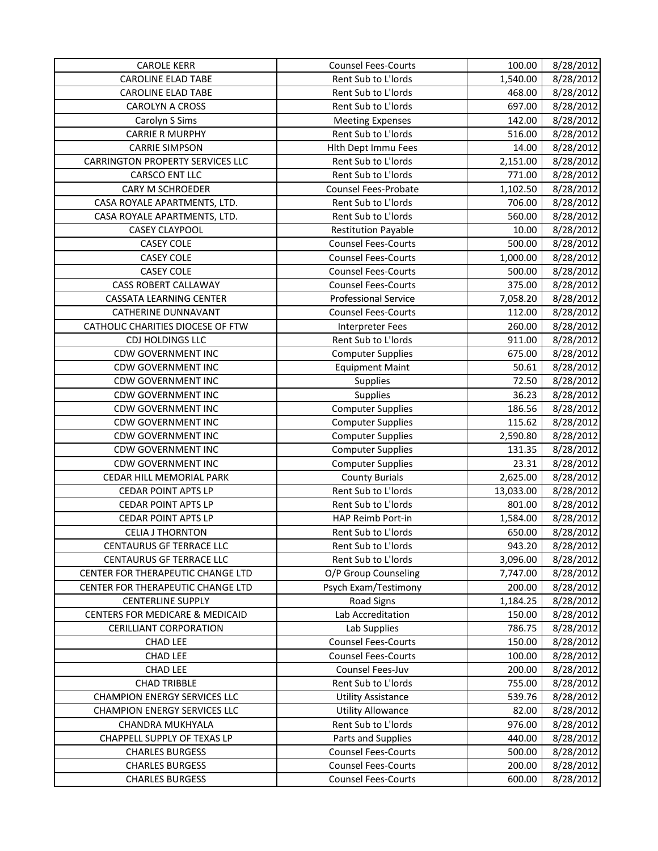| <b>CAROLE KERR</b>                      | <b>Counsel Fees-Courts</b>  | 100.00    | 8/28/2012 |
|-----------------------------------------|-----------------------------|-----------|-----------|
| <b>CAROLINE ELAD TABE</b>               | Rent Sub to L'Iords         | 1,540.00  | 8/28/2012 |
| <b>CAROLINE ELAD TABE</b>               | Rent Sub to L'Iords         | 468.00    | 8/28/2012 |
| CAROLYN A CROSS                         | Rent Sub to L'Iords         | 697.00    | 8/28/2012 |
| Carolyn S Sims                          | <b>Meeting Expenses</b>     | 142.00    | 8/28/2012 |
| <b>CARRIE R MURPHY</b>                  | Rent Sub to L'Iords         | 516.00    | 8/28/2012 |
| <b>CARRIE SIMPSON</b>                   | Hith Dept Immu Fees         | 14.00     | 8/28/2012 |
| <b>CARRINGTON PROPERTY SERVICES LLC</b> | Rent Sub to L'Iords         | 2,151.00  | 8/28/2012 |
| <b>CARSCO ENT LLC</b>                   | Rent Sub to L'Iords         | 771.00    | 8/28/2012 |
| <b>CARY M SCHROEDER</b>                 | <b>Counsel Fees-Probate</b> | 1,102.50  | 8/28/2012 |
| CASA ROYALE APARTMENTS, LTD.            | Rent Sub to L'Iords         | 706.00    | 8/28/2012 |
| CASA ROYALE APARTMENTS, LTD.            | Rent Sub to L'Iords         | 560.00    | 8/28/2012 |
| <b>CASEY CLAYPOOL</b>                   | <b>Restitution Payable</b>  | 10.00     | 8/28/2012 |
| <b>CASEY COLE</b>                       | <b>Counsel Fees-Courts</b>  | 500.00    | 8/28/2012 |
| <b>CASEY COLE</b>                       | <b>Counsel Fees-Courts</b>  | 1,000.00  | 8/28/2012 |
| <b>CASEY COLE</b>                       | <b>Counsel Fees-Courts</b>  | 500.00    | 8/28/2012 |
| <b>CASS ROBERT CALLAWAY</b>             | <b>Counsel Fees-Courts</b>  | 375.00    | 8/28/2012 |
| <b>CASSATA LEARNING CENTER</b>          | <b>Professional Service</b> | 7,058.20  | 8/28/2012 |
| CATHERINE DUNNAVANT                     | <b>Counsel Fees-Courts</b>  | 112.00    | 8/28/2012 |
| CATHOLIC CHARITIES DIOCESE OF FTW       | <b>Interpreter Fees</b>     | 260.00    | 8/28/2012 |
| CDJ HOLDINGS LLC                        | Rent Sub to L'Iords         | 911.00    | 8/28/2012 |
| <b>CDW GOVERNMENT INC</b>               | <b>Computer Supplies</b>    | 675.00    | 8/28/2012 |
| <b>CDW GOVERNMENT INC</b>               | <b>Equipment Maint</b>      | 50.61     | 8/28/2012 |
| <b>CDW GOVERNMENT INC</b>               | <b>Supplies</b>             | 72.50     | 8/28/2012 |
| <b>CDW GOVERNMENT INC</b>               | Supplies                    | 36.23     | 8/28/2012 |
| <b>CDW GOVERNMENT INC</b>               | <b>Computer Supplies</b>    | 186.56    | 8/28/2012 |
| <b>CDW GOVERNMENT INC</b>               | <b>Computer Supplies</b>    | 115.62    | 8/28/2012 |
| <b>CDW GOVERNMENT INC</b>               | <b>Computer Supplies</b>    | 2,590.80  | 8/28/2012 |
| <b>CDW GOVERNMENT INC</b>               | <b>Computer Supplies</b>    | 131.35    | 8/28/2012 |
| <b>CDW GOVERNMENT INC</b>               | <b>Computer Supplies</b>    | 23.31     | 8/28/2012 |
| CEDAR HILL MEMORIAL PARK                | <b>County Burials</b>       | 2,625.00  | 8/28/2012 |
| <b>CEDAR POINT APTS LP</b>              | Rent Sub to L'Iords         | 13,033.00 | 8/28/2012 |
| <b>CEDAR POINT APTS LP</b>              | Rent Sub to L'Iords         | 801.00    | 8/28/2012 |
| <b>CEDAR POINT APTS LP</b>              | HAP Reimb Port-in           | 1,584.00  | 8/28/2012 |
| <b>CELIA J THORNTON</b>                 | Rent Sub to L'Iords         | 650.00    | 8/28/2012 |
| CENTAURUS GF TERRACE LLC                | Rent Sub to L'Iords         | 943.20    | 8/28/2012 |
| CENTAURUS GF TERRACE LLC                | Rent Sub to L'Iords         | 3,096.00  | 8/28/2012 |
| CENTER FOR THERAPEUTIC CHANGE LTD       | O/P Group Counseling        | 7,747.00  | 8/28/2012 |
| CENTER FOR THERAPEUTIC CHANGE LTD       | Psych Exam/Testimony        | 200.00    | 8/28/2012 |
| <b>CENTERLINE SUPPLY</b>                | Road Signs                  | 1,184.25  | 8/28/2012 |
| CENTERS FOR MEDICARE & MEDICAID         | Lab Accreditation           | 150.00    | 8/28/2012 |
| <b>CERILLIANT CORPORATION</b>           | Lab Supplies                | 786.75    | 8/28/2012 |
| CHAD LEE                                | <b>Counsel Fees-Courts</b>  | 150.00    | 8/28/2012 |
| CHAD LEE                                | <b>Counsel Fees-Courts</b>  | 100.00    | 8/28/2012 |
| CHAD LEE                                | Counsel Fees-Juv            | 200.00    | 8/28/2012 |
| <b>CHAD TRIBBLE</b>                     | Rent Sub to L'Iords         | 755.00    | 8/28/2012 |
| <b>CHAMPION ENERGY SERVICES LLC</b>     | <b>Utility Assistance</b>   | 539.76    | 8/28/2012 |
| <b>CHAMPION ENERGY SERVICES LLC</b>     | <b>Utility Allowance</b>    | 82.00     | 8/28/2012 |
| CHANDRA MUKHYALA                        | Rent Sub to L'Iords         | 976.00    | 8/28/2012 |
| CHAPPELL SUPPLY OF TEXAS LP             | Parts and Supplies          | 440.00    | 8/28/2012 |
| <b>CHARLES BURGESS</b>                  | <b>Counsel Fees-Courts</b>  | 500.00    | 8/28/2012 |
| <b>CHARLES BURGESS</b>                  | <b>Counsel Fees-Courts</b>  | 200.00    | 8/28/2012 |
| <b>CHARLES BURGESS</b>                  | <b>Counsel Fees-Courts</b>  | 600.00    | 8/28/2012 |
|                                         |                             |           |           |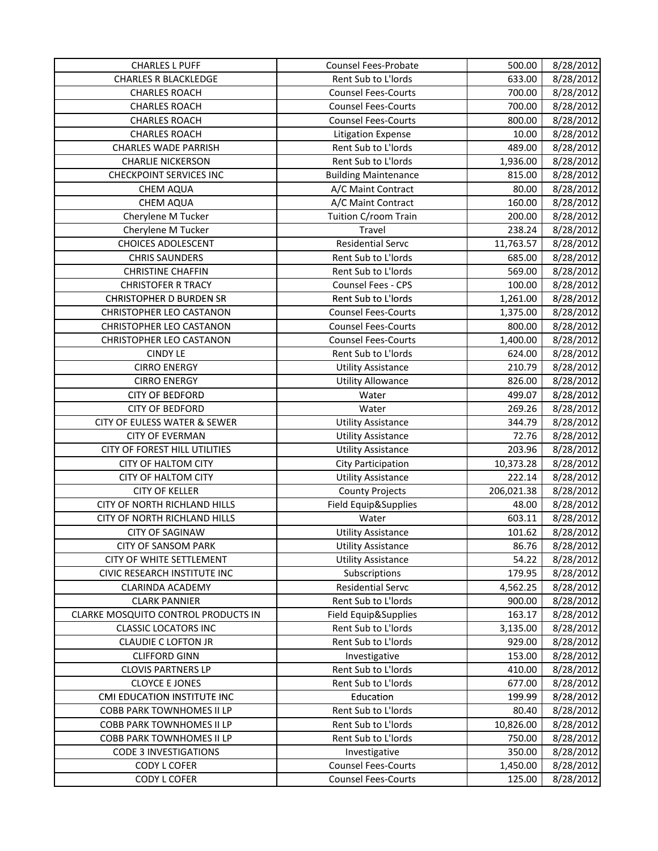| <b>CHARLES L PUFF</b>               | Counsel Fees-Probate        | 500.00     | 8/28/2012 |
|-------------------------------------|-----------------------------|------------|-----------|
| <b>CHARLES R BLACKLEDGE</b>         | Rent Sub to L'Iords         | 633.00     | 8/28/2012 |
| <b>CHARLES ROACH</b>                | <b>Counsel Fees-Courts</b>  | 700.00     | 8/28/2012 |
| <b>CHARLES ROACH</b>                | <b>Counsel Fees-Courts</b>  | 700.00     | 8/28/2012 |
| <b>CHARLES ROACH</b>                | <b>Counsel Fees-Courts</b>  | 800.00     | 8/28/2012 |
| <b>CHARLES ROACH</b>                | <b>Litigation Expense</b>   | 10.00      | 8/28/2012 |
| <b>CHARLES WADE PARRISH</b>         | Rent Sub to L'Iords         | 489.00     | 8/28/2012 |
| <b>CHARLIE NICKERSON</b>            | Rent Sub to L'Iords         | 1,936.00   | 8/28/2012 |
| <b>CHECKPOINT SERVICES INC</b>      | <b>Building Maintenance</b> | 815.00     | 8/28/2012 |
| CHEM AQUA                           | A/C Maint Contract          | 80.00      | 8/28/2012 |
| <b>CHEM AQUA</b>                    | A/C Maint Contract          | 160.00     | 8/28/2012 |
| Cherylene M Tucker                  | Tuition C/room Train        | 200.00     | 8/28/2012 |
| Cherylene M Tucker                  | Travel                      | 238.24     | 8/28/2012 |
| <b>CHOICES ADOLESCENT</b>           | <b>Residential Servc</b>    | 11,763.57  | 8/28/2012 |
| <b>CHRIS SAUNDERS</b>               | Rent Sub to L'Iords         | 685.00     | 8/28/2012 |
| <b>CHRISTINE CHAFFIN</b>            | Rent Sub to L'Iords         | 569.00     | 8/28/2012 |
| <b>CHRISTOFER R TRACY</b>           | Counsel Fees - CPS          | 100.00     | 8/28/2012 |
| <b>CHRISTOPHER D BURDEN SR</b>      | Rent Sub to L'Iords         | 1,261.00   | 8/28/2012 |
| CHRISTOPHER LEO CASTANON            | <b>Counsel Fees-Courts</b>  | 1,375.00   | 8/28/2012 |
| CHRISTOPHER LEO CASTANON            | <b>Counsel Fees-Courts</b>  | 800.00     | 8/28/2012 |
| CHRISTOPHER LEO CASTANON            | <b>Counsel Fees-Courts</b>  | 1,400.00   | 8/28/2012 |
| <b>CINDY LE</b>                     | Rent Sub to L'Iords         | 624.00     | 8/28/2012 |
| <b>CIRRO ENERGY</b>                 | <b>Utility Assistance</b>   | 210.79     | 8/28/2012 |
| <b>CIRRO ENERGY</b>                 | <b>Utility Allowance</b>    | 826.00     | 8/28/2012 |
| <b>CITY OF BEDFORD</b>              | Water                       | 499.07     | 8/28/2012 |
| <b>CITY OF BEDFORD</b>              | Water                       | 269.26     | 8/28/2012 |
| CITY OF EULESS WATER & SEWER        | <b>Utility Assistance</b>   | 344.79     | 8/28/2012 |
| <b>CITY OF EVERMAN</b>              | <b>Utility Assistance</b>   | 72.76      | 8/28/2012 |
| CITY OF FOREST HILL UTILITIES       | <b>Utility Assistance</b>   | 203.96     | 8/28/2012 |
| <b>CITY OF HALTOM CITY</b>          | <b>City Participation</b>   | 10,373.28  | 8/28/2012 |
| <b>CITY OF HALTOM CITY</b>          | <b>Utility Assistance</b>   | 222.14     | 8/28/2012 |
| <b>CITY OF KELLER</b>               | <b>County Projects</b>      | 206,021.38 | 8/28/2012 |
| CITY OF NORTH RICHLAND HILLS        | Field Equip&Supplies        | 48.00      | 8/28/2012 |
| CITY OF NORTH RICHLAND HILLS        | Water                       | 603.11     | 8/28/2012 |
| <b>CITY OF SAGINAW</b>              | <b>Utility Assistance</b>   | 101.62     | 8/28/2012 |
| <b>CITY OF SANSOM PARK</b>          | <b>Utility Assistance</b>   | 86.76      | 8/28/2012 |
| CITY OF WHITE SETTLEMENT            | <b>Utility Assistance</b>   | 54.22      | 8/28/2012 |
| CIVIC RESEARCH INSTITUTE INC        | Subscriptions               | 179.95     | 8/28/2012 |
| <b>CLARINDA ACADEMY</b>             | <b>Residential Servc</b>    | 4,562.25   | 8/28/2012 |
| <b>CLARK PANNIER</b>                | Rent Sub to L'Iords         | 900.00     | 8/28/2012 |
| CLARKE MOSQUITO CONTROL PRODUCTS IN | Field Equip&Supplies        | 163.17     | 8/28/2012 |
| <b>CLASSIC LOCATORS INC</b>         | Rent Sub to L'Iords         | 3,135.00   | 8/28/2012 |
| <b>CLAUDIE C LOFTON JR</b>          | Rent Sub to L'Iords         | 929.00     | 8/28/2012 |
| <b>CLIFFORD GINN</b>                | Investigative               | 153.00     | 8/28/2012 |
| <b>CLOVIS PARTNERS LP</b>           | Rent Sub to L'Iords         | 410.00     | 8/28/2012 |
| <b>CLOYCE E JONES</b>               | Rent Sub to L'Iords         | 677.00     | 8/28/2012 |
| CMI EDUCATION INSTITUTE INC         | Education                   | 199.99     | 8/28/2012 |
| COBB PARK TOWNHOMES II LP           | Rent Sub to L'Iords         | 80.40      | 8/28/2012 |
| COBB PARK TOWNHOMES II LP           | Rent Sub to L'Iords         | 10,826.00  | 8/28/2012 |
| COBB PARK TOWNHOMES II LP           | Rent Sub to L'Iords         | 750.00     | 8/28/2012 |
| <b>CODE 3 INVESTIGATIONS</b>        | Investigative               | 350.00     | 8/28/2012 |
| CODY L COFER                        | <b>Counsel Fees-Courts</b>  | 1,450.00   | 8/28/2012 |
| CODY L COFER                        | <b>Counsel Fees-Courts</b>  | 125.00     | 8/28/2012 |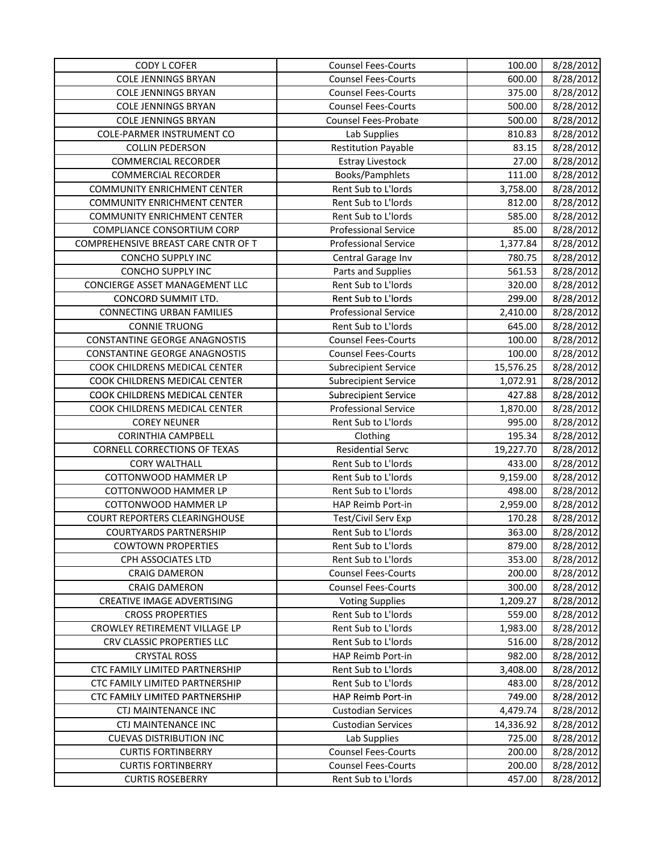| <b>CODY L COFER</b>                  | <b>Counsel Fees-Courts</b>  | 100.00    | 8/28/2012 |
|--------------------------------------|-----------------------------|-----------|-----------|
| <b>COLE JENNINGS BRYAN</b>           | <b>Counsel Fees-Courts</b>  | 600.00    | 8/28/2012 |
| <b>COLE JENNINGS BRYAN</b>           | <b>Counsel Fees-Courts</b>  | 375.00    | 8/28/2012 |
| <b>COLE JENNINGS BRYAN</b>           | <b>Counsel Fees-Courts</b>  | 500.00    | 8/28/2012 |
| <b>COLE JENNINGS BRYAN</b>           | <b>Counsel Fees-Probate</b> | 500.00    | 8/28/2012 |
| <b>COLE-PARMER INSTRUMENT CO</b>     | Lab Supplies                | 810.83    | 8/28/2012 |
| <b>COLLIN PEDERSON</b>               | <b>Restitution Payable</b>  | 83.15     | 8/28/2012 |
| <b>COMMERCIAL RECORDER</b>           | <b>Estray Livestock</b>     | 27.00     | 8/28/2012 |
| <b>COMMERCIAL RECORDER</b>           | Books/Pamphlets             | 111.00    | 8/28/2012 |
| <b>COMMUNITY ENRICHMENT CENTER</b>   | Rent Sub to L'Iords         | 3,758.00  | 8/28/2012 |
| <b>COMMUNITY ENRICHMENT CENTER</b>   | Rent Sub to L'Iords         | 812.00    | 8/28/2012 |
| <b>COMMUNITY ENRICHMENT CENTER</b>   | Rent Sub to L'Iords         | 585.00    | 8/28/2012 |
| COMPLIANCE CONSORTIUM CORP           | <b>Professional Service</b> | 85.00     | 8/28/2012 |
| COMPREHENSIVE BREAST CARE CNTR OF T  | <b>Professional Service</b> | 1,377.84  | 8/28/2012 |
| CONCHO SUPPLY INC                    | Central Garage Inv          | 780.75    | 8/28/2012 |
| CONCHO SUPPLY INC                    | Parts and Supplies          | 561.53    | 8/28/2012 |
| CONCIERGE ASSET MANAGEMENT LLC       | Rent Sub to L'Iords         | 320.00    | 8/28/2012 |
| CONCORD SUMMIT LTD.                  | Rent Sub to L'Iords         | 299.00    | 8/28/2012 |
| <b>CONNECTING URBAN FAMILIES</b>     | <b>Professional Service</b> | 2,410.00  | 8/28/2012 |
| <b>CONNIE TRUONG</b>                 | Rent Sub to L'Iords         | 645.00    | 8/28/2012 |
| <b>CONSTANTINE GEORGE ANAGNOSTIS</b> | <b>Counsel Fees-Courts</b>  | 100.00    | 8/28/2012 |
| <b>CONSTANTINE GEORGE ANAGNOSTIS</b> | <b>Counsel Fees-Courts</b>  | 100.00    | 8/28/2012 |
| COOK CHILDRENS MEDICAL CENTER        | <b>Subrecipient Service</b> | 15,576.25 | 8/28/2012 |
| COOK CHILDRENS MEDICAL CENTER        | <b>Subrecipient Service</b> | 1,072.91  | 8/28/2012 |
| COOK CHILDRENS MEDICAL CENTER        | <b>Subrecipient Service</b> | 427.88    | 8/28/2012 |
| COOK CHILDRENS MEDICAL CENTER        | <b>Professional Service</b> | 1,870.00  | 8/28/2012 |
| <b>COREY NEUNER</b>                  | Rent Sub to L'Iords         | 995.00    | 8/28/2012 |
| <b>CORINTHIA CAMPBELL</b>            | Clothing                    | 195.34    | 8/28/2012 |
| <b>CORNELL CORRECTIONS OF TEXAS</b>  | <b>Residential Servc</b>    | 19,227.70 | 8/28/2012 |
| <b>CORY WALTHALL</b>                 | Rent Sub to L'Iords         | 433.00    | 8/28/2012 |
| COTTONWOOD HAMMER LP                 | Rent Sub to L'Iords         | 9,159.00  | 8/28/2012 |
| COTTONWOOD HAMMER LP                 | Rent Sub to L'Iords         | 498.00    | 8/28/2012 |
| COTTONWOOD HAMMER LP                 | HAP Reimb Port-in           | 2,959.00  | 8/28/2012 |
| <b>COURT REPORTERS CLEARINGHOUSE</b> | Test/Civil Serv Exp         | 170.28    | 8/28/2012 |
| <b>COURTYARDS PARTNERSHIP</b>        | Rent Sub to L'Iords         | 363.00    | 8/28/2012 |
| <b>COWTOWN PROPERTIES</b>            | Rent Sub to L'Iords         | 879.00    | 8/28/2012 |
| CPH ASSOCIATES LTD                   | Rent Sub to L'Iords         | 353.00    | 8/28/2012 |
| <b>CRAIG DAMERON</b>                 | <b>Counsel Fees-Courts</b>  | 200.00    | 8/28/2012 |
| <b>CRAIG DAMERON</b>                 | <b>Counsel Fees-Courts</b>  | 300.00    | 8/28/2012 |
| CREATIVE IMAGE ADVERTISING           | <b>Voting Supplies</b>      | 1,209.27  | 8/28/2012 |
| <b>CROSS PROPERTIES</b>              | Rent Sub to L'Iords         | 559.00    | 8/28/2012 |
| CROWLEY RETIREMENT VILLAGE LP        | Rent Sub to L'Iords         | 1,983.00  | 8/28/2012 |
| CRV CLASSIC PROPERTIES LLC           | Rent Sub to L'Iords         | 516.00    | 8/28/2012 |
| <b>CRYSTAL ROSS</b>                  | HAP Reimb Port-in           | 982.00    | 8/28/2012 |
| CTC FAMILY LIMITED PARTNERSHIP       | Rent Sub to L'Iords         | 3,408.00  | 8/28/2012 |
| CTC FAMILY LIMITED PARTNERSHIP       | Rent Sub to L'Iords         | 483.00    | 8/28/2012 |
| CTC FAMILY LIMITED PARTNERSHIP       | HAP Reimb Port-in           | 749.00    | 8/28/2012 |
| CTJ MAINTENANCE INC                  | <b>Custodian Services</b>   | 4,479.74  | 8/28/2012 |
| <b>CTJ MAINTENANCE INC</b>           | <b>Custodian Services</b>   | 14,336.92 | 8/28/2012 |
| <b>CUEVAS DISTRIBUTION INC</b>       | Lab Supplies                | 725.00    | 8/28/2012 |
| <b>CURTIS FORTINBERRY</b>            | <b>Counsel Fees-Courts</b>  | 200.00    | 8/28/2012 |
| <b>CURTIS FORTINBERRY</b>            | <b>Counsel Fees-Courts</b>  | 200.00    | 8/28/2012 |
| <b>CURTIS ROSEBERRY</b>              | Rent Sub to L'Iords         | 457.00    | 8/28/2012 |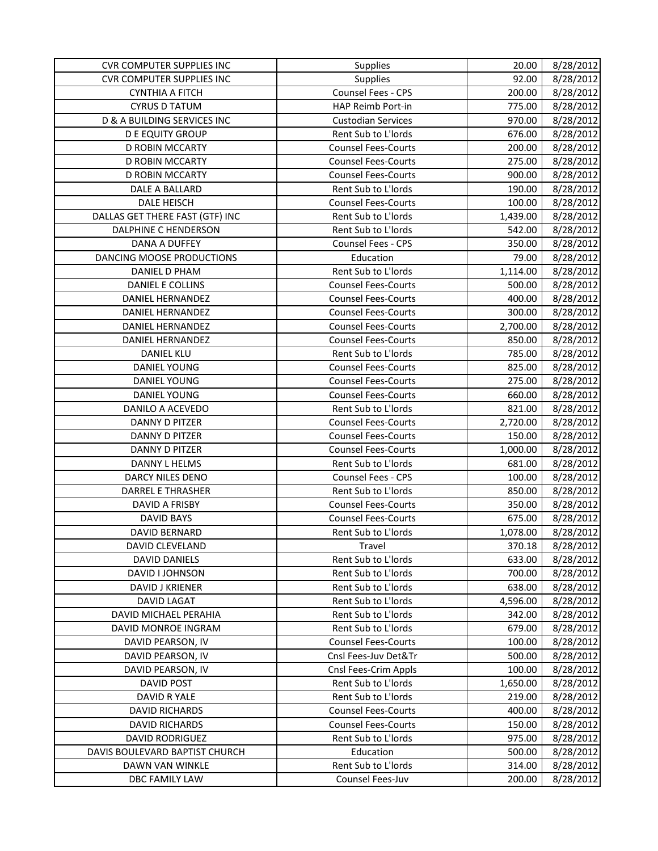| <b>CVR COMPUTER SUPPLIES INC</b> | <b>Supplies</b>            | 20.00    | 8/28/2012 |
|----------------------------------|----------------------------|----------|-----------|
| <b>CVR COMPUTER SUPPLIES INC</b> | Supplies                   | 92.00    | 8/28/2012 |
| <b>CYNTHIA A FITCH</b>           | Counsel Fees - CPS         | 200.00   | 8/28/2012 |
| <b>CYRUS D TATUM</b>             | HAP Reimb Port-in          | 775.00   | 8/28/2012 |
| D & A BUILDING SERVICES INC      | <b>Custodian Services</b>  | 970.00   | 8/28/2012 |
| <b>D E EQUITY GROUP</b>          | Rent Sub to L'Iords        | 676.00   | 8/28/2012 |
| <b>D ROBIN MCCARTY</b>           | <b>Counsel Fees-Courts</b> | 200.00   | 8/28/2012 |
| <b>D ROBIN MCCARTY</b>           | <b>Counsel Fees-Courts</b> | 275.00   | 8/28/2012 |
| <b>D ROBIN MCCARTY</b>           | <b>Counsel Fees-Courts</b> | 900.00   | 8/28/2012 |
| DALE A BALLARD                   | Rent Sub to L'Iords        | 190.00   | 8/28/2012 |
| DALE HEISCH                      | <b>Counsel Fees-Courts</b> | 100.00   | 8/28/2012 |
| DALLAS GET THERE FAST (GTF) INC  | Rent Sub to L'Iords        | 1,439.00 | 8/28/2012 |
| DALPHINE C HENDERSON             | Rent Sub to L'Iords        | 542.00   | 8/28/2012 |
| DANA A DUFFEY                    | <b>Counsel Fees - CPS</b>  | 350.00   | 8/28/2012 |
| DANCING MOOSE PRODUCTIONS        | Education                  | 79.00    | 8/28/2012 |
| DANIEL D PHAM                    | Rent Sub to L'Iords        | 1,114.00 | 8/28/2012 |
| DANIEL E COLLINS                 | <b>Counsel Fees-Courts</b> | 500.00   | 8/28/2012 |
| DANIEL HERNANDEZ                 | <b>Counsel Fees-Courts</b> | 400.00   | 8/28/2012 |
| DANIEL HERNANDEZ                 | <b>Counsel Fees-Courts</b> | 300.00   | 8/28/2012 |
| <b>DANIEL HERNANDEZ</b>          | <b>Counsel Fees-Courts</b> | 2,700.00 | 8/28/2012 |
| DANIEL HERNANDEZ                 | <b>Counsel Fees-Courts</b> | 850.00   | 8/28/2012 |
| <b>DANIEL KLU</b>                | Rent Sub to L'Iords        | 785.00   | 8/28/2012 |
| <b>DANIEL YOUNG</b>              | <b>Counsel Fees-Courts</b> | 825.00   | 8/28/2012 |
| DANIEL YOUNG                     | <b>Counsel Fees-Courts</b> | 275.00   | 8/28/2012 |
| DANIEL YOUNG                     | <b>Counsel Fees-Courts</b> | 660.00   | 8/28/2012 |
| DANILO A ACEVEDO                 | Rent Sub to L'Iords        | 821.00   | 8/28/2012 |
| <b>DANNY D PITZER</b>            | <b>Counsel Fees-Courts</b> | 2,720.00 | 8/28/2012 |
| <b>DANNY D PITZER</b>            | <b>Counsel Fees-Courts</b> | 150.00   | 8/28/2012 |
| <b>DANNY D PITZER</b>            | <b>Counsel Fees-Courts</b> | 1,000.00 | 8/28/2012 |
| DANNY L HELMS                    | Rent Sub to L'Iords        | 681.00   | 8/28/2012 |
| DARCY NILES DENO                 | <b>Counsel Fees - CPS</b>  | 100.00   | 8/28/2012 |
| DARREL E THRASHER                | Rent Sub to L'Iords        | 850.00   | 8/28/2012 |
| DAVID A FRISBY                   | <b>Counsel Fees-Courts</b> | 350.00   | 8/28/2012 |
| <b>DAVID BAYS</b>                | <b>Counsel Fees-Courts</b> | 675.00   | 8/28/2012 |
| <b>DAVID BERNARD</b>             | Rent Sub to L'Iords        | 1,078.00 | 8/28/2012 |
| DAVID CLEVELAND                  | Travel                     | 370.18   | 8/28/2012 |
| <b>DAVID DANIELS</b>             | Rent Sub to L'Iords        | 633.00   | 8/28/2012 |
| DAVID I JOHNSON                  | Rent Sub to L'Iords        | 700.00   | 8/28/2012 |
| DAVID J KRIENER                  | Rent Sub to L'Iords        | 638.00   | 8/28/2012 |
| <b>DAVID LAGAT</b>               | Rent Sub to L'Iords        | 4,596.00 | 8/28/2012 |
| DAVID MICHAEL PERAHIA            | Rent Sub to L'Iords        | 342.00   | 8/28/2012 |
| DAVID MONROE INGRAM              | Rent Sub to L'Iords        | 679.00   | 8/28/2012 |
| DAVID PEARSON, IV                | <b>Counsel Fees-Courts</b> | 100.00   | 8/28/2012 |
| DAVID PEARSON, IV                | Cnsl Fees-Juv Det&Tr       | 500.00   | 8/28/2012 |
| DAVID PEARSON, IV                | Cnsl Fees-Crim Appls       | 100.00   | 8/28/2012 |
| <b>DAVID POST</b>                | Rent Sub to L'Iords        | 1,650.00 | 8/28/2012 |
| DAVID R YALE                     | Rent Sub to L'Iords        | 219.00   | 8/28/2012 |
| DAVID RICHARDS                   | <b>Counsel Fees-Courts</b> | 400.00   | 8/28/2012 |
| <b>DAVID RICHARDS</b>            | <b>Counsel Fees-Courts</b> | 150.00   | 8/28/2012 |
| <b>DAVID RODRIGUEZ</b>           | Rent Sub to L'Iords        | 975.00   | 8/28/2012 |
| DAVIS BOULEVARD BAPTIST CHURCH   | Education                  | 500.00   | 8/28/2012 |
| DAWN VAN WINKLE                  | Rent Sub to L'Iords        | 314.00   | 8/28/2012 |
| DBC FAMILY LAW                   | Counsel Fees-Juv           | 200.00   | 8/28/2012 |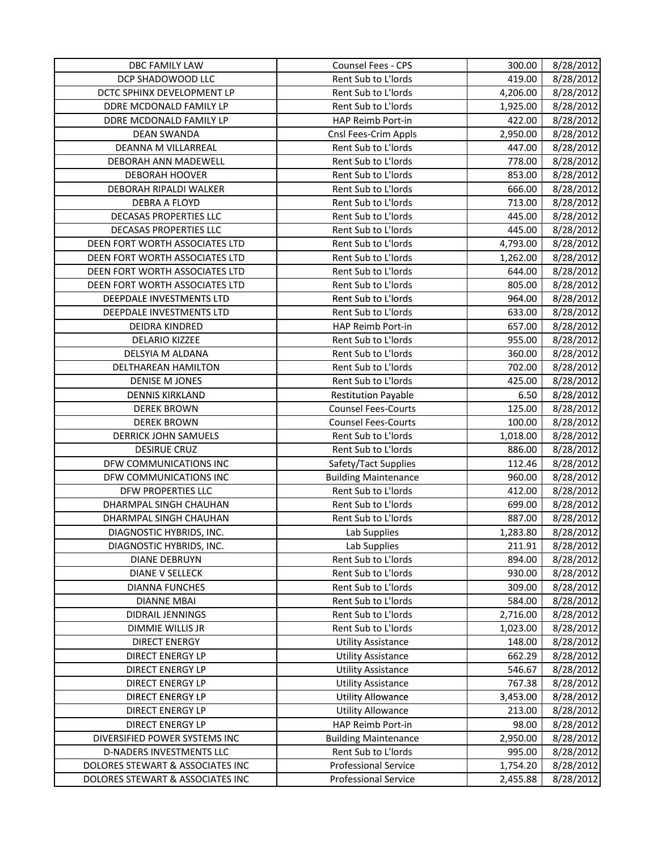| DBC FAMILY LAW                   | Counsel Fees - CPS          | 300.00   | 8/28/2012 |
|----------------------------------|-----------------------------|----------|-----------|
| DCP SHADOWOOD LLC                | Rent Sub to L'Iords         | 419.00   | 8/28/2012 |
| DCTC SPHINX DEVELOPMENT LP       | Rent Sub to L'Iords         | 4,206.00 | 8/28/2012 |
| DDRE MCDONALD FAMILY LP          | Rent Sub to L'Iords         | 1,925.00 | 8/28/2012 |
| DDRE MCDONALD FAMILY LP          | HAP Reimb Port-in           | 422.00   | 8/28/2012 |
| <b>DEAN SWANDA</b>               | Cnsl Fees-Crim Appls        | 2,950.00 | 8/28/2012 |
| DEANNA M VILLARREAL              | Rent Sub to L'Iords         | 447.00   | 8/28/2012 |
| DEBORAH ANN MADEWELL             | Rent Sub to L'Iords         | 778.00   | 8/28/2012 |
| DEBORAH HOOVER                   | Rent Sub to L'Iords         | 853.00   | 8/28/2012 |
| DEBORAH RIPALDI WALKER           | Rent Sub to L'Iords         | 666.00   | 8/28/2012 |
| <b>DEBRA A FLOYD</b>             | Rent Sub to L'Iords         | 713.00   | 8/28/2012 |
| DECASAS PROPERTIES LLC           | Rent Sub to L'Iords         | 445.00   | 8/28/2012 |
| DECASAS PROPERTIES LLC           | Rent Sub to L'Iords         | 445.00   | 8/28/2012 |
| DEEN FORT WORTH ASSOCIATES LTD   | Rent Sub to L'Iords         | 4,793.00 | 8/28/2012 |
| DEEN FORT WORTH ASSOCIATES LTD   | Rent Sub to L'Iords         | 1,262.00 | 8/28/2012 |
| DEEN FORT WORTH ASSOCIATES LTD   | Rent Sub to L'Iords         | 644.00   | 8/28/2012 |
| DEEN FORT WORTH ASSOCIATES LTD   | Rent Sub to L'Iords         | 805.00   | 8/28/2012 |
| DEEPDALE INVESTMENTS LTD         | Rent Sub to L'Iords         | 964.00   | 8/28/2012 |
| DEEPDALE INVESTMENTS LTD         | Rent Sub to L'Iords         | 633.00   | 8/28/2012 |
| DEIDRA KINDRED                   | HAP Reimb Port-in           | 657.00   | 8/28/2012 |
| <b>DELARIO KIZZEE</b>            | Rent Sub to L'Iords         | 955.00   | 8/28/2012 |
| DELSYIA M ALDANA                 | Rent Sub to L'Iords         | 360.00   | 8/28/2012 |
| DELTHAREAN HAMILTON              | Rent Sub to L'Iords         | 702.00   | 8/28/2012 |
| <b>DENISE M JONES</b>            | Rent Sub to L'Iords         | 425.00   | 8/28/2012 |
| <b>DENNIS KIRKLAND</b>           | <b>Restitution Payable</b>  | 6.50     | 8/28/2012 |
| <b>DEREK BROWN</b>               | <b>Counsel Fees-Courts</b>  | 125.00   | 8/28/2012 |
| <b>DEREK BROWN</b>               | <b>Counsel Fees-Courts</b>  | 100.00   | 8/28/2012 |
| <b>DERRICK JOHN SAMUELS</b>      | Rent Sub to L'Iords         | 1,018.00 | 8/28/2012 |
| <b>DESIRUE CRUZ</b>              | Rent Sub to L'Iords         | 886.00   | 8/28/2012 |
| DFW COMMUNICATIONS INC           | Safety/Tact Supplies        | 112.46   | 8/28/2012 |
| DFW COMMUNICATIONS INC           | <b>Building Maintenance</b> | 960.00   | 8/28/2012 |
| DFW PROPERTIES LLC               | Rent Sub to L'Iords         | 412.00   | 8/28/2012 |
| DHARMPAL SINGH CHAUHAN           | Rent Sub to L'Iords         | 699.00   | 8/28/2012 |
| DHARMPAL SINGH CHAUHAN           | Rent Sub to L'Iords         | 887.00   | 8/28/2012 |
| DIAGNOSTIC HYBRIDS, INC.         | Lab Supplies                | 1,283.80 | 8/28/2012 |
| DIAGNOSTIC HYBRIDS, INC.         | Lab Supplies                | 211.91   | 8/28/2012 |
| <b>DIANE DEBRUYN</b>             | Rent Sub to L'Iords         | 894.00   | 8/28/2012 |
| <b>DIANE V SELLECK</b>           | Rent Sub to L'Iords         | 930.00   | 8/28/2012 |
| DIANNA FUNCHES                   | Rent Sub to L'Iords         | 309.00   | 8/28/2012 |
| <b>DIANNE MBAI</b>               | Rent Sub to L'Iords         | 584.00   | 8/28/2012 |
| DIDRAIL JENNINGS                 | Rent Sub to L'Iords         | 2,716.00 | 8/28/2012 |
| DIMMIE WILLIS JR                 | Rent Sub to L'Iords         | 1,023.00 | 8/28/2012 |
| <b>DIRECT ENERGY</b>             | <b>Utility Assistance</b>   | 148.00   | 8/28/2012 |
| <b>DIRECT ENERGY LP</b>          | <b>Utility Assistance</b>   | 662.29   | 8/28/2012 |
| <b>DIRECT ENERGY LP</b>          | <b>Utility Assistance</b>   | 546.67   | 8/28/2012 |
| <b>DIRECT ENERGY LP</b>          | <b>Utility Assistance</b>   | 767.38   | 8/28/2012 |
| DIRECT ENERGY LP                 | <b>Utility Allowance</b>    | 3,453.00 | 8/28/2012 |
| DIRECT ENERGY LP                 | <b>Utility Allowance</b>    | 213.00   | 8/28/2012 |
| <b>DIRECT ENERGY LP</b>          | HAP Reimb Port-in           | 98.00    | 8/28/2012 |
| DIVERSIFIED POWER SYSTEMS INC    | <b>Building Maintenance</b> | 2,950.00 | 8/28/2012 |
| D-NADERS INVESTMENTS LLC         | Rent Sub to L'Iords         | 995.00   | 8/28/2012 |
| DOLORES STEWART & ASSOCIATES INC | <b>Professional Service</b> | 1,754.20 | 8/28/2012 |
| DOLORES STEWART & ASSOCIATES INC | <b>Professional Service</b> | 2,455.88 | 8/28/2012 |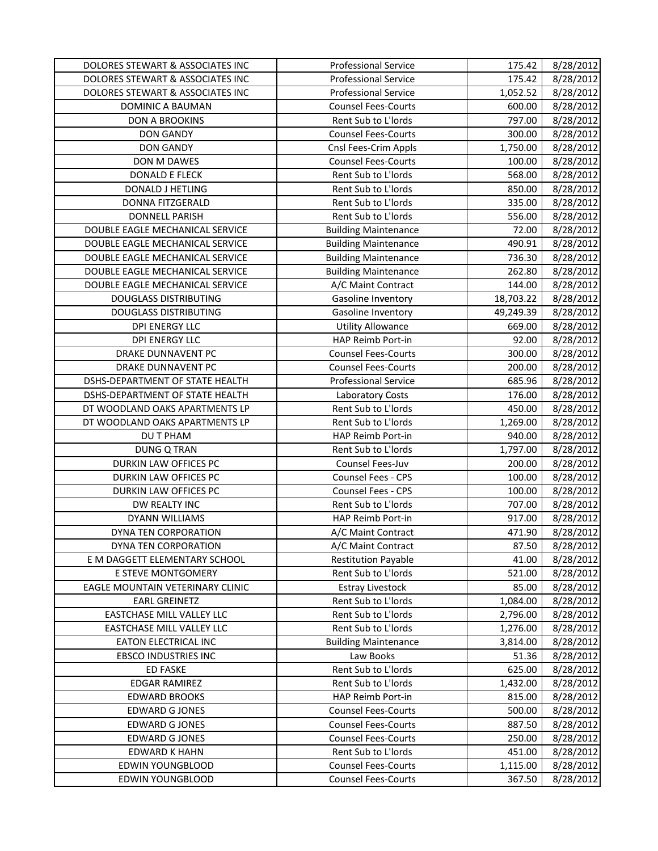| DOLORES STEWART & ASSOCIATES INC | <b>Professional Service</b> | 175.42    | 8/28/2012 |
|----------------------------------|-----------------------------|-----------|-----------|
| DOLORES STEWART & ASSOCIATES INC | <b>Professional Service</b> | 175.42    | 8/28/2012 |
| DOLORES STEWART & ASSOCIATES INC | <b>Professional Service</b> | 1,052.52  | 8/28/2012 |
| DOMINIC A BAUMAN                 | <b>Counsel Fees-Courts</b>  | 600.00    | 8/28/2012 |
| <b>DON A BROOKINS</b>            | Rent Sub to L'Iords         | 797.00    | 8/28/2012 |
| <b>DON GANDY</b>                 | <b>Counsel Fees-Courts</b>  | 300.00    | 8/28/2012 |
| <b>DON GANDY</b>                 | Cnsl Fees-Crim Appls        | 1,750.00  | 8/28/2012 |
| DON M DAWES                      | <b>Counsel Fees-Courts</b>  | 100.00    | 8/28/2012 |
| <b>DONALD E FLECK</b>            | Rent Sub to L'Iords         | 568.00    | 8/28/2012 |
| DONALD J HETLING                 | Rent Sub to L'Iords         | 850.00    | 8/28/2012 |
| DONNA FITZGERALD                 | Rent Sub to L'Iords         | 335.00    | 8/28/2012 |
| <b>DONNELL PARISH</b>            | Rent Sub to L'Iords         | 556.00    | 8/28/2012 |
| DOUBLE EAGLE MECHANICAL SERVICE  | <b>Building Maintenance</b> | 72.00     | 8/28/2012 |
| DOUBLE EAGLE MECHANICAL SERVICE  | <b>Building Maintenance</b> | 490.91    | 8/28/2012 |
| DOUBLE EAGLE MECHANICAL SERVICE  | <b>Building Maintenance</b> | 736.30    | 8/28/2012 |
| DOUBLE EAGLE MECHANICAL SERVICE  | <b>Building Maintenance</b> | 262.80    | 8/28/2012 |
| DOUBLE EAGLE MECHANICAL SERVICE  | A/C Maint Contract          | 144.00    | 8/28/2012 |
| <b>DOUGLASS DISTRIBUTING</b>     | Gasoline Inventory          | 18,703.22 | 8/28/2012 |
| <b>DOUGLASS DISTRIBUTING</b>     | Gasoline Inventory          | 49,249.39 | 8/28/2012 |
| <b>DPI ENERGY LLC</b>            | <b>Utility Allowance</b>    | 669.00    | 8/28/2012 |
| <b>DPI ENERGY LLC</b>            | HAP Reimb Port-in           | 92.00     | 8/28/2012 |
| DRAKE DUNNAVENT PC               | <b>Counsel Fees-Courts</b>  | 300.00    | 8/28/2012 |
| DRAKE DUNNAVENT PC               | <b>Counsel Fees-Courts</b>  | 200.00    | 8/28/2012 |
| DSHS-DEPARTMENT OF STATE HEALTH  | <b>Professional Service</b> | 685.96    | 8/28/2012 |
| DSHS-DEPARTMENT OF STATE HEALTH  | Laboratory Costs            | 176.00    | 8/28/2012 |
| DT WOODLAND OAKS APARTMENTS LP   | Rent Sub to L'Iords         | 450.00    | 8/28/2012 |
| DT WOODLAND OAKS APARTMENTS LP   | Rent Sub to L'Iords         | 1,269.00  | 8/28/2012 |
| DU T PHAM                        | HAP Reimb Port-in           | 940.00    | 8/28/2012 |
| <b>DUNG Q TRAN</b>               | Rent Sub to L'Iords         | 1,797.00  | 8/28/2012 |
| DURKIN LAW OFFICES PC            | Counsel Fees-Juv            | 200.00    | 8/28/2012 |
| DURKIN LAW OFFICES PC            | Counsel Fees - CPS          | 100.00    | 8/28/2012 |
| DURKIN LAW OFFICES PC            | Counsel Fees - CPS          | 100.00    | 8/28/2012 |
| DW REALTY INC                    | Rent Sub to L'Iords         | 707.00    | 8/28/2012 |
| DYANN WILLIAMS                   | HAP Reimb Port-in           | 917.00    | 8/28/2012 |
| DYNA TEN CORPORATION             | A/C Maint Contract          | 471.90    | 8/28/2012 |
| DYNA TEN CORPORATION             | A/C Maint Contract          | 87.50     | 8/28/2012 |
| E M DAGGETT ELEMENTARY SCHOOL    | <b>Restitution Payable</b>  | 41.00     | 8/28/2012 |
| E STEVE MONTGOMERY               | Rent Sub to L'Iords         | 521.00    | 8/28/2012 |
| EAGLE MOUNTAIN VETERINARY CLINIC | <b>Estray Livestock</b>     | 85.00     | 8/28/2012 |
| <b>EARL GREINETZ</b>             | Rent Sub to L'Iords         | 1,084.00  | 8/28/2012 |
| EASTCHASE MILL VALLEY LLC        | Rent Sub to L'Iords         | 2,796.00  | 8/28/2012 |
| EASTCHASE MILL VALLEY LLC        | Rent Sub to L'Iords         | 1,276.00  | 8/28/2012 |
| <b>EATON ELECTRICAL INC</b>      | <b>Building Maintenance</b> | 3,814.00  | 8/28/2012 |
| <b>EBSCO INDUSTRIES INC</b>      | Law Books                   | 51.36     | 8/28/2012 |
| <b>ED FASKE</b>                  | Rent Sub to L'Iords         | 625.00    | 8/28/2012 |
| <b>EDGAR RAMIREZ</b>             | Rent Sub to L'Iords         | 1,432.00  | 8/28/2012 |
| <b>EDWARD BROOKS</b>             | HAP Reimb Port-in           | 815.00    | 8/28/2012 |
| <b>EDWARD G JONES</b>            | <b>Counsel Fees-Courts</b>  | 500.00    | 8/28/2012 |
| <b>EDWARD G JONES</b>            | <b>Counsel Fees-Courts</b>  | 887.50    | 8/28/2012 |
| <b>EDWARD G JONES</b>            | <b>Counsel Fees-Courts</b>  | 250.00    | 8/28/2012 |
| <b>EDWARD K HAHN</b>             | Rent Sub to L'Iords         | 451.00    | 8/28/2012 |
| <b>EDWIN YOUNGBLOOD</b>          | <b>Counsel Fees-Courts</b>  | 1,115.00  | 8/28/2012 |
| <b>EDWIN YOUNGBLOOD</b>          | <b>Counsel Fees-Courts</b>  | 367.50    | 8/28/2012 |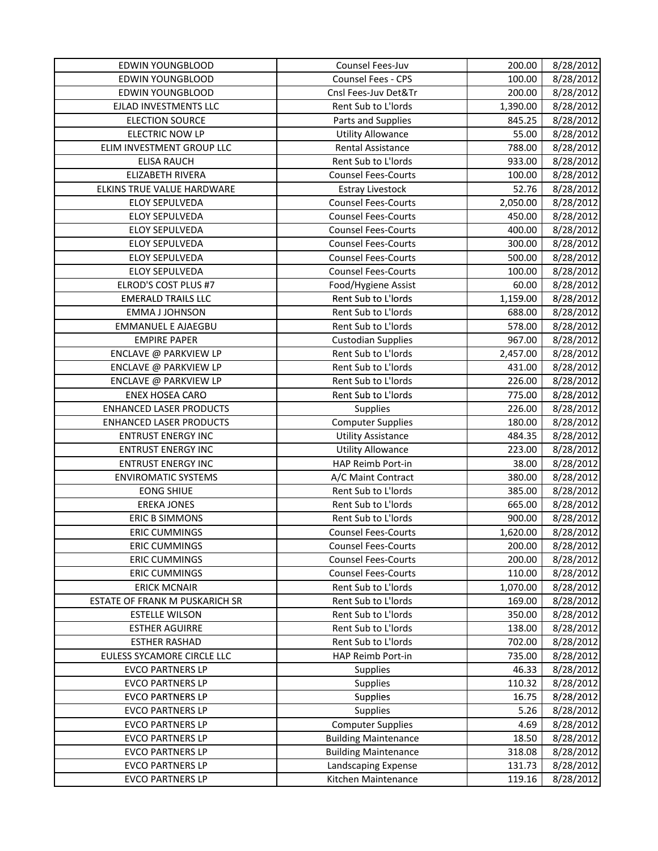| EDWIN YOUNGBLOOD               | Counsel Fees-Juv                                        | 200.00   | 8/28/2012 |
|--------------------------------|---------------------------------------------------------|----------|-----------|
| <b>EDWIN YOUNGBLOOD</b>        | Counsel Fees - CPS                                      | 100.00   | 8/28/2012 |
| <b>EDWIN YOUNGBLOOD</b>        | Cnsl Fees-Juv Det&Tr                                    | 200.00   | 8/28/2012 |
| EJLAD INVESTMENTS LLC          | Rent Sub to L'Iords                                     | 1,390.00 | 8/28/2012 |
| <b>ELECTION SOURCE</b>         | Parts and Supplies                                      | 845.25   | 8/28/2012 |
| <b>ELECTRIC NOW LP</b>         | <b>Utility Allowance</b>                                | 55.00    | 8/28/2012 |
| ELIM INVESTMENT GROUP LLC      | Rental Assistance                                       | 788.00   | 8/28/2012 |
| <b>ELISA RAUCH</b>             | Rent Sub to L'Iords                                     | 933.00   | 8/28/2012 |
| ELIZABETH RIVERA               | <b>Counsel Fees-Courts</b>                              | 100.00   | 8/28/2012 |
| ELKINS TRUE VALUE HARDWARE     | <b>Estray Livestock</b>                                 | 52.76    | 8/28/2012 |
| ELOY SEPULVEDA                 | <b>Counsel Fees-Courts</b>                              | 2,050.00 | 8/28/2012 |
| <b>ELOY SEPULVEDA</b>          | <b>Counsel Fees-Courts</b>                              | 450.00   | 8/28/2012 |
| <b>ELOY SEPULVEDA</b>          | <b>Counsel Fees-Courts</b>                              | 400.00   | 8/28/2012 |
| <b>ELOY SEPULVEDA</b>          | <b>Counsel Fees-Courts</b>                              | 300.00   | 8/28/2012 |
| ELOY SEPULVEDA                 | <b>Counsel Fees-Courts</b>                              | 500.00   | 8/28/2012 |
| <b>ELOY SEPULVEDA</b>          | <b>Counsel Fees-Courts</b>                              | 100.00   | 8/28/2012 |
| ELROD'S COST PLUS #7           | Food/Hygiene Assist                                     | 60.00    | 8/28/2012 |
| <b>EMERALD TRAILS LLC</b>      | Rent Sub to L'Iords                                     | 1,159.00 | 8/28/2012 |
| <b>EMMA J JOHNSON</b>          | Rent Sub to L'Iords                                     | 688.00   | 8/28/2012 |
| <b>EMMANUEL E AJAEGBU</b>      | Rent Sub to L'Iords                                     | 578.00   | 8/28/2012 |
| <b>EMPIRE PAPER</b>            | <b>Custodian Supplies</b>                               | 967.00   | 8/28/2012 |
| ENCLAVE @ PARKVIEW LP          | Rent Sub to L'Iords                                     | 2,457.00 | 8/28/2012 |
| ENCLAVE @ PARKVIEW LP          | Rent Sub to L'Iords                                     | 431.00   | 8/28/2012 |
| ENCLAVE @ PARKVIEW LP          | Rent Sub to L'Iords                                     | 226.00   | 8/28/2012 |
| <b>ENEX HOSEA CARO</b>         | Rent Sub to L'Iords                                     | 775.00   | 8/28/2012 |
| <b>ENHANCED LASER PRODUCTS</b> | Supplies                                                | 226.00   | 8/28/2012 |
| <b>ENHANCED LASER PRODUCTS</b> | <b>Computer Supplies</b>                                | 180.00   | 8/28/2012 |
| <b>ENTRUST ENERGY INC</b>      | <b>Utility Assistance</b>                               | 484.35   | 8/28/2012 |
| <b>ENTRUST ENERGY INC</b>      | <b>Utility Allowance</b>                                | 223.00   | 8/28/2012 |
| <b>ENTRUST ENERGY INC</b>      | HAP Reimb Port-in                                       | 38.00    | 8/28/2012 |
| <b>ENVIROMATIC SYSTEMS</b>     | A/C Maint Contract                                      | 380.00   | 8/28/2012 |
| <b>EONG SHIUE</b>              | Rent Sub to L'Iords                                     | 385.00   | 8/28/2012 |
| <b>EREKA JONES</b>             | Rent Sub to L'Iords                                     | 665.00   | 8/28/2012 |
| <b>ERIC B SIMMONS</b>          | Rent Sub to L'Iords                                     | 900.00   | 8/28/2012 |
| <b>ERIC CUMMINGS</b>           | <b>Counsel Fees-Courts</b>                              | 1,620.00 | 8/28/2012 |
| <b>ERIC CUMMINGS</b>           | <b>Counsel Fees-Courts</b>                              | 200.00   | 8/28/2012 |
| <b>ERIC CUMMINGS</b>           | <b>Counsel Fees-Courts</b>                              | 200.00   | 8/28/2012 |
| <b>ERIC CUMMINGS</b>           | <b>Counsel Fees-Courts</b>                              | 110.00   | 8/28/2012 |
| <b>ERICK MCNAIR</b>            | Rent Sub to L'Iords                                     | 1,070.00 | 8/28/2012 |
| ESTATE OF FRANK M PUSKARICH SR | Rent Sub to L'Iords                                     | 169.00   | 8/28/2012 |
| <b>ESTELLE WILSON</b>          | Rent Sub to L'Iords                                     | 350.00   | 8/28/2012 |
| <b>ESTHER AGUIRRE</b>          | Rent Sub to L'Iords                                     | 138.00   | 8/28/2012 |
| <b>ESTHER RASHAD</b>           | Rent Sub to L'Iords                                     | 702.00   | 8/28/2012 |
| EULESS SYCAMORE CIRCLE LLC     | HAP Reimb Port-in                                       | 735.00   | 8/28/2012 |
| <b>EVCO PARTNERS LP</b>        | Supplies                                                | 46.33    | 8/28/2012 |
| <b>EVCO PARTNERS LP</b>        | <b>Supplies</b>                                         | 110.32   | 8/28/2012 |
| <b>EVCO PARTNERS LP</b>        | <b>Supplies</b>                                         | 16.75    | 8/28/2012 |
| <b>EVCO PARTNERS LP</b>        | Supplies                                                | 5.26     | 8/28/2012 |
| <b>EVCO PARTNERS LP</b>        |                                                         | 4.69     | 8/28/2012 |
| <b>EVCO PARTNERS LP</b>        | <b>Computer Supplies</b><br><b>Building Maintenance</b> |          |           |
|                                |                                                         | 18.50    | 8/28/2012 |
| <b>EVCO PARTNERS LP</b>        | <b>Building Maintenance</b>                             | 318.08   | 8/28/2012 |
| <b>EVCO PARTNERS LP</b>        | Landscaping Expense                                     | 131.73   | 8/28/2012 |
| <b>EVCO PARTNERS LP</b>        | Kitchen Maintenance                                     | 119.16   | 8/28/2012 |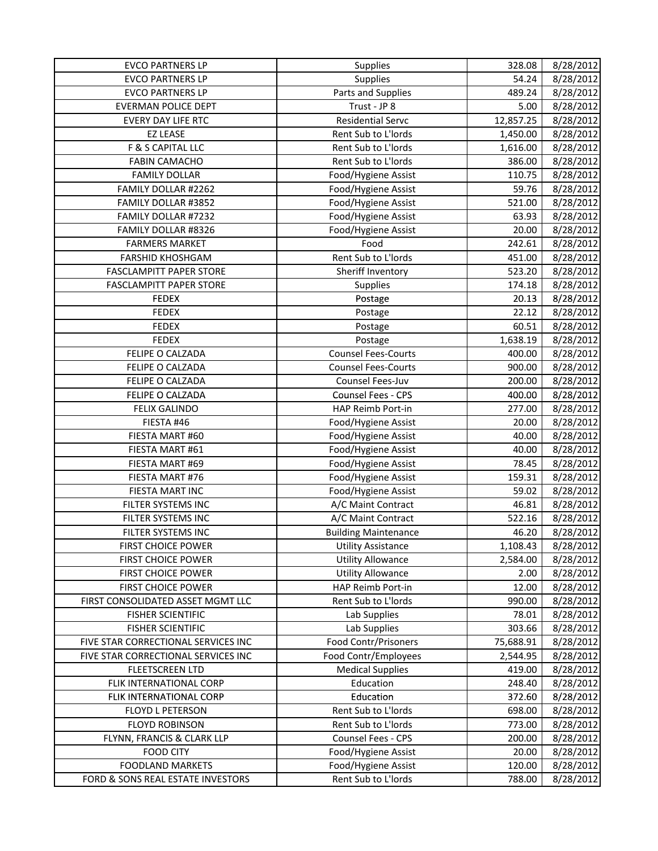| <b>EVCO PARTNERS LP</b>             | <b>Supplies</b>             | 328.08    | 8/28/2012 |
|-------------------------------------|-----------------------------|-----------|-----------|
| <b>EVCO PARTNERS LP</b>             | Supplies                    | 54.24     | 8/28/2012 |
| <b>EVCO PARTNERS LP</b>             | Parts and Supplies          | 489.24    | 8/28/2012 |
| <b>EVERMAN POLICE DEPT</b>          | Trust - JP 8                | 5.00      | 8/28/2012 |
| EVERY DAY LIFE RTC                  | <b>Residential Servc</b>    | 12,857.25 | 8/28/2012 |
| <b>EZ LEASE</b>                     | Rent Sub to L'Iords         | 1,450.00  | 8/28/2012 |
| F & S CAPITAL LLC                   | Rent Sub to L'Iords         | 1,616.00  | 8/28/2012 |
| <b>FABIN CAMACHO</b>                | Rent Sub to L'Iords         | 386.00    | 8/28/2012 |
| <b>FAMILY DOLLAR</b>                | Food/Hygiene Assist         | 110.75    | 8/28/2012 |
| FAMILY DOLLAR #2262                 | Food/Hygiene Assist         | 59.76     | 8/28/2012 |
| FAMILY DOLLAR #3852                 | Food/Hygiene Assist         | 521.00    | 8/28/2012 |
| FAMILY DOLLAR #7232                 | Food/Hygiene Assist         | 63.93     | 8/28/2012 |
| FAMILY DOLLAR #8326                 | Food/Hygiene Assist         | 20.00     | 8/28/2012 |
| <b>FARMERS MARKET</b>               | Food                        | 242.61    | 8/28/2012 |
| <b>FARSHID KHOSHGAM</b>             | Rent Sub to L'Iords         | 451.00    | 8/28/2012 |
| FASCLAMPITT PAPER STORE             | Sheriff Inventory           | 523.20    | 8/28/2012 |
| FASCLAMPITT PAPER STORE             | Supplies                    | 174.18    | 8/28/2012 |
| <b>FEDEX</b>                        | Postage                     | 20.13     | 8/28/2012 |
| <b>FEDEX</b>                        | Postage                     | 22.12     | 8/28/2012 |
| <b>FEDEX</b>                        | Postage                     | 60.51     | 8/28/2012 |
| <b>FEDEX</b>                        | Postage                     | 1,638.19  | 8/28/2012 |
| FELIPE O CALZADA                    | <b>Counsel Fees-Courts</b>  | 400.00    | 8/28/2012 |
| FELIPE O CALZADA                    | <b>Counsel Fees-Courts</b>  | 900.00    | 8/28/2012 |
| FELIPE O CALZADA                    | Counsel Fees-Juv            | 200.00    | 8/28/2012 |
| FELIPE O CALZADA                    | Counsel Fees - CPS          | 400.00    | 8/28/2012 |
| <b>FELIX GALINDO</b>                | HAP Reimb Port-in           | 277.00    | 8/28/2012 |
| FIESTA #46                          | Food/Hygiene Assist         | 20.00     | 8/28/2012 |
| FIESTA MART #60                     | Food/Hygiene Assist         | 40.00     | 8/28/2012 |
| FIESTA MART #61                     | Food/Hygiene Assist         | 40.00     | 8/28/2012 |
| FIESTA MART #69                     | Food/Hygiene Assist         | 78.45     | 8/28/2012 |
| FIESTA MART #76                     | Food/Hygiene Assist         | 159.31    | 8/28/2012 |
| FIESTA MART INC                     | Food/Hygiene Assist         | 59.02     | 8/28/2012 |
| FILTER SYSTEMS INC                  | A/C Maint Contract          | 46.81     | 8/28/2012 |
| FILTER SYSTEMS INC                  | A/C Maint Contract          | 522.16    | 8/28/2012 |
| FILTER SYSTEMS INC                  | <b>Building Maintenance</b> | 46.20     | 8/28/2012 |
| <b>FIRST CHOICE POWER</b>           | <b>Utility Assistance</b>   | 1,108.43  | 8/28/2012 |
| FIRST CHOICE POWER                  | <b>Utility Allowance</b>    | 2,584.00  | 8/28/2012 |
| <b>FIRST CHOICE POWER</b>           | <b>Utility Allowance</b>    | 2.00      | 8/28/2012 |
| <b>FIRST CHOICE POWER</b>           | HAP Reimb Port-in           | 12.00     | 8/28/2012 |
| FIRST CONSOLIDATED ASSET MGMT LLC   | Rent Sub to L'Iords         | 990.00    | 8/28/2012 |
| <b>FISHER SCIENTIFIC</b>            | Lab Supplies                | 78.01     | 8/28/2012 |
| <b>FISHER SCIENTIFIC</b>            | Lab Supplies                | 303.66    | 8/28/2012 |
| FIVE STAR CORRECTIONAL SERVICES INC | Food Contr/Prisoners        | 75,688.91 | 8/28/2012 |
| FIVE STAR CORRECTIONAL SERVICES INC | Food Contr/Employees        | 2,544.95  | 8/28/2012 |
| <b>FLEETSCREEN LTD</b>              | <b>Medical Supplies</b>     | 419.00    | 8/28/2012 |
| FLIK INTERNATIONAL CORP             | Education                   | 248.40    | 8/28/2012 |
| FLIK INTERNATIONAL CORP             | Education                   | 372.60    | 8/28/2012 |
| <b>FLOYD L PETERSON</b>             | Rent Sub to L'Iords         | 698.00    | 8/28/2012 |
| <b>FLOYD ROBINSON</b>               | Rent Sub to L'Iords         | 773.00    | 8/28/2012 |
| FLYNN, FRANCIS & CLARK LLP          | Counsel Fees - CPS          | 200.00    | 8/28/2012 |
| <b>FOOD CITY</b>                    | Food/Hygiene Assist         | 20.00     | 8/28/2012 |
| <b>FOODLAND MARKETS</b>             | Food/Hygiene Assist         | 120.00    | 8/28/2012 |
| FORD & SONS REAL ESTATE INVESTORS   | Rent Sub to L'Iords         | 788.00    | 8/28/2012 |
|                                     |                             |           |           |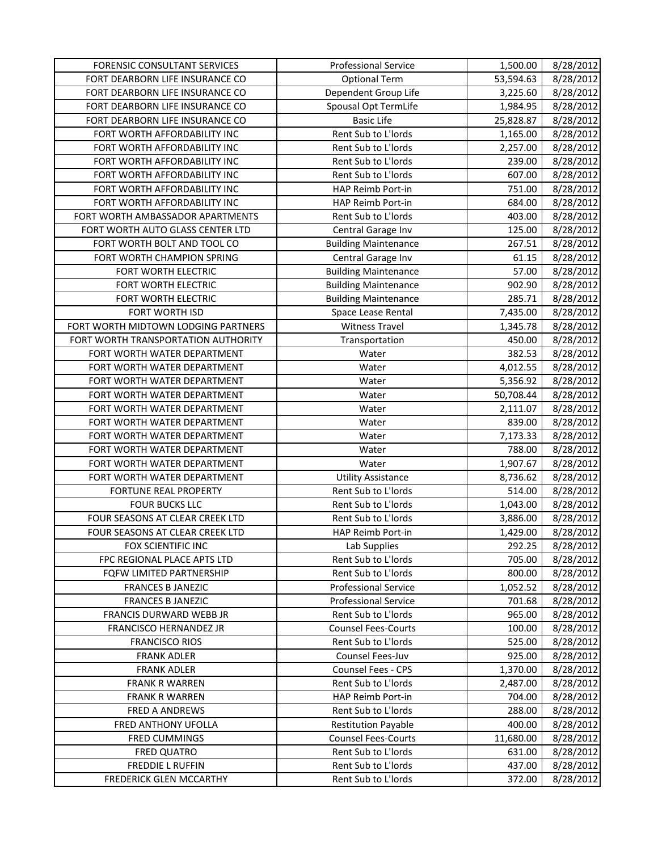| <b>FORENSIC CONSULTANT SERVICES</b> | <b>Professional Service</b> | 1,500.00  | 8/28/2012 |
|-------------------------------------|-----------------------------|-----------|-----------|
| FORT DEARBORN LIFE INSURANCE CO     | <b>Optional Term</b>        | 53,594.63 | 8/28/2012 |
| FORT DEARBORN LIFE INSURANCE CO     | Dependent Group Life        | 3,225.60  | 8/28/2012 |
| FORT DEARBORN LIFE INSURANCE CO     | Spousal Opt TermLife        | 1,984.95  | 8/28/2012 |
| FORT DEARBORN LIFE INSURANCE CO     | <b>Basic Life</b>           | 25,828.87 | 8/28/2012 |
| FORT WORTH AFFORDABILITY INC        | Rent Sub to L'Iords         | 1,165.00  | 8/28/2012 |
| FORT WORTH AFFORDABILITY INC        | Rent Sub to L'Iords         | 2,257.00  | 8/28/2012 |
| FORT WORTH AFFORDABILITY INC        | Rent Sub to L'Iords         | 239.00    | 8/28/2012 |
| FORT WORTH AFFORDABILITY INC        | Rent Sub to L'Iords         | 607.00    | 8/28/2012 |
| FORT WORTH AFFORDABILITY INC        | HAP Reimb Port-in           | 751.00    | 8/28/2012 |
| FORT WORTH AFFORDABILITY INC        | HAP Reimb Port-in           | 684.00    | 8/28/2012 |
| FORT WORTH AMBASSADOR APARTMENTS    | Rent Sub to L'Iords         | 403.00    | 8/28/2012 |
| FORT WORTH AUTO GLASS CENTER LTD    | Central Garage Inv          | 125.00    | 8/28/2012 |
| FORT WORTH BOLT AND TOOL CO         | <b>Building Maintenance</b> | 267.51    | 8/28/2012 |
| FORT WORTH CHAMPION SPRING          | Central Garage Inv          | 61.15     | 8/28/2012 |
| FORT WORTH ELECTRIC                 | <b>Building Maintenance</b> | 57.00     | 8/28/2012 |
| FORT WORTH ELECTRIC                 | <b>Building Maintenance</b> | 902.90    | 8/28/2012 |
| FORT WORTH ELECTRIC                 | <b>Building Maintenance</b> | 285.71    | 8/28/2012 |
| FORT WORTH ISD                      | Space Lease Rental          | 7,435.00  | 8/28/2012 |
| FORT WORTH MIDTOWN LODGING PARTNERS | <b>Witness Travel</b>       | 1,345.78  | 8/28/2012 |
| FORT WORTH TRANSPORTATION AUTHORITY | Transportation              | 450.00    | 8/28/2012 |
| FORT WORTH WATER DEPARTMENT         | Water                       | 382.53    | 8/28/2012 |
| FORT WORTH WATER DEPARTMENT         | Water                       | 4,012.55  | 8/28/2012 |
| FORT WORTH WATER DEPARTMENT         | Water                       | 5,356.92  | 8/28/2012 |
| FORT WORTH WATER DEPARTMENT         | Water                       | 50,708.44 | 8/28/2012 |
| FORT WORTH WATER DEPARTMENT         | Water                       | 2,111.07  | 8/28/2012 |
| FORT WORTH WATER DEPARTMENT         | Water                       | 839.00    | 8/28/2012 |
| FORT WORTH WATER DEPARTMENT         | Water                       | 7,173.33  | 8/28/2012 |
| FORT WORTH WATER DEPARTMENT         | Water                       | 788.00    | 8/28/2012 |
| FORT WORTH WATER DEPARTMENT         | Water                       | 1,907.67  | 8/28/2012 |
| FORT WORTH WATER DEPARTMENT         | <b>Utility Assistance</b>   | 8,736.62  | 8/28/2012 |
| FORTUNE REAL PROPERTY               | Rent Sub to L'Iords         | 514.00    | 8/28/2012 |
| <b>FOUR BUCKS LLC</b>               | Rent Sub to L'Iords         | 1,043.00  | 8/28/2012 |
| FOUR SEASONS AT CLEAR CREEK LTD     | Rent Sub to L'Iords         | 3,886.00  | 8/28/2012 |
| FOUR SEASONS AT CLEAR CREEK LTD     | HAP Reimb Port-in           | 1,429.00  | 8/28/2012 |
| FOX SCIENTIFIC INC                  | Lab Supplies                | 292.25    | 8/28/2012 |
| FPC REGIONAL PLACE APTS LTD         | Rent Sub to L'Iords         | 705.00    | 8/28/2012 |
| FQFW LIMITED PARTNERSHIP            | Rent Sub to L'Iords         | 800.00    | 8/28/2012 |
| <b>FRANCES B JANEZIC</b>            | <b>Professional Service</b> | 1,052.52  | 8/28/2012 |
| <b>FRANCES B JANEZIC</b>            | <b>Professional Service</b> | 701.68    | 8/28/2012 |
| FRANCIS DURWARD WEBB JR             | Rent Sub to L'Iords         | 965.00    | 8/28/2012 |
| FRANCISCO HERNANDEZ JR              | <b>Counsel Fees-Courts</b>  | 100.00    | 8/28/2012 |
| <b>FRANCISCO RIOS</b>               | Rent Sub to L'Iords         | 525.00    | 8/28/2012 |
| <b>FRANK ADLER</b>                  | Counsel Fees-Juv            | 925.00    | 8/28/2012 |
| <b>FRANK ADLER</b>                  | Counsel Fees - CPS          | 1,370.00  | 8/28/2012 |
| <b>FRANK R WARREN</b>               | Rent Sub to L'Iords         | 2,487.00  | 8/28/2012 |
| <b>FRANK R WARREN</b>               | HAP Reimb Port-in           | 704.00    | 8/28/2012 |
| FRED A ANDREWS                      | Rent Sub to L'Iords         | 288.00    | 8/28/2012 |
| FRED ANTHONY UFOLLA                 | <b>Restitution Payable</b>  | 400.00    | 8/28/2012 |
| <b>FRED CUMMINGS</b>                | <b>Counsel Fees-Courts</b>  | 11,680.00 | 8/28/2012 |
| FRED QUATRO                         | Rent Sub to L'Iords         | 631.00    | 8/28/2012 |
| <b>FREDDIE L RUFFIN</b>             | Rent Sub to L'Iords         | 437.00    | 8/28/2012 |
| FREDERICK GLEN MCCARTHY             | Rent Sub to L'Iords         | 372.00    | 8/28/2012 |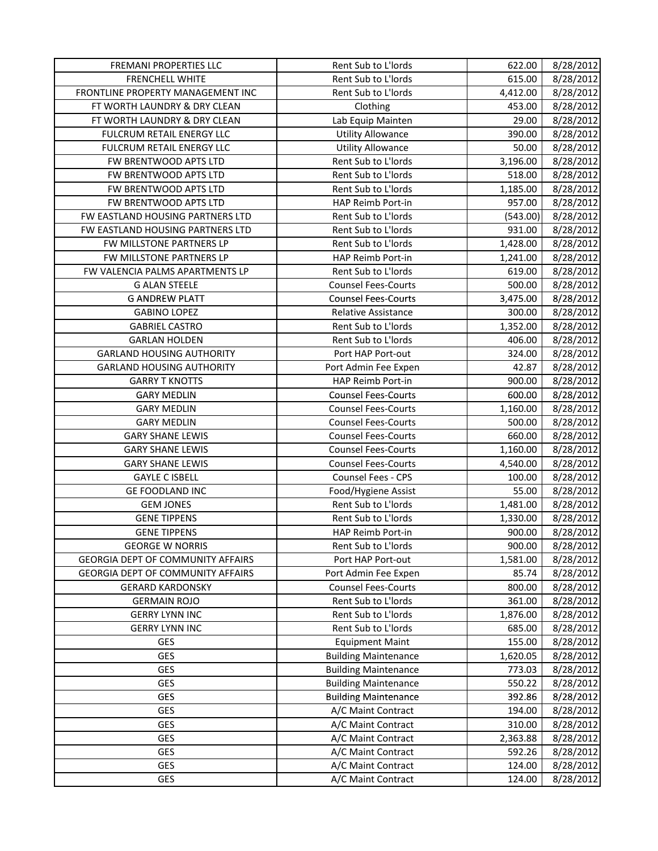| FREMANI PROPERTIES LLC                   | Rent Sub to L'Iords         | 622.00   | 8/28/2012 |
|------------------------------------------|-----------------------------|----------|-----------|
| <b>FRENCHELL WHITE</b>                   | Rent Sub to L'Iords         | 615.00   | 8/28/2012 |
| FRONTLINE PROPERTY MANAGEMENT INC        | Rent Sub to L'Iords         | 4,412.00 | 8/28/2012 |
| FT WORTH LAUNDRY & DRY CLEAN             | Clothing                    | 453.00   | 8/28/2012 |
| FT WORTH LAUNDRY & DRY CLEAN             | Lab Equip Mainten           | 29.00    | 8/28/2012 |
| FULCRUM RETAIL ENERGY LLC                | <b>Utility Allowance</b>    | 390.00   | 8/28/2012 |
| FULCRUM RETAIL ENERGY LLC                | <b>Utility Allowance</b>    | 50.00    | 8/28/2012 |
| FW BRENTWOOD APTS LTD                    | Rent Sub to L'Iords         | 3,196.00 | 8/28/2012 |
| FW BRENTWOOD APTS LTD                    | Rent Sub to L'Iords         | 518.00   | 8/28/2012 |
| FW BRENTWOOD APTS LTD                    | Rent Sub to L'Iords         | 1,185.00 | 8/28/2012 |
| FW BRENTWOOD APTS LTD                    | HAP Reimb Port-in           | 957.00   | 8/28/2012 |
| FW EASTLAND HOUSING PARTNERS LTD         | Rent Sub to L'Iords         | (543.00) | 8/28/2012 |
| FW EASTLAND HOUSING PARTNERS LTD         | Rent Sub to L'Iords         | 931.00   | 8/28/2012 |
| FW MILLSTONE PARTNERS LP                 | Rent Sub to L'Iords         | 1,428.00 | 8/28/2012 |
| FW MILLSTONE PARTNERS LP                 | HAP Reimb Port-in           | 1,241.00 | 8/28/2012 |
| FW VALENCIA PALMS APARTMENTS LP          | Rent Sub to L'Iords         | 619.00   | 8/28/2012 |
| <b>G ALAN STEELE</b>                     | <b>Counsel Fees-Courts</b>  | 500.00   | 8/28/2012 |
| <b>G ANDREW PLATT</b>                    | <b>Counsel Fees-Courts</b>  | 3,475.00 | 8/28/2012 |
| <b>GABINO LOPEZ</b>                      | Relative Assistance         | 300.00   | 8/28/2012 |
| <b>GABRIEL CASTRO</b>                    | Rent Sub to L'Iords         | 1,352.00 | 8/28/2012 |
| <b>GARLAN HOLDEN</b>                     | Rent Sub to L'Iords         | 406.00   | 8/28/2012 |
| <b>GARLAND HOUSING AUTHORITY</b>         | Port HAP Port-out           | 324.00   | 8/28/2012 |
| <b>GARLAND HOUSING AUTHORITY</b>         | Port Admin Fee Expen        | 42.87    | 8/28/2012 |
| <b>GARRY T KNOTTS</b>                    | HAP Reimb Port-in           | 900.00   | 8/28/2012 |
| <b>GARY MEDLIN</b>                       | <b>Counsel Fees-Courts</b>  | 600.00   | 8/28/2012 |
| <b>GARY MEDLIN</b>                       | <b>Counsel Fees-Courts</b>  | 1,160.00 | 8/28/2012 |
| <b>GARY MEDLIN</b>                       | <b>Counsel Fees-Courts</b>  | 500.00   | 8/28/2012 |
| <b>GARY SHANE LEWIS</b>                  | <b>Counsel Fees-Courts</b>  | 660.00   | 8/28/2012 |
| <b>GARY SHANE LEWIS</b>                  | <b>Counsel Fees-Courts</b>  | 1,160.00 | 8/28/2012 |
| <b>GARY SHANE LEWIS</b>                  | <b>Counsel Fees-Courts</b>  | 4,540.00 | 8/28/2012 |
| <b>GAYLE C ISBELL</b>                    | <b>Counsel Fees - CPS</b>   | 100.00   | 8/28/2012 |
| <b>GE FOODLAND INC</b>                   | Food/Hygiene Assist         | 55.00    | 8/28/2012 |
| <b>GEM JONES</b>                         | Rent Sub to L'Iords         | 1,481.00 | 8/28/2012 |
| <b>GENE TIPPENS</b>                      | Rent Sub to L'Iords         | 1,330.00 | 8/28/2012 |
| <b>GENE TIPPENS</b>                      | HAP Reimb Port-in           | 900.00   | 8/28/2012 |
| <b>GEORGE W NORRIS</b>                   | Rent Sub to L'Iords         | 900.00   | 8/28/2012 |
| <b>GEORGIA DEPT OF COMMUNITY AFFAIRS</b> | Port HAP Port-out           | 1,581.00 | 8/28/2012 |
| GEORGIA DEPT OF COMMUNITY AFFAIRS        | Port Admin Fee Expen        | 85.74    | 8/28/2012 |
| <b>GERARD KARDONSKY</b>                  | <b>Counsel Fees-Courts</b>  | 800.00   | 8/28/2012 |
| <b>GERMAIN ROJO</b>                      | Rent Sub to L'Iords         | 361.00   | 8/28/2012 |
| <b>GERRY LYNN INC</b>                    | Rent Sub to L'Iords         | 1,876.00 | 8/28/2012 |
| <b>GERRY LYNN INC</b>                    | Rent Sub to L'Iords         | 685.00   | 8/28/2012 |
| <b>GES</b>                               | <b>Equipment Maint</b>      | 155.00   | 8/28/2012 |
| GES                                      | <b>Building Maintenance</b> | 1,620.05 | 8/28/2012 |
| <b>GES</b>                               | <b>Building Maintenance</b> | 773.03   | 8/28/2012 |
| GES                                      | <b>Building Maintenance</b> | 550.22   | 8/28/2012 |
| <b>GES</b>                               | <b>Building Maintenance</b> | 392.86   | 8/28/2012 |
| <b>GES</b>                               | A/C Maint Contract          | 194.00   | 8/28/2012 |
| <b>GES</b>                               | A/C Maint Contract          | 310.00   | 8/28/2012 |
| GES                                      | A/C Maint Contract          | 2,363.88 | 8/28/2012 |
| <b>GES</b>                               | A/C Maint Contract          | 592.26   | 8/28/2012 |
| <b>GES</b>                               | A/C Maint Contract          | 124.00   | 8/28/2012 |
| <b>GES</b>                               | A/C Maint Contract          | 124.00   | 8/28/2012 |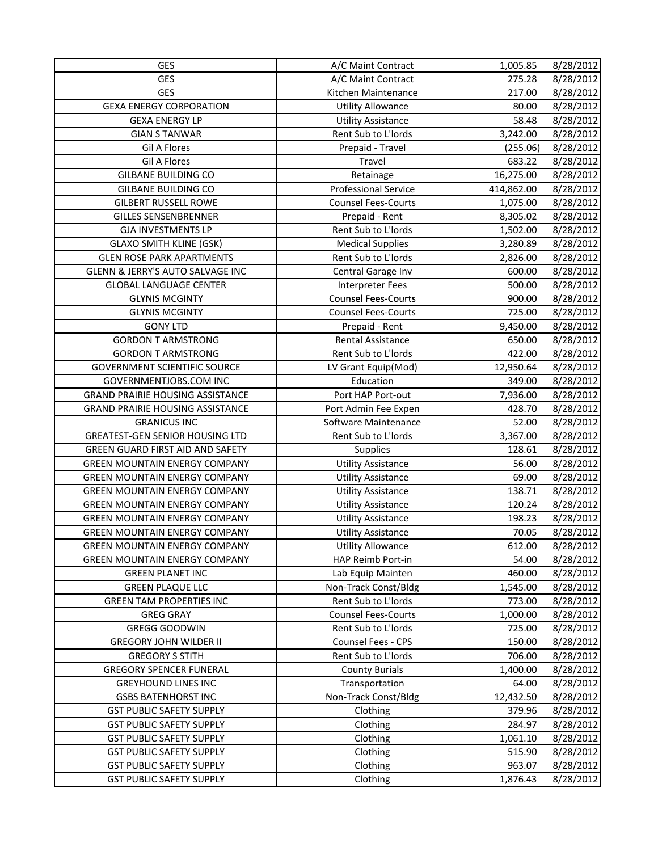| GES<br>275.28<br>8/28/2012<br>A/C Maint Contract<br><b>GES</b><br>8/28/2012<br>Kitchen Maintenance<br>217.00<br><b>GEXA ENERGY CORPORATION</b><br>8/28/2012<br><b>Utility Allowance</b><br>80.00<br>58.48<br>8/28/2012<br><b>GEXA ENERGY LP</b><br><b>Utility Assistance</b><br>Rent Sub to L'Iords<br>3,242.00<br><b>GIAN S TANWAR</b><br>8/28/2012<br>8/28/2012<br><b>Gil A Flores</b><br>(255.06)<br>Prepaid - Travel<br><b>Gil A Flores</b><br>Travel<br>683.22<br>8/28/2012<br><b>GILBANE BUILDING CO</b><br>Retainage<br>16,275.00<br>8/28/2012<br><b>GILBANE BUILDING CO</b><br><b>Professional Service</b><br>414,862.00<br>8/28/2012<br><b>GILBERT RUSSELL ROWE</b><br><b>Counsel Fees-Courts</b><br>8/28/2012<br>1,075.00<br><b>GILLES SENSENBRENNER</b><br>Prepaid - Rent<br>8,305.02<br>8/28/2012<br>8/28/2012<br><b>GJA INVESTMENTS LP</b><br>Rent Sub to L'Iords<br>1,502.00<br><b>Medical Supplies</b><br>3,280.89<br>8/28/2012<br><b>GLAXO SMITH KLINE (GSK)</b><br>8/28/2012<br><b>GLEN ROSE PARK APARTMENTS</b><br>Rent Sub to L'Iords<br>2,826.00<br>GLENN & JERRY'S AUTO SALVAGE INC<br>Central Garage Inv<br>600.00<br>8/28/2012<br><b>GLOBAL LANGUAGE CENTER</b><br><b>Interpreter Fees</b><br>500.00<br>8/28/2012<br><b>Counsel Fees-Courts</b><br>8/28/2012<br><b>GLYNIS MCGINTY</b><br>900.00<br><b>Counsel Fees-Courts</b><br>725.00<br>8/28/2012<br><b>GLYNIS MCGINTY</b><br><b>GONY LTD</b><br>9,450.00<br>8/28/2012<br>Prepaid - Rent<br>8/28/2012<br><b>GORDON T ARMSTRONG</b><br>Rental Assistance<br>650.00<br>Rent Sub to L'Iords<br>8/28/2012<br><b>GORDON T ARMSTRONG</b><br>422.00<br><b>GOVERNMENT SCIENTIFIC SOURCE</b><br>LV Grant Equip(Mod)<br>12,950.64<br>8/28/2012<br>Education<br><b>GOVERNMENTJOBS.COM INC</b><br>349.00<br>8/28/2012 |
|-------------------------------------------------------------------------------------------------------------------------------------------------------------------------------------------------------------------------------------------------------------------------------------------------------------------------------------------------------------------------------------------------------------------------------------------------------------------------------------------------------------------------------------------------------------------------------------------------------------------------------------------------------------------------------------------------------------------------------------------------------------------------------------------------------------------------------------------------------------------------------------------------------------------------------------------------------------------------------------------------------------------------------------------------------------------------------------------------------------------------------------------------------------------------------------------------------------------------------------------------------------------------------------------------------------------------------------------------------------------------------------------------------------------------------------------------------------------------------------------------------------------------------------------------------------------------------------------------------------------------------------------------------------------------------------------------------------------------------------------------------------------------------------|
|                                                                                                                                                                                                                                                                                                                                                                                                                                                                                                                                                                                                                                                                                                                                                                                                                                                                                                                                                                                                                                                                                                                                                                                                                                                                                                                                                                                                                                                                                                                                                                                                                                                                                                                                                                                     |
|                                                                                                                                                                                                                                                                                                                                                                                                                                                                                                                                                                                                                                                                                                                                                                                                                                                                                                                                                                                                                                                                                                                                                                                                                                                                                                                                                                                                                                                                                                                                                                                                                                                                                                                                                                                     |
|                                                                                                                                                                                                                                                                                                                                                                                                                                                                                                                                                                                                                                                                                                                                                                                                                                                                                                                                                                                                                                                                                                                                                                                                                                                                                                                                                                                                                                                                                                                                                                                                                                                                                                                                                                                     |
|                                                                                                                                                                                                                                                                                                                                                                                                                                                                                                                                                                                                                                                                                                                                                                                                                                                                                                                                                                                                                                                                                                                                                                                                                                                                                                                                                                                                                                                                                                                                                                                                                                                                                                                                                                                     |
|                                                                                                                                                                                                                                                                                                                                                                                                                                                                                                                                                                                                                                                                                                                                                                                                                                                                                                                                                                                                                                                                                                                                                                                                                                                                                                                                                                                                                                                                                                                                                                                                                                                                                                                                                                                     |
|                                                                                                                                                                                                                                                                                                                                                                                                                                                                                                                                                                                                                                                                                                                                                                                                                                                                                                                                                                                                                                                                                                                                                                                                                                                                                                                                                                                                                                                                                                                                                                                                                                                                                                                                                                                     |
|                                                                                                                                                                                                                                                                                                                                                                                                                                                                                                                                                                                                                                                                                                                                                                                                                                                                                                                                                                                                                                                                                                                                                                                                                                                                                                                                                                                                                                                                                                                                                                                                                                                                                                                                                                                     |
|                                                                                                                                                                                                                                                                                                                                                                                                                                                                                                                                                                                                                                                                                                                                                                                                                                                                                                                                                                                                                                                                                                                                                                                                                                                                                                                                                                                                                                                                                                                                                                                                                                                                                                                                                                                     |
|                                                                                                                                                                                                                                                                                                                                                                                                                                                                                                                                                                                                                                                                                                                                                                                                                                                                                                                                                                                                                                                                                                                                                                                                                                                                                                                                                                                                                                                                                                                                                                                                                                                                                                                                                                                     |
|                                                                                                                                                                                                                                                                                                                                                                                                                                                                                                                                                                                                                                                                                                                                                                                                                                                                                                                                                                                                                                                                                                                                                                                                                                                                                                                                                                                                                                                                                                                                                                                                                                                                                                                                                                                     |
|                                                                                                                                                                                                                                                                                                                                                                                                                                                                                                                                                                                                                                                                                                                                                                                                                                                                                                                                                                                                                                                                                                                                                                                                                                                                                                                                                                                                                                                                                                                                                                                                                                                                                                                                                                                     |
|                                                                                                                                                                                                                                                                                                                                                                                                                                                                                                                                                                                                                                                                                                                                                                                                                                                                                                                                                                                                                                                                                                                                                                                                                                                                                                                                                                                                                                                                                                                                                                                                                                                                                                                                                                                     |
|                                                                                                                                                                                                                                                                                                                                                                                                                                                                                                                                                                                                                                                                                                                                                                                                                                                                                                                                                                                                                                                                                                                                                                                                                                                                                                                                                                                                                                                                                                                                                                                                                                                                                                                                                                                     |
|                                                                                                                                                                                                                                                                                                                                                                                                                                                                                                                                                                                                                                                                                                                                                                                                                                                                                                                                                                                                                                                                                                                                                                                                                                                                                                                                                                                                                                                                                                                                                                                                                                                                                                                                                                                     |
|                                                                                                                                                                                                                                                                                                                                                                                                                                                                                                                                                                                                                                                                                                                                                                                                                                                                                                                                                                                                                                                                                                                                                                                                                                                                                                                                                                                                                                                                                                                                                                                                                                                                                                                                                                                     |
|                                                                                                                                                                                                                                                                                                                                                                                                                                                                                                                                                                                                                                                                                                                                                                                                                                                                                                                                                                                                                                                                                                                                                                                                                                                                                                                                                                                                                                                                                                                                                                                                                                                                                                                                                                                     |
|                                                                                                                                                                                                                                                                                                                                                                                                                                                                                                                                                                                                                                                                                                                                                                                                                                                                                                                                                                                                                                                                                                                                                                                                                                                                                                                                                                                                                                                                                                                                                                                                                                                                                                                                                                                     |
|                                                                                                                                                                                                                                                                                                                                                                                                                                                                                                                                                                                                                                                                                                                                                                                                                                                                                                                                                                                                                                                                                                                                                                                                                                                                                                                                                                                                                                                                                                                                                                                                                                                                                                                                                                                     |
|                                                                                                                                                                                                                                                                                                                                                                                                                                                                                                                                                                                                                                                                                                                                                                                                                                                                                                                                                                                                                                                                                                                                                                                                                                                                                                                                                                                                                                                                                                                                                                                                                                                                                                                                                                                     |
|                                                                                                                                                                                                                                                                                                                                                                                                                                                                                                                                                                                                                                                                                                                                                                                                                                                                                                                                                                                                                                                                                                                                                                                                                                                                                                                                                                                                                                                                                                                                                                                                                                                                                                                                                                                     |
|                                                                                                                                                                                                                                                                                                                                                                                                                                                                                                                                                                                                                                                                                                                                                                                                                                                                                                                                                                                                                                                                                                                                                                                                                                                                                                                                                                                                                                                                                                                                                                                                                                                                                                                                                                                     |
|                                                                                                                                                                                                                                                                                                                                                                                                                                                                                                                                                                                                                                                                                                                                                                                                                                                                                                                                                                                                                                                                                                                                                                                                                                                                                                                                                                                                                                                                                                                                                                                                                                                                                                                                                                                     |
|                                                                                                                                                                                                                                                                                                                                                                                                                                                                                                                                                                                                                                                                                                                                                                                                                                                                                                                                                                                                                                                                                                                                                                                                                                                                                                                                                                                                                                                                                                                                                                                                                                                                                                                                                                                     |
| <b>GRAND PRAIRIE HOUSING ASSISTANCE</b><br>Port HAP Port-out<br>8/28/2012<br>7,936.00                                                                                                                                                                                                                                                                                                                                                                                                                                                                                                                                                                                                                                                                                                                                                                                                                                                                                                                                                                                                                                                                                                                                                                                                                                                                                                                                                                                                                                                                                                                                                                                                                                                                                               |
| <b>GRAND PRAIRIE HOUSING ASSISTANCE</b><br>428.70<br>8/28/2012<br>Port Admin Fee Expen                                                                                                                                                                                                                                                                                                                                                                                                                                                                                                                                                                                                                                                                                                                                                                                                                                                                                                                                                                                                                                                                                                                                                                                                                                                                                                                                                                                                                                                                                                                                                                                                                                                                                              |
| 8/28/2012<br><b>GRANICUS INC</b><br>Software Maintenance<br>52.00                                                                                                                                                                                                                                                                                                                                                                                                                                                                                                                                                                                                                                                                                                                                                                                                                                                                                                                                                                                                                                                                                                                                                                                                                                                                                                                                                                                                                                                                                                                                                                                                                                                                                                                   |
| <b>GREATEST-GEN SENIOR HOUSING LTD</b><br>Rent Sub to L'Iords<br>3,367.00<br>8/28/2012                                                                                                                                                                                                                                                                                                                                                                                                                                                                                                                                                                                                                                                                                                                                                                                                                                                                                                                                                                                                                                                                                                                                                                                                                                                                                                                                                                                                                                                                                                                                                                                                                                                                                              |
| GREEN GUARD FIRST AID AND SAFETY<br>128.61<br>8/28/2012<br><b>Supplies</b>                                                                                                                                                                                                                                                                                                                                                                                                                                                                                                                                                                                                                                                                                                                                                                                                                                                                                                                                                                                                                                                                                                                                                                                                                                                                                                                                                                                                                                                                                                                                                                                                                                                                                                          |
| 8/28/2012<br><b>GREEN MOUNTAIN ENERGY COMPANY</b><br><b>Utility Assistance</b><br>56.00                                                                                                                                                                                                                                                                                                                                                                                                                                                                                                                                                                                                                                                                                                                                                                                                                                                                                                                                                                                                                                                                                                                                                                                                                                                                                                                                                                                                                                                                                                                                                                                                                                                                                             |
| <b>GREEN MOUNTAIN ENERGY COMPANY</b><br>69.00<br>8/28/2012<br><b>Utility Assistance</b>                                                                                                                                                                                                                                                                                                                                                                                                                                                                                                                                                                                                                                                                                                                                                                                                                                                                                                                                                                                                                                                                                                                                                                                                                                                                                                                                                                                                                                                                                                                                                                                                                                                                                             |
| <b>Utility Assistance</b><br>138.71<br>8/28/2012<br><b>GREEN MOUNTAIN ENERGY COMPANY</b>                                                                                                                                                                                                                                                                                                                                                                                                                                                                                                                                                                                                                                                                                                                                                                                                                                                                                                                                                                                                                                                                                                                                                                                                                                                                                                                                                                                                                                                                                                                                                                                                                                                                                            |
| <b>GREEN MOUNTAIN ENERGY COMPANY</b><br><b>Utility Assistance</b><br>120.24<br>8/28/2012                                                                                                                                                                                                                                                                                                                                                                                                                                                                                                                                                                                                                                                                                                                                                                                                                                                                                                                                                                                                                                                                                                                                                                                                                                                                                                                                                                                                                                                                                                                                                                                                                                                                                            |
| <b>GREEN MOUNTAIN ENERGY COMPANY</b><br>198.23<br>8/28/2012<br><b>Utility Assistance</b>                                                                                                                                                                                                                                                                                                                                                                                                                                                                                                                                                                                                                                                                                                                                                                                                                                                                                                                                                                                                                                                                                                                                                                                                                                                                                                                                                                                                                                                                                                                                                                                                                                                                                            |
| 70.05<br>8/28/2012<br><b>GREEN MOUNTAIN ENERGY COMPANY</b><br><b>Utility Assistance</b>                                                                                                                                                                                                                                                                                                                                                                                                                                                                                                                                                                                                                                                                                                                                                                                                                                                                                                                                                                                                                                                                                                                                                                                                                                                                                                                                                                                                                                                                                                                                                                                                                                                                                             |
| <b>Utility Allowance</b><br>612.00<br>8/28/2012<br><b>GREEN MOUNTAIN ENERGY COMPANY</b>                                                                                                                                                                                                                                                                                                                                                                                                                                                                                                                                                                                                                                                                                                                                                                                                                                                                                                                                                                                                                                                                                                                                                                                                                                                                                                                                                                                                                                                                                                                                                                                                                                                                                             |
| <b>GREEN MOUNTAIN ENERGY COMPANY</b><br>HAP Reimb Port-in<br>54.00<br>8/28/2012                                                                                                                                                                                                                                                                                                                                                                                                                                                                                                                                                                                                                                                                                                                                                                                                                                                                                                                                                                                                                                                                                                                                                                                                                                                                                                                                                                                                                                                                                                                                                                                                                                                                                                     |
| 460.00<br>8/28/2012<br><b>GREEN PLANET INC</b><br>Lab Equip Mainten                                                                                                                                                                                                                                                                                                                                                                                                                                                                                                                                                                                                                                                                                                                                                                                                                                                                                                                                                                                                                                                                                                                                                                                                                                                                                                                                                                                                                                                                                                                                                                                                                                                                                                                 |
| <b>GREEN PLAQUE LLC</b><br>Non-Track Const/Bldg<br>8/28/2012<br>1,545.00                                                                                                                                                                                                                                                                                                                                                                                                                                                                                                                                                                                                                                                                                                                                                                                                                                                                                                                                                                                                                                                                                                                                                                                                                                                                                                                                                                                                                                                                                                                                                                                                                                                                                                            |
| Rent Sub to L'Iords<br>8/28/2012<br><b>GREEN TAM PROPERTIES INC</b><br>773.00                                                                                                                                                                                                                                                                                                                                                                                                                                                                                                                                                                                                                                                                                                                                                                                                                                                                                                                                                                                                                                                                                                                                                                                                                                                                                                                                                                                                                                                                                                                                                                                                                                                                                                       |
| <b>Counsel Fees-Courts</b><br><b>GREG GRAY</b><br>1,000.00<br>8/28/2012                                                                                                                                                                                                                                                                                                                                                                                                                                                                                                                                                                                                                                                                                                                                                                                                                                                                                                                                                                                                                                                                                                                                                                                                                                                                                                                                                                                                                                                                                                                                                                                                                                                                                                             |
| Rent Sub to L'Iords<br>725.00<br><b>GREGG GOODWIN</b><br>8/28/2012                                                                                                                                                                                                                                                                                                                                                                                                                                                                                                                                                                                                                                                                                                                                                                                                                                                                                                                                                                                                                                                                                                                                                                                                                                                                                                                                                                                                                                                                                                                                                                                                                                                                                                                  |
| Counsel Fees - CPS<br>150.00<br><b>GREGORY JOHN WILDER II</b><br>8/28/2012                                                                                                                                                                                                                                                                                                                                                                                                                                                                                                                                                                                                                                                                                                                                                                                                                                                                                                                                                                                                                                                                                                                                                                                                                                                                                                                                                                                                                                                                                                                                                                                                                                                                                                          |
| <b>GREGORY S STITH</b><br>Rent Sub to L'Iords<br>706.00<br>8/28/2012                                                                                                                                                                                                                                                                                                                                                                                                                                                                                                                                                                                                                                                                                                                                                                                                                                                                                                                                                                                                                                                                                                                                                                                                                                                                                                                                                                                                                                                                                                                                                                                                                                                                                                                |
| <b>County Burials</b><br><b>GREGORY SPENCER FUNERAL</b><br>1,400.00<br>8/28/2012                                                                                                                                                                                                                                                                                                                                                                                                                                                                                                                                                                                                                                                                                                                                                                                                                                                                                                                                                                                                                                                                                                                                                                                                                                                                                                                                                                                                                                                                                                                                                                                                                                                                                                    |
| <b>GREYHOUND LINES INC</b><br>Transportation<br>64.00<br>8/28/2012                                                                                                                                                                                                                                                                                                                                                                                                                                                                                                                                                                                                                                                                                                                                                                                                                                                                                                                                                                                                                                                                                                                                                                                                                                                                                                                                                                                                                                                                                                                                                                                                                                                                                                                  |
| Non-Track Const/Bldg<br><b>GSBS BATENHORST INC</b><br>12,432.50<br>8/28/2012                                                                                                                                                                                                                                                                                                                                                                                                                                                                                                                                                                                                                                                                                                                                                                                                                                                                                                                                                                                                                                                                                                                                                                                                                                                                                                                                                                                                                                                                                                                                                                                                                                                                                                        |
| 8/28/2012<br><b>GST PUBLIC SAFETY SUPPLY</b><br>Clothing<br>379.96                                                                                                                                                                                                                                                                                                                                                                                                                                                                                                                                                                                                                                                                                                                                                                                                                                                                                                                                                                                                                                                                                                                                                                                                                                                                                                                                                                                                                                                                                                                                                                                                                                                                                                                  |
| <b>GST PUBLIC SAFETY SUPPLY</b><br>Clothing<br>284.97<br>8/28/2012                                                                                                                                                                                                                                                                                                                                                                                                                                                                                                                                                                                                                                                                                                                                                                                                                                                                                                                                                                                                                                                                                                                                                                                                                                                                                                                                                                                                                                                                                                                                                                                                                                                                                                                  |
| <b>GST PUBLIC SAFETY SUPPLY</b><br>Clothing<br>1,061.10<br>8/28/2012                                                                                                                                                                                                                                                                                                                                                                                                                                                                                                                                                                                                                                                                                                                                                                                                                                                                                                                                                                                                                                                                                                                                                                                                                                                                                                                                                                                                                                                                                                                                                                                                                                                                                                                |
| 515.90<br><b>GST PUBLIC SAFETY SUPPLY</b><br>8/28/2012<br>Clothing                                                                                                                                                                                                                                                                                                                                                                                                                                                                                                                                                                                                                                                                                                                                                                                                                                                                                                                                                                                                                                                                                                                                                                                                                                                                                                                                                                                                                                                                                                                                                                                                                                                                                                                  |
| <b>GST PUBLIC SAFETY SUPPLY</b><br>Clothing<br>963.07<br>8/28/2012                                                                                                                                                                                                                                                                                                                                                                                                                                                                                                                                                                                                                                                                                                                                                                                                                                                                                                                                                                                                                                                                                                                                                                                                                                                                                                                                                                                                                                                                                                                                                                                                                                                                                                                  |
| <b>GST PUBLIC SAFETY SUPPLY</b><br>Clothing<br>1,876.43<br>8/28/2012                                                                                                                                                                                                                                                                                                                                                                                                                                                                                                                                                                                                                                                                                                                                                                                                                                                                                                                                                                                                                                                                                                                                                                                                                                                                                                                                                                                                                                                                                                                                                                                                                                                                                                                |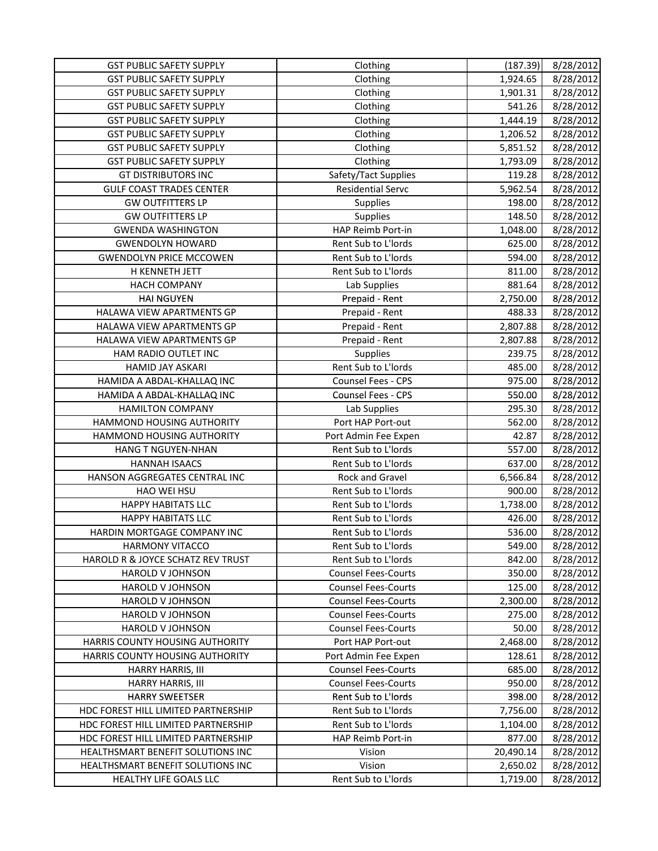| <b>GST PUBLIC SAFETY SUPPLY</b><br>Clothing<br>1,924.65<br>8/28/2012<br>8/28/2012<br><b>GST PUBLIC SAFETY SUPPLY</b><br>Clothing<br>1,901.31<br><b>GST PUBLIC SAFETY SUPPLY</b><br>541.26<br>8/28/2012<br>Clothing<br><b>GST PUBLIC SAFETY SUPPLY</b><br>8/28/2012<br>1,444.19<br>Clothing<br>8/28/2012<br><b>GST PUBLIC SAFETY SUPPLY</b><br>Clothing<br>1,206.52<br>8/28/2012<br><b>GST PUBLIC SAFETY SUPPLY</b><br>Clothing<br>5,851.52<br>Clothing<br>8/28/2012<br><b>GST PUBLIC SAFETY SUPPLY</b><br>1,793.09<br>Safety/Tact Supplies<br><b>GT DISTRIBUTORS INC</b><br>119.28<br>8/28/2012<br><b>Residential Servc</b><br><b>GULF COAST TRADES CENTER</b><br>5,962.54<br>8/28/2012<br><b>GW OUTFITTERS LP</b><br>198.00<br>8/28/2012<br>Supplies<br><b>GW OUTFITTERS LP</b><br>8/28/2012<br>Supplies<br>148.50<br>8/28/2012<br><b>GWENDA WASHINGTON</b><br>HAP Reimb Port-in<br>1,048.00<br>Rent Sub to L'Iords<br>625.00<br>8/28/2012<br><b>GWENDOLYN HOWARD</b><br>Rent Sub to L'Iords<br>8/28/2012<br><b>GWENDOLYN PRICE MCCOWEN</b><br>594.00<br>8/28/2012<br>H KENNETH JETT<br>Rent Sub to L'Iords<br>811.00<br><b>HACH COMPANY</b><br>Lab Supplies<br>881.64<br>8/28/2012<br>8/28/2012<br><b>HAI NGUYEN</b><br>Prepaid - Rent<br>2,750.00<br>8/28/2012<br>HALAWA VIEW APARTMENTS GP<br>488.33<br>Prepaid - Rent<br>HALAWA VIEW APARTMENTS GP<br>8/28/2012<br>Prepaid - Rent<br>2,807.88<br>Prepaid - Rent<br>8/28/2012<br>HALAWA VIEW APARTMENTS GP<br>2,807.88<br>8/28/2012<br>HAM RADIO OUTLET INC<br>Supplies<br>239.75<br>Rent Sub to L'Iords<br>8/28/2012<br><b>HAMID JAY ASKARI</b><br>485.00<br>Counsel Fees - CPS<br>HAMIDA A ABDAL-KHALLAQ INC<br>975.00<br>8/28/2012<br>Counsel Fees - CPS<br>HAMIDA A ABDAL-KHALLAQ INC<br>550.00<br>8/28/2012<br><b>HAMILTON COMPANY</b><br>295.30<br>8/28/2012<br>Lab Supplies<br>HAMMOND HOUSING AUTHORITY<br>8/28/2012<br>Port HAP Port-out<br>562.00<br>HAMMOND HOUSING AUTHORITY<br>8/28/2012<br>42.87<br>Port Admin Fee Expen<br>Rent Sub to L'Iords<br>HANG T NGUYEN-NHAN<br>557.00<br>8/28/2012<br>Rent Sub to L'Iords<br>637.00<br>8/28/2012<br><b>HANNAH ISAACS</b><br>Rock and Gravel<br>HANSON AGGREGATES CENTRAL INC<br>6,566.84<br>8/28/2012<br>Rent Sub to L'Iords<br>HAO WEI HSU<br>900.00<br>8/28/2012<br><b>HAPPY HABITATS LLC</b><br>Rent Sub to L'Iords<br>1,738.00<br>8/28/2012<br><b>HAPPY HABITATS LLC</b><br>Rent Sub to L'Iords<br>426.00<br>8/28/2012<br>Rent Sub to L'Iords<br>536.00<br>8/28/2012<br>HARDIN MORTGAGE COMPANY INC<br>Rent Sub to L'Iords<br>549.00<br>8/28/2012<br><b>HARMONY VITACCO</b><br>HAROLD R & JOYCE SCHATZ REV TRUST<br>Rent Sub to L'Iords<br>842.00<br>8/28/2012<br>8/28/2012<br>HAROLD V JOHNSON<br><b>Counsel Fees-Courts</b><br>350.00<br><b>Counsel Fees-Courts</b><br>HAROLD V JOHNSON<br>125.00<br>8/28/2012<br><b>Counsel Fees-Courts</b><br>2,300.00<br>8/28/2012<br><b>HAROLD V JOHNSON</b><br><b>Counsel Fees-Courts</b><br>8/28/2012<br>HAROLD V JOHNSON<br>275.00<br><b>Counsel Fees-Courts</b><br>50.00<br>8/28/2012<br>HAROLD V JOHNSON<br>HARRIS COUNTY HOUSING AUTHORITY<br>Port HAP Port-out<br>2,468.00<br>8/28/2012<br>HARRIS COUNTY HOUSING AUTHORITY<br>Port Admin Fee Expen<br>128.61<br>8/28/2012<br><b>Counsel Fees-Courts</b><br>685.00<br>8/28/2012<br>HARRY HARRIS, III<br>8/28/2012<br>HARRY HARRIS, III<br><b>Counsel Fees-Courts</b><br>950.00<br><b>HARRY SWEETSER</b><br>Rent Sub to L'Iords<br>398.00<br>8/28/2012<br>Rent Sub to L'Iords<br>8/28/2012<br>HDC FOREST HILL LIMITED PARTNERSHIP<br>7,756.00<br>Rent Sub to L'Iords<br>8/28/2012<br>HDC FOREST HILL LIMITED PARTNERSHIP<br>1,104.00<br>HDC FOREST HILL LIMITED PARTNERSHIP<br>HAP Reimb Port-in<br>877.00<br>8/28/2012<br>HEALTHSMART BENEFIT SOLUTIONS INC<br>20,490.14<br>8/28/2012<br>Vision<br>HEALTHSMART BENEFIT SOLUTIONS INC<br>Vision<br>2,650.02<br>8/28/2012 | <b>GST PUBLIC SAFETY SUPPLY</b> | Clothing            | (187.39) | 8/28/2012 |
|-------------------------------------------------------------------------------------------------------------------------------------------------------------------------------------------------------------------------------------------------------------------------------------------------------------------------------------------------------------------------------------------------------------------------------------------------------------------------------------------------------------------------------------------------------------------------------------------------------------------------------------------------------------------------------------------------------------------------------------------------------------------------------------------------------------------------------------------------------------------------------------------------------------------------------------------------------------------------------------------------------------------------------------------------------------------------------------------------------------------------------------------------------------------------------------------------------------------------------------------------------------------------------------------------------------------------------------------------------------------------------------------------------------------------------------------------------------------------------------------------------------------------------------------------------------------------------------------------------------------------------------------------------------------------------------------------------------------------------------------------------------------------------------------------------------------------------------------------------------------------------------------------------------------------------------------------------------------------------------------------------------------------------------------------------------------------------------------------------------------------------------------------------------------------------------------------------------------------------------------------------------------------------------------------------------------------------------------------------------------------------------------------------------------------------------------------------------------------------------------------------------------------------------------------------------------------------------------------------------------------------------------------------------------------------------------------------------------------------------------------------------------------------------------------------------------------------------------------------------------------------------------------------------------------------------------------------------------------------------------------------------------------------------------------------------------------------------------------------------------------------------------------------------------------------------------------------------------------------------------------------------------------------------------------------------------------------------------------------------------------------------------------------------------------------------------------------------------------------------------------------------------------------------------------------------------------------------------------------------------------------------------------------------------------------------------------------------------------------------------------------------------------------------------------------------------------------------------------------------------------------------|---------------------------------|---------------------|----------|-----------|
|                                                                                                                                                                                                                                                                                                                                                                                                                                                                                                                                                                                                                                                                                                                                                                                                                                                                                                                                                                                                                                                                                                                                                                                                                                                                                                                                                                                                                                                                                                                                                                                                                                                                                                                                                                                                                                                                                                                                                                                                                                                                                                                                                                                                                                                                                                                                                                                                                                                                                                                                                                                                                                                                                                                                                                                                                                                                                                                                                                                                                                                                                                                                                                                                                                                                                                                                                                                                                                                                                                                                                                                                                                                                                                                                                                                                                                                                                     |                                 |                     |          |           |
|                                                                                                                                                                                                                                                                                                                                                                                                                                                                                                                                                                                                                                                                                                                                                                                                                                                                                                                                                                                                                                                                                                                                                                                                                                                                                                                                                                                                                                                                                                                                                                                                                                                                                                                                                                                                                                                                                                                                                                                                                                                                                                                                                                                                                                                                                                                                                                                                                                                                                                                                                                                                                                                                                                                                                                                                                                                                                                                                                                                                                                                                                                                                                                                                                                                                                                                                                                                                                                                                                                                                                                                                                                                                                                                                                                                                                                                                                     |                                 |                     |          |           |
|                                                                                                                                                                                                                                                                                                                                                                                                                                                                                                                                                                                                                                                                                                                                                                                                                                                                                                                                                                                                                                                                                                                                                                                                                                                                                                                                                                                                                                                                                                                                                                                                                                                                                                                                                                                                                                                                                                                                                                                                                                                                                                                                                                                                                                                                                                                                                                                                                                                                                                                                                                                                                                                                                                                                                                                                                                                                                                                                                                                                                                                                                                                                                                                                                                                                                                                                                                                                                                                                                                                                                                                                                                                                                                                                                                                                                                                                                     |                                 |                     |          |           |
|                                                                                                                                                                                                                                                                                                                                                                                                                                                                                                                                                                                                                                                                                                                                                                                                                                                                                                                                                                                                                                                                                                                                                                                                                                                                                                                                                                                                                                                                                                                                                                                                                                                                                                                                                                                                                                                                                                                                                                                                                                                                                                                                                                                                                                                                                                                                                                                                                                                                                                                                                                                                                                                                                                                                                                                                                                                                                                                                                                                                                                                                                                                                                                                                                                                                                                                                                                                                                                                                                                                                                                                                                                                                                                                                                                                                                                                                                     |                                 |                     |          |           |
|                                                                                                                                                                                                                                                                                                                                                                                                                                                                                                                                                                                                                                                                                                                                                                                                                                                                                                                                                                                                                                                                                                                                                                                                                                                                                                                                                                                                                                                                                                                                                                                                                                                                                                                                                                                                                                                                                                                                                                                                                                                                                                                                                                                                                                                                                                                                                                                                                                                                                                                                                                                                                                                                                                                                                                                                                                                                                                                                                                                                                                                                                                                                                                                                                                                                                                                                                                                                                                                                                                                                                                                                                                                                                                                                                                                                                                                                                     |                                 |                     |          |           |
|                                                                                                                                                                                                                                                                                                                                                                                                                                                                                                                                                                                                                                                                                                                                                                                                                                                                                                                                                                                                                                                                                                                                                                                                                                                                                                                                                                                                                                                                                                                                                                                                                                                                                                                                                                                                                                                                                                                                                                                                                                                                                                                                                                                                                                                                                                                                                                                                                                                                                                                                                                                                                                                                                                                                                                                                                                                                                                                                                                                                                                                                                                                                                                                                                                                                                                                                                                                                                                                                                                                                                                                                                                                                                                                                                                                                                                                                                     |                                 |                     |          |           |
|                                                                                                                                                                                                                                                                                                                                                                                                                                                                                                                                                                                                                                                                                                                                                                                                                                                                                                                                                                                                                                                                                                                                                                                                                                                                                                                                                                                                                                                                                                                                                                                                                                                                                                                                                                                                                                                                                                                                                                                                                                                                                                                                                                                                                                                                                                                                                                                                                                                                                                                                                                                                                                                                                                                                                                                                                                                                                                                                                                                                                                                                                                                                                                                                                                                                                                                                                                                                                                                                                                                                                                                                                                                                                                                                                                                                                                                                                     |                                 |                     |          |           |
|                                                                                                                                                                                                                                                                                                                                                                                                                                                                                                                                                                                                                                                                                                                                                                                                                                                                                                                                                                                                                                                                                                                                                                                                                                                                                                                                                                                                                                                                                                                                                                                                                                                                                                                                                                                                                                                                                                                                                                                                                                                                                                                                                                                                                                                                                                                                                                                                                                                                                                                                                                                                                                                                                                                                                                                                                                                                                                                                                                                                                                                                                                                                                                                                                                                                                                                                                                                                                                                                                                                                                                                                                                                                                                                                                                                                                                                                                     |                                 |                     |          |           |
|                                                                                                                                                                                                                                                                                                                                                                                                                                                                                                                                                                                                                                                                                                                                                                                                                                                                                                                                                                                                                                                                                                                                                                                                                                                                                                                                                                                                                                                                                                                                                                                                                                                                                                                                                                                                                                                                                                                                                                                                                                                                                                                                                                                                                                                                                                                                                                                                                                                                                                                                                                                                                                                                                                                                                                                                                                                                                                                                                                                                                                                                                                                                                                                                                                                                                                                                                                                                                                                                                                                                                                                                                                                                                                                                                                                                                                                                                     |                                 |                     |          |           |
|                                                                                                                                                                                                                                                                                                                                                                                                                                                                                                                                                                                                                                                                                                                                                                                                                                                                                                                                                                                                                                                                                                                                                                                                                                                                                                                                                                                                                                                                                                                                                                                                                                                                                                                                                                                                                                                                                                                                                                                                                                                                                                                                                                                                                                                                                                                                                                                                                                                                                                                                                                                                                                                                                                                                                                                                                                                                                                                                                                                                                                                                                                                                                                                                                                                                                                                                                                                                                                                                                                                                                                                                                                                                                                                                                                                                                                                                                     |                                 |                     |          |           |
|                                                                                                                                                                                                                                                                                                                                                                                                                                                                                                                                                                                                                                                                                                                                                                                                                                                                                                                                                                                                                                                                                                                                                                                                                                                                                                                                                                                                                                                                                                                                                                                                                                                                                                                                                                                                                                                                                                                                                                                                                                                                                                                                                                                                                                                                                                                                                                                                                                                                                                                                                                                                                                                                                                                                                                                                                                                                                                                                                                                                                                                                                                                                                                                                                                                                                                                                                                                                                                                                                                                                                                                                                                                                                                                                                                                                                                                                                     |                                 |                     |          |           |
|                                                                                                                                                                                                                                                                                                                                                                                                                                                                                                                                                                                                                                                                                                                                                                                                                                                                                                                                                                                                                                                                                                                                                                                                                                                                                                                                                                                                                                                                                                                                                                                                                                                                                                                                                                                                                                                                                                                                                                                                                                                                                                                                                                                                                                                                                                                                                                                                                                                                                                                                                                                                                                                                                                                                                                                                                                                                                                                                                                                                                                                                                                                                                                                                                                                                                                                                                                                                                                                                                                                                                                                                                                                                                                                                                                                                                                                                                     |                                 |                     |          |           |
|                                                                                                                                                                                                                                                                                                                                                                                                                                                                                                                                                                                                                                                                                                                                                                                                                                                                                                                                                                                                                                                                                                                                                                                                                                                                                                                                                                                                                                                                                                                                                                                                                                                                                                                                                                                                                                                                                                                                                                                                                                                                                                                                                                                                                                                                                                                                                                                                                                                                                                                                                                                                                                                                                                                                                                                                                                                                                                                                                                                                                                                                                                                                                                                                                                                                                                                                                                                                                                                                                                                                                                                                                                                                                                                                                                                                                                                                                     |                                 |                     |          |           |
|                                                                                                                                                                                                                                                                                                                                                                                                                                                                                                                                                                                                                                                                                                                                                                                                                                                                                                                                                                                                                                                                                                                                                                                                                                                                                                                                                                                                                                                                                                                                                                                                                                                                                                                                                                                                                                                                                                                                                                                                                                                                                                                                                                                                                                                                                                                                                                                                                                                                                                                                                                                                                                                                                                                                                                                                                                                                                                                                                                                                                                                                                                                                                                                                                                                                                                                                                                                                                                                                                                                                                                                                                                                                                                                                                                                                                                                                                     |                                 |                     |          |           |
|                                                                                                                                                                                                                                                                                                                                                                                                                                                                                                                                                                                                                                                                                                                                                                                                                                                                                                                                                                                                                                                                                                                                                                                                                                                                                                                                                                                                                                                                                                                                                                                                                                                                                                                                                                                                                                                                                                                                                                                                                                                                                                                                                                                                                                                                                                                                                                                                                                                                                                                                                                                                                                                                                                                                                                                                                                                                                                                                                                                                                                                                                                                                                                                                                                                                                                                                                                                                                                                                                                                                                                                                                                                                                                                                                                                                                                                                                     |                                 |                     |          |           |
|                                                                                                                                                                                                                                                                                                                                                                                                                                                                                                                                                                                                                                                                                                                                                                                                                                                                                                                                                                                                                                                                                                                                                                                                                                                                                                                                                                                                                                                                                                                                                                                                                                                                                                                                                                                                                                                                                                                                                                                                                                                                                                                                                                                                                                                                                                                                                                                                                                                                                                                                                                                                                                                                                                                                                                                                                                                                                                                                                                                                                                                                                                                                                                                                                                                                                                                                                                                                                                                                                                                                                                                                                                                                                                                                                                                                                                                                                     |                                 |                     |          |           |
|                                                                                                                                                                                                                                                                                                                                                                                                                                                                                                                                                                                                                                                                                                                                                                                                                                                                                                                                                                                                                                                                                                                                                                                                                                                                                                                                                                                                                                                                                                                                                                                                                                                                                                                                                                                                                                                                                                                                                                                                                                                                                                                                                                                                                                                                                                                                                                                                                                                                                                                                                                                                                                                                                                                                                                                                                                                                                                                                                                                                                                                                                                                                                                                                                                                                                                                                                                                                                                                                                                                                                                                                                                                                                                                                                                                                                                                                                     |                                 |                     |          |           |
|                                                                                                                                                                                                                                                                                                                                                                                                                                                                                                                                                                                                                                                                                                                                                                                                                                                                                                                                                                                                                                                                                                                                                                                                                                                                                                                                                                                                                                                                                                                                                                                                                                                                                                                                                                                                                                                                                                                                                                                                                                                                                                                                                                                                                                                                                                                                                                                                                                                                                                                                                                                                                                                                                                                                                                                                                                                                                                                                                                                                                                                                                                                                                                                                                                                                                                                                                                                                                                                                                                                                                                                                                                                                                                                                                                                                                                                                                     |                                 |                     |          |           |
|                                                                                                                                                                                                                                                                                                                                                                                                                                                                                                                                                                                                                                                                                                                                                                                                                                                                                                                                                                                                                                                                                                                                                                                                                                                                                                                                                                                                                                                                                                                                                                                                                                                                                                                                                                                                                                                                                                                                                                                                                                                                                                                                                                                                                                                                                                                                                                                                                                                                                                                                                                                                                                                                                                                                                                                                                                                                                                                                                                                                                                                                                                                                                                                                                                                                                                                                                                                                                                                                                                                                                                                                                                                                                                                                                                                                                                                                                     |                                 |                     |          |           |
|                                                                                                                                                                                                                                                                                                                                                                                                                                                                                                                                                                                                                                                                                                                                                                                                                                                                                                                                                                                                                                                                                                                                                                                                                                                                                                                                                                                                                                                                                                                                                                                                                                                                                                                                                                                                                                                                                                                                                                                                                                                                                                                                                                                                                                                                                                                                                                                                                                                                                                                                                                                                                                                                                                                                                                                                                                                                                                                                                                                                                                                                                                                                                                                                                                                                                                                                                                                                                                                                                                                                                                                                                                                                                                                                                                                                                                                                                     |                                 |                     |          |           |
|                                                                                                                                                                                                                                                                                                                                                                                                                                                                                                                                                                                                                                                                                                                                                                                                                                                                                                                                                                                                                                                                                                                                                                                                                                                                                                                                                                                                                                                                                                                                                                                                                                                                                                                                                                                                                                                                                                                                                                                                                                                                                                                                                                                                                                                                                                                                                                                                                                                                                                                                                                                                                                                                                                                                                                                                                                                                                                                                                                                                                                                                                                                                                                                                                                                                                                                                                                                                                                                                                                                                                                                                                                                                                                                                                                                                                                                                                     |                                 |                     |          |           |
|                                                                                                                                                                                                                                                                                                                                                                                                                                                                                                                                                                                                                                                                                                                                                                                                                                                                                                                                                                                                                                                                                                                                                                                                                                                                                                                                                                                                                                                                                                                                                                                                                                                                                                                                                                                                                                                                                                                                                                                                                                                                                                                                                                                                                                                                                                                                                                                                                                                                                                                                                                                                                                                                                                                                                                                                                                                                                                                                                                                                                                                                                                                                                                                                                                                                                                                                                                                                                                                                                                                                                                                                                                                                                                                                                                                                                                                                                     |                                 |                     |          |           |
|                                                                                                                                                                                                                                                                                                                                                                                                                                                                                                                                                                                                                                                                                                                                                                                                                                                                                                                                                                                                                                                                                                                                                                                                                                                                                                                                                                                                                                                                                                                                                                                                                                                                                                                                                                                                                                                                                                                                                                                                                                                                                                                                                                                                                                                                                                                                                                                                                                                                                                                                                                                                                                                                                                                                                                                                                                                                                                                                                                                                                                                                                                                                                                                                                                                                                                                                                                                                                                                                                                                                                                                                                                                                                                                                                                                                                                                                                     |                                 |                     |          |           |
|                                                                                                                                                                                                                                                                                                                                                                                                                                                                                                                                                                                                                                                                                                                                                                                                                                                                                                                                                                                                                                                                                                                                                                                                                                                                                                                                                                                                                                                                                                                                                                                                                                                                                                                                                                                                                                                                                                                                                                                                                                                                                                                                                                                                                                                                                                                                                                                                                                                                                                                                                                                                                                                                                                                                                                                                                                                                                                                                                                                                                                                                                                                                                                                                                                                                                                                                                                                                                                                                                                                                                                                                                                                                                                                                                                                                                                                                                     |                                 |                     |          |           |
|                                                                                                                                                                                                                                                                                                                                                                                                                                                                                                                                                                                                                                                                                                                                                                                                                                                                                                                                                                                                                                                                                                                                                                                                                                                                                                                                                                                                                                                                                                                                                                                                                                                                                                                                                                                                                                                                                                                                                                                                                                                                                                                                                                                                                                                                                                                                                                                                                                                                                                                                                                                                                                                                                                                                                                                                                                                                                                                                                                                                                                                                                                                                                                                                                                                                                                                                                                                                                                                                                                                                                                                                                                                                                                                                                                                                                                                                                     |                                 |                     |          |           |
|                                                                                                                                                                                                                                                                                                                                                                                                                                                                                                                                                                                                                                                                                                                                                                                                                                                                                                                                                                                                                                                                                                                                                                                                                                                                                                                                                                                                                                                                                                                                                                                                                                                                                                                                                                                                                                                                                                                                                                                                                                                                                                                                                                                                                                                                                                                                                                                                                                                                                                                                                                                                                                                                                                                                                                                                                                                                                                                                                                                                                                                                                                                                                                                                                                                                                                                                                                                                                                                                                                                                                                                                                                                                                                                                                                                                                                                                                     |                                 |                     |          |           |
|                                                                                                                                                                                                                                                                                                                                                                                                                                                                                                                                                                                                                                                                                                                                                                                                                                                                                                                                                                                                                                                                                                                                                                                                                                                                                                                                                                                                                                                                                                                                                                                                                                                                                                                                                                                                                                                                                                                                                                                                                                                                                                                                                                                                                                                                                                                                                                                                                                                                                                                                                                                                                                                                                                                                                                                                                                                                                                                                                                                                                                                                                                                                                                                                                                                                                                                                                                                                                                                                                                                                                                                                                                                                                                                                                                                                                                                                                     |                                 |                     |          |           |
|                                                                                                                                                                                                                                                                                                                                                                                                                                                                                                                                                                                                                                                                                                                                                                                                                                                                                                                                                                                                                                                                                                                                                                                                                                                                                                                                                                                                                                                                                                                                                                                                                                                                                                                                                                                                                                                                                                                                                                                                                                                                                                                                                                                                                                                                                                                                                                                                                                                                                                                                                                                                                                                                                                                                                                                                                                                                                                                                                                                                                                                                                                                                                                                                                                                                                                                                                                                                                                                                                                                                                                                                                                                                                                                                                                                                                                                                                     |                                 |                     |          |           |
|                                                                                                                                                                                                                                                                                                                                                                                                                                                                                                                                                                                                                                                                                                                                                                                                                                                                                                                                                                                                                                                                                                                                                                                                                                                                                                                                                                                                                                                                                                                                                                                                                                                                                                                                                                                                                                                                                                                                                                                                                                                                                                                                                                                                                                                                                                                                                                                                                                                                                                                                                                                                                                                                                                                                                                                                                                                                                                                                                                                                                                                                                                                                                                                                                                                                                                                                                                                                                                                                                                                                                                                                                                                                                                                                                                                                                                                                                     |                                 |                     |          |           |
|                                                                                                                                                                                                                                                                                                                                                                                                                                                                                                                                                                                                                                                                                                                                                                                                                                                                                                                                                                                                                                                                                                                                                                                                                                                                                                                                                                                                                                                                                                                                                                                                                                                                                                                                                                                                                                                                                                                                                                                                                                                                                                                                                                                                                                                                                                                                                                                                                                                                                                                                                                                                                                                                                                                                                                                                                                                                                                                                                                                                                                                                                                                                                                                                                                                                                                                                                                                                                                                                                                                                                                                                                                                                                                                                                                                                                                                                                     |                                 |                     |          |           |
|                                                                                                                                                                                                                                                                                                                                                                                                                                                                                                                                                                                                                                                                                                                                                                                                                                                                                                                                                                                                                                                                                                                                                                                                                                                                                                                                                                                                                                                                                                                                                                                                                                                                                                                                                                                                                                                                                                                                                                                                                                                                                                                                                                                                                                                                                                                                                                                                                                                                                                                                                                                                                                                                                                                                                                                                                                                                                                                                                                                                                                                                                                                                                                                                                                                                                                                                                                                                                                                                                                                                                                                                                                                                                                                                                                                                                                                                                     |                                 |                     |          |           |
|                                                                                                                                                                                                                                                                                                                                                                                                                                                                                                                                                                                                                                                                                                                                                                                                                                                                                                                                                                                                                                                                                                                                                                                                                                                                                                                                                                                                                                                                                                                                                                                                                                                                                                                                                                                                                                                                                                                                                                                                                                                                                                                                                                                                                                                                                                                                                                                                                                                                                                                                                                                                                                                                                                                                                                                                                                                                                                                                                                                                                                                                                                                                                                                                                                                                                                                                                                                                                                                                                                                                                                                                                                                                                                                                                                                                                                                                                     |                                 |                     |          |           |
|                                                                                                                                                                                                                                                                                                                                                                                                                                                                                                                                                                                                                                                                                                                                                                                                                                                                                                                                                                                                                                                                                                                                                                                                                                                                                                                                                                                                                                                                                                                                                                                                                                                                                                                                                                                                                                                                                                                                                                                                                                                                                                                                                                                                                                                                                                                                                                                                                                                                                                                                                                                                                                                                                                                                                                                                                                                                                                                                                                                                                                                                                                                                                                                                                                                                                                                                                                                                                                                                                                                                                                                                                                                                                                                                                                                                                                                                                     |                                 |                     |          |           |
|                                                                                                                                                                                                                                                                                                                                                                                                                                                                                                                                                                                                                                                                                                                                                                                                                                                                                                                                                                                                                                                                                                                                                                                                                                                                                                                                                                                                                                                                                                                                                                                                                                                                                                                                                                                                                                                                                                                                                                                                                                                                                                                                                                                                                                                                                                                                                                                                                                                                                                                                                                                                                                                                                                                                                                                                                                                                                                                                                                                                                                                                                                                                                                                                                                                                                                                                                                                                                                                                                                                                                                                                                                                                                                                                                                                                                                                                                     |                                 |                     |          |           |
|                                                                                                                                                                                                                                                                                                                                                                                                                                                                                                                                                                                                                                                                                                                                                                                                                                                                                                                                                                                                                                                                                                                                                                                                                                                                                                                                                                                                                                                                                                                                                                                                                                                                                                                                                                                                                                                                                                                                                                                                                                                                                                                                                                                                                                                                                                                                                                                                                                                                                                                                                                                                                                                                                                                                                                                                                                                                                                                                                                                                                                                                                                                                                                                                                                                                                                                                                                                                                                                                                                                                                                                                                                                                                                                                                                                                                                                                                     |                                 |                     |          |           |
|                                                                                                                                                                                                                                                                                                                                                                                                                                                                                                                                                                                                                                                                                                                                                                                                                                                                                                                                                                                                                                                                                                                                                                                                                                                                                                                                                                                                                                                                                                                                                                                                                                                                                                                                                                                                                                                                                                                                                                                                                                                                                                                                                                                                                                                                                                                                                                                                                                                                                                                                                                                                                                                                                                                                                                                                                                                                                                                                                                                                                                                                                                                                                                                                                                                                                                                                                                                                                                                                                                                                                                                                                                                                                                                                                                                                                                                                                     |                                 |                     |          |           |
|                                                                                                                                                                                                                                                                                                                                                                                                                                                                                                                                                                                                                                                                                                                                                                                                                                                                                                                                                                                                                                                                                                                                                                                                                                                                                                                                                                                                                                                                                                                                                                                                                                                                                                                                                                                                                                                                                                                                                                                                                                                                                                                                                                                                                                                                                                                                                                                                                                                                                                                                                                                                                                                                                                                                                                                                                                                                                                                                                                                                                                                                                                                                                                                                                                                                                                                                                                                                                                                                                                                                                                                                                                                                                                                                                                                                                                                                                     |                                 |                     |          |           |
|                                                                                                                                                                                                                                                                                                                                                                                                                                                                                                                                                                                                                                                                                                                                                                                                                                                                                                                                                                                                                                                                                                                                                                                                                                                                                                                                                                                                                                                                                                                                                                                                                                                                                                                                                                                                                                                                                                                                                                                                                                                                                                                                                                                                                                                                                                                                                                                                                                                                                                                                                                                                                                                                                                                                                                                                                                                                                                                                                                                                                                                                                                                                                                                                                                                                                                                                                                                                                                                                                                                                                                                                                                                                                                                                                                                                                                                                                     |                                 |                     |          |           |
|                                                                                                                                                                                                                                                                                                                                                                                                                                                                                                                                                                                                                                                                                                                                                                                                                                                                                                                                                                                                                                                                                                                                                                                                                                                                                                                                                                                                                                                                                                                                                                                                                                                                                                                                                                                                                                                                                                                                                                                                                                                                                                                                                                                                                                                                                                                                                                                                                                                                                                                                                                                                                                                                                                                                                                                                                                                                                                                                                                                                                                                                                                                                                                                                                                                                                                                                                                                                                                                                                                                                                                                                                                                                                                                                                                                                                                                                                     |                                 |                     |          |           |
|                                                                                                                                                                                                                                                                                                                                                                                                                                                                                                                                                                                                                                                                                                                                                                                                                                                                                                                                                                                                                                                                                                                                                                                                                                                                                                                                                                                                                                                                                                                                                                                                                                                                                                                                                                                                                                                                                                                                                                                                                                                                                                                                                                                                                                                                                                                                                                                                                                                                                                                                                                                                                                                                                                                                                                                                                                                                                                                                                                                                                                                                                                                                                                                                                                                                                                                                                                                                                                                                                                                                                                                                                                                                                                                                                                                                                                                                                     |                                 |                     |          |           |
|                                                                                                                                                                                                                                                                                                                                                                                                                                                                                                                                                                                                                                                                                                                                                                                                                                                                                                                                                                                                                                                                                                                                                                                                                                                                                                                                                                                                                                                                                                                                                                                                                                                                                                                                                                                                                                                                                                                                                                                                                                                                                                                                                                                                                                                                                                                                                                                                                                                                                                                                                                                                                                                                                                                                                                                                                                                                                                                                                                                                                                                                                                                                                                                                                                                                                                                                                                                                                                                                                                                                                                                                                                                                                                                                                                                                                                                                                     |                                 |                     |          |           |
|                                                                                                                                                                                                                                                                                                                                                                                                                                                                                                                                                                                                                                                                                                                                                                                                                                                                                                                                                                                                                                                                                                                                                                                                                                                                                                                                                                                                                                                                                                                                                                                                                                                                                                                                                                                                                                                                                                                                                                                                                                                                                                                                                                                                                                                                                                                                                                                                                                                                                                                                                                                                                                                                                                                                                                                                                                                                                                                                                                                                                                                                                                                                                                                                                                                                                                                                                                                                                                                                                                                                                                                                                                                                                                                                                                                                                                                                                     |                                 |                     |          |           |
|                                                                                                                                                                                                                                                                                                                                                                                                                                                                                                                                                                                                                                                                                                                                                                                                                                                                                                                                                                                                                                                                                                                                                                                                                                                                                                                                                                                                                                                                                                                                                                                                                                                                                                                                                                                                                                                                                                                                                                                                                                                                                                                                                                                                                                                                                                                                                                                                                                                                                                                                                                                                                                                                                                                                                                                                                                                                                                                                                                                                                                                                                                                                                                                                                                                                                                                                                                                                                                                                                                                                                                                                                                                                                                                                                                                                                                                                                     |                                 |                     |          |           |
|                                                                                                                                                                                                                                                                                                                                                                                                                                                                                                                                                                                                                                                                                                                                                                                                                                                                                                                                                                                                                                                                                                                                                                                                                                                                                                                                                                                                                                                                                                                                                                                                                                                                                                                                                                                                                                                                                                                                                                                                                                                                                                                                                                                                                                                                                                                                                                                                                                                                                                                                                                                                                                                                                                                                                                                                                                                                                                                                                                                                                                                                                                                                                                                                                                                                                                                                                                                                                                                                                                                                                                                                                                                                                                                                                                                                                                                                                     |                                 |                     |          |           |
|                                                                                                                                                                                                                                                                                                                                                                                                                                                                                                                                                                                                                                                                                                                                                                                                                                                                                                                                                                                                                                                                                                                                                                                                                                                                                                                                                                                                                                                                                                                                                                                                                                                                                                                                                                                                                                                                                                                                                                                                                                                                                                                                                                                                                                                                                                                                                                                                                                                                                                                                                                                                                                                                                                                                                                                                                                                                                                                                                                                                                                                                                                                                                                                                                                                                                                                                                                                                                                                                                                                                                                                                                                                                                                                                                                                                                                                                                     |                                 |                     |          |           |
|                                                                                                                                                                                                                                                                                                                                                                                                                                                                                                                                                                                                                                                                                                                                                                                                                                                                                                                                                                                                                                                                                                                                                                                                                                                                                                                                                                                                                                                                                                                                                                                                                                                                                                                                                                                                                                                                                                                                                                                                                                                                                                                                                                                                                                                                                                                                                                                                                                                                                                                                                                                                                                                                                                                                                                                                                                                                                                                                                                                                                                                                                                                                                                                                                                                                                                                                                                                                                                                                                                                                                                                                                                                                                                                                                                                                                                                                                     |                                 |                     |          |           |
|                                                                                                                                                                                                                                                                                                                                                                                                                                                                                                                                                                                                                                                                                                                                                                                                                                                                                                                                                                                                                                                                                                                                                                                                                                                                                                                                                                                                                                                                                                                                                                                                                                                                                                                                                                                                                                                                                                                                                                                                                                                                                                                                                                                                                                                                                                                                                                                                                                                                                                                                                                                                                                                                                                                                                                                                                                                                                                                                                                                                                                                                                                                                                                                                                                                                                                                                                                                                                                                                                                                                                                                                                                                                                                                                                                                                                                                                                     |                                 |                     |          |           |
|                                                                                                                                                                                                                                                                                                                                                                                                                                                                                                                                                                                                                                                                                                                                                                                                                                                                                                                                                                                                                                                                                                                                                                                                                                                                                                                                                                                                                                                                                                                                                                                                                                                                                                                                                                                                                                                                                                                                                                                                                                                                                                                                                                                                                                                                                                                                                                                                                                                                                                                                                                                                                                                                                                                                                                                                                                                                                                                                                                                                                                                                                                                                                                                                                                                                                                                                                                                                                                                                                                                                                                                                                                                                                                                                                                                                                                                                                     |                                 |                     |          |           |
|                                                                                                                                                                                                                                                                                                                                                                                                                                                                                                                                                                                                                                                                                                                                                                                                                                                                                                                                                                                                                                                                                                                                                                                                                                                                                                                                                                                                                                                                                                                                                                                                                                                                                                                                                                                                                                                                                                                                                                                                                                                                                                                                                                                                                                                                                                                                                                                                                                                                                                                                                                                                                                                                                                                                                                                                                                                                                                                                                                                                                                                                                                                                                                                                                                                                                                                                                                                                                                                                                                                                                                                                                                                                                                                                                                                                                                                                                     |                                 |                     |          |           |
|                                                                                                                                                                                                                                                                                                                                                                                                                                                                                                                                                                                                                                                                                                                                                                                                                                                                                                                                                                                                                                                                                                                                                                                                                                                                                                                                                                                                                                                                                                                                                                                                                                                                                                                                                                                                                                                                                                                                                                                                                                                                                                                                                                                                                                                                                                                                                                                                                                                                                                                                                                                                                                                                                                                                                                                                                                                                                                                                                                                                                                                                                                                                                                                                                                                                                                                                                                                                                                                                                                                                                                                                                                                                                                                                                                                                                                                                                     |                                 |                     |          |           |
|                                                                                                                                                                                                                                                                                                                                                                                                                                                                                                                                                                                                                                                                                                                                                                                                                                                                                                                                                                                                                                                                                                                                                                                                                                                                                                                                                                                                                                                                                                                                                                                                                                                                                                                                                                                                                                                                                                                                                                                                                                                                                                                                                                                                                                                                                                                                                                                                                                                                                                                                                                                                                                                                                                                                                                                                                                                                                                                                                                                                                                                                                                                                                                                                                                                                                                                                                                                                                                                                                                                                                                                                                                                                                                                                                                                                                                                                                     |                                 |                     |          |           |
|                                                                                                                                                                                                                                                                                                                                                                                                                                                                                                                                                                                                                                                                                                                                                                                                                                                                                                                                                                                                                                                                                                                                                                                                                                                                                                                                                                                                                                                                                                                                                                                                                                                                                                                                                                                                                                                                                                                                                                                                                                                                                                                                                                                                                                                                                                                                                                                                                                                                                                                                                                                                                                                                                                                                                                                                                                                                                                                                                                                                                                                                                                                                                                                                                                                                                                                                                                                                                                                                                                                                                                                                                                                                                                                                                                                                                                                                                     | HEALTHY LIFE GOALS LLC          | Rent Sub to L'Iords | 1,719.00 | 8/28/2012 |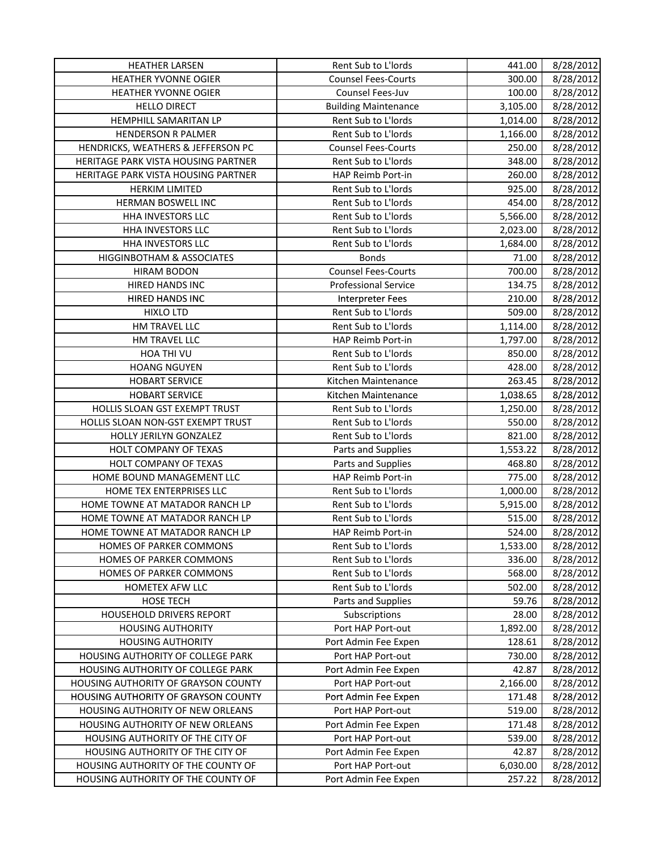| <b>HEATHER LARSEN</b>               | Rent Sub to L'Iords         | 441.00   | 8/28/2012 |
|-------------------------------------|-----------------------------|----------|-----------|
| <b>HEATHER YVONNE OGIER</b>         | <b>Counsel Fees-Courts</b>  | 300.00   | 8/28/2012 |
| HEATHER YVONNE OGIER                | Counsel Fees-Juv            | 100.00   | 8/28/2012 |
| <b>HELLO DIRECT</b>                 | <b>Building Maintenance</b> | 3,105.00 | 8/28/2012 |
| HEMPHILL SAMARITAN LP               | Rent Sub to L'Iords         | 1,014.00 | 8/28/2012 |
| <b>HENDERSON R PALMER</b>           | Rent Sub to L'Iords         | 1,166.00 | 8/28/2012 |
| HENDRICKS, WEATHERS & JEFFERSON PC  | <b>Counsel Fees-Courts</b>  | 250.00   | 8/28/2012 |
| HERITAGE PARK VISTA HOUSING PARTNER | Rent Sub to L'Iords         | 348.00   | 8/28/2012 |
| HERITAGE PARK VISTA HOUSING PARTNER | HAP Reimb Port-in           | 260.00   | 8/28/2012 |
| <b>HERKIM LIMITED</b>               | Rent Sub to L'Iords         | 925.00   | 8/28/2012 |
| HERMAN BOSWELL INC                  | Rent Sub to L'Iords         | 454.00   | 8/28/2012 |
| HHA INVESTORS LLC                   | Rent Sub to L'Iords         | 5,566.00 | 8/28/2012 |
| HHA INVESTORS LLC                   | Rent Sub to L'Iords         | 2,023.00 | 8/28/2012 |
| HHA INVESTORS LLC                   | Rent Sub to L'Iords         | 1,684.00 | 8/28/2012 |
| HIGGINBOTHAM & ASSOCIATES           | <b>Bonds</b>                | 71.00    | 8/28/2012 |
| <b>HIRAM BODON</b>                  | <b>Counsel Fees-Courts</b>  | 700.00   | 8/28/2012 |
| HIRED HANDS INC                     | <b>Professional Service</b> | 134.75   | 8/28/2012 |
| HIRED HANDS INC                     | <b>Interpreter Fees</b>     | 210.00   | 8/28/2012 |
| <b>HIXLO LTD</b>                    | Rent Sub to L'Iords         | 509.00   | 8/28/2012 |
| HM TRAVEL LLC                       | Rent Sub to L'Iords         | 1,114.00 | 8/28/2012 |
| HM TRAVEL LLC                       | HAP Reimb Port-in           | 1,797.00 | 8/28/2012 |
| HOA THI VU                          | Rent Sub to L'Iords         | 850.00   | 8/28/2012 |
| <b>HOANG NGUYEN</b>                 | Rent Sub to L'Iords         | 428.00   | 8/28/2012 |
| <b>HOBART SERVICE</b>               | Kitchen Maintenance         | 263.45   | 8/28/2012 |
| <b>HOBART SERVICE</b>               | Kitchen Maintenance         | 1,038.65 | 8/28/2012 |
| HOLLIS SLOAN GST EXEMPT TRUST       | Rent Sub to L'Iords         | 1,250.00 | 8/28/2012 |
| HOLLIS SLOAN NON-GST EXEMPT TRUST   | Rent Sub to L'Iords         | 550.00   | 8/28/2012 |
| HOLLY JERILYN GONZALEZ              | Rent Sub to L'Iords         | 821.00   | 8/28/2012 |
| HOLT COMPANY OF TEXAS               | Parts and Supplies          | 1,553.22 | 8/28/2012 |
| HOLT COMPANY OF TEXAS               | Parts and Supplies          | 468.80   | 8/28/2012 |
| HOME BOUND MANAGEMENT LLC           | HAP Reimb Port-in           | 775.00   | 8/28/2012 |
| HOME TEX ENTERPRISES LLC            | Rent Sub to L'Iords         | 1,000.00 | 8/28/2012 |
| HOME TOWNE AT MATADOR RANCH LP      | Rent Sub to L'Iords         | 5,915.00 | 8/28/2012 |
| HOME TOWNE AT MATADOR RANCH LP      | Rent Sub to L'Iords         | 515.00   | 8/28/2012 |
| HOME TOWNE AT MATADOR RANCH LP      | HAP Reimb Port-in           | 524.00   | 8/28/2012 |
| HOMES OF PARKER COMMONS             | Rent Sub to L'Iords         | 1,533.00 | 8/28/2012 |
| HOMES OF PARKER COMMONS             | Rent Sub to L'Iords         | 336.00   | 8/28/2012 |
| HOMES OF PARKER COMMONS             | Rent Sub to L'Iords         | 568.00   | 8/28/2012 |
| HOMETEX AFW LLC                     | Rent Sub to L'Iords         | 502.00   | 8/28/2012 |
| HOSE TECH                           | Parts and Supplies          | 59.76    | 8/28/2012 |
| HOUSEHOLD DRIVERS REPORT            | Subscriptions               | 28.00    | 8/28/2012 |
| <b>HOUSING AUTHORITY</b>            | Port HAP Port-out           | 1,892.00 | 8/28/2012 |
| <b>HOUSING AUTHORITY</b>            | Port Admin Fee Expen        | 128.61   | 8/28/2012 |
| HOUSING AUTHORITY OF COLLEGE PARK   | Port HAP Port-out           | 730.00   | 8/28/2012 |
| HOUSING AUTHORITY OF COLLEGE PARK   | Port Admin Fee Expen        | 42.87    | 8/28/2012 |
| HOUSING AUTHORITY OF GRAYSON COUNTY | Port HAP Port-out           | 2,166.00 | 8/28/2012 |
| HOUSING AUTHORITY OF GRAYSON COUNTY | Port Admin Fee Expen        | 171.48   | 8/28/2012 |
| HOUSING AUTHORITY OF NEW ORLEANS    | Port HAP Port-out           | 519.00   | 8/28/2012 |
| HOUSING AUTHORITY OF NEW ORLEANS    | Port Admin Fee Expen        | 171.48   | 8/28/2012 |
| HOUSING AUTHORITY OF THE CITY OF    | Port HAP Port-out           | 539.00   | 8/28/2012 |
| HOUSING AUTHORITY OF THE CITY OF    | Port Admin Fee Expen        | 42.87    | 8/28/2012 |
| HOUSING AUTHORITY OF THE COUNTY OF  | Port HAP Port-out           | 6,030.00 | 8/28/2012 |
| HOUSING AUTHORITY OF THE COUNTY OF  | Port Admin Fee Expen        | 257.22   | 8/28/2012 |
|                                     |                             |          |           |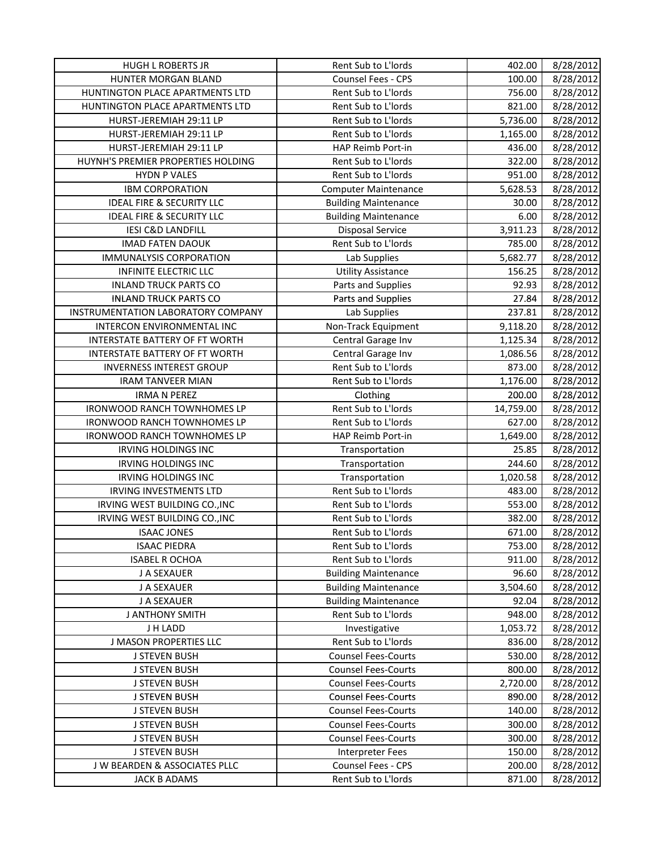| <b>HUGH L ROBERTS JR</b>             | Rent Sub to L'Iords             | 402.00              | 8/28/2012              |
|--------------------------------------|---------------------------------|---------------------|------------------------|
| HUNTER MORGAN BLAND                  | Counsel Fees - CPS              | 100.00              | 8/28/2012              |
| HUNTINGTON PLACE APARTMENTS LTD      | Rent Sub to L'Iords             | 756.00              | 8/28/2012              |
| HUNTINGTON PLACE APARTMENTS LTD      | Rent Sub to L'Iords             | 821.00              | 8/28/2012              |
| HURST-JEREMIAH 29:11 LP              | Rent Sub to L'Iords             | 5,736.00            | 8/28/2012              |
| HURST-JEREMIAH 29:11 LP              | Rent Sub to L'Iords             | 1,165.00            | 8/28/2012              |
| HURST-JEREMIAH 29:11 LP              | HAP Reimb Port-in               | 436.00              | 8/28/2012              |
| HUYNH'S PREMIER PROPERTIES HOLDING   | Rent Sub to L'Iords             | 322.00              | 8/28/2012              |
| <b>HYDN P VALES</b>                  | Rent Sub to L'Iords             | 951.00              | 8/28/2012              |
| <b>IBM CORPORATION</b>               | <b>Computer Maintenance</b>     | 5,628.53            | 8/28/2012              |
| <b>IDEAL FIRE &amp; SECURITY LLC</b> | <b>Building Maintenance</b>     | 30.00               | 8/28/2012              |
| <b>IDEAL FIRE &amp; SECURITY LLC</b> | <b>Building Maintenance</b>     | 6.00                | 8/28/2012              |
| <b>IESI C&amp;D LANDFILL</b>         | <b>Disposal Service</b>         | 3,911.23            | 8/28/2012              |
| <b>IMAD FATEN DAOUK</b>              | Rent Sub to L'Iords             | 785.00              | 8/28/2012              |
| <b>IMMUNALYSIS CORPORATION</b>       | Lab Supplies                    | 5,682.77            | 8/28/2012              |
| <b>INFINITE ELECTRIC LLC</b>         | <b>Utility Assistance</b>       | 156.25              | 8/28/2012              |
| <b>INLAND TRUCK PARTS CO</b>         | Parts and Supplies              | 92.93               | 8/28/2012              |
| <b>INLAND TRUCK PARTS CO</b>         | Parts and Supplies              | 27.84               | 8/28/2012              |
| INSTRUMENTATION LABORATORY COMPANY   | Lab Supplies                    | 237.81              | 8/28/2012              |
| INTERCON ENVIRONMENTAL INC           | Non-Track Equipment             | 9,118.20            | 8/28/2012              |
| INTERSTATE BATTERY OF FT WORTH       | Central Garage Inv              | 1,125.34            | 8/28/2012              |
| INTERSTATE BATTERY OF FT WORTH       | Central Garage Inv              | 1,086.56            | 8/28/2012              |
| <b>INVERNESS INTEREST GROUP</b>      | Rent Sub to L'Iords             | 873.00              | 8/28/2012              |
| <b>IRAM TANVEER MIAN</b>             | Rent Sub to L'Iords             | 1,176.00            | 8/28/2012              |
| <b>IRMA N PEREZ</b>                  |                                 |                     |                        |
| <b>IRONWOOD RANCH TOWNHOMES LP</b>   | Clothing<br>Rent Sub to L'Iords | 200.00<br>14,759.00 | 8/28/2012              |
| IRONWOOD RANCH TOWNHOMES LP          | Rent Sub to L'Iords             |                     | 8/28/2012<br>8/28/2012 |
| IRONWOOD RANCH TOWNHOMES LP          | HAP Reimb Port-in               | 627.00<br>1,649.00  | 8/28/2012              |
| <b>IRVING HOLDINGS INC</b>           | Transportation                  | 25.85               | 8/28/2012              |
| <b>IRVING HOLDINGS INC</b>           | Transportation                  | 244.60              |                        |
| <b>IRVING HOLDINGS INC</b>           | Transportation                  |                     | 8/28/2012              |
|                                      | Rent Sub to L'Iords             | 1,020.58            | 8/28/2012              |
| <b>IRVING INVESTMENTS LTD</b>        | Rent Sub to L'Iords             | 483.00              | 8/28/2012              |
| IRVING WEST BUILDING CO., INC        |                                 | 553.00              | 8/28/2012              |
| IRVING WEST BUILDING CO., INC        | Rent Sub to L'Iords             | 382.00              | 8/28/2012              |
| <b>ISAAC JONES</b>                   | Rent Sub to L'Iords             | 671.00              | 8/28/2012              |
| <b>ISAAC PIEDRA</b>                  | Rent Sub to L'Iords             | 753.00              | 8/28/2012              |
| <b>ISABEL R OCHOA</b>                | Rent Sub to L'Iords             | 911.00              | 8/28/2012              |
| J A SEXAUER                          | <b>Building Maintenance</b>     | 96.60               | 8/28/2012              |
| J A SEXAUER                          | <b>Building Maintenance</b>     | 3,504.60            | 8/28/2012              |
| J A SEXAUER                          | <b>Building Maintenance</b>     | 92.04               | 8/28/2012              |
| <b>J ANTHONY SMITH</b>               | Rent Sub to L'Iords             | 948.00              | 8/28/2012              |
| J H LADD                             | Investigative                   | 1,053.72            | 8/28/2012              |
| <b>J MASON PROPERTIES LLC</b>        | Rent Sub to L'Iords             | 836.00              | 8/28/2012              |
| <b>J STEVEN BUSH</b>                 | <b>Counsel Fees-Courts</b>      | 530.00              | 8/28/2012              |
| <b>J STEVEN BUSH</b>                 | <b>Counsel Fees-Courts</b>      | 800.00              | 8/28/2012              |
| <b>J STEVEN BUSH</b>                 | <b>Counsel Fees-Courts</b>      | 2,720.00            | 8/28/2012              |
| J STEVEN BUSH                        | <b>Counsel Fees-Courts</b>      | 890.00              | 8/28/2012              |
| <b>J STEVEN BUSH</b>                 | <b>Counsel Fees-Courts</b>      | 140.00              | 8/28/2012              |
| <b>J STEVEN BUSH</b>                 | <b>Counsel Fees-Courts</b>      | 300.00              | 8/28/2012              |
| <b>J STEVEN BUSH</b>                 | <b>Counsel Fees-Courts</b>      | 300.00              | 8/28/2012              |
| J STEVEN BUSH                        | Interpreter Fees                | 150.00              | 8/28/2012              |
| J W BEARDEN & ASSOCIATES PLLC        | Counsel Fees - CPS              | 200.00              | 8/28/2012              |
| <b>JACK B ADAMS</b>                  | Rent Sub to L'Iords             | 871.00              | 8/28/2012              |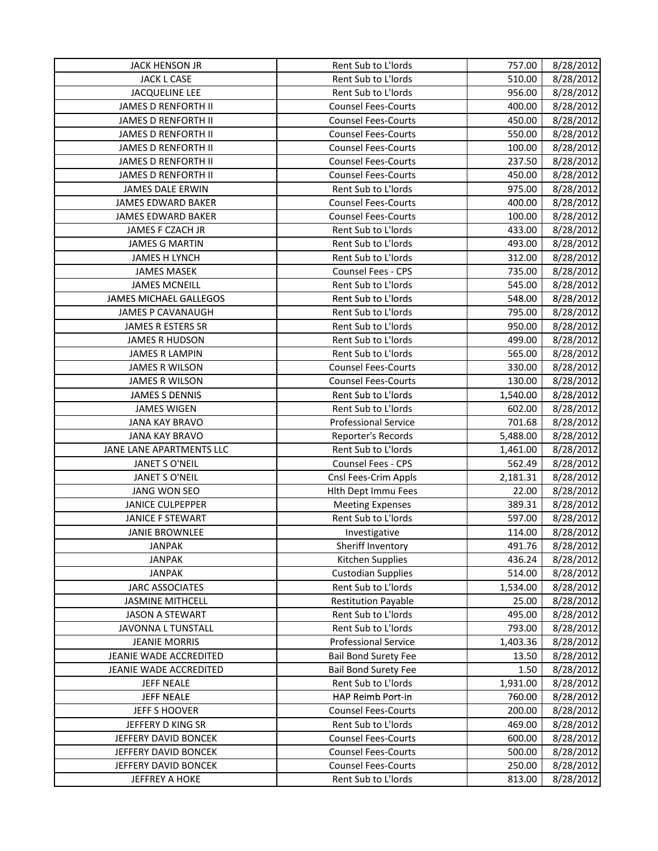| JACK HENSON JR                                      | Rent Sub to L'Iords                | 757.00            | 8/28/2012              |
|-----------------------------------------------------|------------------------------------|-------------------|------------------------|
| JACK L CASE                                         | Rent Sub to L'Iords                | 510.00            | 8/28/2012              |
| <b>JACQUELINE LEE</b>                               | Rent Sub to L'Iords                | 956.00            | 8/28/2012              |
| JAMES D RENFORTH II                                 | <b>Counsel Fees-Courts</b>         | 400.00            | 8/28/2012              |
| JAMES D RENFORTH II                                 | <b>Counsel Fees-Courts</b>         | 450.00            | 8/28/2012              |
| <b>JAMES D RENFORTH II</b>                          | <b>Counsel Fees-Courts</b>         | 550.00            | 8/28/2012              |
| <b>JAMES D RENFORTH II</b>                          | <b>Counsel Fees-Courts</b>         | 100.00            | 8/28/2012              |
| JAMES D RENFORTH II                                 | <b>Counsel Fees-Courts</b>         | 237.50            | 8/28/2012              |
| <b>JAMES D RENFORTH II</b>                          | <b>Counsel Fees-Courts</b>         | 450.00            | 8/28/2012              |
| JAMES DALE ERWIN                                    | Rent Sub to L'Iords                | 975.00            | 8/28/2012              |
| JAMES EDWARD BAKER                                  | <b>Counsel Fees-Courts</b>         | 400.00            | 8/28/2012              |
| JAMES EDWARD BAKER                                  | <b>Counsel Fees-Courts</b>         | 100.00            | 8/28/2012              |
| JAMES F CZACH JR                                    | Rent Sub to L'Iords                | 433.00            | 8/28/2012              |
| <b>JAMES G MARTIN</b>                               | Rent Sub to L'Iords                | 493.00            | 8/28/2012              |
| <b>JAMES H LYNCH</b>                                | Rent Sub to L'Iords                | 312.00            | 8/28/2012              |
| <b>JAMES MASEK</b>                                  | <b>Counsel Fees - CPS</b>          | 735.00            | 8/28/2012              |
| <b>JAMES MCNEILL</b>                                | Rent Sub to L'Iords                | 545.00            | 8/28/2012              |
| <b>JAMES MICHAEL GALLEGOS</b>                       | Rent Sub to L'Iords                | 548.00            | 8/28/2012              |
| <b>JAMES P CAVANAUGH</b>                            | Rent Sub to L'Iords                | 795.00            | 8/28/2012              |
| JAMES R ESTERS SR                                   | Rent Sub to L'Iords                | 950.00            | 8/28/2012              |
| <b>JAMES R HUDSON</b>                               | Rent Sub to L'Iords                | 499.00            | 8/28/2012              |
| <b>JAMES R LAMPIN</b>                               | Rent Sub to L'Iords                | 565.00            | 8/28/2012              |
| <b>JAMES R WILSON</b>                               | <b>Counsel Fees-Courts</b>         | 330.00            | 8/28/2012              |
| <b>JAMES R WILSON</b>                               | <b>Counsel Fees-Courts</b>         | 130.00            | 8/28/2012              |
| <b>JAMES S DENNIS</b>                               | Rent Sub to L'Iords                | 1,540.00          | 8/28/2012              |
| <b>JAMES WIGEN</b>                                  | Rent Sub to L'Iords                | 602.00            | 8/28/2012              |
| <b>JANA KAY BRAVO</b>                               | <b>Professional Service</b>        | 701.68            | 8/28/2012              |
| <b>JANA KAY BRAVO</b>                               | Reporter's Records                 | 5,488.00          | 8/28/2012              |
| JANE LANE APARTMENTS LLC                            | Rent Sub to L'Iords                | 1,461.00          | 8/28/2012              |
| JANET S O'NEIL                                      | <b>Counsel Fees - CPS</b>          | 562.49            | 8/28/2012              |
| JANET S O'NEIL                                      | Cnsl Fees-Crim Appls               | 2,181.31          | 8/28/2012              |
| JANG WON SEO                                        | Hith Dept Immu Fees                | 22.00             | 8/28/2012              |
| <b>JANICE CULPEPPER</b>                             | <b>Meeting Expenses</b>            | 389.31            | 8/28/2012              |
| <b>JANICE F STEWART</b>                             | Rent Sub to L'Iords                | 597.00            | 8/28/2012              |
| <b>JANIE BROWNLEE</b>                               |                                    | 114.00            | 8/28/2012              |
|                                                     | Investigative<br>Sheriff Inventory | 491.76            |                        |
| <b>JANPAK</b><br><b>JANPAK</b>                      | Kitchen Supplies                   | 436.24            | 8/28/2012<br>8/28/2012 |
| <b>JANPAK</b>                                       | <b>Custodian Supplies</b>          | 514.00            | 8/28/2012              |
| <b>JARC ASSOCIATES</b>                              | Rent Sub to L'Iords                |                   | 8/28/2012              |
| <b>JASMINE MITHCELL</b>                             | <b>Restitution Payable</b>         | 1,534.00<br>25.00 |                        |
|                                                     | Rent Sub to L'Iords                | 495.00            | 8/28/2012              |
| <b>JASON A STEWART</b><br><b>JAVONNA L TUNSTALL</b> |                                    |                   | 8/28/2012              |
|                                                     | Rent Sub to L'Iords                | 793.00            | 8/28/2012              |
| <b>JEANIE MORRIS</b>                                | <b>Professional Service</b>        | 1,403.36          | 8/28/2012              |
| JEANIE WADE ACCREDITED                              | <b>Bail Bond Surety Fee</b>        | 13.50             | 8/28/2012              |
| JEANIE WADE ACCREDITED                              | <b>Bail Bond Surety Fee</b>        | 1.50              | 8/28/2012              |
| <b>JEFF NEALE</b>                                   | Rent Sub to L'Iords                | 1,931.00          | 8/28/2012              |
| <b>JEFF NEALE</b>                                   | HAP Reimb Port-in                  | 760.00            | 8/28/2012              |
| JEFF S HOOVER                                       | <b>Counsel Fees-Courts</b>         | 200.00            | 8/28/2012              |
| JEFFERY D KING SR                                   | Rent Sub to L'Iords                | 469.00            | 8/28/2012              |
| JEFFERY DAVID BONCEK                                | <b>Counsel Fees-Courts</b>         | 600.00            | 8/28/2012              |
| JEFFERY DAVID BONCEK                                | <b>Counsel Fees-Courts</b>         | 500.00            | 8/28/2012              |
| JEFFERY DAVID BONCEK                                | <b>Counsel Fees-Courts</b>         | 250.00            | 8/28/2012              |
| <b>JEFFREY A HOKE</b>                               | Rent Sub to L'Iords                | 813.00            | 8/28/2012              |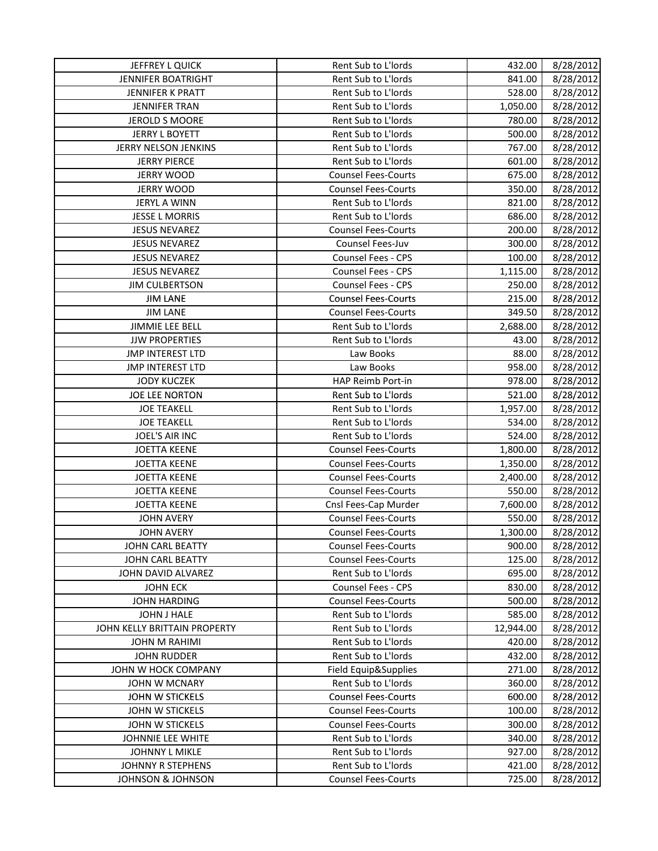| JEFFREY L QUICK              | Rent Sub to L'Iords        | 432.00    | 8/28/2012 |
|------------------------------|----------------------------|-----------|-----------|
| <b>JENNIFER BOATRIGHT</b>    | Rent Sub to L'Iords        | 841.00    | 8/28/2012 |
| JENNIFER K PRATT             | Rent Sub to L'Iords        | 528.00    | 8/28/2012 |
| <b>JENNIFER TRAN</b>         | Rent Sub to L'Iords        | 1,050.00  | 8/28/2012 |
| <b>JEROLD S MOORE</b>        | Rent Sub to L'Iords        | 780.00    | 8/28/2012 |
| <b>JERRY L BOYETT</b>        | Rent Sub to L'Iords        | 500.00    | 8/28/2012 |
| JERRY NELSON JENKINS         | Rent Sub to L'Iords        | 767.00    | 8/28/2012 |
| <b>JERRY PIERCE</b>          | Rent Sub to L'Iords        | 601.00    | 8/28/2012 |
| <b>JERRY WOOD</b>            | <b>Counsel Fees-Courts</b> | 675.00    | 8/28/2012 |
| <b>JERRY WOOD</b>            | <b>Counsel Fees-Courts</b> | 350.00    | 8/28/2012 |
| <b>JERYL A WINN</b>          | Rent Sub to L'Iords        | 821.00    | 8/28/2012 |
| <b>JESSE L MORRIS</b>        | Rent Sub to L'Iords        | 686.00    | 8/28/2012 |
| <b>JESUS NEVAREZ</b>         | <b>Counsel Fees-Courts</b> | 200.00    | 8/28/2012 |
| <b>JESUS NEVAREZ</b>         | Counsel Fees-Juv           | 300.00    | 8/28/2012 |
| <b>JESUS NEVAREZ</b>         | Counsel Fees - CPS         | 100.00    | 8/28/2012 |
| <b>JESUS NEVAREZ</b>         | Counsel Fees - CPS         | 1,115.00  | 8/28/2012 |
| <b>JIM CULBERTSON</b>        | Counsel Fees - CPS         | 250.00    | 8/28/2012 |
| <b>JIM LANE</b>              | <b>Counsel Fees-Courts</b> | 215.00    | 8/28/2012 |
| <b>JIM LANE</b>              | <b>Counsel Fees-Courts</b> | 349.50    | 8/28/2012 |
| JIMMIE LEE BELL              | Rent Sub to L'Iords        | 2,688.00  | 8/28/2012 |
| <b>JJW PROPERTIES</b>        | Rent Sub to L'Iords        | 43.00     | 8/28/2012 |
| <b>JMP INTEREST LTD</b>      | Law Books                  | 88.00     | 8/28/2012 |
| <b>JMP INTEREST LTD</b>      | Law Books                  | 958.00    | 8/28/2012 |
| <b>JODY KUCZEK</b>           | HAP Reimb Port-in          | 978.00    | 8/28/2012 |
| JOE LEE NORTON               | Rent Sub to L'Iords        | 521.00    | 8/28/2012 |
| <b>JOE TEAKELL</b>           | Rent Sub to L'Iords        | 1,957.00  | 8/28/2012 |
| <b>JOE TEAKELL</b>           | Rent Sub to L'Iords        | 534.00    | 8/28/2012 |
| JOEL'S AIR INC               | Rent Sub to L'Iords        | 524.00    | 8/28/2012 |
| <b>JOETTA KEENE</b>          | <b>Counsel Fees-Courts</b> | 1,800.00  | 8/28/2012 |
| <b>JOETTA KEENE</b>          | <b>Counsel Fees-Courts</b> | 1,350.00  | 8/28/2012 |
| <b>JOETTA KEENE</b>          | <b>Counsel Fees-Courts</b> | 2,400.00  | 8/28/2012 |
| <b>JOETTA KEENE</b>          | <b>Counsel Fees-Courts</b> | 550.00    | 8/28/2012 |
| <b>JOETTA KEENE</b>          | Cnsl Fees-Cap Murder       | 7,600.00  | 8/28/2012 |
| <b>JOHN AVERY</b>            | <b>Counsel Fees-Courts</b> | 550.00    | 8/28/2012 |
| <b>JOHN AVERY</b>            | <b>Counsel Fees-Courts</b> | 1,300.00  | 8/28/2012 |
| JOHN CARL BEATTY             | <b>Counsel Fees-Courts</b> | 900.00    | 8/28/2012 |
| JOHN CARL BEATTY             | <b>Counsel Fees-Courts</b> | 125.00    | 8/28/2012 |
| JOHN DAVID ALVAREZ           | Rent Sub to L'Iords        | 695.00    | 8/28/2012 |
| <b>JOHN ECK</b>              | Counsel Fees - CPS         | 830.00    | 8/28/2012 |
| <b>JOHN HARDING</b>          | <b>Counsel Fees-Courts</b> | 500.00    | 8/28/2012 |
| JOHN J HALE                  | Rent Sub to L'Iords        | 585.00    | 8/28/2012 |
| JOHN KELLY BRITTAIN PROPERTY | Rent Sub to L'Iords        | 12,944.00 | 8/28/2012 |
| <b>JOHN M RAHIMI</b>         | Rent Sub to L'Iords        | 420.00    | 8/28/2012 |
| <b>JOHN RUDDER</b>           | Rent Sub to L'Iords        | 432.00    | 8/28/2012 |
| JOHN W HOCK COMPANY          | Field Equip&Supplies       | 271.00    | 8/28/2012 |
| JOHN W MCNARY                | Rent Sub to L'Iords        | 360.00    | 8/28/2012 |
| JOHN W STICKELS              | <b>Counsel Fees-Courts</b> | 600.00    | 8/28/2012 |
| JOHN W STICKELS              | <b>Counsel Fees-Courts</b> | 100.00    | 8/28/2012 |
| JOHN W STICKELS              | <b>Counsel Fees-Courts</b> | 300.00    | 8/28/2012 |
| JOHNNIE LEE WHITE            | Rent Sub to L'Iords        | 340.00    | 8/28/2012 |
| JOHNNY L MIKLE               | Rent Sub to L'Iords        | 927.00    | 8/28/2012 |
| JOHNNY R STEPHENS            | Rent Sub to L'Iords        | 421.00    | 8/28/2012 |
| <b>JOHNSON &amp; JOHNSON</b> | <b>Counsel Fees-Courts</b> | 725.00    | 8/28/2012 |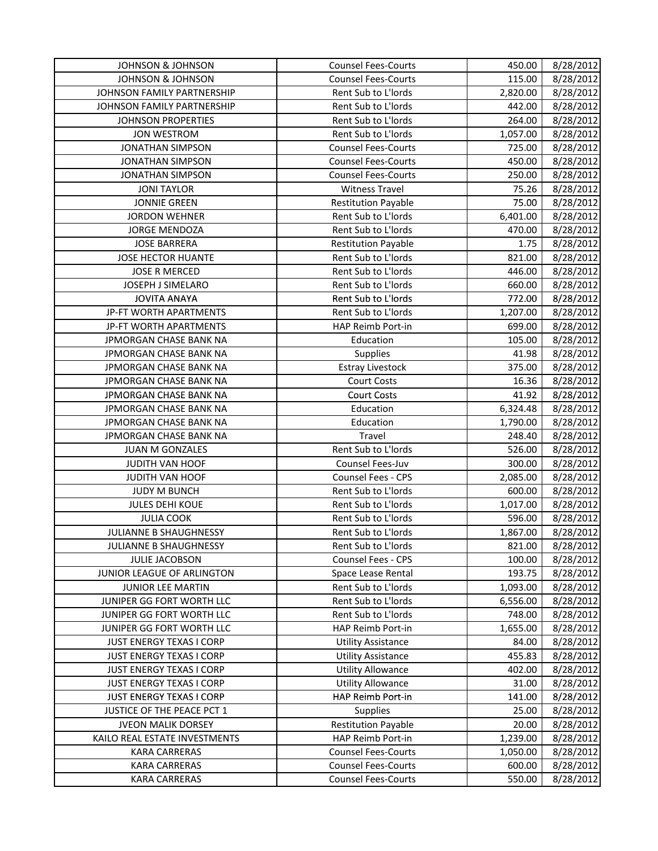| <b>JOHNSON &amp; JOHNSON</b>  | <b>Counsel Fees-Courts</b> | 450.00   | 8/28/2012 |
|-------------------------------|----------------------------|----------|-----------|
| <b>JOHNSON &amp; JOHNSON</b>  | <b>Counsel Fees-Courts</b> | 115.00   | 8/28/2012 |
| JOHNSON FAMILY PARTNERSHIP    | Rent Sub to L'Iords        | 2,820.00 | 8/28/2012 |
| JOHNSON FAMILY PARTNERSHIP    | Rent Sub to L'Iords        | 442.00   | 8/28/2012 |
| <b>JOHNSON PROPERTIES</b>     | Rent Sub to L'Iords        | 264.00   | 8/28/2012 |
| <b>JON WESTROM</b>            | Rent Sub to L'Iords        | 1,057.00 | 8/28/2012 |
| <b>JONATHAN SIMPSON</b>       | <b>Counsel Fees-Courts</b> | 725.00   | 8/28/2012 |
| <b>JONATHAN SIMPSON</b>       | <b>Counsel Fees-Courts</b> | 450.00   | 8/28/2012 |
| <b>JONATHAN SIMPSON</b>       | <b>Counsel Fees-Courts</b> | 250.00   | 8/28/2012 |
| <b>JONI TAYLOR</b>            | <b>Witness Travel</b>      | 75.26    | 8/28/2012 |
| <b>JONNIE GREEN</b>           | <b>Restitution Payable</b> | 75.00    | 8/28/2012 |
| <b>JORDON WEHNER</b>          | Rent Sub to L'Iords        | 6,401.00 | 8/28/2012 |
| <b>JORGE MENDOZA</b>          | Rent Sub to L'Iords        | 470.00   | 8/28/2012 |
| <b>JOSE BARRERA</b>           | <b>Restitution Payable</b> | 1.75     | 8/28/2012 |
| JOSE HECTOR HUANTE            | Rent Sub to L'Iords        | 821.00   | 8/28/2012 |
| <b>JOSE R MERCED</b>          | Rent Sub to L'Iords        | 446.00   | 8/28/2012 |
| JOSEPH J SIMELARO             | Rent Sub to L'Iords        | 660.00   | 8/28/2012 |
| <b>JOVITA ANAYA</b>           | Rent Sub to L'Iords        | 772.00   | 8/28/2012 |
| JP-FT WORTH APARTMENTS        | Rent Sub to L'Iords        | 1,207.00 | 8/28/2012 |
| JP-FT WORTH APARTMENTS        | HAP Reimb Port-in          | 699.00   | 8/28/2012 |
| JPMORGAN CHASE BANK NA        | Education                  | 105.00   | 8/28/2012 |
| JPMORGAN CHASE BANK NA        | <b>Supplies</b>            | 41.98    | 8/28/2012 |
| JPMORGAN CHASE BANK NA        | <b>Estray Livestock</b>    | 375.00   | 8/28/2012 |
| JPMORGAN CHASE BANK NA        | <b>Court Costs</b>         | 16.36    | 8/28/2012 |
| JPMORGAN CHASE BANK NA        | <b>Court Costs</b>         | 41.92    | 8/28/2012 |
| JPMORGAN CHASE BANK NA        | Education                  | 6,324.48 | 8/28/2012 |
| JPMORGAN CHASE BANK NA        | Education                  | 1,790.00 | 8/28/2012 |
| JPMORGAN CHASE BANK NA        | Travel                     | 248.40   | 8/28/2012 |
| <b>JUAN M GONZALES</b>        | Rent Sub to L'Iords        | 526.00   | 8/28/2012 |
| JUDITH VAN HOOF               | Counsel Fees-Juv           | 300.00   | 8/28/2012 |
| JUDITH VAN HOOF               | <b>Counsel Fees - CPS</b>  | 2,085.00 | 8/28/2012 |
| JUDY M BUNCH                  | Rent Sub to L'Iords        | 600.00   | 8/28/2012 |
| <b>JULES DEHI KOUE</b>        | Rent Sub to L'Iords        | 1,017.00 | 8/28/2012 |
| <b>JULIA COOK</b>             | Rent Sub to L'Iords        | 596.00   | 8/28/2012 |
| JULIANNE B SHAUGHNESSY        | Rent Sub to L'Iords        | 1,867.00 | 8/28/2012 |
| JULIANNE B SHAUGHNESSY        | Rent Sub to L'Iords        | 821.00   | 8/28/2012 |
| JULIE JACOBSON                | Counsel Fees - CPS         | 100.00   | 8/28/2012 |
| JUNIOR LEAGUE OF ARLINGTON    | Space Lease Rental         | 193.75   | 8/28/2012 |
| JUNIOR LEE MARTIN             | Rent Sub to L'Iords        | 1,093.00 | 8/28/2012 |
| JUNIPER GG FORT WORTH LLC     | Rent Sub to L'Iords        | 6,556.00 | 8/28/2012 |
| JUNIPER GG FORT WORTH LLC     | Rent Sub to L'Iords        | 748.00   | 8/28/2012 |
| JUNIPER GG FORT WORTH LLC     | HAP Reimb Port-in          | 1,655.00 | 8/28/2012 |
| JUST ENERGY TEXAS I CORP      | <b>Utility Assistance</b>  | 84.00    | 8/28/2012 |
| JUST ENERGY TEXAS I CORP      | <b>Utility Assistance</b>  | 455.83   | 8/28/2012 |
| JUST ENERGY TEXAS I CORP      | <b>Utility Allowance</b>   | 402.00   | 8/28/2012 |
| JUST ENERGY TEXAS I CORP      | <b>Utility Allowance</b>   | 31.00    | 8/28/2012 |
| JUST ENERGY TEXAS I CORP      | HAP Reimb Port-in          | 141.00   | 8/28/2012 |
| JUSTICE OF THE PEACE PCT 1    | <b>Supplies</b>            | 25.00    | 8/28/2012 |
| <b>JVEON MALIK DORSEY</b>     | <b>Restitution Payable</b> | 20.00    | 8/28/2012 |
| KAILO REAL ESTATE INVESTMENTS | HAP Reimb Port-in          | 1,239.00 | 8/28/2012 |
| <b>KARA CARRERAS</b>          | <b>Counsel Fees-Courts</b> | 1,050.00 | 8/28/2012 |
| <b>KARA CARRERAS</b>          | <b>Counsel Fees-Courts</b> | 600.00   | 8/28/2012 |
| <b>KARA CARRERAS</b>          | <b>Counsel Fees-Courts</b> | 550.00   | 8/28/2012 |
|                               |                            |          |           |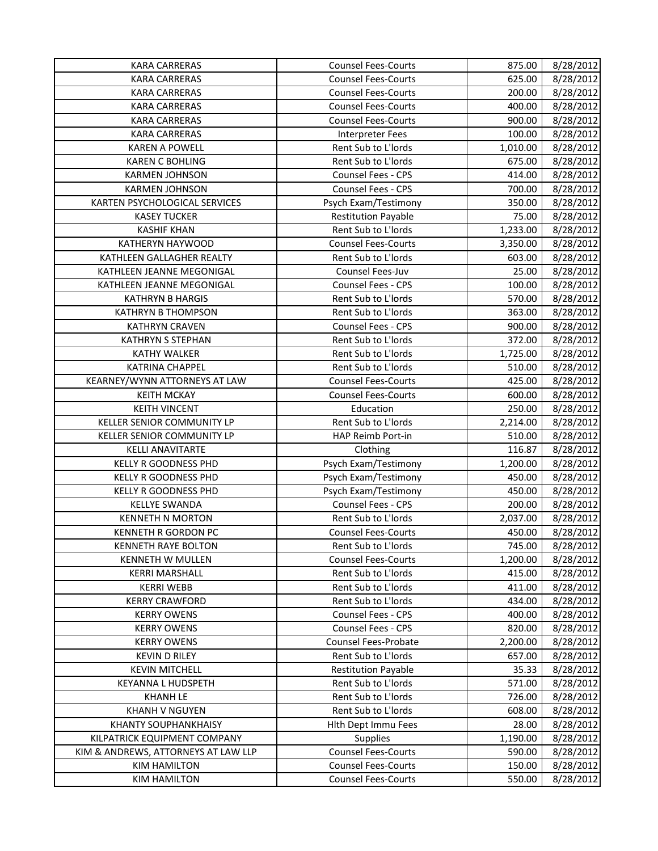| <b>KARA CARRERAS</b>                | <b>Counsel Fees-Courts</b> | 875.00   | 8/28/2012 |
|-------------------------------------|----------------------------|----------|-----------|
| <b>KARA CARRERAS</b>                | <b>Counsel Fees-Courts</b> | 625.00   | 8/28/2012 |
| <b>KARA CARRERAS</b>                | <b>Counsel Fees-Courts</b> | 200.00   | 8/28/2012 |
| <b>KARA CARRERAS</b>                | <b>Counsel Fees-Courts</b> | 400.00   | 8/28/2012 |
| <b>KARA CARRERAS</b>                | <b>Counsel Fees-Courts</b> | 900.00   | 8/28/2012 |
| <b>KARA CARRERAS</b>                | <b>Interpreter Fees</b>    | 100.00   | 8/28/2012 |
| <b>KAREN A POWELL</b>               | Rent Sub to L'Iords        | 1,010.00 | 8/28/2012 |
| <b>KAREN C BOHLING</b>              | Rent Sub to L'Iords        | 675.00   | 8/28/2012 |
| <b>KARMEN JOHNSON</b>               | <b>Counsel Fees - CPS</b>  | 414.00   | 8/28/2012 |
| <b>KARMEN JOHNSON</b>               | Counsel Fees - CPS         | 700.00   | 8/28/2012 |
| KARTEN PSYCHOLOGICAL SERVICES       | Psych Exam/Testimony       | 350.00   | 8/28/2012 |
| <b>KASEY TUCKER</b>                 | <b>Restitution Payable</b> | 75.00    | 8/28/2012 |
| <b>KASHIF KHAN</b>                  | Rent Sub to L'Iords        | 1,233.00 | 8/28/2012 |
| <b>KATHERYN HAYWOOD</b>             | <b>Counsel Fees-Courts</b> | 3,350.00 | 8/28/2012 |
| KATHLEEN GALLAGHER REALTY           | Rent Sub to L'Iords        | 603.00   | 8/28/2012 |
| KATHLEEN JEANNE MEGONIGAL           | Counsel Fees-Juv           | 25.00    | 8/28/2012 |
| KATHLEEN JEANNE MEGONIGAL           | Counsel Fees - CPS         | 100.00   | 8/28/2012 |
| <b>KATHRYN B HARGIS</b>             | Rent Sub to L'Iords        | 570.00   | 8/28/2012 |
| <b>KATHRYN B THOMPSON</b>           | Rent Sub to L'Iords        | 363.00   | 8/28/2012 |
| <b>KATHRYN CRAVEN</b>               | Counsel Fees - CPS         | 900.00   | 8/28/2012 |
| <b>KATHRYN S STEPHAN</b>            | Rent Sub to L'Iords        | 372.00   | 8/28/2012 |
| <b>KATHY WALKER</b>                 | Rent Sub to L'Iords        | 1,725.00 | 8/28/2012 |
| <b>KATRINA CHAPPEL</b>              | Rent Sub to L'Iords        | 510.00   | 8/28/2012 |
| KEARNEY/WYNN ATTORNEYS AT LAW       | <b>Counsel Fees-Courts</b> | 425.00   | 8/28/2012 |
| <b>KEITH MCKAY</b>                  | <b>Counsel Fees-Courts</b> | 600.00   | 8/28/2012 |
| <b>KEITH VINCENT</b>                | Education                  | 250.00   | 8/28/2012 |
| KELLER SENIOR COMMUNITY LP          | Rent Sub to L'Iords        | 2,214.00 | 8/28/2012 |
| KELLER SENIOR COMMUNITY LP          | HAP Reimb Port-in          | 510.00   | 8/28/2012 |
| <b>KELLI ANAVITARTE</b>             | Clothing                   | 116.87   | 8/28/2012 |
| <b>KELLY R GOODNESS PHD</b>         | Psych Exam/Testimony       | 1,200.00 | 8/28/2012 |
| KELLY R GOODNESS PHD                | Psych Exam/Testimony       | 450.00   | 8/28/2012 |
| KELLY R GOODNESS PHD                | Psych Exam/Testimony       | 450.00   | 8/28/2012 |
| <b>KELLYE SWANDA</b>                | Counsel Fees - CPS         | 200.00   | 8/28/2012 |
| <b>KENNETH N MORTON</b>             | Rent Sub to L'Iords        | 2,037.00 | 8/28/2012 |
| <b>KENNETH R GORDON PC</b>          | <b>Counsel Fees-Courts</b> | 450.00   | 8/28/2012 |
| KENNETH RAYE BOLTON                 | Rent Sub to L'Iords        | 745.00   | 8/28/2012 |
| KENNETH W MULLEN                    | <b>Counsel Fees-Courts</b> | 1,200.00 | 8/28/2012 |
| <b>KERRI MARSHALL</b>               | Rent Sub to L'Iords        | 415.00   | 8/28/2012 |
| <b>KERRI WEBB</b>                   | Rent Sub to L'Iords        | 411.00   | 8/28/2012 |
| <b>KERRY CRAWFORD</b>               | Rent Sub to L'Iords        | 434.00   | 8/28/2012 |
| <b>KERRY OWENS</b>                  | Counsel Fees - CPS         | 400.00   | 8/28/2012 |
| <b>KERRY OWENS</b>                  | Counsel Fees - CPS         | 820.00   | 8/28/2012 |
| <b>KERRY OWENS</b>                  | Counsel Fees-Probate       | 2,200.00 | 8/28/2012 |
| <b>KEVIN D RILEY</b>                | Rent Sub to L'Iords        | 657.00   | 8/28/2012 |
| <b>KEVIN MITCHELL</b>               | <b>Restitution Payable</b> | 35.33    | 8/28/2012 |
| <b>KEYANNA L HUDSPETH</b>           | Rent Sub to L'Iords        | 571.00   | 8/28/2012 |
| <b>KHANH LE</b>                     | Rent Sub to L'Iords        | 726.00   | 8/28/2012 |
| KHANH V NGUYEN                      | Rent Sub to L'Iords        | 608.00   | 8/28/2012 |
| <b>KHANTY SOUPHANKHAISY</b>         | Hith Dept Immu Fees        | 28.00    | 8/28/2012 |
| KILPATRICK EQUIPMENT COMPANY        | Supplies                   | 1,190.00 | 8/28/2012 |
| KIM & ANDREWS, ATTORNEYS AT LAW LLP | <b>Counsel Fees-Courts</b> | 590.00   | 8/28/2012 |
| <b>KIM HAMILTON</b>                 | <b>Counsel Fees-Courts</b> | 150.00   | 8/28/2012 |
| <b>KIM HAMILTON</b>                 | <b>Counsel Fees-Courts</b> | 550.00   | 8/28/2012 |
|                                     |                            |          |           |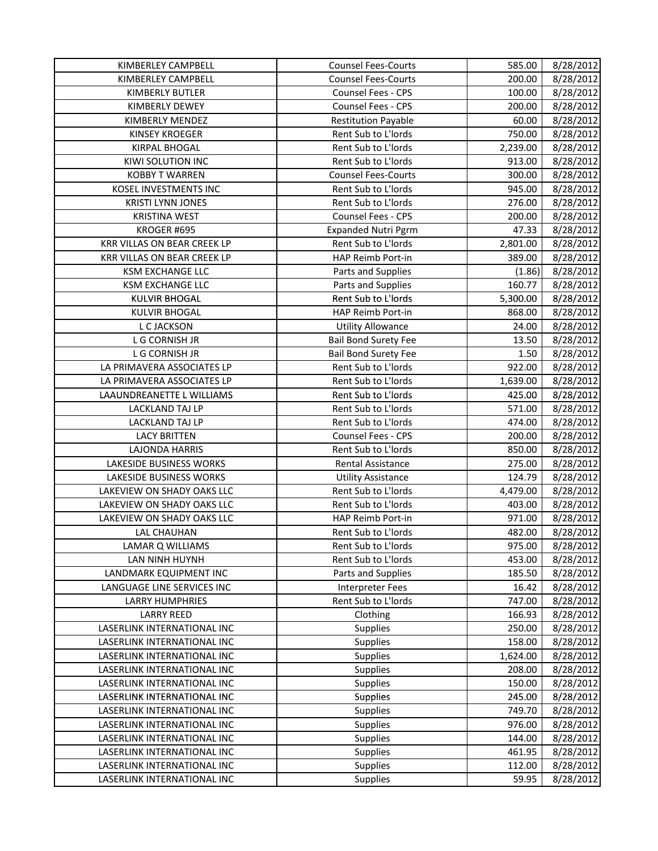| KIMBERLEY CAMPBELL             | <b>Counsel Fees-Courts</b>  | 585.00   | 8/28/2012 |
|--------------------------------|-----------------------------|----------|-----------|
| KIMBERLEY CAMPBELL             | <b>Counsel Fees-Courts</b>  | 200.00   | 8/28/2012 |
| KIMBERLY BUTLER                | Counsel Fees - CPS          | 100.00   | 8/28/2012 |
| KIMBERLY DEWEY                 | Counsel Fees - CPS          | 200.00   | 8/28/2012 |
| KIMBERLY MENDEZ                | <b>Restitution Payable</b>  | 60.00    | 8/28/2012 |
| <b>KINSEY KROEGER</b>          | Rent Sub to L'Iords         | 750.00   | 8/28/2012 |
| <b>KIRPAL BHOGAL</b>           | Rent Sub to L'Iords         | 2,239.00 | 8/28/2012 |
| KIWI SOLUTION INC              | Rent Sub to L'Iords         | 913.00   | 8/28/2012 |
| <b>KOBBY T WARREN</b>          | <b>Counsel Fees-Courts</b>  | 300.00   | 8/28/2012 |
| KOSEL INVESTMENTS INC          | Rent Sub to L'Iords         | 945.00   | 8/28/2012 |
| <b>KRISTI LYNN JONES</b>       | Rent Sub to L'Iords         | 276.00   | 8/28/2012 |
| <b>KRISTINA WEST</b>           | Counsel Fees - CPS          | 200.00   | 8/28/2012 |
| KROGER #695                    | <b>Expanded Nutri Pgrm</b>  | 47.33    | 8/28/2012 |
| KRR VILLAS ON BEAR CREEK LP    | Rent Sub to L'Iords         | 2,801.00 | 8/28/2012 |
| KRR VILLAS ON BEAR CREEK LP    | HAP Reimb Port-in           | 389.00   | 8/28/2012 |
| KSM EXCHANGE LLC               | Parts and Supplies          | (1.86)   | 8/28/2012 |
| <b>KSM EXCHANGE LLC</b>        | Parts and Supplies          | 160.77   | 8/28/2012 |
| <b>KULVIR BHOGAL</b>           | Rent Sub to L'Iords         | 5,300.00 | 8/28/2012 |
| <b>KULVIR BHOGAL</b>           | HAP Reimb Port-in           | 868.00   | 8/28/2012 |
| L C JACKSON                    | <b>Utility Allowance</b>    | 24.00    | 8/28/2012 |
| L G CORNISH JR                 | <b>Bail Bond Surety Fee</b> | 13.50    | 8/28/2012 |
| L G CORNISH JR                 | <b>Bail Bond Surety Fee</b> | 1.50     | 8/28/2012 |
| LA PRIMAVERA ASSOCIATES LP     | Rent Sub to L'Iords         | 922.00   | 8/28/2012 |
| LA PRIMAVERA ASSOCIATES LP     | Rent Sub to L'Iords         | 1,639.00 | 8/28/2012 |
| LAAUNDREANETTE L WILLIAMS      | Rent Sub to L'Iords         | 425.00   | 8/28/2012 |
| LACKLAND TAJ LP                | Rent Sub to L'Iords         | 571.00   | 8/28/2012 |
| LACKLAND TAJ LP                | Rent Sub to L'Iords         | 474.00   | 8/28/2012 |
| <b>LACY BRITTEN</b>            | <b>Counsel Fees - CPS</b>   | 200.00   | 8/28/2012 |
| <b>LAJONDA HARRIS</b>          | Rent Sub to L'Iords         | 850.00   | 8/28/2012 |
| <b>LAKESIDE BUSINESS WORKS</b> | Rental Assistance           | 275.00   | 8/28/2012 |
| LAKESIDE BUSINESS WORKS        | <b>Utility Assistance</b>   | 124.79   | 8/28/2012 |
| LAKEVIEW ON SHADY OAKS LLC     | Rent Sub to L'Iords         | 4,479.00 | 8/28/2012 |
| LAKEVIEW ON SHADY OAKS LLC     | Rent Sub to L'Iords         | 403.00   | 8/28/2012 |
| LAKEVIEW ON SHADY OAKS LLC     | HAP Reimb Port-in           | 971.00   | 8/28/2012 |
| <b>LAL CHAUHAN</b>             | Rent Sub to L'Iords         | 482.00   | 8/28/2012 |
| LAMAR Q WILLIAMS               | Rent Sub to L'Iords         | 975.00   | 8/28/2012 |
| LAN NINH HUYNH                 | Rent Sub to L'Iords         | 453.00   | 8/28/2012 |
| LANDMARK EQUIPMENT INC         | Parts and Supplies          | 185.50   | 8/28/2012 |
| LANGUAGE LINE SERVICES INC     | <b>Interpreter Fees</b>     | 16.42    | 8/28/2012 |
| <b>LARRY HUMPHRIES</b>         | Rent Sub to L'Iords         | 747.00   | 8/28/2012 |
| <b>LARRY REED</b>              | Clothing                    | 166.93   | 8/28/2012 |
| LASERLINK INTERNATIONAL INC    | Supplies                    | 250.00   | 8/28/2012 |
| LASERLINK INTERNATIONAL INC    | Supplies                    | 158.00   | 8/28/2012 |
| LASERLINK INTERNATIONAL INC    | Supplies                    | 1,624.00 | 8/28/2012 |
| LASERLINK INTERNATIONAL INC    | Supplies                    | 208.00   | 8/28/2012 |
| LASERLINK INTERNATIONAL INC    | Supplies                    | 150.00   | 8/28/2012 |
| LASERLINK INTERNATIONAL INC    | <b>Supplies</b>             | 245.00   | 8/28/2012 |
| LASERLINK INTERNATIONAL INC    | <b>Supplies</b>             | 749.70   | 8/28/2012 |
| LASERLINK INTERNATIONAL INC    | <b>Supplies</b>             | 976.00   | 8/28/2012 |
| LASERLINK INTERNATIONAL INC    | <b>Supplies</b>             | 144.00   | 8/28/2012 |
| LASERLINK INTERNATIONAL INC    | <b>Supplies</b>             | 461.95   | 8/28/2012 |
| LASERLINK INTERNATIONAL INC    | Supplies                    | 112.00   | 8/28/2012 |
| LASERLINK INTERNATIONAL INC    | Supplies                    | 59.95    | 8/28/2012 |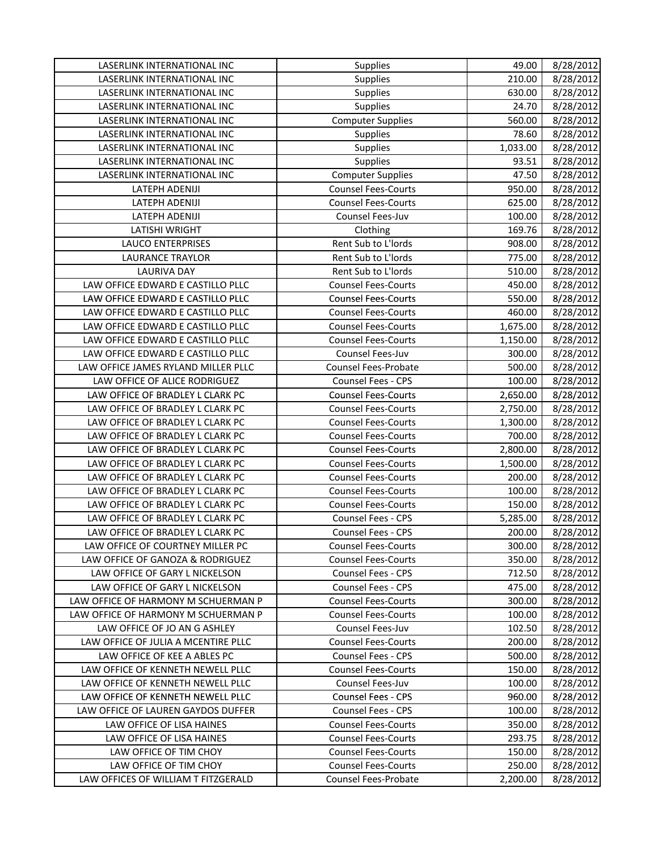| LASERLINK INTERNATIONAL INC                                          | Supplies                                         | 49.00              | 8/28/2012              |
|----------------------------------------------------------------------|--------------------------------------------------|--------------------|------------------------|
| LASERLINK INTERNATIONAL INC                                          | <b>Supplies</b>                                  | 210.00             | 8/28/2012              |
| LASERLINK INTERNATIONAL INC                                          | <b>Supplies</b>                                  | 630.00             | 8/28/2012              |
| LASERLINK INTERNATIONAL INC                                          | Supplies                                         | 24.70              | 8/28/2012              |
| LASERLINK INTERNATIONAL INC                                          | <b>Computer Supplies</b>                         | 560.00             | 8/28/2012              |
| LASERLINK INTERNATIONAL INC                                          | Supplies                                         | 78.60              | 8/28/2012              |
| LASERLINK INTERNATIONAL INC                                          | Supplies                                         | 1,033.00           | 8/28/2012              |
| LASERLINK INTERNATIONAL INC                                          | Supplies                                         | 93.51              | 8/28/2012              |
| LASERLINK INTERNATIONAL INC                                          | <b>Computer Supplies</b>                         | 47.50              | 8/28/2012              |
| LATEPH ADENIJI                                                       | <b>Counsel Fees-Courts</b>                       | 950.00             | 8/28/2012              |
| LATEPH ADENIJI                                                       | <b>Counsel Fees-Courts</b>                       | 625.00             | 8/28/2012              |
| LATEPH ADENIJI                                                       | Counsel Fees-Juv                                 | 100.00             | 8/28/2012              |
| LATISHI WRIGHT                                                       | Clothing                                         | 169.76             | 8/28/2012              |
| <b>LAUCO ENTERPRISES</b>                                             | Rent Sub to L'Iords                              | 908.00             | 8/28/2012              |
| <b>LAURANCE TRAYLOR</b>                                              | Rent Sub to L'Iords                              | 775.00             | 8/28/2012              |
| <b>LAURIVA DAY</b>                                                   | Rent Sub to L'Iords                              | 510.00             | 8/28/2012              |
| LAW OFFICE EDWARD E CASTILLO PLLC                                    | <b>Counsel Fees-Courts</b>                       | 450.00             | 8/28/2012              |
| LAW OFFICE EDWARD E CASTILLO PLLC                                    | <b>Counsel Fees-Courts</b>                       | 550.00             | 8/28/2012              |
| LAW OFFICE EDWARD E CASTILLO PLLC                                    | <b>Counsel Fees-Courts</b>                       | 460.00             | 8/28/2012              |
| LAW OFFICE EDWARD E CASTILLO PLLC                                    | <b>Counsel Fees-Courts</b>                       | 1,675.00           | 8/28/2012              |
| LAW OFFICE EDWARD E CASTILLO PLLC                                    | <b>Counsel Fees-Courts</b>                       | 1,150.00           | 8/28/2012              |
| LAW OFFICE EDWARD E CASTILLO PLLC                                    | Counsel Fees-Juv                                 | 300.00             | 8/28/2012              |
| LAW OFFICE JAMES RYLAND MILLER PLLC                                  | <b>Counsel Fees-Probate</b>                      | 500.00             | 8/28/2012              |
| LAW OFFICE OF ALICE RODRIGUEZ                                        | Counsel Fees - CPS                               | 100.00             | 8/28/2012              |
| LAW OFFICE OF BRADLEY L CLARK PC                                     | <b>Counsel Fees-Courts</b>                       | 2,650.00           | 8/28/2012              |
| LAW OFFICE OF BRADLEY L CLARK PC                                     | <b>Counsel Fees-Courts</b>                       |                    |                        |
| LAW OFFICE OF BRADLEY L CLARK PC                                     | <b>Counsel Fees-Courts</b>                       | 2,750.00           | 8/28/2012              |
| LAW OFFICE OF BRADLEY L CLARK PC                                     | <b>Counsel Fees-Courts</b>                       | 1,300.00<br>700.00 | 8/28/2012<br>8/28/2012 |
| LAW OFFICE OF BRADLEY L CLARK PC                                     | <b>Counsel Fees-Courts</b>                       | 2,800.00           | 8/28/2012              |
| LAW OFFICE OF BRADLEY L CLARK PC                                     | <b>Counsel Fees-Courts</b>                       | 1,500.00           | 8/28/2012              |
| LAW OFFICE OF BRADLEY L CLARK PC                                     | <b>Counsel Fees-Courts</b>                       | 200.00             |                        |
| LAW OFFICE OF BRADLEY L CLARK PC                                     | <b>Counsel Fees-Courts</b>                       |                    | 8/28/2012              |
|                                                                      |                                                  | 100.00             | 8/28/2012              |
| LAW OFFICE OF BRADLEY L CLARK PC                                     | <b>Counsel Fees-Courts</b><br>Counsel Fees - CPS | 150.00             | 8/28/2012              |
| LAW OFFICE OF BRADLEY L CLARK PC<br>LAW OFFICE OF BRADLEY L CLARK PC | Counsel Fees - CPS                               | 5,285.00           | 8/28/2012              |
|                                                                      |                                                  | 200.00             | 8/28/2012              |
| LAW OFFICE OF COURTNEY MILLER PC                                     | <b>Counsel Fees-Courts</b>                       | 300.00             | 8/28/2012              |
| LAW OFFICE OF GANOZA & RODRIGUEZ                                     | <b>Counsel Fees-Courts</b>                       | 350.00             | 8/28/2012              |
| LAW OFFICE OF GARY L NICKELSON                                       | <b>Counsel Fees - CPS</b>                        | 712.50             | 8/28/2012              |
| LAW OFFICE OF GARY L NICKELSON                                       | Counsel Fees - CPS                               | 475.00             | 8/28/2012              |
| LAW OFFICE OF HARMONY M SCHUERMAN P                                  | <b>Counsel Fees-Courts</b>                       | 300.00             | 8/28/2012              |
| LAW OFFICE OF HARMONY M SCHUERMAN P                                  | <b>Counsel Fees-Courts</b>                       | 100.00             | 8/28/2012              |
| LAW OFFICE OF JO AN G ASHLEY                                         | Counsel Fees-Juv                                 | 102.50             | 8/28/2012              |
| LAW OFFICE OF JULIA A MCENTIRE PLLC                                  | <b>Counsel Fees-Courts</b>                       | 200.00             | 8/28/2012              |
| LAW OFFICE OF KEE A ABLES PC                                         | <b>Counsel Fees - CPS</b>                        | 500.00             | 8/28/2012              |
| LAW OFFICE OF KENNETH NEWELL PLLC                                    | <b>Counsel Fees-Courts</b>                       | 150.00             | 8/28/2012              |
| LAW OFFICE OF KENNETH NEWELL PLLC                                    | Counsel Fees-Juv                                 | 100.00             | 8/28/2012              |
| LAW OFFICE OF KENNETH NEWELL PLLC                                    | Counsel Fees - CPS                               | 960.00             | 8/28/2012              |
| LAW OFFICE OF LAUREN GAYDOS DUFFER                                   | <b>Counsel Fees - CPS</b>                        | 100.00             | 8/28/2012              |
| LAW OFFICE OF LISA HAINES                                            | <b>Counsel Fees-Courts</b>                       | 350.00             | 8/28/2012              |
| LAW OFFICE OF LISA HAINES                                            | <b>Counsel Fees-Courts</b>                       | 293.75             | 8/28/2012              |
| LAW OFFICE OF TIM CHOY                                               | <b>Counsel Fees-Courts</b>                       | 150.00             | 8/28/2012              |
| LAW OFFICE OF TIM CHOY                                               | <b>Counsel Fees-Courts</b>                       | 250.00             | 8/28/2012              |
| LAW OFFICES OF WILLIAM T FITZGERALD                                  | Counsel Fees-Probate                             | 2,200.00           | 8/28/2012              |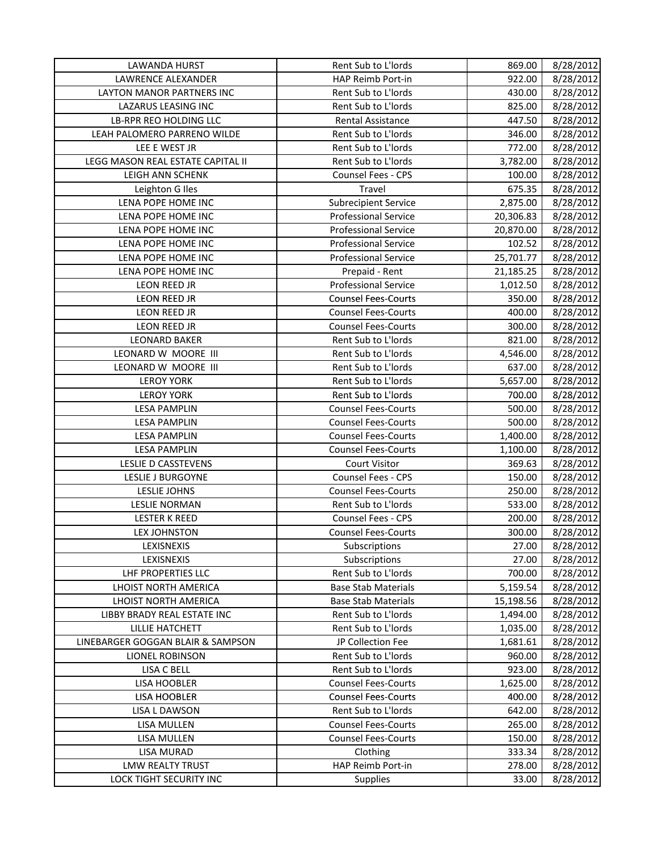| LAWANDA HURST                       | Rent Sub to L'Iords         | 869.00             | 8/28/2012              |
|-------------------------------------|-----------------------------|--------------------|------------------------|
| LAWRENCE ALEXANDER                  | HAP Reimb Port-in           | 922.00             | 8/28/2012              |
| <b>LAYTON MANOR PARTNERS INC</b>    | Rent Sub to L'Iords         | 430.00             | 8/28/2012              |
| <b>LAZARUS LEASING INC</b>          | Rent Sub to L'Iords         | 825.00             | 8/28/2012              |
| LB-RPR REO HOLDING LLC              | Rental Assistance           | 447.50             | 8/28/2012              |
| LEAH PALOMERO PARRENO WILDE         | Rent Sub to L'Iords         | 346.00             | 8/28/2012              |
| LEE E WEST JR                       | Rent Sub to L'Iords         | 772.00             | 8/28/2012              |
| LEGG MASON REAL ESTATE CAPITAL II   | Rent Sub to L'Iords         | 3,782.00           | 8/28/2012              |
| LEIGH ANN SCHENK                    | Counsel Fees - CPS          | 100.00             | 8/28/2012              |
| Leighton G Iles                     | Travel                      | 675.35             | 8/28/2012              |
| LENA POPE HOME INC                  | <b>Subrecipient Service</b> | 2,875.00           | 8/28/2012              |
| LENA POPE HOME INC                  | <b>Professional Service</b> | 20,306.83          | 8/28/2012              |
| LENA POPE HOME INC                  | <b>Professional Service</b> | 20,870.00          | 8/28/2012              |
| LENA POPE HOME INC                  | <b>Professional Service</b> | 102.52             | 8/28/2012              |
| LENA POPE HOME INC                  | <b>Professional Service</b> | 25,701.77          | 8/28/2012              |
| LENA POPE HOME INC                  | Prepaid - Rent              | 21,185.25          | 8/28/2012              |
| LEON REED JR                        | <b>Professional Service</b> | 1,012.50           | 8/28/2012              |
| LEON REED JR                        | <b>Counsel Fees-Courts</b>  | 350.00             | 8/28/2012              |
| LEON REED JR                        | <b>Counsel Fees-Courts</b>  | 400.00             | 8/28/2012              |
| LEON REED JR                        | <b>Counsel Fees-Courts</b>  | 300.00             | 8/28/2012              |
| <b>LEONARD BAKER</b>                | Rent Sub to L'Iords         | 821.00             | 8/28/2012              |
| LEONARD W MOORE III                 | Rent Sub to L'Iords         | 4,546.00           | 8/28/2012              |
| LEONARD W MOORE III                 | Rent Sub to L'Iords         | 637.00             | 8/28/2012              |
| <b>LEROY YORK</b>                   | Rent Sub to L'Iords         | 5,657.00           | 8/28/2012              |
| <b>LEROY YORK</b>                   | Rent Sub to L'Iords         | 700.00             | 8/28/2012              |
| <b>LESA PAMPLIN</b>                 | <b>Counsel Fees-Courts</b>  | 500.00             | 8/28/2012              |
| <b>LESA PAMPLIN</b>                 | <b>Counsel Fees-Courts</b>  | 500.00             | 8/28/2012              |
| <b>LESA PAMPLIN</b>                 | <b>Counsel Fees-Courts</b>  | 1,400.00           | 8/28/2012              |
| <b>LESA PAMPLIN</b>                 | <b>Counsel Fees-Courts</b>  | 1,100.00           | 8/28/2012              |
| LESLIE D CASSTEVENS                 | <b>Court Visitor</b>        | 369.63             | 8/28/2012              |
| LESLIE J BURGOYNE                   | <b>Counsel Fees - CPS</b>   | 150.00             | 8/28/2012              |
| <b>LESLIE JOHNS</b>                 | <b>Counsel Fees-Courts</b>  | 250.00             | 8/28/2012              |
| <b>LESLIE NORMAN</b>                | Rent Sub to L'Iords         | 533.00             | 8/28/2012              |
| <b>LESTER K REED</b>                | Counsel Fees - CPS          | 200.00             | 8/28/2012              |
| <b>LEX JOHNSTON</b>                 | <b>Counsel Fees-Courts</b>  | 300.00             | 8/28/2012              |
| LEXISNEXIS                          | Subscriptions               | 27.00              | 8/28/2012              |
| LEXISNEXIS                          | Subscriptions               | 27.00              | 8/28/2012              |
| LHF PROPERTIES LLC                  | Rent Sub to L'Iords         | 700.00             | 8/28/2012              |
| LHOIST NORTH AMERICA                | <b>Base Stab Materials</b>  | 5,159.54           | 8/28/2012              |
| LHOIST NORTH AMERICA                | <b>Base Stab Materials</b>  | 15,198.56          | 8/28/2012              |
| LIBBY BRADY REAL ESTATE INC         | Rent Sub to L'Iords         | 1,494.00           | 8/28/2012              |
| <b>LILLIE HATCHETT</b>              | Rent Sub to L'Iords         | 1,035.00           | 8/28/2012              |
| LINEBARGER GOGGAN BLAIR & SAMPSON   | JP Collection Fee           | 1,681.61           | 8/28/2012              |
| LIONEL ROBINSON                     | Rent Sub to L'Iords         | 960.00             | 8/28/2012              |
| LISA C BELL                         | Rent Sub to L'Iords         | 923.00             | 8/28/2012              |
|                                     | <b>Counsel Fees-Courts</b>  |                    |                        |
| LISA HOOBLER<br><b>LISA HOOBLER</b> | <b>Counsel Fees-Courts</b>  | 1,625.00<br>400.00 | 8/28/2012<br>8/28/2012 |
|                                     | Rent Sub to L'Iords         |                    |                        |
| LISA L DAWSON                       |                             | 642.00             | 8/28/2012              |
| LISA MULLEN                         | <b>Counsel Fees-Courts</b>  | 265.00             | 8/28/2012              |
| LISA MULLEN                         | <b>Counsel Fees-Courts</b>  | 150.00             | 8/28/2012              |
| <b>LISA MURAD</b>                   | Clothing                    | 333.34             | 8/28/2012              |
| <b>LMW REALTY TRUST</b>             | HAP Reimb Port-in           | 278.00             | 8/28/2012              |
| LOCK TIGHT SECURITY INC             | Supplies                    | 33.00              | 8/28/2012              |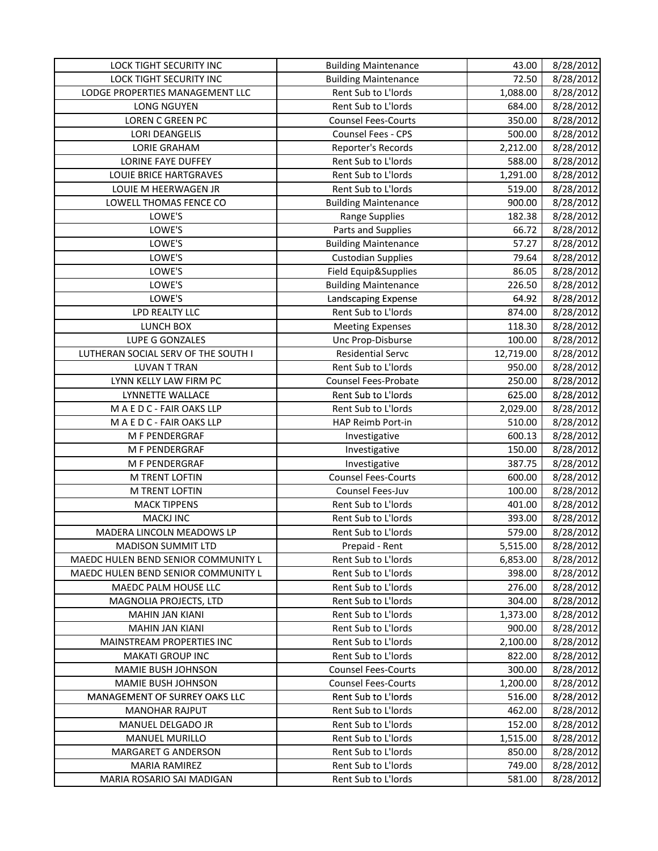| LOCK TIGHT SECURITY INC             | <b>Building Maintenance</b> | 43.00     | 8/28/2012 |
|-------------------------------------|-----------------------------|-----------|-----------|
| <b>LOCK TIGHT SECURITY INC</b>      | <b>Building Maintenance</b> | 72.50     | 8/28/2012 |
| LODGE PROPERTIES MANAGEMENT LLC     | Rent Sub to L'Iords         | 1,088.00  | 8/28/2012 |
| LONG NGUYEN                         | Rent Sub to L'Iords         | 684.00    | 8/28/2012 |
| LOREN C GREEN PC                    | <b>Counsel Fees-Courts</b>  | 350.00    | 8/28/2012 |
| <b>LORI DEANGELIS</b>               | Counsel Fees - CPS          | 500.00    | 8/28/2012 |
| <b>LORIE GRAHAM</b>                 | Reporter's Records          | 2,212.00  | 8/28/2012 |
| <b>LORINE FAYE DUFFEY</b>           | Rent Sub to L'Iords         | 588.00    | 8/28/2012 |
| <b>LOUIE BRICE HARTGRAVES</b>       | Rent Sub to L'Iords         | 1,291.00  | 8/28/2012 |
| LOUIE M HEERWAGEN JR                | Rent Sub to L'Iords         | 519.00    | 8/28/2012 |
| LOWELL THOMAS FENCE CO              | <b>Building Maintenance</b> | 900.00    | 8/28/2012 |
| LOWE'S                              | <b>Range Supplies</b>       | 182.38    | 8/28/2012 |
| LOWE'S                              | Parts and Supplies          | 66.72     | 8/28/2012 |
| LOWE'S                              | <b>Building Maintenance</b> | 57.27     | 8/28/2012 |
| LOWE'S                              | <b>Custodian Supplies</b>   | 79.64     | 8/28/2012 |
| LOWE'S                              | Field Equip&Supplies        | 86.05     | 8/28/2012 |
| LOWE'S                              | <b>Building Maintenance</b> | 226.50    | 8/28/2012 |
| LOWE'S                              | Landscaping Expense         | 64.92     | 8/28/2012 |
| LPD REALTY LLC                      | Rent Sub to L'Iords         | 874.00    | 8/28/2012 |
| LUNCH BOX                           | <b>Meeting Expenses</b>     | 118.30    | 8/28/2012 |
| LUPE G GONZALES                     | Unc Prop-Disburse           | 100.00    | 8/28/2012 |
| LUTHERAN SOCIAL SERV OF THE SOUTH I | <b>Residential Servc</b>    | 12,719.00 | 8/28/2012 |
| <b>LUVAN T TRAN</b>                 | Rent Sub to L'Iords         | 950.00    | 8/28/2012 |
| LYNN KELLY LAW FIRM PC              | Counsel Fees-Probate        | 250.00    | 8/28/2012 |
| LYNNETTE WALLACE                    | Rent Sub to L'Iords         | 625.00    | 8/28/2012 |
| MAEDC-FAIR OAKS LLP                 | Rent Sub to L'Iords         | 2,029.00  | 8/28/2012 |
| M A E D C - FAIR OAKS LLP           | HAP Reimb Port-in           | 510.00    | 8/28/2012 |
| M F PENDERGRAF                      | Investigative               | 600.13    | 8/28/2012 |
| M F PENDERGRAF                      | Investigative               | 150.00    | 8/28/2012 |
| M F PENDERGRAF                      | Investigative               | 387.75    | 8/28/2012 |
| M TRENT LOFTIN                      | <b>Counsel Fees-Courts</b>  | 600.00    | 8/28/2012 |
| M TRENT LOFTIN                      | Counsel Fees-Juv            | 100.00    | 8/28/2012 |
| <b>MACK TIPPENS</b>                 | Rent Sub to L'Iords         | 401.00    | 8/28/2012 |
| <b>MACKJ INC</b>                    | Rent Sub to L'Iords         | 393.00    | 8/28/2012 |
| MADERA LINCOLN MEADOWS LP           | Rent Sub to L'Iords         | 579.00    | 8/28/2012 |
| <b>MADISON SUMMIT LTD</b>           | Prepaid - Rent              | 5,515.00  | 8/28/2012 |
| MAEDC HULEN BEND SENIOR COMMUNITY L | Rent Sub to L'Iords         | 6,853.00  | 8/28/2012 |
| MAEDC HULEN BEND SENIOR COMMUNITY L | Rent Sub to L'Iords         | 398.00    | 8/28/2012 |
| MAEDC PALM HOUSE LLC                | Rent Sub to L'Iords         | 276.00    | 8/28/2012 |
| MAGNOLIA PROJECTS, LTD              | Rent Sub to L'Iords         | 304.00    | 8/28/2012 |
| <b>MAHIN JAN KIANI</b>              | Rent Sub to L'Iords         | 1,373.00  | 8/28/2012 |
| <b>MAHIN JAN KIANI</b>              | Rent Sub to L'Iords         | 900.00    | 8/28/2012 |
| MAINSTREAM PROPERTIES INC           | Rent Sub to L'Iords         | 2,100.00  | 8/28/2012 |
| <b>MAKATI GROUP INC</b>             | Rent Sub to L'Iords         | 822.00    | 8/28/2012 |
| MAMIE BUSH JOHNSON                  | <b>Counsel Fees-Courts</b>  | 300.00    | 8/28/2012 |
| MAMIE BUSH JOHNSON                  | <b>Counsel Fees-Courts</b>  | 1,200.00  | 8/28/2012 |
| MANAGEMENT OF SURREY OAKS LLC       | Rent Sub to L'Iords         | 516.00    | 8/28/2012 |
| <b>MANOHAR RAJPUT</b>               | Rent Sub to L'Iords         | 462.00    | 8/28/2012 |
| MANUEL DELGADO JR                   | Rent Sub to L'Iords         | 152.00    | 8/28/2012 |
| MANUEL MURILLO                      | Rent Sub to L'Iords         | 1,515.00  | 8/28/2012 |
| MARGARET G ANDERSON                 | Rent Sub to L'Iords         | 850.00    | 8/28/2012 |
| MARIA RAMIREZ                       | Rent Sub to L'Iords         | 749.00    | 8/28/2012 |
| MARIA ROSARIO SAI MADIGAN           | Rent Sub to L'Iords         | 581.00    | 8/28/2012 |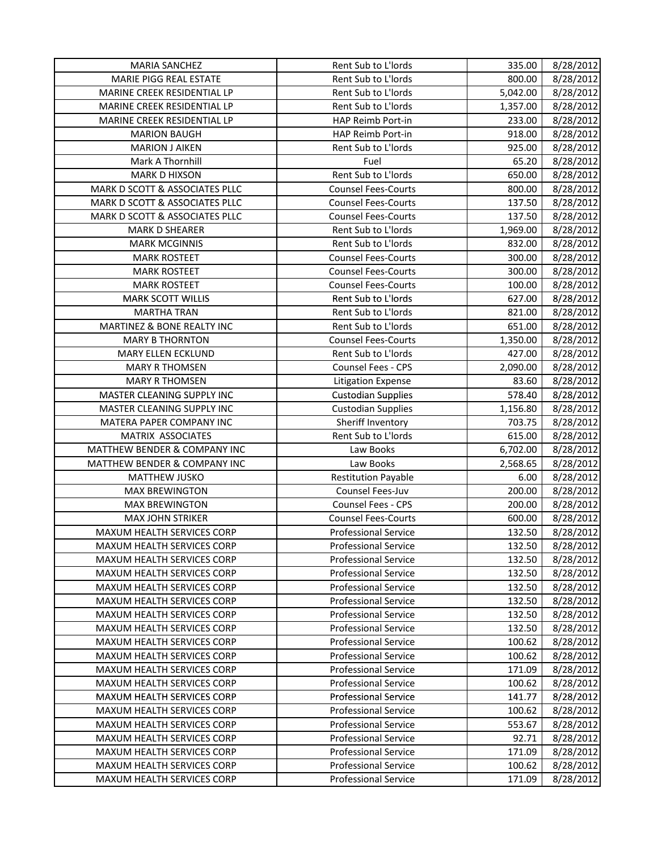| <b>MARIA SANCHEZ</b>           | Rent Sub to L'Iords         | 335.00   | 8/28/2012 |
|--------------------------------|-----------------------------|----------|-----------|
| MARIE PIGG REAL ESTATE         | Rent Sub to L'Iords         | 800.00   | 8/28/2012 |
| MARINE CREEK RESIDENTIAL LP    | Rent Sub to L'Iords         | 5,042.00 | 8/28/2012 |
| MARINE CREEK RESIDENTIAL LP    | Rent Sub to L'Iords         | 1,357.00 | 8/28/2012 |
| MARINE CREEK RESIDENTIAL LP    | HAP Reimb Port-in           | 233.00   | 8/28/2012 |
| <b>MARION BAUGH</b>            | HAP Reimb Port-in           | 918.00   | 8/28/2012 |
| <b>MARION J AIKEN</b>          | Rent Sub to L'Iords         | 925.00   | 8/28/2012 |
| Mark A Thornhill               | Fuel                        | 65.20    | 8/28/2012 |
| <b>MARK D HIXSON</b>           | Rent Sub to L'Iords         | 650.00   | 8/28/2012 |
| MARK D SCOTT & ASSOCIATES PLLC | <b>Counsel Fees-Courts</b>  | 800.00   | 8/28/2012 |
| MARK D SCOTT & ASSOCIATES PLLC | <b>Counsel Fees-Courts</b>  | 137.50   | 8/28/2012 |
| MARK D SCOTT & ASSOCIATES PLLC | <b>Counsel Fees-Courts</b>  | 137.50   | 8/28/2012 |
| <b>MARK D SHEARER</b>          | Rent Sub to L'Iords         | 1,969.00 | 8/28/2012 |
| <b>MARK MCGINNIS</b>           | Rent Sub to L'Iords         | 832.00   | 8/28/2012 |
| <b>MARK ROSTEET</b>            | <b>Counsel Fees-Courts</b>  | 300.00   | 8/28/2012 |
| <b>MARK ROSTEET</b>            | <b>Counsel Fees-Courts</b>  | 300.00   | 8/28/2012 |
| <b>MARK ROSTEET</b>            | <b>Counsel Fees-Courts</b>  | 100.00   | 8/28/2012 |
| <b>MARK SCOTT WILLIS</b>       | Rent Sub to L'Iords         | 627.00   | 8/28/2012 |
| <b>MARTHA TRAN</b>             | Rent Sub to L'Iords         | 821.00   | 8/28/2012 |
| MARTINEZ & BONE REALTY INC     | Rent Sub to L'Iords         | 651.00   | 8/28/2012 |
| <b>MARY B THORNTON</b>         | <b>Counsel Fees-Courts</b>  | 1,350.00 | 8/28/2012 |
| MARY ELLEN ECKLUND             | Rent Sub to L'Iords         | 427.00   | 8/28/2012 |
| <b>MARY R THOMSEN</b>          | Counsel Fees - CPS          | 2,090.00 | 8/28/2012 |
| <b>MARY R THOMSEN</b>          | <b>Litigation Expense</b>   | 83.60    | 8/28/2012 |
| MASTER CLEANING SUPPLY INC     | <b>Custodian Supplies</b>   | 578.40   | 8/28/2012 |
| MASTER CLEANING SUPPLY INC     | <b>Custodian Supplies</b>   | 1,156.80 | 8/28/2012 |
| MATERA PAPER COMPANY INC       | Sheriff Inventory           | 703.75   | 8/28/2012 |
| MATRIX ASSOCIATES              | Rent Sub to L'Iords         | 615.00   | 8/28/2012 |
| MATTHEW BENDER & COMPANY INC   | Law Books                   | 6,702.00 | 8/28/2012 |
| MATTHEW BENDER & COMPANY INC   | Law Books                   | 2,568.65 | 8/28/2012 |
| <b>MATTHEW JUSKO</b>           | <b>Restitution Payable</b>  | 6.00     | 8/28/2012 |
| <b>MAX BREWINGTON</b>          | Counsel Fees-Juv            | 200.00   | 8/28/2012 |
| <b>MAX BREWINGTON</b>          | Counsel Fees - CPS          | 200.00   | 8/28/2012 |
| <b>MAX JOHN STRIKER</b>        | <b>Counsel Fees-Courts</b>  | 600.00   | 8/28/2012 |
| MAXUM HEALTH SERVICES CORP     | <b>Professional Service</b> | 132.50   | 8/28/2012 |
| MAXUM HEALTH SERVICES CORP     | <b>Professional Service</b> | 132.50   | 8/28/2012 |
| MAXUM HEALTH SERVICES CORP     | <b>Professional Service</b> | 132.50   | 8/28/2012 |
| MAXUM HEALTH SERVICES CORP     | <b>Professional Service</b> | 132.50   | 8/28/2012 |
| MAXUM HEALTH SERVICES CORP     | <b>Professional Service</b> | 132.50   | 8/28/2012 |
| MAXUM HEALTH SERVICES CORP     | <b>Professional Service</b> | 132.50   | 8/28/2012 |
| MAXUM HEALTH SERVICES CORP     | <b>Professional Service</b> | 132.50   | 8/28/2012 |
| MAXUM HEALTH SERVICES CORP     | <b>Professional Service</b> | 132.50   | 8/28/2012 |
| MAXUM HEALTH SERVICES CORP     | <b>Professional Service</b> | 100.62   | 8/28/2012 |
| MAXUM HEALTH SERVICES CORP     | <b>Professional Service</b> | 100.62   | 8/28/2012 |
| MAXUM HEALTH SERVICES CORP     | <b>Professional Service</b> | 171.09   | 8/28/2012 |
| MAXUM HEALTH SERVICES CORP     | <b>Professional Service</b> | 100.62   | 8/28/2012 |
| MAXUM HEALTH SERVICES CORP     | <b>Professional Service</b> | 141.77   | 8/28/2012 |
| MAXUM HEALTH SERVICES CORP     | <b>Professional Service</b> | 100.62   | 8/28/2012 |
| MAXUM HEALTH SERVICES CORP     | <b>Professional Service</b> | 553.67   | 8/28/2012 |
| MAXUM HEALTH SERVICES CORP     | <b>Professional Service</b> | 92.71    | 8/28/2012 |
| MAXUM HEALTH SERVICES CORP     | <b>Professional Service</b> | 171.09   | 8/28/2012 |
| MAXUM HEALTH SERVICES CORP     | <b>Professional Service</b> | 100.62   | 8/28/2012 |
| MAXUM HEALTH SERVICES CORP     | <b>Professional Service</b> | 171.09   | 8/28/2012 |
|                                |                             |          |           |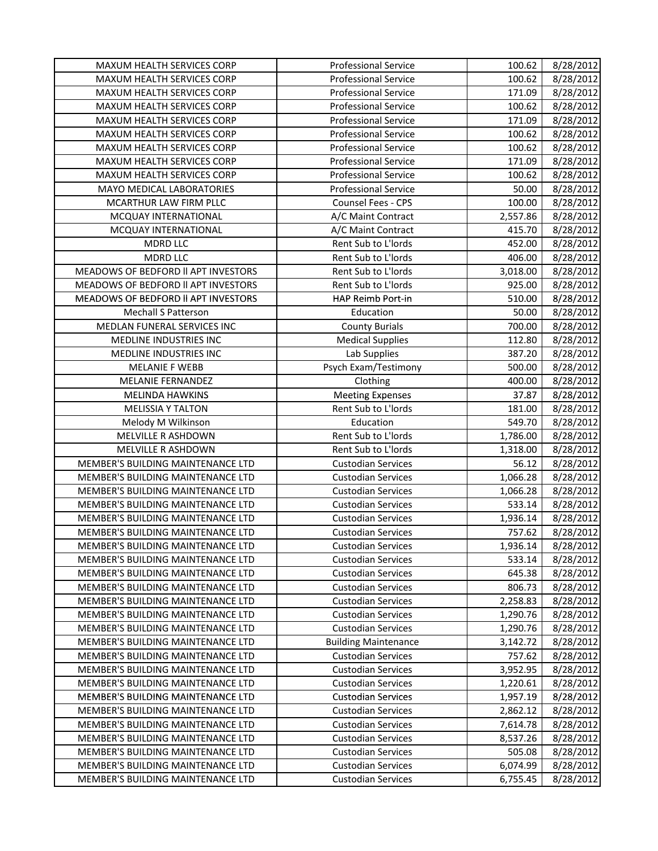| MAXUM HEALTH SERVICES CORP          | <b>Professional Service</b> | 100.62   | 8/28/2012 |
|-------------------------------------|-----------------------------|----------|-----------|
| MAXUM HEALTH SERVICES CORP          | <b>Professional Service</b> | 100.62   | 8/28/2012 |
| MAXUM HEALTH SERVICES CORP          | <b>Professional Service</b> | 171.09   | 8/28/2012 |
| MAXUM HEALTH SERVICES CORP          | <b>Professional Service</b> | 100.62   | 8/28/2012 |
| MAXUM HEALTH SERVICES CORP          | <b>Professional Service</b> | 171.09   | 8/28/2012 |
| MAXUM HEALTH SERVICES CORP          | <b>Professional Service</b> | 100.62   | 8/28/2012 |
| MAXUM HEALTH SERVICES CORP          | <b>Professional Service</b> | 100.62   | 8/28/2012 |
| MAXUM HEALTH SERVICES CORP          | <b>Professional Service</b> | 171.09   | 8/28/2012 |
| MAXUM HEALTH SERVICES CORP          | <b>Professional Service</b> | 100.62   | 8/28/2012 |
| MAYO MEDICAL LABORATORIES           | <b>Professional Service</b> | 50.00    | 8/28/2012 |
| MCARTHUR LAW FIRM PLLC              | Counsel Fees - CPS          | 100.00   | 8/28/2012 |
| MCQUAY INTERNATIONAL                | A/C Maint Contract          | 2,557.86 | 8/28/2012 |
| MCQUAY INTERNATIONAL                | A/C Maint Contract          | 415.70   | 8/28/2012 |
| <b>MDRD LLC</b>                     | Rent Sub to L'Iords         | 452.00   | 8/28/2012 |
| <b>MDRD LLC</b>                     | Rent Sub to L'Iords         | 406.00   | 8/28/2012 |
| MEADOWS OF BEDFORD II APT INVESTORS | Rent Sub to L'Iords         | 3,018.00 | 8/28/2012 |
| MEADOWS OF BEDFORD II APT INVESTORS | Rent Sub to L'Iords         | 925.00   | 8/28/2012 |
| MEADOWS OF BEDFORD II APT INVESTORS | HAP Reimb Port-in           | 510.00   | 8/28/2012 |
| <b>Mechall S Patterson</b>          | Education                   | 50.00    | 8/28/2012 |
| MEDLAN FUNERAL SERVICES INC         | <b>County Burials</b>       | 700.00   | 8/28/2012 |
| MEDLINE INDUSTRIES INC              | <b>Medical Supplies</b>     | 112.80   | 8/28/2012 |
| MEDLINE INDUSTRIES INC              | Lab Supplies                | 387.20   | 8/28/2012 |
| <b>MELANIE F WEBB</b>               | Psych Exam/Testimony        | 500.00   | 8/28/2012 |
| <b>MELANIE FERNANDEZ</b>            | Clothing                    | 400.00   | 8/28/2012 |
| <b>MELINDA HAWKINS</b>              | <b>Meeting Expenses</b>     | 37.87    | 8/28/2012 |
| <b>MELISSIA Y TALTON</b>            | Rent Sub to L'Iords         | 181.00   | 8/28/2012 |
| Melody M Wilkinson                  | Education                   | 549.70   | 8/28/2012 |
| MELVILLE R ASHDOWN                  | Rent Sub to L'Iords         | 1,786.00 | 8/28/2012 |
| MELVILLE R ASHDOWN                  | Rent Sub to L'Iords         | 1,318.00 | 8/28/2012 |
| MEMBER'S BUILDING MAINTENANCE LTD   | <b>Custodian Services</b>   | 56.12    | 8/28/2012 |
| MEMBER'S BUILDING MAINTENANCE LTD   | <b>Custodian Services</b>   | 1,066.28 | 8/28/2012 |
| MEMBER'S BUILDING MAINTENANCE LTD   | <b>Custodian Services</b>   | 1,066.28 | 8/28/2012 |
| MEMBER'S BUILDING MAINTENANCE LTD   | <b>Custodian Services</b>   | 533.14   | 8/28/2012 |
| MEMBER'S BUILDING MAINTENANCE LTD   | <b>Custodian Services</b>   | 1,936.14 | 8/28/2012 |
| MEMBER'S BUILDING MAINTENANCE LTD   | <b>Custodian Services</b>   | 757.62   | 8/28/2012 |
| MEMBER'S BUILDING MAINTENANCE LTD   | <b>Custodian Services</b>   | 1,936.14 | 8/28/2012 |
| MEMBER'S BUILDING MAINTENANCE LTD   | <b>Custodian Services</b>   | 533.14   | 8/28/2012 |
| MEMBER'S BUILDING MAINTENANCE LTD   | <b>Custodian Services</b>   | 645.38   | 8/28/2012 |
| MEMBER'S BUILDING MAINTENANCE LTD   | <b>Custodian Services</b>   | 806.73   | 8/28/2012 |
| MEMBER'S BUILDING MAINTENANCE LTD   | <b>Custodian Services</b>   | 2,258.83 | 8/28/2012 |
| MEMBER'S BUILDING MAINTENANCE LTD   | <b>Custodian Services</b>   | 1,290.76 | 8/28/2012 |
| MEMBER'S BUILDING MAINTENANCE LTD   | <b>Custodian Services</b>   | 1,290.76 | 8/28/2012 |
| MEMBER'S BUILDING MAINTENANCE LTD   | <b>Building Maintenance</b> | 3,142.72 | 8/28/2012 |
| MEMBER'S BUILDING MAINTENANCE LTD   | <b>Custodian Services</b>   | 757.62   | 8/28/2012 |
| MEMBER'S BUILDING MAINTENANCE LTD   | <b>Custodian Services</b>   | 3,952.95 | 8/28/2012 |
| MEMBER'S BUILDING MAINTENANCE LTD   | <b>Custodian Services</b>   | 1,220.61 | 8/28/2012 |
| MEMBER'S BUILDING MAINTENANCE LTD   | <b>Custodian Services</b>   | 1,957.19 | 8/28/2012 |
| MEMBER'S BUILDING MAINTENANCE LTD   | <b>Custodian Services</b>   | 2,862.12 | 8/28/2012 |
| MEMBER'S BUILDING MAINTENANCE LTD   | <b>Custodian Services</b>   | 7,614.78 | 8/28/2012 |
| MEMBER'S BUILDING MAINTENANCE LTD   | <b>Custodian Services</b>   | 8,537.26 | 8/28/2012 |
| MEMBER'S BUILDING MAINTENANCE LTD   | <b>Custodian Services</b>   | 505.08   | 8/28/2012 |
| MEMBER'S BUILDING MAINTENANCE LTD   | <b>Custodian Services</b>   | 6,074.99 | 8/28/2012 |
| MEMBER'S BUILDING MAINTENANCE LTD   | <b>Custodian Services</b>   | 6,755.45 | 8/28/2012 |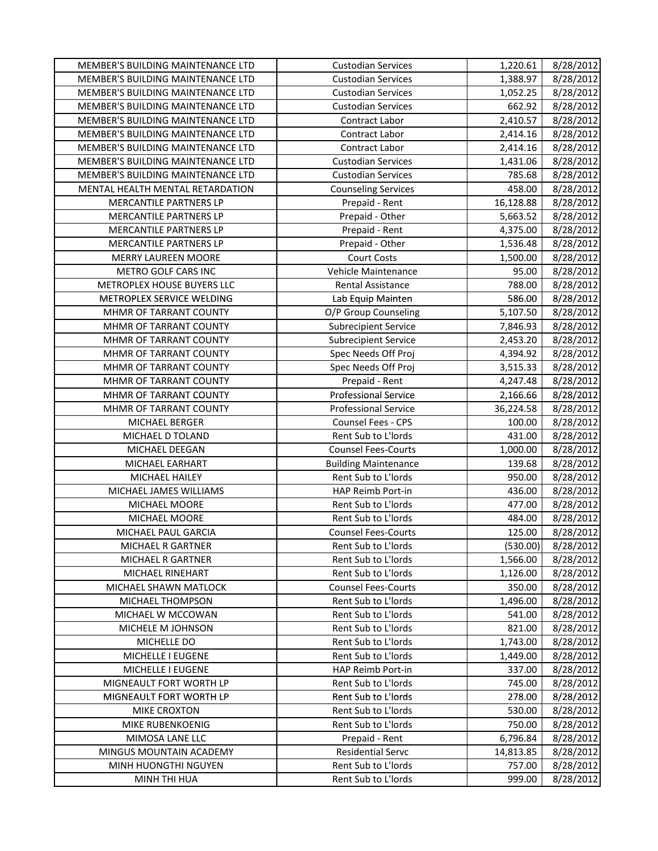| MEMBER'S BUILDING MAINTENANCE LTD | <b>Custodian Services</b>   | 1,220.61  | 8/28/2012 |
|-----------------------------------|-----------------------------|-----------|-----------|
| MEMBER'S BUILDING MAINTENANCE LTD | <b>Custodian Services</b>   | 1,388.97  | 8/28/2012 |
| MEMBER'S BUILDING MAINTENANCE LTD | <b>Custodian Services</b>   | 1,052.25  | 8/28/2012 |
| MEMBER'S BUILDING MAINTENANCE LTD | <b>Custodian Services</b>   | 662.92    | 8/28/2012 |
| MEMBER'S BUILDING MAINTENANCE LTD | <b>Contract Labor</b>       | 2,410.57  | 8/28/2012 |
| MEMBER'S BUILDING MAINTENANCE LTD | Contract Labor              | 2,414.16  | 8/28/2012 |
| MEMBER'S BUILDING MAINTENANCE LTD | Contract Labor              | 2,414.16  | 8/28/2012 |
| MEMBER'S BUILDING MAINTENANCE LTD | <b>Custodian Services</b>   | 1,431.06  | 8/28/2012 |
| MEMBER'S BUILDING MAINTENANCE LTD | <b>Custodian Services</b>   | 785.68    | 8/28/2012 |
| MENTAL HEALTH MENTAL RETARDATION  | <b>Counseling Services</b>  | 458.00    | 8/28/2012 |
| MERCANTILE PARTNERS LP            | Prepaid - Rent              | 16,128.88 | 8/28/2012 |
| MERCANTILE PARTNERS LP            | Prepaid - Other             | 5,663.52  | 8/28/2012 |
| MERCANTILE PARTNERS LP            | Prepaid - Rent              | 4,375.00  | 8/28/2012 |
| MERCANTILE PARTNERS LP            | Prepaid - Other             | 1,536.48  | 8/28/2012 |
| <b>MERRY LAUREEN MOORE</b>        | <b>Court Costs</b>          | 1,500.00  | 8/28/2012 |
| METRO GOLF CARS INC               | Vehicle Maintenance         | 95.00     | 8/28/2012 |
| METROPLEX HOUSE BUYERS LLC        | Rental Assistance           | 788.00    | 8/28/2012 |
| METROPLEX SERVICE WELDING         | Lab Equip Mainten           | 586.00    | 8/28/2012 |
| MHMR OF TARRANT COUNTY            | O/P Group Counseling        | 5,107.50  | 8/28/2012 |
| MHMR OF TARRANT COUNTY            | <b>Subrecipient Service</b> | 7,846.93  | 8/28/2012 |
| MHMR OF TARRANT COUNTY            | <b>Subrecipient Service</b> | 2,453.20  | 8/28/2012 |
| MHMR OF TARRANT COUNTY            | Spec Needs Off Proj         | 4,394.92  | 8/28/2012 |
| MHMR OF TARRANT COUNTY            | Spec Needs Off Proj         | 3,515.33  | 8/28/2012 |
| MHMR OF TARRANT COUNTY            | Prepaid - Rent              | 4,247.48  | 8/28/2012 |
| MHMR OF TARRANT COUNTY            | <b>Professional Service</b> | 2,166.66  | 8/28/2012 |
| MHMR OF TARRANT COUNTY            | <b>Professional Service</b> | 36,224.58 | 8/28/2012 |
| MICHAEL BERGER                    | Counsel Fees - CPS          | 100.00    | 8/28/2012 |
| MICHAEL D TOLAND                  | Rent Sub to L'Iords         | 431.00    | 8/28/2012 |
| MICHAEL DEEGAN                    | <b>Counsel Fees-Courts</b>  | 1,000.00  | 8/28/2012 |
| MICHAEL EARHART                   | <b>Building Maintenance</b> | 139.68    | 8/28/2012 |
| MICHAEL HAILEY                    | Rent Sub to L'Iords         | 950.00    | 8/28/2012 |
| MICHAEL JAMES WILLIAMS            | HAP Reimb Port-in           | 436.00    | 8/28/2012 |
| MICHAEL MOORE                     | Rent Sub to L'Iords         | 477.00    | 8/28/2012 |
| MICHAEL MOORE                     | Rent Sub to L'Iords         | 484.00    | 8/28/2012 |
| MICHAEL PAUL GARCIA               | <b>Counsel Fees-Courts</b>  | 125.00    | 8/28/2012 |
| MICHAEL R GARTNER                 | Rent Sub to L'Iords         | (530.00)  | 8/28/2012 |
| MICHAEL R GARTNER                 | Rent Sub to L'Iords         | 1,566.00  | 8/28/2012 |
| MICHAEL RINEHART                  | Rent Sub to L'Iords         | 1,126.00  | 8/28/2012 |
| MICHAEL SHAWN MATLOCK             | <b>Counsel Fees-Courts</b>  | 350.00    | 8/28/2012 |
| MICHAEL THOMPSON                  | Rent Sub to L'Iords         | 1,496.00  | 8/28/2012 |
| MICHAEL W MCCOWAN                 | Rent Sub to L'Iords         | 541.00    | 8/28/2012 |
| MICHELE M JOHNSON                 | Rent Sub to L'Iords         | 821.00    | 8/28/2012 |
| MICHELLE DO                       | Rent Sub to L'Iords         | 1,743.00  | 8/28/2012 |
| MICHELLE I EUGENE                 | Rent Sub to L'Iords         | 1,449.00  | 8/28/2012 |
| MICHELLE I EUGENE                 | HAP Reimb Port-in           | 337.00    | 8/28/2012 |
| MIGNEAULT FORT WORTH LP           | Rent Sub to L'Iords         | 745.00    | 8/28/2012 |
| MIGNEAULT FORT WORTH LP           | Rent Sub to L'Iords         | 278.00    | 8/28/2012 |
| MIKE CROXTON                      | Rent Sub to L'Iords         | 530.00    | 8/28/2012 |
| MIKE RUBENKOENIG                  | Rent Sub to L'Iords         | 750.00    | 8/28/2012 |
| MIMOSA LANE LLC                   | Prepaid - Rent              | 6,796.84  | 8/28/2012 |
| MINGUS MOUNTAIN ACADEMY           | <b>Residential Servc</b>    | 14,813.85 | 8/28/2012 |
| MINH HUONGTHI NGUYEN              | Rent Sub to L'Iords         | 757.00    | 8/28/2012 |
| MINH THI HUA                      | Rent Sub to L'Iords         | 999.00    | 8/28/2012 |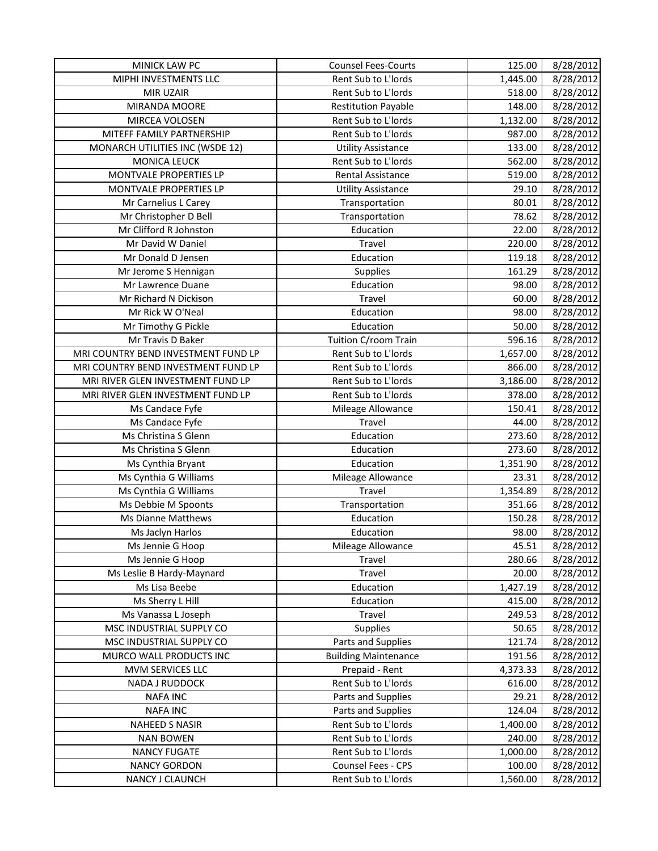| MINICK LAW PC                       | <b>Counsel Fees-Courts</b>  | 125.00   | 8/28/2012 |
|-------------------------------------|-----------------------------|----------|-----------|
| MIPHI INVESTMENTS LLC               | Rent Sub to L'Iords         | 1,445.00 | 8/28/2012 |
| MIR UZAIR                           | Rent Sub to L'Iords         | 518.00   | 8/28/2012 |
| MIRANDA MOORE                       | <b>Restitution Payable</b>  | 148.00   | 8/28/2012 |
| MIRCEA VOLOSEN                      | Rent Sub to L'Iords         | 1,132.00 | 8/28/2012 |
| MITEFF FAMILY PARTNERSHIP           | Rent Sub to L'Iords         | 987.00   | 8/28/2012 |
| MONARCH UTILITIES INC (WSDE 12)     | <b>Utility Assistance</b>   | 133.00   | 8/28/2012 |
| <b>MONICA LEUCK</b>                 | Rent Sub to L'Iords         | 562.00   | 8/28/2012 |
| MONTVALE PROPERTIES LP              | Rental Assistance           | 519.00   | 8/28/2012 |
| MONTVALE PROPERTIES LP              | <b>Utility Assistance</b>   | 29.10    | 8/28/2012 |
| Mr Carnelius L Carey                | Transportation              | 80.01    | 8/28/2012 |
| Mr Christopher D Bell               | Transportation              | 78.62    | 8/28/2012 |
| Mr Clifford R Johnston              | Education                   | 22.00    | 8/28/2012 |
| Mr David W Daniel                   | Travel                      | 220.00   | 8/28/2012 |
| Mr Donald D Jensen                  | Education                   | 119.18   | 8/28/2012 |
| Mr Jerome S Hennigan                | Supplies                    | 161.29   | 8/28/2012 |
| Mr Lawrence Duane                   | Education                   | 98.00    | 8/28/2012 |
| Mr Richard N Dickison               | Travel                      | 60.00    | 8/28/2012 |
| Mr Rick W O'Neal                    | Education                   | 98.00    | 8/28/2012 |
| Mr Timothy G Pickle                 | Education                   | 50.00    | 8/28/2012 |
| Mr Travis D Baker                   | Tuition C/room Train        | 596.16   | 8/28/2012 |
| MRI COUNTRY BEND INVESTMENT FUND LP | Rent Sub to L'Iords         | 1,657.00 | 8/28/2012 |
| MRI COUNTRY BEND INVESTMENT FUND LP | Rent Sub to L'Iords         | 866.00   | 8/28/2012 |
| MRI RIVER GLEN INVESTMENT FUND LP   | Rent Sub to L'Iords         | 3,186.00 | 8/28/2012 |
| MRI RIVER GLEN INVESTMENT FUND LP   | Rent Sub to L'Iords         | 378.00   | 8/28/2012 |
| Ms Candace Fyfe                     | Mileage Allowance           | 150.41   | 8/28/2012 |
| Ms Candace Fyfe                     | Travel                      | 44.00    | 8/28/2012 |
| Ms Christina S Glenn                | Education                   | 273.60   | 8/28/2012 |
| Ms Christina S Glenn                | Education                   | 273.60   | 8/28/2012 |
| Ms Cynthia Bryant                   | Education                   | 1,351.90 | 8/28/2012 |
| Ms Cynthia G Williams               | Mileage Allowance           | 23.31    | 8/28/2012 |
| Ms Cynthia G Williams               | <b>Travel</b>               | 1,354.89 | 8/28/2012 |
| Ms Debbie M Spoonts                 | Transportation              | 351.66   | 8/28/2012 |
| <b>Ms Dianne Matthews</b>           | Education                   | 150.28   | 8/28/2012 |
| Ms Jaclyn Harlos                    | Education                   | 98.00    | 8/28/2012 |
| Ms Jennie G Hoop                    | Mileage Allowance           | 45.51    | 8/28/2012 |
| Ms Jennie G Hoop                    | Travel                      | 280.66   | 8/28/2012 |
| Ms Leslie B Hardy-Maynard           | Travel                      | 20.00    | 8/28/2012 |
| Ms Lisa Beebe                       | Education                   | 1,427.19 | 8/28/2012 |
| Ms Sherry L Hill                    | Education                   | 415.00   | 8/28/2012 |
| Ms Vanassa L Joseph                 | Travel                      | 249.53   | 8/28/2012 |
| MSC INDUSTRIAL SUPPLY CO            | Supplies                    | 50.65    | 8/28/2012 |
| MSC INDUSTRIAL SUPPLY CO            | Parts and Supplies          | 121.74   | 8/28/2012 |
| MURCO WALL PRODUCTS INC             | <b>Building Maintenance</b> | 191.56   | 8/28/2012 |
| MVM SERVICES LLC                    | Prepaid - Rent              | 4,373.33 | 8/28/2012 |
| NADA J RUDDOCK                      | Rent Sub to L'Iords         | 616.00   | 8/28/2012 |
| <b>NAFA INC</b>                     | Parts and Supplies          | 29.21    | 8/28/2012 |
| <b>NAFA INC</b>                     | Parts and Supplies          | 124.04   | 8/28/2012 |
| NAHEED S NASIR                      | Rent Sub to L'Iords         | 1,400.00 | 8/28/2012 |
| <b>NAN BOWEN</b>                    | Rent Sub to L'Iords         | 240.00   | 8/28/2012 |
| <b>NANCY FUGATE</b>                 | Rent Sub to L'Iords         | 1,000.00 | 8/28/2012 |
| <b>NANCY GORDON</b>                 | Counsel Fees - CPS          | 100.00   | 8/28/2012 |
| NANCY J CLAUNCH                     | Rent Sub to L'Iords         | 1,560.00 | 8/28/2012 |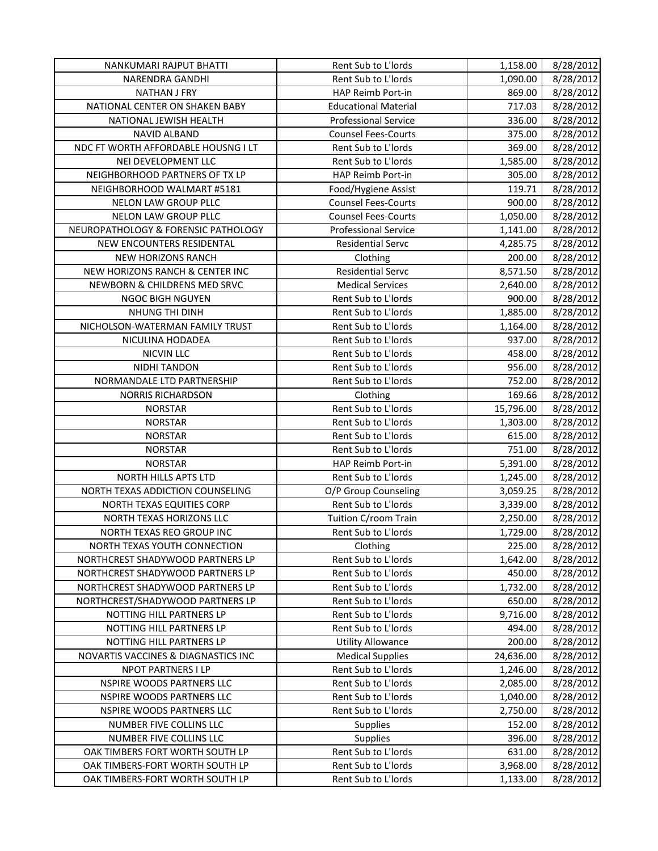| NANKUMARI RAJPUT BHATTI             | Rent Sub to L'Iords         | 1,158.00  | 8/28/2012 |
|-------------------------------------|-----------------------------|-----------|-----------|
| <b>NARENDRA GANDHI</b>              | Rent Sub to L'Iords         | 1,090.00  | 8/28/2012 |
| <b>NATHAN J FRY</b>                 | HAP Reimb Port-in           | 869.00    | 8/28/2012 |
| NATIONAL CENTER ON SHAKEN BABY      | <b>Educational Material</b> | 717.03    | 8/28/2012 |
| NATIONAL JEWISH HEALTH              | <b>Professional Service</b> | 336.00    | 8/28/2012 |
| <b>NAVID ALBAND</b>                 | <b>Counsel Fees-Courts</b>  | 375.00    | 8/28/2012 |
| NDC FT WORTH AFFORDABLE HOUSNG I LT | Rent Sub to L'Iords         | 369.00    | 8/28/2012 |
| NEI DEVELOPMENT LLC                 | Rent Sub to L'Iords         | 1,585.00  | 8/28/2012 |
| NEIGHBORHOOD PARTNERS OF TX LP      | HAP Reimb Port-in           | 305.00    | 8/28/2012 |
| NEIGHBORHOOD WALMART #5181          | Food/Hygiene Assist         | 119.71    | 8/28/2012 |
| NELON LAW GROUP PLLC                | <b>Counsel Fees-Courts</b>  | 900.00    | 8/28/2012 |
| NELON LAW GROUP PLLC                | <b>Counsel Fees-Courts</b>  | 1,050.00  | 8/28/2012 |
| NEUROPATHOLOGY & FORENSIC PATHOLOGY | <b>Professional Service</b> | 1,141.00  | 8/28/2012 |
| NEW ENCOUNTERS RESIDENTAL           | <b>Residential Servc</b>    | 4,285.75  | 8/28/2012 |
| NEW HORIZONS RANCH                  | Clothing                    | 200.00    | 8/28/2012 |
| NEW HORIZONS RANCH & CENTER INC     | <b>Residential Servc</b>    | 8,571.50  | 8/28/2012 |
| NEWBORN & CHILDRENS MED SRVC        | <b>Medical Services</b>     | 2,640.00  | 8/28/2012 |
| <b>NGOC BIGH NGUYEN</b>             | Rent Sub to L'Iords         | 900.00    | 8/28/2012 |
| NHUNG THI DINH                      | Rent Sub to L'Iords         | 1,885.00  | 8/28/2012 |
| NICHOLSON-WATERMAN FAMILY TRUST     | Rent Sub to L'Iords         | 1,164.00  | 8/28/2012 |
| NICULINA HODADEA                    | Rent Sub to L'Iords         | 937.00    | 8/28/2012 |
| <b>NICVIN LLC</b>                   | Rent Sub to L'Iords         | 458.00    | 8/28/2012 |
| <b>NIDHI TANDON</b>                 | Rent Sub to L'Iords         | 956.00    | 8/28/2012 |
| NORMANDALE LTD PARTNERSHIP          | Rent Sub to L'Iords         | 752.00    | 8/28/2012 |
| <b>NORRIS RICHARDSON</b>            | Clothing                    | 169.66    | 8/28/2012 |
| <b>NORSTAR</b>                      | Rent Sub to L'Iords         | 15,796.00 | 8/28/2012 |
| <b>NORSTAR</b>                      | Rent Sub to L'Iords         | 1,303.00  | 8/28/2012 |
| <b>NORSTAR</b>                      | Rent Sub to L'Iords         | 615.00    | 8/28/2012 |
| <b>NORSTAR</b>                      | Rent Sub to L'Iords         | 751.00    | 8/28/2012 |
| <b>NORSTAR</b>                      | HAP Reimb Port-in           | 5,391.00  | 8/28/2012 |
| NORTH HILLS APTS LTD                | Rent Sub to L'Iords         | 1,245.00  | 8/28/2012 |
| NORTH TEXAS ADDICTION COUNSELING    | O/P Group Counseling        | 3,059.25  | 8/28/2012 |
| NORTH TEXAS EQUITIES CORP           | Rent Sub to L'Iords         | 3,339.00  | 8/28/2012 |
| NORTH TEXAS HORIZONS LLC            | Tuition C/room Train        | 2,250.00  | 8/28/2012 |
| NORTH TEXAS REO GROUP INC           | Rent Sub to L'Iords         | 1,729.00  | 8/28/2012 |
| NORTH TEXAS YOUTH CONNECTION        | Clothing                    | 225.00    | 8/28/2012 |
| NORTHCREST SHADYWOOD PARTNERS LP    | Rent Sub to L'Iords         | 1,642.00  | 8/28/2012 |
| NORTHCREST SHADYWOOD PARTNERS LP    | Rent Sub to L'Iords         | 450.00    | 8/28/2012 |
| NORTHCREST SHADYWOOD PARTNERS LP    | Rent Sub to L'Iords         | 1,732.00  | 8/28/2012 |
| NORTHCREST/SHADYWOOD PARTNERS LP    | Rent Sub to L'Iords         | 650.00    | 8/28/2012 |
| NOTTING HILL PARTNERS LP            | Rent Sub to L'Iords         | 9,716.00  | 8/28/2012 |
| NOTTING HILL PARTNERS LP            | Rent Sub to L'Iords         | 494.00    | 8/28/2012 |
| NOTTING HILL PARTNERS LP            | <b>Utility Allowance</b>    | 200.00    | 8/28/2012 |
| NOVARTIS VACCINES & DIAGNASTICS INC | <b>Medical Supplies</b>     | 24,636.00 | 8/28/2012 |
| NPOT PARTNERS I LP                  | Rent Sub to L'Iords         | 1,246.00  | 8/28/2012 |
| NSPIRE WOODS PARTNERS LLC           | Rent Sub to L'Iords         | 2,085.00  | 8/28/2012 |
| NSPIRE WOODS PARTNERS LLC           | Rent Sub to L'Iords         | 1,040.00  | 8/28/2012 |
| NSPIRE WOODS PARTNERS LLC           | Rent Sub to L'Iords         | 2,750.00  | 8/28/2012 |
| NUMBER FIVE COLLINS LLC             | Supplies                    | 152.00    | 8/28/2012 |
| NUMBER FIVE COLLINS LLC             | Supplies                    | 396.00    | 8/28/2012 |
| OAK TIMBERS FORT WORTH SOUTH LP     | Rent Sub to L'Iords         | 631.00    | 8/28/2012 |
| OAK TIMBERS-FORT WORTH SOUTH LP     | Rent Sub to L'Iords         | 3,968.00  | 8/28/2012 |
| OAK TIMBERS-FORT WORTH SOUTH LP     | Rent Sub to L'Iords         | 1,133.00  | 8/28/2012 |
|                                     |                             |           |           |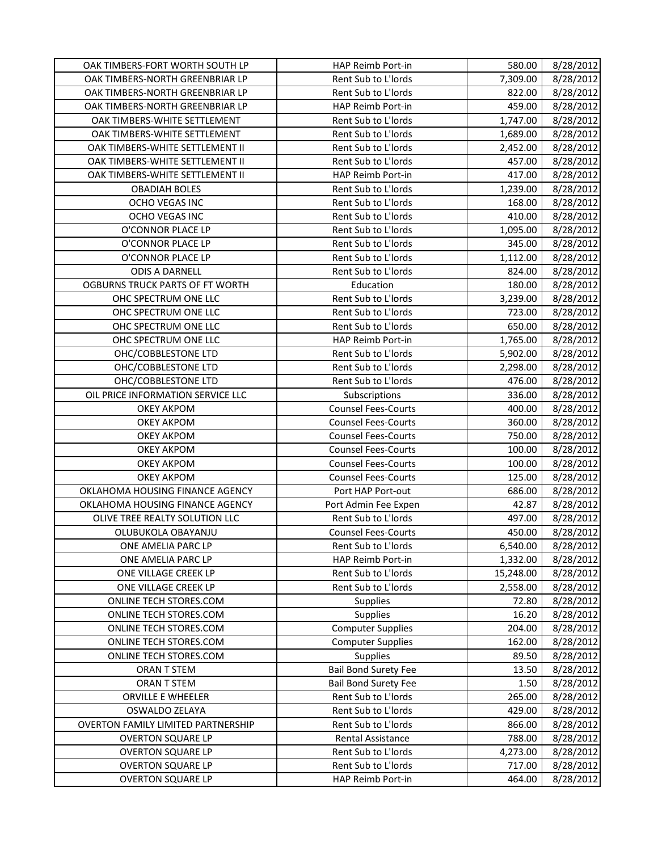| OAK TIMBERS-NORTH GREENBRIAR LP<br>Rent Sub to L'Iords<br>8/28/2012<br>7,309.00<br>8/28/2012<br>OAK TIMBERS-NORTH GREENBRIAR LP<br>Rent Sub to L'Iords<br>822.00<br>OAK TIMBERS-NORTH GREENBRIAR LP<br>HAP Reimb Port-in<br>459.00<br>8/28/2012<br>OAK TIMBERS-WHITE SETTLEMENT<br>Rent Sub to L'Iords<br>8/28/2012<br>1,747.00<br>OAK TIMBERS-WHITE SETTLEMENT<br>Rent Sub to L'Iords<br>8/28/2012<br>1,689.00<br>OAK TIMBERS-WHITE SETTLEMENT II<br>Rent Sub to L'Iords<br>2,452.00<br>8/28/2012<br>OAK TIMBERS-WHITE SETTLEMENT II<br>Rent Sub to L'Iords<br>457.00<br>8/28/2012<br>OAK TIMBERS-WHITE SETTLEMENT II<br>8/28/2012<br><b>HAP Reimb Port-in</b><br>417.00<br>Rent Sub to L'Iords<br>8/28/2012<br><b>OBADIAH BOLES</b><br>1,239.00<br>8/28/2012<br>OCHO VEGAS INC<br>Rent Sub to L'Iords<br>168.00<br>OCHO VEGAS INC<br>Rent Sub to L'Iords<br>410.00<br>8/28/2012<br>O'CONNOR PLACE LP<br>Rent Sub to L'Iords<br>1,095.00<br>8/28/2012<br>O'CONNOR PLACE LP<br>Rent Sub to L'Iords<br>345.00<br>8/28/2012<br>8/28/2012<br>O'CONNOR PLACE LP<br>Rent Sub to L'Iords<br>1,112.00<br>Rent Sub to L'Iords<br>8/28/2012<br><b>ODIS A DARNELL</b><br>824.00<br>Education<br>8/28/2012<br>OGBURNS TRUCK PARTS OF FT WORTH<br>180.00<br>OHC SPECTRUM ONE LLC<br>Rent Sub to L'Iords<br>3,239.00<br>8/28/2012<br>8/28/2012<br>OHC SPECTRUM ONE LLC<br>Rent Sub to L'Iords<br>723.00<br>OHC SPECTRUM ONE LLC<br>Rent Sub to L'Iords<br>650.00<br>8/28/2012<br>OHC SPECTRUM ONE LLC<br>HAP Reimb Port-in<br>1,765.00<br>8/28/2012<br>Rent Sub to L'Iords<br>8/28/2012<br>OHC/COBBLESTONE LTD<br>5,902.00<br>Rent Sub to L'Iords<br>2,298.00<br>8/28/2012<br>OHC/COBBLESTONE LTD<br>Rent Sub to L'Iords<br>476.00<br>8/28/2012<br>OHC/COBBLESTONE LTD<br>OIL PRICE INFORMATION SERVICE LLC<br>8/28/2012<br>Subscriptions<br>336.00<br>8/28/2012<br><b>OKEY AKPOM</b><br><b>Counsel Fees-Courts</b><br>400.00<br><b>OKEY AKPOM</b><br><b>Counsel Fees-Courts</b><br>360.00<br>8/28/2012<br><b>OKEY AKPOM</b><br>750.00<br>8/28/2012<br><b>Counsel Fees-Courts</b><br>100.00<br>8/28/2012<br><b>OKEY AKPOM</b><br><b>Counsel Fees-Courts</b><br><b>OKEY AKPOM</b><br>100.00<br>8/28/2012<br><b>Counsel Fees-Courts</b><br><b>OKEY AKPOM</b><br><b>Counsel Fees-Courts</b><br>125.00<br>8/28/2012<br>OKLAHOMA HOUSING FINANCE AGENCY<br>686.00<br>Port HAP Port-out<br>8/28/2012<br>OKLAHOMA HOUSING FINANCE AGENCY<br>Port Admin Fee Expen<br>42.87<br>8/28/2012<br>OLIVE TREE REALTY SOLUTION LLC<br>Rent Sub to L'Iords<br>497.00<br>8/28/2012<br>OLUBUKOLA OBAYANJU<br><b>Counsel Fees-Courts</b><br>450.00<br>8/28/2012<br>Rent Sub to L'Iords<br>6,540.00<br>8/28/2012<br>ONE AMELIA PARC LP<br>ONE AMELIA PARC LP<br>HAP Reimb Port-in<br>1,332.00<br>8/28/2012<br>8/28/2012<br>ONE VILLAGE CREEK LP<br>Rent Sub to L'Iords<br>15,248.00<br>ONE VILLAGE CREEK LP<br>Rent Sub to L'Iords<br>8/28/2012<br>2,558.00<br><b>Supplies</b><br>ONLINE TECH STORES.COM<br>72.80<br>8/28/2012<br>ONLINE TECH STORES.COM<br><b>Supplies</b><br>16.20<br><b>Computer Supplies</b><br>ONLINE TECH STORES.COM<br>204.00<br>8/28/2012<br><b>Computer Supplies</b><br>ONLINE TECH STORES.COM<br>162.00<br>8/28/2012<br>ONLINE TECH STORES.COM<br><b>Supplies</b><br>8/28/2012<br>89.50<br><b>Bail Bond Surety Fee</b><br>ORAN T STEM<br>13.50<br>8/28/2012<br><b>Bail Bond Surety Fee</b><br>ORAN T STEM<br>1.50<br>8/28/2012<br>ORVILLE E WHEELER<br>Rent Sub to L'Iords<br>265.00<br>8/28/2012<br>Rent Sub to L'Iords<br>8/28/2012<br>OSWALDO ZELAYA<br>429.00<br>8/28/2012<br><b>OVERTON FAMILY LIMITED PARTNERSHIP</b><br>Rent Sub to L'Iords<br>866.00<br><b>OVERTON SQUARE LP</b><br>Rental Assistance<br>788.00<br>8/28/2012<br><b>OVERTON SQUARE LP</b><br>Rent Sub to L'Iords<br>4,273.00<br>8/28/2012<br>Rent Sub to L'Iords<br><b>OVERTON SQUARE LP</b><br>717.00<br>8/28/2012 | OAK TIMBERS-FORT WORTH SOUTH LP | <b>HAP Reimb Port-in</b> | 580.00 | 8/28/2012 |
|-----------------------------------------------------------------------------------------------------------------------------------------------------------------------------------------------------------------------------------------------------------------------------------------------------------------------------------------------------------------------------------------------------------------------------------------------------------------------------------------------------------------------------------------------------------------------------------------------------------------------------------------------------------------------------------------------------------------------------------------------------------------------------------------------------------------------------------------------------------------------------------------------------------------------------------------------------------------------------------------------------------------------------------------------------------------------------------------------------------------------------------------------------------------------------------------------------------------------------------------------------------------------------------------------------------------------------------------------------------------------------------------------------------------------------------------------------------------------------------------------------------------------------------------------------------------------------------------------------------------------------------------------------------------------------------------------------------------------------------------------------------------------------------------------------------------------------------------------------------------------------------------------------------------------------------------------------------------------------------------------------------------------------------------------------------------------------------------------------------------------------------------------------------------------------------------------------------------------------------------------------------------------------------------------------------------------------------------------------------------------------------------------------------------------------------------------------------------------------------------------------------------------------------------------------------------------------------------------------------------------------------------------------------------------------------------------------------------------------------------------------------------------------------------------------------------------------------------------------------------------------------------------------------------------------------------------------------------------------------------------------------------------------------------------------------------------------------------------------------------------------------------------------------------------------------------------------------------------------------------------------------------------------------------------------------------------------------------------------------------------------------------------------------------------------------------------------------------------------------------------------------------------------------------------------------------------------------------------------------------------------------------------------------------------------------------------------------------------------------------------------------------------------------------------------------------------------------------------------------------------------------|---------------------------------|--------------------------|--------|-----------|
|                                                                                                                                                                                                                                                                                                                                                                                                                                                                                                                                                                                                                                                                                                                                                                                                                                                                                                                                                                                                                                                                                                                                                                                                                                                                                                                                                                                                                                                                                                                                                                                                                                                                                                                                                                                                                                                                                                                                                                                                                                                                                                                                                                                                                                                                                                                                                                                                                                                                                                                                                                                                                                                                                                                                                                                                                                                                                                                                                                                                                                                                                                                                                                                                                                                                                                                                                                                                                                                                                                                                                                                                                                                                                                                                                                                                                                                                                   |                                 |                          |        |           |
|                                                                                                                                                                                                                                                                                                                                                                                                                                                                                                                                                                                                                                                                                                                                                                                                                                                                                                                                                                                                                                                                                                                                                                                                                                                                                                                                                                                                                                                                                                                                                                                                                                                                                                                                                                                                                                                                                                                                                                                                                                                                                                                                                                                                                                                                                                                                                                                                                                                                                                                                                                                                                                                                                                                                                                                                                                                                                                                                                                                                                                                                                                                                                                                                                                                                                                                                                                                                                                                                                                                                                                                                                                                                                                                                                                                                                                                                                   |                                 |                          |        |           |
| 8/28/2012                                                                                                                                                                                                                                                                                                                                                                                                                                                                                                                                                                                                                                                                                                                                                                                                                                                                                                                                                                                                                                                                                                                                                                                                                                                                                                                                                                                                                                                                                                                                                                                                                                                                                                                                                                                                                                                                                                                                                                                                                                                                                                                                                                                                                                                                                                                                                                                                                                                                                                                                                                                                                                                                                                                                                                                                                                                                                                                                                                                                                                                                                                                                                                                                                                                                                                                                                                                                                                                                                                                                                                                                                                                                                                                                                                                                                                                                         |                                 |                          |        |           |
|                                                                                                                                                                                                                                                                                                                                                                                                                                                                                                                                                                                                                                                                                                                                                                                                                                                                                                                                                                                                                                                                                                                                                                                                                                                                                                                                                                                                                                                                                                                                                                                                                                                                                                                                                                                                                                                                                                                                                                                                                                                                                                                                                                                                                                                                                                                                                                                                                                                                                                                                                                                                                                                                                                                                                                                                                                                                                                                                                                                                                                                                                                                                                                                                                                                                                                                                                                                                                                                                                                                                                                                                                                                                                                                                                                                                                                                                                   |                                 |                          |        |           |
|                                                                                                                                                                                                                                                                                                                                                                                                                                                                                                                                                                                                                                                                                                                                                                                                                                                                                                                                                                                                                                                                                                                                                                                                                                                                                                                                                                                                                                                                                                                                                                                                                                                                                                                                                                                                                                                                                                                                                                                                                                                                                                                                                                                                                                                                                                                                                                                                                                                                                                                                                                                                                                                                                                                                                                                                                                                                                                                                                                                                                                                                                                                                                                                                                                                                                                                                                                                                                                                                                                                                                                                                                                                                                                                                                                                                                                                                                   |                                 |                          |        |           |
|                                                                                                                                                                                                                                                                                                                                                                                                                                                                                                                                                                                                                                                                                                                                                                                                                                                                                                                                                                                                                                                                                                                                                                                                                                                                                                                                                                                                                                                                                                                                                                                                                                                                                                                                                                                                                                                                                                                                                                                                                                                                                                                                                                                                                                                                                                                                                                                                                                                                                                                                                                                                                                                                                                                                                                                                                                                                                                                                                                                                                                                                                                                                                                                                                                                                                                                                                                                                                                                                                                                                                                                                                                                                                                                                                                                                                                                                                   |                                 |                          |        |           |
|                                                                                                                                                                                                                                                                                                                                                                                                                                                                                                                                                                                                                                                                                                                                                                                                                                                                                                                                                                                                                                                                                                                                                                                                                                                                                                                                                                                                                                                                                                                                                                                                                                                                                                                                                                                                                                                                                                                                                                                                                                                                                                                                                                                                                                                                                                                                                                                                                                                                                                                                                                                                                                                                                                                                                                                                                                                                                                                                                                                                                                                                                                                                                                                                                                                                                                                                                                                                                                                                                                                                                                                                                                                                                                                                                                                                                                                                                   |                                 |                          |        |           |
|                                                                                                                                                                                                                                                                                                                                                                                                                                                                                                                                                                                                                                                                                                                                                                                                                                                                                                                                                                                                                                                                                                                                                                                                                                                                                                                                                                                                                                                                                                                                                                                                                                                                                                                                                                                                                                                                                                                                                                                                                                                                                                                                                                                                                                                                                                                                                                                                                                                                                                                                                                                                                                                                                                                                                                                                                                                                                                                                                                                                                                                                                                                                                                                                                                                                                                                                                                                                                                                                                                                                                                                                                                                                                                                                                                                                                                                                                   |                                 |                          |        |           |
|                                                                                                                                                                                                                                                                                                                                                                                                                                                                                                                                                                                                                                                                                                                                                                                                                                                                                                                                                                                                                                                                                                                                                                                                                                                                                                                                                                                                                                                                                                                                                                                                                                                                                                                                                                                                                                                                                                                                                                                                                                                                                                                                                                                                                                                                                                                                                                                                                                                                                                                                                                                                                                                                                                                                                                                                                                                                                                                                                                                                                                                                                                                                                                                                                                                                                                                                                                                                                                                                                                                                                                                                                                                                                                                                                                                                                                                                                   |                                 |                          |        |           |
|                                                                                                                                                                                                                                                                                                                                                                                                                                                                                                                                                                                                                                                                                                                                                                                                                                                                                                                                                                                                                                                                                                                                                                                                                                                                                                                                                                                                                                                                                                                                                                                                                                                                                                                                                                                                                                                                                                                                                                                                                                                                                                                                                                                                                                                                                                                                                                                                                                                                                                                                                                                                                                                                                                                                                                                                                                                                                                                                                                                                                                                                                                                                                                                                                                                                                                                                                                                                                                                                                                                                                                                                                                                                                                                                                                                                                                                                                   |                                 |                          |        |           |
|                                                                                                                                                                                                                                                                                                                                                                                                                                                                                                                                                                                                                                                                                                                                                                                                                                                                                                                                                                                                                                                                                                                                                                                                                                                                                                                                                                                                                                                                                                                                                                                                                                                                                                                                                                                                                                                                                                                                                                                                                                                                                                                                                                                                                                                                                                                                                                                                                                                                                                                                                                                                                                                                                                                                                                                                                                                                                                                                                                                                                                                                                                                                                                                                                                                                                                                                                                                                                                                                                                                                                                                                                                                                                                                                                                                                                                                                                   |                                 |                          |        |           |
|                                                                                                                                                                                                                                                                                                                                                                                                                                                                                                                                                                                                                                                                                                                                                                                                                                                                                                                                                                                                                                                                                                                                                                                                                                                                                                                                                                                                                                                                                                                                                                                                                                                                                                                                                                                                                                                                                                                                                                                                                                                                                                                                                                                                                                                                                                                                                                                                                                                                                                                                                                                                                                                                                                                                                                                                                                                                                                                                                                                                                                                                                                                                                                                                                                                                                                                                                                                                                                                                                                                                                                                                                                                                                                                                                                                                                                                                                   |                                 |                          |        |           |
|                                                                                                                                                                                                                                                                                                                                                                                                                                                                                                                                                                                                                                                                                                                                                                                                                                                                                                                                                                                                                                                                                                                                                                                                                                                                                                                                                                                                                                                                                                                                                                                                                                                                                                                                                                                                                                                                                                                                                                                                                                                                                                                                                                                                                                                                                                                                                                                                                                                                                                                                                                                                                                                                                                                                                                                                                                                                                                                                                                                                                                                                                                                                                                                                                                                                                                                                                                                                                                                                                                                                                                                                                                                                                                                                                                                                                                                                                   |                                 |                          |        |           |
|                                                                                                                                                                                                                                                                                                                                                                                                                                                                                                                                                                                                                                                                                                                                                                                                                                                                                                                                                                                                                                                                                                                                                                                                                                                                                                                                                                                                                                                                                                                                                                                                                                                                                                                                                                                                                                                                                                                                                                                                                                                                                                                                                                                                                                                                                                                                                                                                                                                                                                                                                                                                                                                                                                                                                                                                                                                                                                                                                                                                                                                                                                                                                                                                                                                                                                                                                                                                                                                                                                                                                                                                                                                                                                                                                                                                                                                                                   |                                 |                          |        |           |
|                                                                                                                                                                                                                                                                                                                                                                                                                                                                                                                                                                                                                                                                                                                                                                                                                                                                                                                                                                                                                                                                                                                                                                                                                                                                                                                                                                                                                                                                                                                                                                                                                                                                                                                                                                                                                                                                                                                                                                                                                                                                                                                                                                                                                                                                                                                                                                                                                                                                                                                                                                                                                                                                                                                                                                                                                                                                                                                                                                                                                                                                                                                                                                                                                                                                                                                                                                                                                                                                                                                                                                                                                                                                                                                                                                                                                                                                                   |                                 |                          |        |           |
|                                                                                                                                                                                                                                                                                                                                                                                                                                                                                                                                                                                                                                                                                                                                                                                                                                                                                                                                                                                                                                                                                                                                                                                                                                                                                                                                                                                                                                                                                                                                                                                                                                                                                                                                                                                                                                                                                                                                                                                                                                                                                                                                                                                                                                                                                                                                                                                                                                                                                                                                                                                                                                                                                                                                                                                                                                                                                                                                                                                                                                                                                                                                                                                                                                                                                                                                                                                                                                                                                                                                                                                                                                                                                                                                                                                                                                                                                   |                                 |                          |        |           |
|                                                                                                                                                                                                                                                                                                                                                                                                                                                                                                                                                                                                                                                                                                                                                                                                                                                                                                                                                                                                                                                                                                                                                                                                                                                                                                                                                                                                                                                                                                                                                                                                                                                                                                                                                                                                                                                                                                                                                                                                                                                                                                                                                                                                                                                                                                                                                                                                                                                                                                                                                                                                                                                                                                                                                                                                                                                                                                                                                                                                                                                                                                                                                                                                                                                                                                                                                                                                                                                                                                                                                                                                                                                                                                                                                                                                                                                                                   |                                 |                          |        |           |
|                                                                                                                                                                                                                                                                                                                                                                                                                                                                                                                                                                                                                                                                                                                                                                                                                                                                                                                                                                                                                                                                                                                                                                                                                                                                                                                                                                                                                                                                                                                                                                                                                                                                                                                                                                                                                                                                                                                                                                                                                                                                                                                                                                                                                                                                                                                                                                                                                                                                                                                                                                                                                                                                                                                                                                                                                                                                                                                                                                                                                                                                                                                                                                                                                                                                                                                                                                                                                                                                                                                                                                                                                                                                                                                                                                                                                                                                                   |                                 |                          |        |           |
|                                                                                                                                                                                                                                                                                                                                                                                                                                                                                                                                                                                                                                                                                                                                                                                                                                                                                                                                                                                                                                                                                                                                                                                                                                                                                                                                                                                                                                                                                                                                                                                                                                                                                                                                                                                                                                                                                                                                                                                                                                                                                                                                                                                                                                                                                                                                                                                                                                                                                                                                                                                                                                                                                                                                                                                                                                                                                                                                                                                                                                                                                                                                                                                                                                                                                                                                                                                                                                                                                                                                                                                                                                                                                                                                                                                                                                                                                   |                                 |                          |        |           |
|                                                                                                                                                                                                                                                                                                                                                                                                                                                                                                                                                                                                                                                                                                                                                                                                                                                                                                                                                                                                                                                                                                                                                                                                                                                                                                                                                                                                                                                                                                                                                                                                                                                                                                                                                                                                                                                                                                                                                                                                                                                                                                                                                                                                                                                                                                                                                                                                                                                                                                                                                                                                                                                                                                                                                                                                                                                                                                                                                                                                                                                                                                                                                                                                                                                                                                                                                                                                                                                                                                                                                                                                                                                                                                                                                                                                                                                                                   |                                 |                          |        |           |
|                                                                                                                                                                                                                                                                                                                                                                                                                                                                                                                                                                                                                                                                                                                                                                                                                                                                                                                                                                                                                                                                                                                                                                                                                                                                                                                                                                                                                                                                                                                                                                                                                                                                                                                                                                                                                                                                                                                                                                                                                                                                                                                                                                                                                                                                                                                                                                                                                                                                                                                                                                                                                                                                                                                                                                                                                                                                                                                                                                                                                                                                                                                                                                                                                                                                                                                                                                                                                                                                                                                                                                                                                                                                                                                                                                                                                                                                                   |                                 |                          |        |           |
|                                                                                                                                                                                                                                                                                                                                                                                                                                                                                                                                                                                                                                                                                                                                                                                                                                                                                                                                                                                                                                                                                                                                                                                                                                                                                                                                                                                                                                                                                                                                                                                                                                                                                                                                                                                                                                                                                                                                                                                                                                                                                                                                                                                                                                                                                                                                                                                                                                                                                                                                                                                                                                                                                                                                                                                                                                                                                                                                                                                                                                                                                                                                                                                                                                                                                                                                                                                                                                                                                                                                                                                                                                                                                                                                                                                                                                                                                   |                                 |                          |        |           |
|                                                                                                                                                                                                                                                                                                                                                                                                                                                                                                                                                                                                                                                                                                                                                                                                                                                                                                                                                                                                                                                                                                                                                                                                                                                                                                                                                                                                                                                                                                                                                                                                                                                                                                                                                                                                                                                                                                                                                                                                                                                                                                                                                                                                                                                                                                                                                                                                                                                                                                                                                                                                                                                                                                                                                                                                                                                                                                                                                                                                                                                                                                                                                                                                                                                                                                                                                                                                                                                                                                                                                                                                                                                                                                                                                                                                                                                                                   |                                 |                          |        |           |
|                                                                                                                                                                                                                                                                                                                                                                                                                                                                                                                                                                                                                                                                                                                                                                                                                                                                                                                                                                                                                                                                                                                                                                                                                                                                                                                                                                                                                                                                                                                                                                                                                                                                                                                                                                                                                                                                                                                                                                                                                                                                                                                                                                                                                                                                                                                                                                                                                                                                                                                                                                                                                                                                                                                                                                                                                                                                                                                                                                                                                                                                                                                                                                                                                                                                                                                                                                                                                                                                                                                                                                                                                                                                                                                                                                                                                                                                                   |                                 |                          |        |           |
|                                                                                                                                                                                                                                                                                                                                                                                                                                                                                                                                                                                                                                                                                                                                                                                                                                                                                                                                                                                                                                                                                                                                                                                                                                                                                                                                                                                                                                                                                                                                                                                                                                                                                                                                                                                                                                                                                                                                                                                                                                                                                                                                                                                                                                                                                                                                                                                                                                                                                                                                                                                                                                                                                                                                                                                                                                                                                                                                                                                                                                                                                                                                                                                                                                                                                                                                                                                                                                                                                                                                                                                                                                                                                                                                                                                                                                                                                   |                                 |                          |        |           |
|                                                                                                                                                                                                                                                                                                                                                                                                                                                                                                                                                                                                                                                                                                                                                                                                                                                                                                                                                                                                                                                                                                                                                                                                                                                                                                                                                                                                                                                                                                                                                                                                                                                                                                                                                                                                                                                                                                                                                                                                                                                                                                                                                                                                                                                                                                                                                                                                                                                                                                                                                                                                                                                                                                                                                                                                                                                                                                                                                                                                                                                                                                                                                                                                                                                                                                                                                                                                                                                                                                                                                                                                                                                                                                                                                                                                                                                                                   |                                 |                          |        |           |
|                                                                                                                                                                                                                                                                                                                                                                                                                                                                                                                                                                                                                                                                                                                                                                                                                                                                                                                                                                                                                                                                                                                                                                                                                                                                                                                                                                                                                                                                                                                                                                                                                                                                                                                                                                                                                                                                                                                                                                                                                                                                                                                                                                                                                                                                                                                                                                                                                                                                                                                                                                                                                                                                                                                                                                                                                                                                                                                                                                                                                                                                                                                                                                                                                                                                                                                                                                                                                                                                                                                                                                                                                                                                                                                                                                                                                                                                                   |                                 |                          |        |           |
|                                                                                                                                                                                                                                                                                                                                                                                                                                                                                                                                                                                                                                                                                                                                                                                                                                                                                                                                                                                                                                                                                                                                                                                                                                                                                                                                                                                                                                                                                                                                                                                                                                                                                                                                                                                                                                                                                                                                                                                                                                                                                                                                                                                                                                                                                                                                                                                                                                                                                                                                                                                                                                                                                                                                                                                                                                                                                                                                                                                                                                                                                                                                                                                                                                                                                                                                                                                                                                                                                                                                                                                                                                                                                                                                                                                                                                                                                   |                                 |                          |        |           |
|                                                                                                                                                                                                                                                                                                                                                                                                                                                                                                                                                                                                                                                                                                                                                                                                                                                                                                                                                                                                                                                                                                                                                                                                                                                                                                                                                                                                                                                                                                                                                                                                                                                                                                                                                                                                                                                                                                                                                                                                                                                                                                                                                                                                                                                                                                                                                                                                                                                                                                                                                                                                                                                                                                                                                                                                                                                                                                                                                                                                                                                                                                                                                                                                                                                                                                                                                                                                                                                                                                                                                                                                                                                                                                                                                                                                                                                                                   |                                 |                          |        |           |
|                                                                                                                                                                                                                                                                                                                                                                                                                                                                                                                                                                                                                                                                                                                                                                                                                                                                                                                                                                                                                                                                                                                                                                                                                                                                                                                                                                                                                                                                                                                                                                                                                                                                                                                                                                                                                                                                                                                                                                                                                                                                                                                                                                                                                                                                                                                                                                                                                                                                                                                                                                                                                                                                                                                                                                                                                                                                                                                                                                                                                                                                                                                                                                                                                                                                                                                                                                                                                                                                                                                                                                                                                                                                                                                                                                                                                                                                                   |                                 |                          |        |           |
|                                                                                                                                                                                                                                                                                                                                                                                                                                                                                                                                                                                                                                                                                                                                                                                                                                                                                                                                                                                                                                                                                                                                                                                                                                                                                                                                                                                                                                                                                                                                                                                                                                                                                                                                                                                                                                                                                                                                                                                                                                                                                                                                                                                                                                                                                                                                                                                                                                                                                                                                                                                                                                                                                                                                                                                                                                                                                                                                                                                                                                                                                                                                                                                                                                                                                                                                                                                                                                                                                                                                                                                                                                                                                                                                                                                                                                                                                   |                                 |                          |        |           |
|                                                                                                                                                                                                                                                                                                                                                                                                                                                                                                                                                                                                                                                                                                                                                                                                                                                                                                                                                                                                                                                                                                                                                                                                                                                                                                                                                                                                                                                                                                                                                                                                                                                                                                                                                                                                                                                                                                                                                                                                                                                                                                                                                                                                                                                                                                                                                                                                                                                                                                                                                                                                                                                                                                                                                                                                                                                                                                                                                                                                                                                                                                                                                                                                                                                                                                                                                                                                                                                                                                                                                                                                                                                                                                                                                                                                                                                                                   |                                 |                          |        |           |
|                                                                                                                                                                                                                                                                                                                                                                                                                                                                                                                                                                                                                                                                                                                                                                                                                                                                                                                                                                                                                                                                                                                                                                                                                                                                                                                                                                                                                                                                                                                                                                                                                                                                                                                                                                                                                                                                                                                                                                                                                                                                                                                                                                                                                                                                                                                                                                                                                                                                                                                                                                                                                                                                                                                                                                                                                                                                                                                                                                                                                                                                                                                                                                                                                                                                                                                                                                                                                                                                                                                                                                                                                                                                                                                                                                                                                                                                                   |                                 |                          |        |           |
|                                                                                                                                                                                                                                                                                                                                                                                                                                                                                                                                                                                                                                                                                                                                                                                                                                                                                                                                                                                                                                                                                                                                                                                                                                                                                                                                                                                                                                                                                                                                                                                                                                                                                                                                                                                                                                                                                                                                                                                                                                                                                                                                                                                                                                                                                                                                                                                                                                                                                                                                                                                                                                                                                                                                                                                                                                                                                                                                                                                                                                                                                                                                                                                                                                                                                                                                                                                                                                                                                                                                                                                                                                                                                                                                                                                                                                                                                   |                                 |                          |        |           |
|                                                                                                                                                                                                                                                                                                                                                                                                                                                                                                                                                                                                                                                                                                                                                                                                                                                                                                                                                                                                                                                                                                                                                                                                                                                                                                                                                                                                                                                                                                                                                                                                                                                                                                                                                                                                                                                                                                                                                                                                                                                                                                                                                                                                                                                                                                                                                                                                                                                                                                                                                                                                                                                                                                                                                                                                                                                                                                                                                                                                                                                                                                                                                                                                                                                                                                                                                                                                                                                                                                                                                                                                                                                                                                                                                                                                                                                                                   |                                 |                          |        |           |
|                                                                                                                                                                                                                                                                                                                                                                                                                                                                                                                                                                                                                                                                                                                                                                                                                                                                                                                                                                                                                                                                                                                                                                                                                                                                                                                                                                                                                                                                                                                                                                                                                                                                                                                                                                                                                                                                                                                                                                                                                                                                                                                                                                                                                                                                                                                                                                                                                                                                                                                                                                                                                                                                                                                                                                                                                                                                                                                                                                                                                                                                                                                                                                                                                                                                                                                                                                                                                                                                                                                                                                                                                                                                                                                                                                                                                                                                                   |                                 |                          |        |           |
|                                                                                                                                                                                                                                                                                                                                                                                                                                                                                                                                                                                                                                                                                                                                                                                                                                                                                                                                                                                                                                                                                                                                                                                                                                                                                                                                                                                                                                                                                                                                                                                                                                                                                                                                                                                                                                                                                                                                                                                                                                                                                                                                                                                                                                                                                                                                                                                                                                                                                                                                                                                                                                                                                                                                                                                                                                                                                                                                                                                                                                                                                                                                                                                                                                                                                                                                                                                                                                                                                                                                                                                                                                                                                                                                                                                                                                                                                   |                                 |                          |        |           |
|                                                                                                                                                                                                                                                                                                                                                                                                                                                                                                                                                                                                                                                                                                                                                                                                                                                                                                                                                                                                                                                                                                                                                                                                                                                                                                                                                                                                                                                                                                                                                                                                                                                                                                                                                                                                                                                                                                                                                                                                                                                                                                                                                                                                                                                                                                                                                                                                                                                                                                                                                                                                                                                                                                                                                                                                                                                                                                                                                                                                                                                                                                                                                                                                                                                                                                                                                                                                                                                                                                                                                                                                                                                                                                                                                                                                                                                                                   |                                 |                          |        |           |
|                                                                                                                                                                                                                                                                                                                                                                                                                                                                                                                                                                                                                                                                                                                                                                                                                                                                                                                                                                                                                                                                                                                                                                                                                                                                                                                                                                                                                                                                                                                                                                                                                                                                                                                                                                                                                                                                                                                                                                                                                                                                                                                                                                                                                                                                                                                                                                                                                                                                                                                                                                                                                                                                                                                                                                                                                                                                                                                                                                                                                                                                                                                                                                                                                                                                                                                                                                                                                                                                                                                                                                                                                                                                                                                                                                                                                                                                                   |                                 |                          |        |           |
|                                                                                                                                                                                                                                                                                                                                                                                                                                                                                                                                                                                                                                                                                                                                                                                                                                                                                                                                                                                                                                                                                                                                                                                                                                                                                                                                                                                                                                                                                                                                                                                                                                                                                                                                                                                                                                                                                                                                                                                                                                                                                                                                                                                                                                                                                                                                                                                                                                                                                                                                                                                                                                                                                                                                                                                                                                                                                                                                                                                                                                                                                                                                                                                                                                                                                                                                                                                                                                                                                                                                                                                                                                                                                                                                                                                                                                                                                   |                                 |                          |        |           |
|                                                                                                                                                                                                                                                                                                                                                                                                                                                                                                                                                                                                                                                                                                                                                                                                                                                                                                                                                                                                                                                                                                                                                                                                                                                                                                                                                                                                                                                                                                                                                                                                                                                                                                                                                                                                                                                                                                                                                                                                                                                                                                                                                                                                                                                                                                                                                                                                                                                                                                                                                                                                                                                                                                                                                                                                                                                                                                                                                                                                                                                                                                                                                                                                                                                                                                                                                                                                                                                                                                                                                                                                                                                                                                                                                                                                                                                                                   |                                 |                          |        |           |
|                                                                                                                                                                                                                                                                                                                                                                                                                                                                                                                                                                                                                                                                                                                                                                                                                                                                                                                                                                                                                                                                                                                                                                                                                                                                                                                                                                                                                                                                                                                                                                                                                                                                                                                                                                                                                                                                                                                                                                                                                                                                                                                                                                                                                                                                                                                                                                                                                                                                                                                                                                                                                                                                                                                                                                                                                                                                                                                                                                                                                                                                                                                                                                                                                                                                                                                                                                                                                                                                                                                                                                                                                                                                                                                                                                                                                                                                                   |                                 |                          |        |           |
|                                                                                                                                                                                                                                                                                                                                                                                                                                                                                                                                                                                                                                                                                                                                                                                                                                                                                                                                                                                                                                                                                                                                                                                                                                                                                                                                                                                                                                                                                                                                                                                                                                                                                                                                                                                                                                                                                                                                                                                                                                                                                                                                                                                                                                                                                                                                                                                                                                                                                                                                                                                                                                                                                                                                                                                                                                                                                                                                                                                                                                                                                                                                                                                                                                                                                                                                                                                                                                                                                                                                                                                                                                                                                                                                                                                                                                                                                   |                                 |                          |        |           |
|                                                                                                                                                                                                                                                                                                                                                                                                                                                                                                                                                                                                                                                                                                                                                                                                                                                                                                                                                                                                                                                                                                                                                                                                                                                                                                                                                                                                                                                                                                                                                                                                                                                                                                                                                                                                                                                                                                                                                                                                                                                                                                                                                                                                                                                                                                                                                                                                                                                                                                                                                                                                                                                                                                                                                                                                                                                                                                                                                                                                                                                                                                                                                                                                                                                                                                                                                                                                                                                                                                                                                                                                                                                                                                                                                                                                                                                                                   |                                 |                          |        |           |
|                                                                                                                                                                                                                                                                                                                                                                                                                                                                                                                                                                                                                                                                                                                                                                                                                                                                                                                                                                                                                                                                                                                                                                                                                                                                                                                                                                                                                                                                                                                                                                                                                                                                                                                                                                                                                                                                                                                                                                                                                                                                                                                                                                                                                                                                                                                                                                                                                                                                                                                                                                                                                                                                                                                                                                                                                                                                                                                                                                                                                                                                                                                                                                                                                                                                                                                                                                                                                                                                                                                                                                                                                                                                                                                                                                                                                                                                                   |                                 |                          |        |           |
|                                                                                                                                                                                                                                                                                                                                                                                                                                                                                                                                                                                                                                                                                                                                                                                                                                                                                                                                                                                                                                                                                                                                                                                                                                                                                                                                                                                                                                                                                                                                                                                                                                                                                                                                                                                                                                                                                                                                                                                                                                                                                                                                                                                                                                                                                                                                                                                                                                                                                                                                                                                                                                                                                                                                                                                                                                                                                                                                                                                                                                                                                                                                                                                                                                                                                                                                                                                                                                                                                                                                                                                                                                                                                                                                                                                                                                                                                   |                                 |                          |        |           |
|                                                                                                                                                                                                                                                                                                                                                                                                                                                                                                                                                                                                                                                                                                                                                                                                                                                                                                                                                                                                                                                                                                                                                                                                                                                                                                                                                                                                                                                                                                                                                                                                                                                                                                                                                                                                                                                                                                                                                                                                                                                                                                                                                                                                                                                                                                                                                                                                                                                                                                                                                                                                                                                                                                                                                                                                                                                                                                                                                                                                                                                                                                                                                                                                                                                                                                                                                                                                                                                                                                                                                                                                                                                                                                                                                                                                                                                                                   |                                 |                          |        |           |
|                                                                                                                                                                                                                                                                                                                                                                                                                                                                                                                                                                                                                                                                                                                                                                                                                                                                                                                                                                                                                                                                                                                                                                                                                                                                                                                                                                                                                                                                                                                                                                                                                                                                                                                                                                                                                                                                                                                                                                                                                                                                                                                                                                                                                                                                                                                                                                                                                                                                                                                                                                                                                                                                                                                                                                                                                                                                                                                                                                                                                                                                                                                                                                                                                                                                                                                                                                                                                                                                                                                                                                                                                                                                                                                                                                                                                                                                                   |                                 |                          |        |           |
|                                                                                                                                                                                                                                                                                                                                                                                                                                                                                                                                                                                                                                                                                                                                                                                                                                                                                                                                                                                                                                                                                                                                                                                                                                                                                                                                                                                                                                                                                                                                                                                                                                                                                                                                                                                                                                                                                                                                                                                                                                                                                                                                                                                                                                                                                                                                                                                                                                                                                                                                                                                                                                                                                                                                                                                                                                                                                                                                                                                                                                                                                                                                                                                                                                                                                                                                                                                                                                                                                                                                                                                                                                                                                                                                                                                                                                                                                   |                                 |                          |        |           |
|                                                                                                                                                                                                                                                                                                                                                                                                                                                                                                                                                                                                                                                                                                                                                                                                                                                                                                                                                                                                                                                                                                                                                                                                                                                                                                                                                                                                                                                                                                                                                                                                                                                                                                                                                                                                                                                                                                                                                                                                                                                                                                                                                                                                                                                                                                                                                                                                                                                                                                                                                                                                                                                                                                                                                                                                                                                                                                                                                                                                                                                                                                                                                                                                                                                                                                                                                                                                                                                                                                                                                                                                                                                                                                                                                                                                                                                                                   |                                 |                          |        |           |
|                                                                                                                                                                                                                                                                                                                                                                                                                                                                                                                                                                                                                                                                                                                                                                                                                                                                                                                                                                                                                                                                                                                                                                                                                                                                                                                                                                                                                                                                                                                                                                                                                                                                                                                                                                                                                                                                                                                                                                                                                                                                                                                                                                                                                                                                                                                                                                                                                                                                                                                                                                                                                                                                                                                                                                                                                                                                                                                                                                                                                                                                                                                                                                                                                                                                                                                                                                                                                                                                                                                                                                                                                                                                                                                                                                                                                                                                                   |                                 |                          |        |           |
|                                                                                                                                                                                                                                                                                                                                                                                                                                                                                                                                                                                                                                                                                                                                                                                                                                                                                                                                                                                                                                                                                                                                                                                                                                                                                                                                                                                                                                                                                                                                                                                                                                                                                                                                                                                                                                                                                                                                                                                                                                                                                                                                                                                                                                                                                                                                                                                                                                                                                                                                                                                                                                                                                                                                                                                                                                                                                                                                                                                                                                                                                                                                                                                                                                                                                                                                                                                                                                                                                                                                                                                                                                                                                                                                                                                                                                                                                   | <b>OVERTON SQUARE LP</b>        | HAP Reimb Port-in        | 464.00 | 8/28/2012 |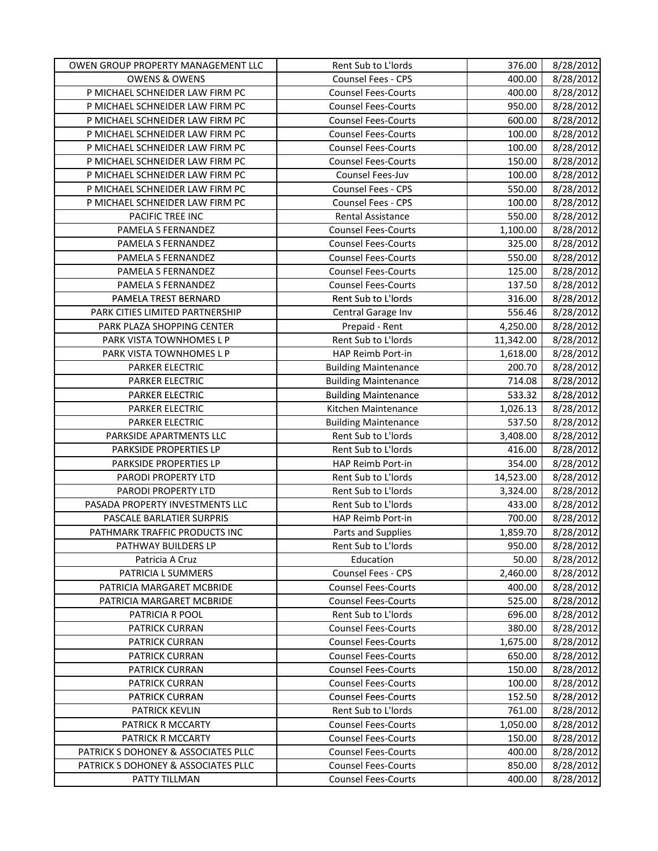| OWEN GROUP PROPERTY MANAGEMENT LLC  | Rent Sub to L'Iords         | 376.00    | 8/28/2012 |
|-------------------------------------|-----------------------------|-----------|-----------|
| <b>OWENS &amp; OWENS</b>            | <b>Counsel Fees - CPS</b>   | 400.00    | 8/28/2012 |
| P MICHAEL SCHNEIDER LAW FIRM PC     | <b>Counsel Fees-Courts</b>  | 400.00    | 8/28/2012 |
| P MICHAEL SCHNEIDER LAW FIRM PC     | <b>Counsel Fees-Courts</b>  | 950.00    | 8/28/2012 |
| P MICHAEL SCHNEIDER LAW FIRM PC     | <b>Counsel Fees-Courts</b>  | 600.00    | 8/28/2012 |
| P MICHAEL SCHNEIDER LAW FIRM PC     | <b>Counsel Fees-Courts</b>  | 100.00    | 8/28/2012 |
| P MICHAEL SCHNEIDER LAW FIRM PC     | <b>Counsel Fees-Courts</b>  | 100.00    | 8/28/2012 |
| P MICHAEL SCHNEIDER LAW FIRM PC     | <b>Counsel Fees-Courts</b>  | 150.00    | 8/28/2012 |
| P MICHAEL SCHNEIDER LAW FIRM PC     | Counsel Fees-Juv            | 100.00    | 8/28/2012 |
| P MICHAEL SCHNEIDER LAW FIRM PC     | Counsel Fees - CPS          | 550.00    | 8/28/2012 |
| P MICHAEL SCHNEIDER LAW FIRM PC     | Counsel Fees - CPS          | 100.00    | 8/28/2012 |
| PACIFIC TREE INC                    | Rental Assistance           | 550.00    | 8/28/2012 |
| PAMELA S FERNANDEZ                  | <b>Counsel Fees-Courts</b>  | 1,100.00  | 8/28/2012 |
| PAMELA S FERNANDEZ                  | <b>Counsel Fees-Courts</b>  | 325.00    | 8/28/2012 |
| PAMELA S FERNANDEZ                  | <b>Counsel Fees-Courts</b>  | 550.00    | 8/28/2012 |
| PAMELA S FERNANDEZ                  | <b>Counsel Fees-Courts</b>  | 125.00    | 8/28/2012 |
| PAMELA S FERNANDEZ                  | <b>Counsel Fees-Courts</b>  | 137.50    | 8/28/2012 |
| PAMELA TREST BERNARD                | Rent Sub to L'Iords         | 316.00    | 8/28/2012 |
| PARK CITIES LIMITED PARTNERSHIP     | Central Garage Inv          | 556.46    | 8/28/2012 |
| PARK PLAZA SHOPPING CENTER          | Prepaid - Rent              | 4,250.00  | 8/28/2012 |
| PARK VISTA TOWNHOMES L P            | Rent Sub to L'Iords         | 11,342.00 | 8/28/2012 |
| PARK VISTA TOWNHOMES L P            | HAP Reimb Port-in           | 1,618.00  | 8/28/2012 |
| PARKER ELECTRIC                     | <b>Building Maintenance</b> | 200.70    | 8/28/2012 |
| PARKER ELECTRIC                     | <b>Building Maintenance</b> | 714.08    | 8/28/2012 |
| PARKER ELECTRIC                     | <b>Building Maintenance</b> | 533.32    | 8/28/2012 |
| PARKER ELECTRIC                     | Kitchen Maintenance         | 1,026.13  | 8/28/2012 |
| PARKER ELECTRIC                     | <b>Building Maintenance</b> | 537.50    | 8/28/2012 |
| PARKSIDE APARTMENTS LLC             | Rent Sub to L'Iords         | 3,408.00  | 8/28/2012 |
| PARKSIDE PROPERTIES LP              | Rent Sub to L'Iords         | 416.00    | 8/28/2012 |
| PARKSIDE PROPERTIES LP              | HAP Reimb Port-in           | 354.00    | 8/28/2012 |
| PARODI PROPERTY LTD                 | Rent Sub to L'Iords         | 14,523.00 | 8/28/2012 |
| PARODI PROPERTY LTD                 | Rent Sub to L'Iords         | 3,324.00  | 8/28/2012 |
| PASADA PROPERTY INVESTMENTS LLC     | Rent Sub to L'Iords         | 433.00    | 8/28/2012 |
| PASCALE BARLATIER SURPRIS           | HAP Reimb Port-in           | 700.00    | 8/28/2012 |
| PATHMARK TRAFFIC PRODUCTS INC       | Parts and Supplies          | 1,859.70  | 8/28/2012 |
| PATHWAY BUILDERS LP                 | Rent Sub to L'Iords         | 950.00    | 8/28/2012 |
| Patricia A Cruz                     | Education                   | 50.00     | 8/28/2012 |
| PATRICIA L SUMMERS                  | Counsel Fees - CPS          | 2,460.00  | 8/28/2012 |
| PATRICIA MARGARET MCBRIDE           | <b>Counsel Fees-Courts</b>  | 400.00    | 8/28/2012 |
| PATRICIA MARGARET MCBRIDE           | <b>Counsel Fees-Courts</b>  | 525.00    | 8/28/2012 |
| PATRICIA R POOL                     | Rent Sub to L'Iords         | 696.00    | 8/28/2012 |
| PATRICK CURRAN                      | <b>Counsel Fees-Courts</b>  | 380.00    | 8/28/2012 |
| PATRICK CURRAN                      | <b>Counsel Fees-Courts</b>  | 1,675.00  | 8/28/2012 |
| PATRICK CURRAN                      | <b>Counsel Fees-Courts</b>  | 650.00    | 8/28/2012 |
| PATRICK CURRAN                      | <b>Counsel Fees-Courts</b>  | 150.00    | 8/28/2012 |
| PATRICK CURRAN                      | <b>Counsel Fees-Courts</b>  | 100.00    | 8/28/2012 |
| <b>PATRICK CURRAN</b>               | <b>Counsel Fees-Courts</b>  | 152.50    | 8/28/2012 |
| PATRICK KEVLIN                      | Rent Sub to L'Iords         | 761.00    | 8/28/2012 |
| PATRICK R MCCARTY                   | <b>Counsel Fees-Courts</b>  | 1,050.00  | 8/28/2012 |
| PATRICK R MCCARTY                   | <b>Counsel Fees-Courts</b>  | 150.00    | 8/28/2012 |
| PATRICK S DOHONEY & ASSOCIATES PLLC | <b>Counsel Fees-Courts</b>  | 400.00    | 8/28/2012 |
| PATRICK S DOHONEY & ASSOCIATES PLLC | <b>Counsel Fees-Courts</b>  | 850.00    | 8/28/2012 |
| PATTY TILLMAN                       | <b>Counsel Fees-Courts</b>  | 400.00    | 8/28/2012 |
|                                     |                             |           |           |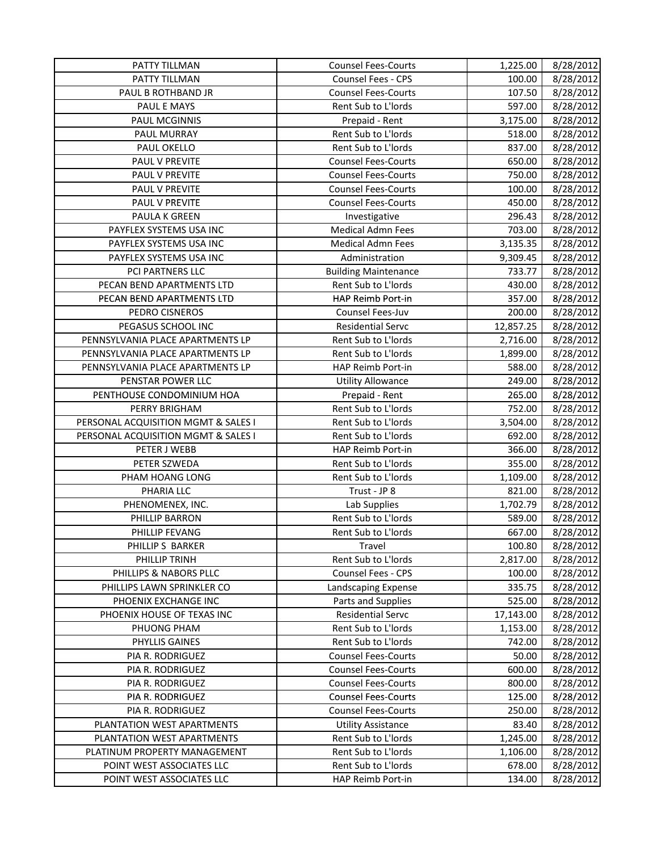| PATTY TILLMAN                       | <b>Counsel Fees-Courts</b>  | 1,225.00  | 8/28/2012 |
|-------------------------------------|-----------------------------|-----------|-----------|
| PATTY TILLMAN                       | <b>Counsel Fees - CPS</b>   | 100.00    | 8/28/2012 |
| PAUL B ROTHBAND JR                  | <b>Counsel Fees-Courts</b>  | 107.50    | 8/28/2012 |
| PAUL E MAYS                         | Rent Sub to L'Iords         | 597.00    | 8/28/2012 |
| <b>PAUL MCGINNIS</b>                | Prepaid - Rent              | 3,175.00  | 8/28/2012 |
| PAUL MURRAY                         | Rent Sub to L'Iords         | 518.00    | 8/28/2012 |
| PAUL OKELLO                         | Rent Sub to L'Iords         | 837.00    | 8/28/2012 |
| PAUL V PREVITE                      | <b>Counsel Fees-Courts</b>  | 650.00    | 8/28/2012 |
| PAUL V PREVITE                      | <b>Counsel Fees-Courts</b>  | 750.00    | 8/28/2012 |
| PAUL V PREVITE                      | <b>Counsel Fees-Courts</b>  | 100.00    | 8/28/2012 |
| PAUL V PREVITE                      | <b>Counsel Fees-Courts</b>  | 450.00    | 8/28/2012 |
| PAULA K GREEN                       | Investigative               | 296.43    | 8/28/2012 |
| PAYFLEX SYSTEMS USA INC             | <b>Medical Admn Fees</b>    | 703.00    | 8/28/2012 |
| PAYFLEX SYSTEMS USA INC             | <b>Medical Admn Fees</b>    | 3,135.35  | 8/28/2012 |
| PAYFLEX SYSTEMS USA INC             | Administration              | 9,309.45  | 8/28/2012 |
| PCI PARTNERS LLC                    | <b>Building Maintenance</b> | 733.77    | 8/28/2012 |
| PECAN BEND APARTMENTS LTD           | Rent Sub to L'Iords         | 430.00    | 8/28/2012 |
| PECAN BEND APARTMENTS LTD           | HAP Reimb Port-in           | 357.00    | 8/28/2012 |
| PEDRO CISNEROS                      | Counsel Fees-Juv            | 200.00    | 8/28/2012 |
| PEGASUS SCHOOL INC                  | <b>Residential Servc</b>    | 12,857.25 | 8/28/2012 |
| PENNSYLVANIA PLACE APARTMENTS LP    | Rent Sub to L'Iords         | 2,716.00  | 8/28/2012 |
| PENNSYLVANIA PLACE APARTMENTS LP    | Rent Sub to L'Iords         | 1,899.00  | 8/28/2012 |
| PENNSYLVANIA PLACE APARTMENTS LP    | HAP Reimb Port-in           | 588.00    | 8/28/2012 |
| PENSTAR POWER LLC                   | <b>Utility Allowance</b>    | 249.00    | 8/28/2012 |
| PENTHOUSE CONDOMINIUM HOA           | Prepaid - Rent              | 265.00    | 8/28/2012 |
| PERRY BRIGHAM                       | Rent Sub to L'Iords         | 752.00    | 8/28/2012 |
| PERSONAL ACQUISITION MGMT & SALES I | Rent Sub to L'Iords         | 3,504.00  | 8/28/2012 |
| PERSONAL ACQUISITION MGMT & SALES I | Rent Sub to L'Iords         | 692.00    | 8/28/2012 |
| PETER J WEBB                        | HAP Reimb Port-in           | 366.00    | 8/28/2012 |
| PETER SZWEDA                        | Rent Sub to L'Iords         | 355.00    | 8/28/2012 |
| PHAM HOANG LONG                     | Rent Sub to L'Iords         | 1,109.00  | 8/28/2012 |
| PHARIA LLC                          | Trust - JP 8                | 821.00    | 8/28/2012 |
| PHENOMENEX, INC.                    | Lab Supplies                | 1,702.79  | 8/28/2012 |
| PHILLIP BARRON                      | Rent Sub to L'Iords         | 589.00    | 8/28/2012 |
| PHILLIP FEVANG                      | Rent Sub to L'Iords         | 667.00    | 8/28/2012 |
| PHILLIP S BARKER                    | Travel                      | 100.80    | 8/28/2012 |
| PHILLIP TRINH                       | Rent Sub to L'Iords         | 2,817.00  | 8/28/2012 |
| PHILLIPS & NABORS PLLC              | Counsel Fees - CPS          | 100.00    | 8/28/2012 |
| PHILLIPS LAWN SPRINKLER CO          | Landscaping Expense         | 335.75    | 8/28/2012 |
| PHOENIX EXCHANGE INC                | Parts and Supplies          | 525.00    | 8/28/2012 |
| PHOENIX HOUSE OF TEXAS INC          | <b>Residential Servc</b>    | 17,143.00 | 8/28/2012 |
| PHUONG PHAM                         | Rent Sub to L'Iords         | 1,153.00  | 8/28/2012 |
| PHYLLIS GAINES                      | Rent Sub to L'Iords         | 742.00    | 8/28/2012 |
| PIA R. RODRIGUEZ                    | <b>Counsel Fees-Courts</b>  | 50.00     | 8/28/2012 |
| PIA R. RODRIGUEZ                    | <b>Counsel Fees-Courts</b>  | 600.00    | 8/28/2012 |
| PIA R. RODRIGUEZ                    | <b>Counsel Fees-Courts</b>  | 800.00    | 8/28/2012 |
| PIA R. RODRIGUEZ                    | <b>Counsel Fees-Courts</b>  | 125.00    | 8/28/2012 |
| PIA R. RODRIGUEZ                    | <b>Counsel Fees-Courts</b>  | 250.00    | 8/28/2012 |
| PLANTATION WEST APARTMENTS          | <b>Utility Assistance</b>   | 83.40     | 8/28/2012 |
| PLANTATION WEST APARTMENTS          | Rent Sub to L'Iords         | 1,245.00  | 8/28/2012 |
| PLATINUM PROPERTY MANAGEMENT        | Rent Sub to L'Iords         | 1,106.00  | 8/28/2012 |
| POINT WEST ASSOCIATES LLC           | Rent Sub to L'Iords         | 678.00    | 8/28/2012 |
| POINT WEST ASSOCIATES LLC           | HAP Reimb Port-in           | 134.00    | 8/28/2012 |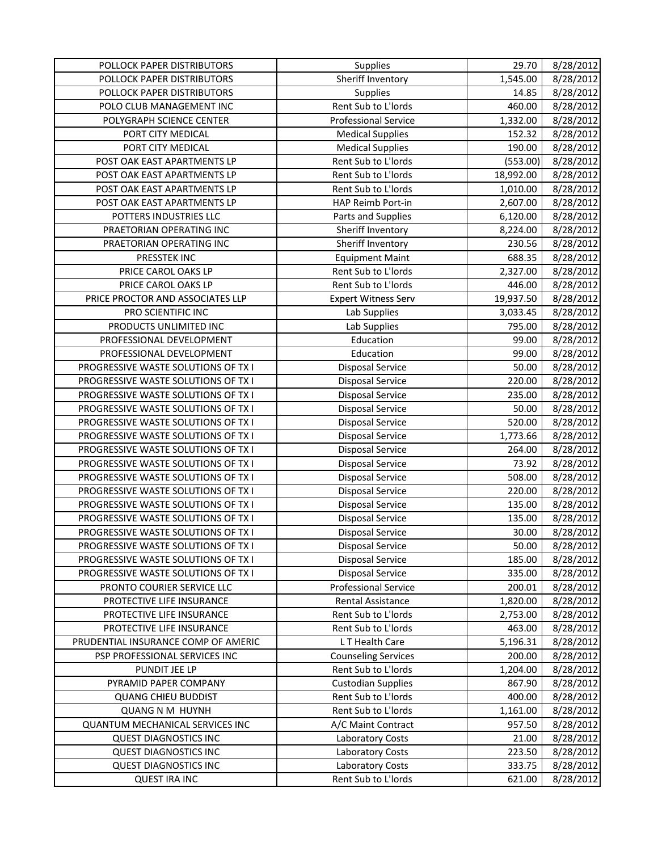| POLLOCK PAPER DISTRIBUTORS          | <b>Supplies</b>             | 29.70     | 8/28/2012 |
|-------------------------------------|-----------------------------|-----------|-----------|
| POLLOCK PAPER DISTRIBUTORS          | Sheriff Inventory           | 1,545.00  | 8/28/2012 |
| POLLOCK PAPER DISTRIBUTORS          | Supplies                    | 14.85     | 8/28/2012 |
| POLO CLUB MANAGEMENT INC            | Rent Sub to L'Iords         | 460.00    | 8/28/2012 |
| POLYGRAPH SCIENCE CENTER            | <b>Professional Service</b> | 1,332.00  | 8/28/2012 |
| PORT CITY MEDICAL                   | <b>Medical Supplies</b>     | 152.32    | 8/28/2012 |
| PORT CITY MEDICAL                   | <b>Medical Supplies</b>     | 190.00    | 8/28/2012 |
| POST OAK EAST APARTMENTS LP         | Rent Sub to L'Iords         | (553.00)  | 8/28/2012 |
| POST OAK EAST APARTMENTS LP         | Rent Sub to L'Iords         | 18,992.00 | 8/28/2012 |
| POST OAK EAST APARTMENTS LP         | Rent Sub to L'Iords         | 1,010.00  | 8/28/2012 |
| POST OAK EAST APARTMENTS LP         | HAP Reimb Port-in           | 2,607.00  | 8/28/2012 |
| POTTERS INDUSTRIES LLC              | Parts and Supplies          | 6,120.00  | 8/28/2012 |
| PRAETORIAN OPERATING INC            | Sheriff Inventory           | 8,224.00  | 8/28/2012 |
| PRAETORIAN OPERATING INC            | Sheriff Inventory           | 230.56    | 8/28/2012 |
| PRESSTEK INC                        | <b>Equipment Maint</b>      | 688.35    | 8/28/2012 |
| PRICE CAROL OAKS LP                 | Rent Sub to L'Iords         | 2,327.00  | 8/28/2012 |
| PRICE CAROL OAKS LP                 | Rent Sub to L'Iords         | 446.00    | 8/28/2012 |
| PRICE PROCTOR AND ASSOCIATES LLP    | <b>Expert Witness Serv</b>  | 19,937.50 | 8/28/2012 |
| PRO SCIENTIFIC INC                  | Lab Supplies                | 3,033.45  | 8/28/2012 |
| PRODUCTS UNLIMITED INC              | Lab Supplies                | 795.00    | 8/28/2012 |
| PROFESSIONAL DEVELOPMENT            | Education                   | 99.00     | 8/28/2012 |
| PROFESSIONAL DEVELOPMENT            | Education                   | 99.00     | 8/28/2012 |
| PROGRESSIVE WASTE SOLUTIONS OF TX I | <b>Disposal Service</b>     | 50.00     | 8/28/2012 |
| PROGRESSIVE WASTE SOLUTIONS OF TX I | <b>Disposal Service</b>     | 220.00    | 8/28/2012 |
| PROGRESSIVE WASTE SOLUTIONS OF TX I | <b>Disposal Service</b>     | 235.00    | 8/28/2012 |
| PROGRESSIVE WASTE SOLUTIONS OF TX I | <b>Disposal Service</b>     | 50.00     | 8/28/2012 |
| PROGRESSIVE WASTE SOLUTIONS OF TX I | <b>Disposal Service</b>     | 520.00    | 8/28/2012 |
| PROGRESSIVE WASTE SOLUTIONS OF TX I | <b>Disposal Service</b>     | 1,773.66  | 8/28/2012 |
| PROGRESSIVE WASTE SOLUTIONS OF TX I | <b>Disposal Service</b>     | 264.00    | 8/28/2012 |
| PROGRESSIVE WASTE SOLUTIONS OF TX I | <b>Disposal Service</b>     | 73.92     | 8/28/2012 |
| PROGRESSIVE WASTE SOLUTIONS OF TX I | <b>Disposal Service</b>     | 508.00    | 8/28/2012 |
| PROGRESSIVE WASTE SOLUTIONS OF TX I | <b>Disposal Service</b>     | 220.00    | 8/28/2012 |
| PROGRESSIVE WASTE SOLUTIONS OF TX I | <b>Disposal Service</b>     | 135.00    | 8/28/2012 |
| PROGRESSIVE WASTE SOLUTIONS OF TX I | <b>Disposal Service</b>     | 135.00    | 8/28/2012 |
| PROGRESSIVE WASTE SOLUTIONS OF TX I | <b>Disposal Service</b>     | 30.00     | 8/28/2012 |
| PROGRESSIVE WASTE SOLUTIONS OF TX I | <b>Disposal Service</b>     | 50.00     | 8/28/2012 |
| PROGRESSIVE WASTE SOLUTIONS OF TX I | <b>Disposal Service</b>     | 185.00    | 8/28/2012 |
| PROGRESSIVE WASTE SOLUTIONS OF TX I | <b>Disposal Service</b>     | 335.00    | 8/28/2012 |
| PRONTO COURIER SERVICE LLC          | <b>Professional Service</b> | 200.01    | 8/28/2012 |
| PROTECTIVE LIFE INSURANCE           | Rental Assistance           | 1,820.00  | 8/28/2012 |
| PROTECTIVE LIFE INSURANCE           | Rent Sub to L'Iords         | 2,753.00  | 8/28/2012 |
| PROTECTIVE LIFE INSURANCE           | Rent Sub to L'Iords         | 463.00    | 8/28/2012 |
| PRUDENTIAL INSURANCE COMP OF AMERIC | L T Health Care             | 5,196.31  | 8/28/2012 |
| PSP PROFESSIONAL SERVICES INC       | <b>Counseling Services</b>  | 200.00    | 8/28/2012 |
| PUNDIT JEE LP                       | Rent Sub to L'Iords         | 1,204.00  | 8/28/2012 |
| PYRAMID PAPER COMPANY               | <b>Custodian Supplies</b>   | 867.90    | 8/28/2012 |
| <b>QUANG CHIEU BUDDIST</b>          | Rent Sub to L'Iords         | 400.00    | 8/28/2012 |
| <b>QUANG N M HUYNH</b>              | Rent Sub to L'Iords         | 1,161.00  | 8/28/2012 |
| QUANTUM MECHANICAL SERVICES INC     | A/C Maint Contract          | 957.50    | 8/28/2012 |
| <b>QUEST DIAGNOSTICS INC</b>        | Laboratory Costs            | 21.00     | 8/28/2012 |
| <b>QUEST DIAGNOSTICS INC</b>        | Laboratory Costs            | 223.50    | 8/28/2012 |
| <b>QUEST DIAGNOSTICS INC</b>        | Laboratory Costs            | 333.75    | 8/28/2012 |
| <b>QUEST IRA INC</b>                | Rent Sub to L'Iords         | 621.00    | 8/28/2012 |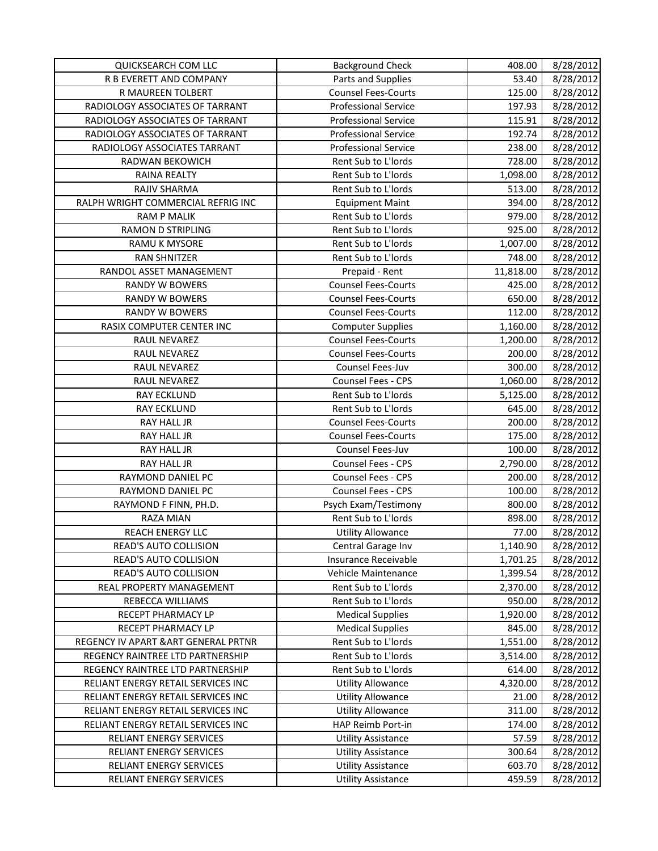| QUICKSEARCH COM LLC                  | <b>Background Check</b>     | 408.00             | 8/28/2012 |
|--------------------------------------|-----------------------------|--------------------|-----------|
| R B EVERETT AND COMPANY              | Parts and Supplies          | 53.40              | 8/28/2012 |
| R MAUREEN TOLBERT                    | <b>Counsel Fees-Courts</b>  | 125.00             | 8/28/2012 |
| RADIOLOGY ASSOCIATES OF TARRANT      | <b>Professional Service</b> | 197.93             | 8/28/2012 |
| RADIOLOGY ASSOCIATES OF TARRANT      | <b>Professional Service</b> | 115.91             | 8/28/2012 |
| RADIOLOGY ASSOCIATES OF TARRANT      | <b>Professional Service</b> | 192.74             | 8/28/2012 |
| RADIOLOGY ASSOCIATES TARRANT         | <b>Professional Service</b> | 238.00             | 8/28/2012 |
| RADWAN BEKOWICH                      | Rent Sub to L'Iords         | 728.00             | 8/28/2012 |
| <b>RAINA REALTY</b>                  | Rent Sub to L'Iords         | 1,098.00           | 8/28/2012 |
| RAJIV SHARMA                         | Rent Sub to L'Iords         | 513.00             | 8/28/2012 |
| RALPH WRIGHT COMMERCIAL REFRIG INC   | <b>Equipment Maint</b>      | 394.00             | 8/28/2012 |
| <b>RAM P MALIK</b>                   | Rent Sub to L'Iords         | 979.00             | 8/28/2012 |
| <b>RAMON D STRIPLING</b>             | Rent Sub to L'Iords         | 925.00             | 8/28/2012 |
| RAMU K MYSORE                        | Rent Sub to L'Iords         | 1,007.00           | 8/28/2012 |
| <b>RAN SHNITZER</b>                  | Rent Sub to L'Iords         | 748.00             | 8/28/2012 |
| RANDOL ASSET MANAGEMENT              | Prepaid - Rent              | 11,818.00          | 8/28/2012 |
| <b>RANDY W BOWERS</b>                | <b>Counsel Fees-Courts</b>  | 425.00             | 8/28/2012 |
| <b>RANDY W BOWERS</b>                | <b>Counsel Fees-Courts</b>  | 650.00             | 8/28/2012 |
| <b>RANDY W BOWERS</b>                | <b>Counsel Fees-Courts</b>  | 112.00             | 8/28/2012 |
| RASIX COMPUTER CENTER INC            | <b>Computer Supplies</b>    | 1,160.00           | 8/28/2012 |
| RAUL NEVAREZ                         | <b>Counsel Fees-Courts</b>  | 1,200.00           | 8/28/2012 |
| RAUL NEVAREZ                         | <b>Counsel Fees-Courts</b>  | 200.00             | 8/28/2012 |
| RAUL NEVAREZ                         | Counsel Fees-Juv            | 300.00             | 8/28/2012 |
| RAUL NEVAREZ                         | Counsel Fees - CPS          | 1,060.00           | 8/28/2012 |
| <b>RAY ECKLUND</b>                   | Rent Sub to L'Iords         | 5,125.00           | 8/28/2012 |
| <b>RAY ECKLUND</b>                   | Rent Sub to L'Iords         | 645.00             | 8/28/2012 |
| RAY HALL JR                          | <b>Counsel Fees-Courts</b>  | 200.00             | 8/28/2012 |
| RAY HALL JR                          | <b>Counsel Fees-Courts</b>  | 175.00             | 8/28/2012 |
| RAY HALL JR                          | Counsel Fees-Juv            | 100.00             | 8/28/2012 |
| RAY HALL JR                          | <b>Counsel Fees - CPS</b>   | 2,790.00           | 8/28/2012 |
| RAYMOND DANIEL PC                    | Counsel Fees - CPS          | 200.00             | 8/28/2012 |
| RAYMOND DANIEL PC                    | Counsel Fees - CPS          | 100.00             | 8/28/2012 |
| RAYMOND F FINN, PH.D.                | Psych Exam/Testimony        | 800.00             | 8/28/2012 |
| <b>RAZA MIAN</b>                     | Rent Sub to L'Iords         | 898.00             | 8/28/2012 |
| <b>REACH ENERGY LLC</b>              | <b>Utility Allowance</b>    | 77.00              | 8/28/2012 |
| READ'S AUTO COLLISION                | Central Garage Inv          | 1,140.90           | 8/28/2012 |
| READ'S AUTO COLLISION                | Insurance Receivable        | 1,701.25           | 8/28/2012 |
| READ'S AUTO COLLISION                | Vehicle Maintenance         | 1,399.54           | 8/28/2012 |
| REAL PROPERTY MANAGEMENT             | Rent Sub to L'Iords         |                    | 8/28/2012 |
| REBECCA WILLIAMS                     | Rent Sub to L'Iords         | 2,370.00<br>950.00 |           |
| RECEPT PHARMACY LP                   | <b>Medical Supplies</b>     |                    | 8/28/2012 |
|                                      | <b>Medical Supplies</b>     | 1,920.00           | 8/28/2012 |
| RECEPT PHARMACY LP                   |                             | 845.00             | 8/28/2012 |
| REGENCY IV APART & ART GENERAL PRTNR | Rent Sub to L'Iords         | 1,551.00           | 8/28/2012 |
| REGENCY RAINTREE LTD PARTNERSHIP     | Rent Sub to L'Iords         | 3,514.00           | 8/28/2012 |
| REGENCY RAINTREE LTD PARTNERSHIP     | Rent Sub to L'Iords         | 614.00             | 8/28/2012 |
| RELIANT ENERGY RETAIL SERVICES INC   | <b>Utility Allowance</b>    | 4,320.00           | 8/28/2012 |
| RELIANT ENERGY RETAIL SERVICES INC   | <b>Utility Allowance</b>    | 21.00              | 8/28/2012 |
| RELIANT ENERGY RETAIL SERVICES INC   | <b>Utility Allowance</b>    | 311.00             | 8/28/2012 |
| RELIANT ENERGY RETAIL SERVICES INC   | HAP Reimb Port-in           | 174.00             | 8/28/2012 |
| RELIANT ENERGY SERVICES              | <b>Utility Assistance</b>   | 57.59              | 8/28/2012 |
| RELIANT ENERGY SERVICES              | <b>Utility Assistance</b>   | 300.64             | 8/28/2012 |
| RELIANT ENERGY SERVICES              | <b>Utility Assistance</b>   | 603.70             | 8/28/2012 |
| RELIANT ENERGY SERVICES              | <b>Utility Assistance</b>   | 459.59             | 8/28/2012 |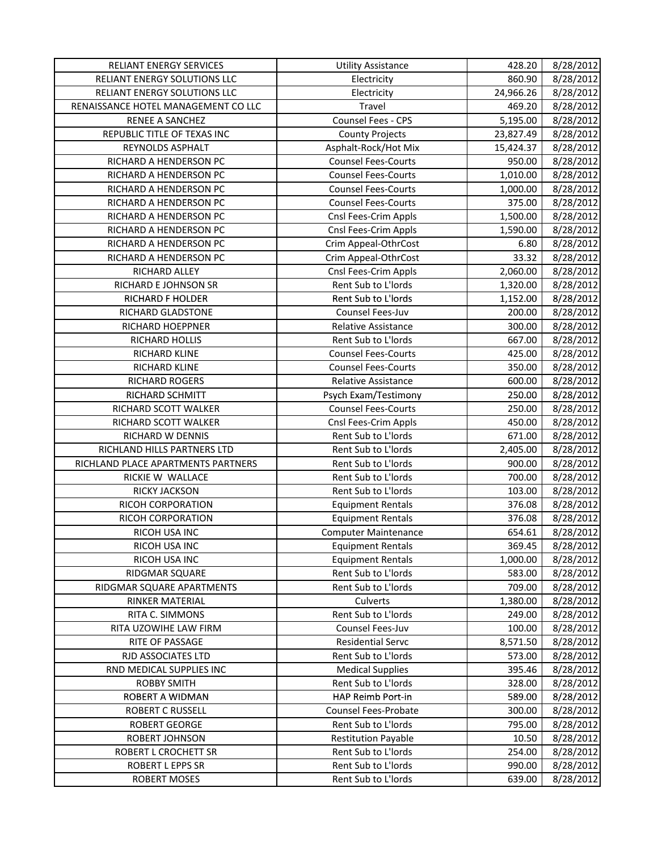| RELIANT ENERGY SERVICES             | <b>Utility Assistance</b>   | 428.20    | 8/28/2012 |
|-------------------------------------|-----------------------------|-----------|-----------|
| RELIANT ENERGY SOLUTIONS LLC        | Electricity                 | 860.90    | 8/28/2012 |
| RELIANT ENERGY SOLUTIONS LLC        | Electricity                 | 24,966.26 | 8/28/2012 |
| RENAISSANCE HOTEL MANAGEMENT CO LLC | Travel                      | 469.20    | 8/28/2012 |
| RENEE A SANCHEZ                     | Counsel Fees - CPS          | 5,195.00  | 8/28/2012 |
| REPUBLIC TITLE OF TEXAS INC         | <b>County Projects</b>      | 23,827.49 | 8/28/2012 |
| REYNOLDS ASPHALT                    | Asphalt-Rock/Hot Mix        | 15,424.37 | 8/28/2012 |
| RICHARD A HENDERSON PC              | <b>Counsel Fees-Courts</b>  | 950.00    | 8/28/2012 |
| RICHARD A HENDERSON PC              | <b>Counsel Fees-Courts</b>  | 1,010.00  | 8/28/2012 |
| RICHARD A HENDERSON PC              | <b>Counsel Fees-Courts</b>  | 1,000.00  | 8/28/2012 |
| RICHARD A HENDERSON PC              | <b>Counsel Fees-Courts</b>  | 375.00    | 8/28/2012 |
| RICHARD A HENDERSON PC              | Cnsl Fees-Crim Appls        | 1,500.00  | 8/28/2012 |
| RICHARD A HENDERSON PC              | Cnsl Fees-Crim Appls        | 1,590.00  | 8/28/2012 |
| RICHARD A HENDERSON PC              | Crim Appeal-OthrCost        | 6.80      | 8/28/2012 |
| RICHARD A HENDERSON PC              | Crim Appeal-OthrCost        | 33.32     | 8/28/2012 |
| RICHARD ALLEY                       | Cnsl Fees-Crim Appls        | 2,060.00  | 8/28/2012 |
| RICHARD E JOHNSON SR                | Rent Sub to L'Iords         | 1,320.00  | 8/28/2012 |
| <b>RICHARD F HOLDER</b>             | Rent Sub to L'Iords         | 1,152.00  | 8/28/2012 |
| RICHARD GLADSTONE                   | Counsel Fees-Juv            | 200.00    | 8/28/2012 |
| RICHARD HOEPPNER                    | <b>Relative Assistance</b>  | 300.00    | 8/28/2012 |
| RICHARD HOLLIS                      | Rent Sub to L'Iords         | 667.00    | 8/28/2012 |
| RICHARD KLINE                       | <b>Counsel Fees-Courts</b>  | 425.00    | 8/28/2012 |
| RICHARD KLINE                       | <b>Counsel Fees-Courts</b>  | 350.00    | 8/28/2012 |
| RICHARD ROGERS                      | Relative Assistance         | 600.00    | 8/28/2012 |
| RICHARD SCHMITT                     | Psych Exam/Testimony        | 250.00    | 8/28/2012 |
| RICHARD SCOTT WALKER                | <b>Counsel Fees-Courts</b>  | 250.00    | 8/28/2012 |
| RICHARD SCOTT WALKER                | Cnsl Fees-Crim Appls        | 450.00    | 8/28/2012 |
| RICHARD W DENNIS                    | Rent Sub to L'Iords         | 671.00    | 8/28/2012 |
| RICHLAND HILLS PARTNERS LTD         | Rent Sub to L'Iords         | 2,405.00  | 8/28/2012 |
| RICHLAND PLACE APARTMENTS PARTNERS  | Rent Sub to L'Iords         | 900.00    | 8/28/2012 |
| RICKIE W WALLACE                    | Rent Sub to L'Iords         | 700.00    | 8/28/2012 |
| RICKY JACKSON                       | Rent Sub to L'Iords         | 103.00    | 8/28/2012 |
| RICOH CORPORATION                   | <b>Equipment Rentals</b>    | 376.08    | 8/28/2012 |
| RICOH CORPORATION                   | <b>Equipment Rentals</b>    | 376.08    | 8/28/2012 |
| RICOH USA INC                       | <b>Computer Maintenance</b> | 654.61    | 8/28/2012 |
| RICOH USA INC                       | <b>Equipment Rentals</b>    | 369.45    | 8/28/2012 |
| RICOH USA INC                       | <b>Equipment Rentals</b>    | 1,000.00  | 8/28/2012 |
| RIDGMAR SQUARE                      | Rent Sub to L'Iords         | 583.00    | 8/28/2012 |
| RIDGMAR SQUARE APARTMENTS           | Rent Sub to L'Iords         | 709.00    | 8/28/2012 |
| RINKER MATERIAL                     | Culverts                    | 1,380.00  | 8/28/2012 |
| RITA C. SIMMONS                     | Rent Sub to L'Iords         | 249.00    | 8/28/2012 |
| RITA UZOWIHE LAW FIRM               | Counsel Fees-Juv            | 100.00    | 8/28/2012 |
| RITE OF PASSAGE                     | <b>Residential Servc</b>    | 8,571.50  | 8/28/2012 |
| RJD ASSOCIATES LTD                  | Rent Sub to L'Iords         | 573.00    | 8/28/2012 |
| RND MEDICAL SUPPLIES INC            | <b>Medical Supplies</b>     | 395.46    | 8/28/2012 |
| <b>ROBBY SMITH</b>                  | Rent Sub to L'Iords         | 328.00    | 8/28/2012 |
| ROBERT A WIDMAN                     | HAP Reimb Port-in           | 589.00    | 8/28/2012 |
| <b>ROBERT C RUSSELL</b>             | Counsel Fees-Probate        | 300.00    | 8/28/2012 |
| <b>ROBERT GEORGE</b>                | Rent Sub to L'Iords         | 795.00    | 8/28/2012 |
| ROBERT JOHNSON                      | <b>Restitution Payable</b>  | 10.50     | 8/28/2012 |
| ROBERT L CROCHETT SR                | Rent Sub to L'Iords         | 254.00    | 8/28/2012 |
| ROBERT L EPPS SR                    | Rent Sub to L'Iords         | 990.00    | 8/28/2012 |
| <b>ROBERT MOSES</b>                 | Rent Sub to L'Iords         | 639.00    | 8/28/2012 |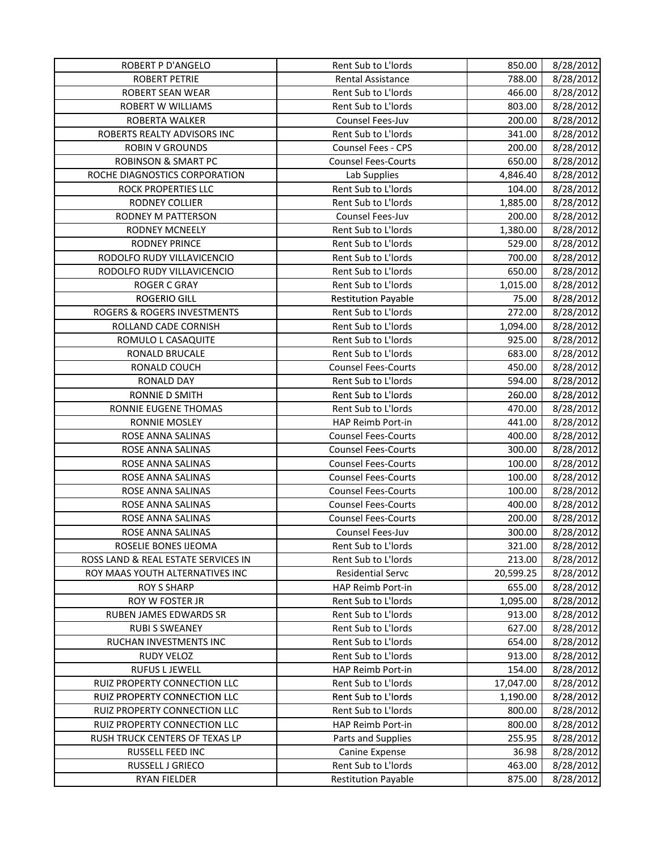| <b>ROBERT P D'ANGELO</b>            | Rent Sub to L'Iords        | 850.00    | 8/28/2012 |
|-------------------------------------|----------------------------|-----------|-----------|
| <b>ROBERT PETRIE</b>                | <b>Rental Assistance</b>   | 788.00    | 8/28/2012 |
| <b>ROBERT SEAN WEAR</b>             | Rent Sub to L'Iords        | 466.00    | 8/28/2012 |
| ROBERT W WILLIAMS                   | Rent Sub to L'Iords        | 803.00    | 8/28/2012 |
| ROBERTA WALKER                      | <b>Counsel Fees-Juv</b>    | 200.00    | 8/28/2012 |
| ROBERTS REALTY ADVISORS INC         | Rent Sub to L'Iords        | 341.00    | 8/28/2012 |
| <b>ROBIN V GROUNDS</b>              | <b>Counsel Fees - CPS</b>  | 200.00    | 8/28/2012 |
| <b>ROBINSON &amp; SMART PC</b>      | <b>Counsel Fees-Courts</b> | 650.00    | 8/28/2012 |
| ROCHE DIAGNOSTICS CORPORATION       | Lab Supplies               | 4,846.40  | 8/28/2012 |
| ROCK PROPERTIES LLC                 | Rent Sub to L'Iords        | 104.00    | 8/28/2012 |
| RODNEY COLLIER                      | Rent Sub to L'Iords        | 1,885.00  | 8/28/2012 |
| RODNEY M PATTERSON                  | Counsel Fees-Juv           | 200.00    | 8/28/2012 |
| RODNEY MCNEELY                      | Rent Sub to L'Iords        | 1,380.00  | 8/28/2012 |
| <b>RODNEY PRINCE</b>                | Rent Sub to L'Iords        | 529.00    | 8/28/2012 |
| RODOLFO RUDY VILLAVICENCIO          | Rent Sub to L'Iords        | 700.00    | 8/28/2012 |
| RODOLFO RUDY VILLAVICENCIO          | Rent Sub to L'Iords        | 650.00    | 8/28/2012 |
| <b>ROGER C GRAY</b>                 | Rent Sub to L'Iords        | 1,015.00  | 8/28/2012 |
| <b>ROGERIO GILL</b>                 | <b>Restitution Payable</b> | 75.00     | 8/28/2012 |
| ROGERS & ROGERS INVESTMENTS         | Rent Sub to L'Iords        | 272.00    | 8/28/2012 |
| ROLLAND CADE CORNISH                | Rent Sub to L'Iords        | 1,094.00  | 8/28/2012 |
| ROMULO L CASAQUITE                  | Rent Sub to L'Iords        | 925.00    | 8/28/2012 |
| RONALD BRUCALE                      | Rent Sub to L'Iords        | 683.00    | 8/28/2012 |
| RONALD COUCH                        | <b>Counsel Fees-Courts</b> | 450.00    | 8/28/2012 |
| RONALD DAY                          | Rent Sub to L'Iords        | 594.00    | 8/28/2012 |
| RONNIE D SMITH                      | Rent Sub to L'Iords        | 260.00    | 8/28/2012 |
| RONNIE EUGENE THOMAS                | Rent Sub to L'Iords        | 470.00    | 8/28/2012 |
| <b>RONNIE MOSLEY</b>                | HAP Reimb Port-in          | 441.00    | 8/28/2012 |
| ROSE ANNA SALINAS                   | <b>Counsel Fees-Courts</b> | 400.00    | 8/28/2012 |
| ROSE ANNA SALINAS                   | <b>Counsel Fees-Courts</b> | 300.00    | 8/28/2012 |
| ROSE ANNA SALINAS                   | <b>Counsel Fees-Courts</b> | 100.00    | 8/28/2012 |
| ROSE ANNA SALINAS                   | <b>Counsel Fees-Courts</b> | 100.00    | 8/28/2012 |
| ROSE ANNA SALINAS                   | <b>Counsel Fees-Courts</b> | 100.00    | 8/28/2012 |
| ROSE ANNA SALINAS                   | <b>Counsel Fees-Courts</b> | 400.00    | 8/28/2012 |
| ROSE ANNA SALINAS                   | <b>Counsel Fees-Courts</b> | 200.00    | 8/28/2012 |
| ROSE ANNA SALINAS                   | Counsel Fees-Juv           | 300.00    | 8/28/2012 |
| ROSELIE BONES IJEOMA                | Rent Sub to L'Iords        | 321.00    | 8/28/2012 |
| ROSS LAND & REAL ESTATE SERVICES IN | Rent Sub to L'Iords        | 213.00    | 8/28/2012 |
| ROY MAAS YOUTH ALTERNATIVES INC     | <b>Residential Servc</b>   | 20,599.25 | 8/28/2012 |
| <b>ROY S SHARP</b>                  | HAP Reimb Port-in          | 655.00    | 8/28/2012 |
| ROY W FOSTER JR                     | Rent Sub to L'Iords        | 1,095.00  | 8/28/2012 |
| RUBEN JAMES EDWARDS SR              | Rent Sub to L'Iords        | 913.00    | 8/28/2012 |
| <b>RUBI S SWEANEY</b>               | Rent Sub to L'Iords        | 627.00    | 8/28/2012 |
| RUCHAN INVESTMENTS INC              | Rent Sub to L'Iords        | 654.00    | 8/28/2012 |
| RUDY VELOZ                          | Rent Sub to L'Iords        | 913.00    | 8/28/2012 |
| RUFUS L JEWELL                      | HAP Reimb Port-in          | 154.00    | 8/28/2012 |
| RUIZ PROPERTY CONNECTION LLC        | Rent Sub to L'Iords        | 17,047.00 | 8/28/2012 |
| RUIZ PROPERTY CONNECTION LLC        | Rent Sub to L'Iords        | 1,190.00  | 8/28/2012 |
| RUIZ PROPERTY CONNECTION LLC        | Rent Sub to L'Iords        | 800.00    | 8/28/2012 |
| RUIZ PROPERTY CONNECTION LLC        | HAP Reimb Port-in          | 800.00    | 8/28/2012 |
| RUSH TRUCK CENTERS OF TEXAS LP      | Parts and Supplies         | 255.95    | 8/28/2012 |
| RUSSELL FEED INC                    | <b>Canine Expense</b>      | 36.98     | 8/28/2012 |
| RUSSELL J GRIECO                    | Rent Sub to L'Iords        | 463.00    | 8/28/2012 |
| <b>RYAN FIELDER</b>                 | <b>Restitution Payable</b> | 875.00    | 8/28/2012 |
|                                     |                            |           |           |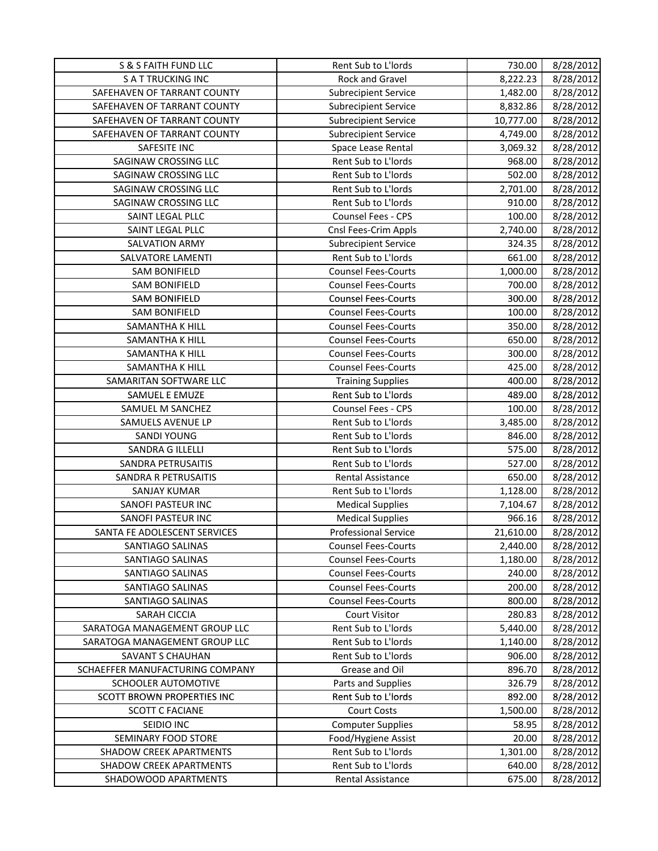| S & S FAITH FUND LLC            | Rent Sub to L'Iords         | 730.00    | 8/28/2012 |
|---------------------------------|-----------------------------|-----------|-----------|
| <b>SATTRUCKING INC</b>          | Rock and Gravel             | 8,222.23  | 8/28/2012 |
| SAFEHAVEN OF TARRANT COUNTY     | <b>Subrecipient Service</b> | 1,482.00  | 8/28/2012 |
| SAFEHAVEN OF TARRANT COUNTY     | <b>Subrecipient Service</b> | 8,832.86  | 8/28/2012 |
| SAFEHAVEN OF TARRANT COUNTY     | <b>Subrecipient Service</b> | 10,777.00 | 8/28/2012 |
| SAFEHAVEN OF TARRANT COUNTY     | <b>Subrecipient Service</b> | 4,749.00  | 8/28/2012 |
| SAFESITE INC                    | Space Lease Rental          | 3,069.32  | 8/28/2012 |
| SAGINAW CROSSING LLC            | Rent Sub to L'Iords         | 968.00    | 8/28/2012 |
| SAGINAW CROSSING LLC            | Rent Sub to L'Iords         | 502.00    | 8/28/2012 |
| SAGINAW CROSSING LLC            | Rent Sub to L'Iords         | 2,701.00  | 8/28/2012 |
| SAGINAW CROSSING LLC            | Rent Sub to L'Iords         | 910.00    | 8/28/2012 |
| SAINT LEGAL PLLC                | Counsel Fees - CPS          | 100.00    | 8/28/2012 |
| SAINT LEGAL PLLC                | Cnsl Fees-Crim Appls        | 2,740.00  | 8/28/2012 |
| SALVATION ARMY                  | <b>Subrecipient Service</b> | 324.35    | 8/28/2012 |
| SALVATORE LAMENTI               | Rent Sub to L'Iords         | 661.00    | 8/28/2012 |
| <b>SAM BONIFIELD</b>            | <b>Counsel Fees-Courts</b>  | 1,000.00  | 8/28/2012 |
| <b>SAM BONIFIELD</b>            | <b>Counsel Fees-Courts</b>  | 700.00    | 8/28/2012 |
| <b>SAM BONIFIELD</b>            | <b>Counsel Fees-Courts</b>  | 300.00    | 8/28/2012 |
| <b>SAM BONIFIELD</b>            | <b>Counsel Fees-Courts</b>  | 100.00    | 8/28/2012 |
| SAMANTHA K HILL                 | <b>Counsel Fees-Courts</b>  | 350.00    | 8/28/2012 |
| SAMANTHA K HILL                 | <b>Counsel Fees-Courts</b>  | 650.00    | 8/28/2012 |
| SAMANTHA K HILL                 | <b>Counsel Fees-Courts</b>  | 300.00    | 8/28/2012 |
| SAMANTHA K HILL                 | <b>Counsel Fees-Courts</b>  | 425.00    | 8/28/2012 |
| SAMARITAN SOFTWARE LLC          | <b>Training Supplies</b>    | 400.00    | 8/28/2012 |
| SAMUEL E EMUZE                  | Rent Sub to L'Iords         | 489.00    | 8/28/2012 |
| SAMUEL M SANCHEZ                | Counsel Fees - CPS          | 100.00    | 8/28/2012 |
| SAMUELS AVENUE LP               | Rent Sub to L'Iords         | 3,485.00  | 8/28/2012 |
| <b>SANDI YOUNG</b>              | Rent Sub to L'Iords         | 846.00    | 8/28/2012 |
| SANDRA G ILLELLI                | Rent Sub to L'Iords         | 575.00    | 8/28/2012 |
| SANDRA PETRUSAITIS              | Rent Sub to L'Iords         | 527.00    | 8/28/2012 |
| SANDRA R PETRUSAITIS            | <b>Rental Assistance</b>    | 650.00    | 8/28/2012 |
| <b>SANJAY KUMAR</b>             | Rent Sub to L'Iords         | 1,128.00  | 8/28/2012 |
| SANOFI PASTEUR INC              | <b>Medical Supplies</b>     | 7,104.67  | 8/28/2012 |
| SANOFI PASTEUR INC              | <b>Medical Supplies</b>     | 966.16    | 8/28/2012 |
| SANTA FE ADOLESCENT SERVICES    | <b>Professional Service</b> | 21,610.00 | 8/28/2012 |
| SANTIAGO SALINAS                | <b>Counsel Fees-Courts</b>  | 2,440.00  | 8/28/2012 |
| SANTIAGO SALINAS                | <b>Counsel Fees-Courts</b>  | 1,180.00  | 8/28/2012 |
| SANTIAGO SALINAS                | <b>Counsel Fees-Courts</b>  | 240.00    | 8/28/2012 |
| SANTIAGO SALINAS                | <b>Counsel Fees-Courts</b>  | 200.00    | 8/28/2012 |
| SANTIAGO SALINAS                | <b>Counsel Fees-Courts</b>  | 800.00    | 8/28/2012 |
| SARAH CICCIA                    | <b>Court Visitor</b>        | 280.83    | 8/28/2012 |
| SARATOGA MANAGEMENT GROUP LLC   | Rent Sub to L'Iords         | 5,440.00  | 8/28/2012 |
| SARATOGA MANAGEMENT GROUP LLC   | Rent Sub to L'Iords         | 1,140.00  | 8/28/2012 |
| <b>SAVANT S CHAUHAN</b>         | Rent Sub to L'Iords         | 906.00    | 8/28/2012 |
| SCHAEFFER MANUFACTURING COMPANY | Grease and Oil              | 896.70    | 8/28/2012 |
| SCHOOLER AUTOMOTIVE             | Parts and Supplies          | 326.79    | 8/28/2012 |
| SCOTT BROWN PROPERTIES INC      | Rent Sub to L'Iords         | 892.00    | 8/28/2012 |
| <b>SCOTT C FACIANE</b>          | <b>Court Costs</b>          | 1,500.00  | 8/28/2012 |
| SEIDIO INC                      | <b>Computer Supplies</b>    | 58.95     | 8/28/2012 |
| SEMINARY FOOD STORE             | Food/Hygiene Assist         | 20.00     | 8/28/2012 |
| <b>SHADOW CREEK APARTMENTS</b>  | Rent Sub to L'Iords         | 1,301.00  | 8/28/2012 |
| SHADOW CREEK APARTMENTS         | Rent Sub to L'Iords         | 640.00    | 8/28/2012 |
| SHADOWOOD APARTMENTS            | Rental Assistance           | 675.00    | 8/28/2012 |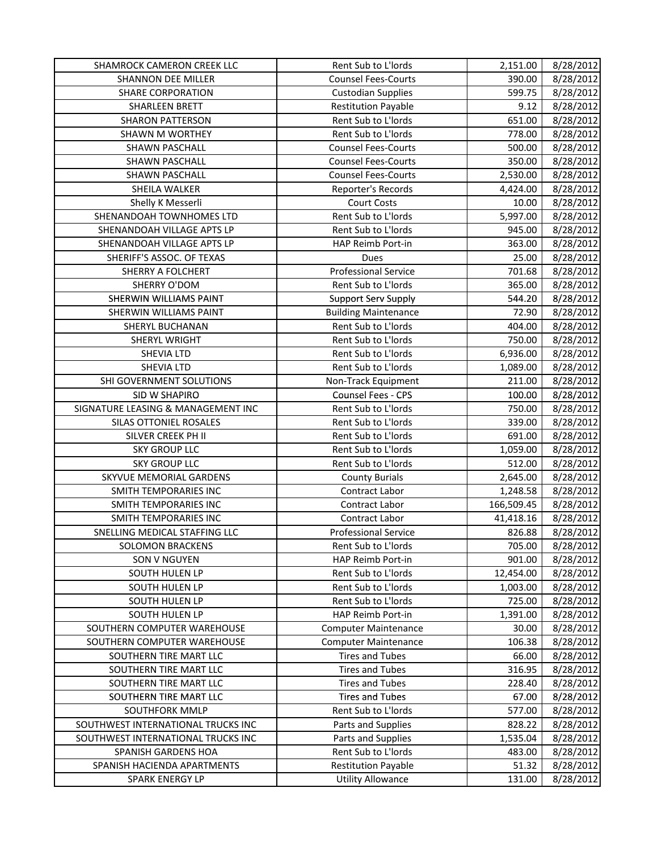| <b>SHAMROCK CAMERON CREEK LLC</b>  | Rent Sub to L'Iords         | 2,151.00   | 8/28/2012 |
|------------------------------------|-----------------------------|------------|-----------|
| <b>SHANNON DEE MILLER</b>          | <b>Counsel Fees-Courts</b>  | 390.00     | 8/28/2012 |
| <b>SHARE CORPORATION</b>           | <b>Custodian Supplies</b>   | 599.75     | 8/28/2012 |
| <b>SHARLEEN BRETT</b>              | <b>Restitution Payable</b>  | 9.12       | 8/28/2012 |
| <b>SHARON PATTERSON</b>            | Rent Sub to L'Iords         | 651.00     | 8/28/2012 |
| <b>SHAWN M WORTHEY</b>             | Rent Sub to L'Iords         | 778.00     | 8/28/2012 |
| SHAWN PASCHALL                     | <b>Counsel Fees-Courts</b>  | 500.00     | 8/28/2012 |
| SHAWN PASCHALL                     | <b>Counsel Fees-Courts</b>  | 350.00     | 8/28/2012 |
| SHAWN PASCHALL                     | <b>Counsel Fees-Courts</b>  | 2,530.00   | 8/28/2012 |
| SHEILA WALKER                      | Reporter's Records          | 4,424.00   | 8/28/2012 |
| Shelly K Messerli                  | <b>Court Costs</b>          | 10.00      | 8/28/2012 |
| SHENANDOAH TOWNHOMES LTD           | Rent Sub to L'Iords         | 5,997.00   | 8/28/2012 |
| SHENANDOAH VILLAGE APTS LP         | Rent Sub to L'Iords         | 945.00     | 8/28/2012 |
| SHENANDOAH VILLAGE APTS LP         | HAP Reimb Port-in           | 363.00     | 8/28/2012 |
| SHERIFF'S ASSOC. OF TEXAS          | Dues                        | 25.00      | 8/28/2012 |
| SHERRY A FOLCHERT                  | <b>Professional Service</b> | 701.68     | 8/28/2012 |
| SHERRY O'DOM                       | Rent Sub to L'Iords         | 365.00     | 8/28/2012 |
| SHERWIN WILLIAMS PAINT             | <b>Support Serv Supply</b>  | 544.20     | 8/28/2012 |
| SHERWIN WILLIAMS PAINT             | <b>Building Maintenance</b> | 72.90      | 8/28/2012 |
| SHERYL BUCHANAN                    | Rent Sub to L'Iords         | 404.00     | 8/28/2012 |
| SHERYL WRIGHT                      | Rent Sub to L'Iords         | 750.00     | 8/28/2012 |
| SHEVIA LTD                         | Rent Sub to L'Iords         | 6,936.00   | 8/28/2012 |
| SHEVIA LTD                         | Rent Sub to L'Iords         | 1,089.00   | 8/28/2012 |
| SHI GOVERNMENT SOLUTIONS           | Non-Track Equipment         | 211.00     | 8/28/2012 |
| SID W SHAPIRO                      | Counsel Fees - CPS          | 100.00     | 8/28/2012 |
| SIGNATURE LEASING & MANAGEMENT INC | Rent Sub to L'Iords         | 750.00     | 8/28/2012 |
| SILAS OTTONIEL ROSALES             | Rent Sub to L'Iords         | 339.00     | 8/28/2012 |
| SILVER CREEK PH II                 | Rent Sub to L'Iords         | 691.00     | 8/28/2012 |
| <b>SKY GROUP LLC</b>               | Rent Sub to L'Iords         | 1,059.00   | 8/28/2012 |
| <b>SKY GROUP LLC</b>               | Rent Sub to L'Iords         | 512.00     | 8/28/2012 |
| SKYVUE MEMORIAL GARDENS            | <b>County Burials</b>       | 2,645.00   | 8/28/2012 |
| <b>SMITH TEMPORARIES INC</b>       | Contract Labor              | 1,248.58   | 8/28/2012 |
| <b>SMITH TEMPORARIES INC</b>       | Contract Labor              | 166,509.45 | 8/28/2012 |
| <b>SMITH TEMPORARIES INC</b>       | Contract Labor              | 41,418.16  | 8/28/2012 |
| SNELLING MEDICAL STAFFING LLC      | <b>Professional Service</b> | 826.88     | 8/28/2012 |
| <b>SOLOMON BRACKENS</b>            | Rent Sub to L'Iords         | 705.00     | 8/28/2012 |
| <b>SON V NGUYEN</b>                | HAP Reimb Port-in           | 901.00     | 8/28/2012 |
| SOUTH HULEN LP                     | Rent Sub to L'Iords         | 12,454.00  | 8/28/2012 |
| SOUTH HULEN LP                     | Rent Sub to L'Iords         | 1,003.00   | 8/28/2012 |
| SOUTH HULEN LP                     | Rent Sub to L'Iords         | 725.00     | 8/28/2012 |
| SOUTH HULEN LP                     | HAP Reimb Port-in           | 1,391.00   | 8/28/2012 |
| SOUTHERN COMPUTER WAREHOUSE        | <b>Computer Maintenance</b> | 30.00      | 8/28/2012 |
| SOUTHERN COMPUTER WAREHOUSE        | <b>Computer Maintenance</b> | 106.38     | 8/28/2012 |
| SOUTHERN TIRE MART LLC             | <b>Tires and Tubes</b>      | 66.00      | 8/28/2012 |
| SOUTHERN TIRE MART LLC             | <b>Tires and Tubes</b>      | 316.95     | 8/28/2012 |
| SOUTHERN TIRE MART LLC             | <b>Tires and Tubes</b>      | 228.40     | 8/28/2012 |
| SOUTHERN TIRE MART LLC             | <b>Tires and Tubes</b>      | 67.00      | 8/28/2012 |
| SOUTHFORK MMLP                     | Rent Sub to L'Iords         | 577.00     | 8/28/2012 |
| SOUTHWEST INTERNATIONAL TRUCKS INC | Parts and Supplies          | 828.22     | 8/28/2012 |
| SOUTHWEST INTERNATIONAL TRUCKS INC | Parts and Supplies          | 1,535.04   | 8/28/2012 |
| SPANISH GARDENS HOA                | Rent Sub to L'Iords         | 483.00     | 8/28/2012 |
| SPANISH HACIENDA APARTMENTS        | <b>Restitution Payable</b>  | 51.32      | 8/28/2012 |
| SPARK ENERGY LP                    | <b>Utility Allowance</b>    | 131.00     | 8/28/2012 |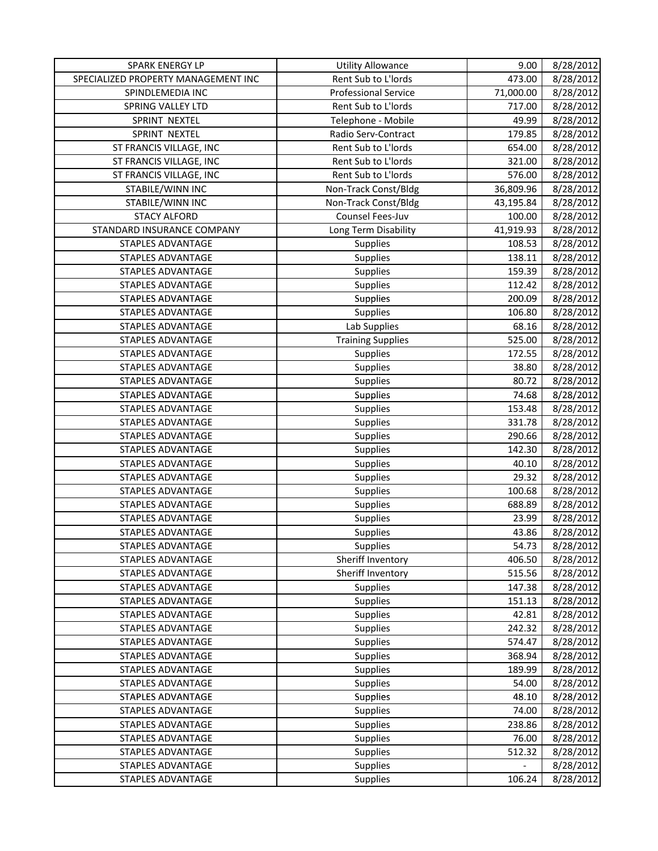| SPARK ENERGY LP                     | <b>Utility Allowance</b>    | 9.00      | 8/28/2012 |
|-------------------------------------|-----------------------------|-----------|-----------|
| SPECIALIZED PROPERTY MANAGEMENT INC | Rent Sub to L'Iords         | 473.00    | 8/28/2012 |
| SPINDLEMEDIA INC                    | <b>Professional Service</b> | 71,000.00 | 8/28/2012 |
| SPRING VALLEY LTD                   | Rent Sub to L'Iords         | 717.00    | 8/28/2012 |
| SPRINT NEXTEL                       | Telephone - Mobile          | 49.99     | 8/28/2012 |
| SPRINT NEXTEL                       | Radio Serv-Contract         | 179.85    | 8/28/2012 |
| ST FRANCIS VILLAGE, INC             | Rent Sub to L'Iords         | 654.00    | 8/28/2012 |
| ST FRANCIS VILLAGE, INC             | Rent Sub to L'Iords         | 321.00    | 8/28/2012 |
| ST FRANCIS VILLAGE, INC             | Rent Sub to L'Iords         | 576.00    | 8/28/2012 |
| STABILE/WINN INC                    | Non-Track Const/Bldg        | 36,809.96 | 8/28/2012 |
| STABILE/WINN INC                    | Non-Track Const/Bldg        | 43,195.84 | 8/28/2012 |
| <b>STACY ALFORD</b>                 | Counsel Fees-Juv            | 100.00    | 8/28/2012 |
| STANDARD INSURANCE COMPANY          | Long Term Disability        | 41,919.93 | 8/28/2012 |
| STAPLES ADVANTAGE                   | Supplies                    | 108.53    | 8/28/2012 |
| STAPLES ADVANTAGE                   | Supplies                    | 138.11    | 8/28/2012 |
| STAPLES ADVANTAGE                   | Supplies                    | 159.39    | 8/28/2012 |
| STAPLES ADVANTAGE                   | Supplies                    | 112.42    | 8/28/2012 |
| STAPLES ADVANTAGE                   | Supplies                    | 200.09    | 8/28/2012 |
| <b>STAPLES ADVANTAGE</b>            | Supplies                    | 106.80    | 8/28/2012 |
| <b>STAPLES ADVANTAGE</b>            | Lab Supplies                | 68.16     | 8/28/2012 |
| STAPLES ADVANTAGE                   | <b>Training Supplies</b>    | 525.00    | 8/28/2012 |
| <b>STAPLES ADVANTAGE</b>            | Supplies                    | 172.55    | 8/28/2012 |
| STAPLES ADVANTAGE                   | Supplies                    | 38.80     | 8/28/2012 |
| STAPLES ADVANTAGE                   | <b>Supplies</b>             | 80.72     | 8/28/2012 |
| STAPLES ADVANTAGE                   | Supplies                    | 74.68     | 8/28/2012 |
| <b>STAPLES ADVANTAGE</b>            | Supplies                    | 153.48    | 8/28/2012 |
| <b>STAPLES ADVANTAGE</b>            | Supplies                    | 331.78    | 8/28/2012 |
| <b>STAPLES ADVANTAGE</b>            | Supplies                    | 290.66    | 8/28/2012 |
| <b>STAPLES ADVANTAGE</b>            | Supplies                    | 142.30    | 8/28/2012 |
| STAPLES ADVANTAGE                   | Supplies                    | 40.10     | 8/28/2012 |
| STAPLES ADVANTAGE                   | Supplies                    | 29.32     | 8/28/2012 |
| STAPLES ADVANTAGE                   | Supplies                    | 100.68    | 8/28/2012 |
| STAPLES ADVANTAGE                   | Supplies                    | 688.89    | 8/28/2012 |
| STAPLES ADVANTAGE                   | Supplies                    | 23.99     | 8/28/2012 |
| <b>STAPLES ADVANTAGE</b>            | Supplies                    | 43.86     | 8/28/2012 |
| STAPLES ADVANTAGE                   | <b>Supplies</b>             | 54.73     | 8/28/2012 |
| <b>STAPLES ADVANTAGE</b>            | Sheriff Inventory           | 406.50    | 8/28/2012 |
| STAPLES ADVANTAGE                   | Sheriff Inventory           | 515.56    | 8/28/2012 |
| <b>STAPLES ADVANTAGE</b>            | <b>Supplies</b>             | 147.38    | 8/28/2012 |
| STAPLES ADVANTAGE                   | <b>Supplies</b>             | 151.13    | 8/28/2012 |
| STAPLES ADVANTAGE                   | <b>Supplies</b>             | 42.81     | 8/28/2012 |
| STAPLES ADVANTAGE                   | <b>Supplies</b>             | 242.32    | 8/28/2012 |
| STAPLES ADVANTAGE                   | <b>Supplies</b>             | 574.47    | 8/28/2012 |
| STAPLES ADVANTAGE                   | <b>Supplies</b>             | 368.94    | 8/28/2012 |
| STAPLES ADVANTAGE                   | <b>Supplies</b>             | 189.99    | 8/28/2012 |
| STAPLES ADVANTAGE                   | <b>Supplies</b>             | 54.00     | 8/28/2012 |
| <b>STAPLES ADVANTAGE</b>            | <b>Supplies</b>             | 48.10     | 8/28/2012 |
| STAPLES ADVANTAGE                   | <b>Supplies</b>             | 74.00     | 8/28/2012 |
| STAPLES ADVANTAGE                   | <b>Supplies</b>             | 238.86    | 8/28/2012 |
| STAPLES ADVANTAGE                   | <b>Supplies</b>             | 76.00     | 8/28/2012 |
| STAPLES ADVANTAGE                   | <b>Supplies</b>             | 512.32    | 8/28/2012 |
| STAPLES ADVANTAGE                   | <b>Supplies</b>             |           | 8/28/2012 |
| STAPLES ADVANTAGE                   | <b>Supplies</b>             | 106.24    | 8/28/2012 |
|                                     |                             |           |           |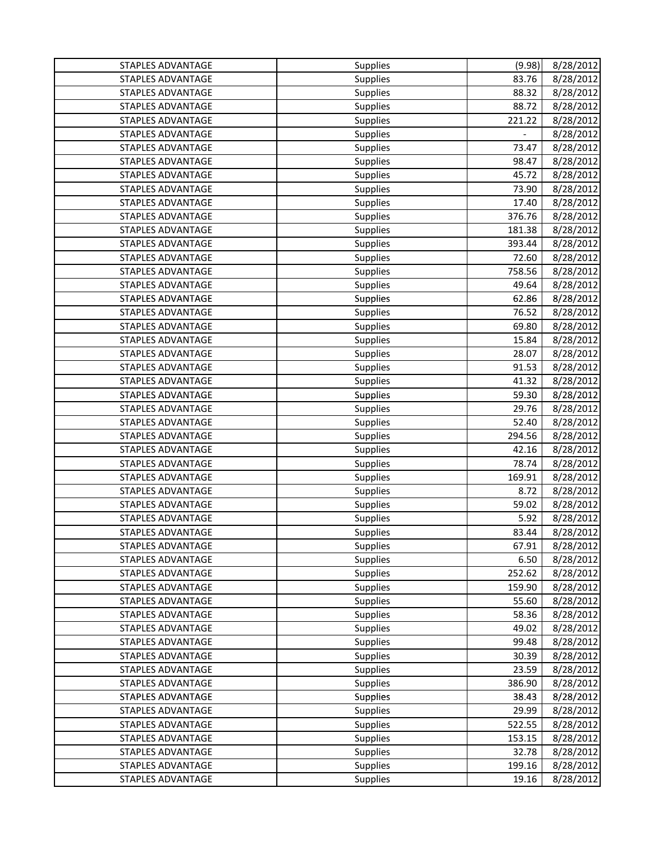| STAPLES ADVANTAGE        | Supplies        | (9.98) | 8/28/2012 |
|--------------------------|-----------------|--------|-----------|
| STAPLES ADVANTAGE        | Supplies        | 83.76  | 8/28/2012 |
| <b>STAPLES ADVANTAGE</b> | Supplies        | 88.32  | 8/28/2012 |
| <b>STAPLES ADVANTAGE</b> | Supplies        | 88.72  | 8/28/2012 |
| STAPLES ADVANTAGE        | Supplies        | 221.22 | 8/28/2012 |
| <b>STAPLES ADVANTAGE</b> | Supplies        |        | 8/28/2012 |
| <b>STAPLES ADVANTAGE</b> | Supplies        | 73.47  | 8/28/2012 |
| <b>STAPLES ADVANTAGE</b> | Supplies        | 98.47  | 8/28/2012 |
| <b>STAPLES ADVANTAGE</b> | Supplies        | 45.72  | 8/28/2012 |
| STAPLES ADVANTAGE        | Supplies        | 73.90  | 8/28/2012 |
| <b>STAPLES ADVANTAGE</b> | Supplies        | 17.40  | 8/28/2012 |
| <b>STAPLES ADVANTAGE</b> | Supplies        | 376.76 | 8/28/2012 |
| STAPLES ADVANTAGE        | Supplies        | 181.38 | 8/28/2012 |
| <b>STAPLES ADVANTAGE</b> | Supplies        | 393.44 | 8/28/2012 |
| <b>STAPLES ADVANTAGE</b> | Supplies        | 72.60  | 8/28/2012 |
| <b>STAPLES ADVANTAGE</b> | Supplies        | 758.56 | 8/28/2012 |
| <b>STAPLES ADVANTAGE</b> | Supplies        | 49.64  | 8/28/2012 |
| STAPLES ADVANTAGE        | Supplies        | 62.86  | 8/28/2012 |
| <b>STAPLES ADVANTAGE</b> | Supplies        | 76.52  | 8/28/2012 |
| <b>STAPLES ADVANTAGE</b> | Supplies        | 69.80  | 8/28/2012 |
| <b>STAPLES ADVANTAGE</b> | <b>Supplies</b> | 15.84  | 8/28/2012 |
| STAPLES ADVANTAGE        | Supplies        | 28.07  | 8/28/2012 |
| STAPLES ADVANTAGE        | Supplies        | 91.53  | 8/28/2012 |
| <b>STAPLES ADVANTAGE</b> | Supplies        | 41.32  | 8/28/2012 |
| STAPLES ADVANTAGE        | Supplies        | 59.30  | 8/28/2012 |
| STAPLES ADVANTAGE        | <b>Supplies</b> | 29.76  | 8/28/2012 |
| STAPLES ADVANTAGE        | Supplies        | 52.40  | 8/28/2012 |
| STAPLES ADVANTAGE        | Supplies        | 294.56 | 8/28/2012 |
| <b>STAPLES ADVANTAGE</b> | Supplies        | 42.16  | 8/28/2012 |
| <b>STAPLES ADVANTAGE</b> | Supplies        | 78.74  | 8/28/2012 |
| <b>STAPLES ADVANTAGE</b> | Supplies        | 169.91 | 8/28/2012 |
| <b>STAPLES ADVANTAGE</b> | Supplies        | 8.72   | 8/28/2012 |
| STAPLES ADVANTAGE        | Supplies        | 59.02  | 8/28/2012 |
| <b>STAPLES ADVANTAGE</b> | Supplies        | 5.92   | 8/28/2012 |
| STAPLES ADVANTAGE        | Supplies        | 83.44  | 8/28/2012 |
| STAPLES ADVANTAGE        | Supplies        | 67.91  | 8/28/2012 |
| <b>STAPLES ADVANTAGE</b> | <b>Supplies</b> | 6.50   | 8/28/2012 |
| STAPLES ADVANTAGE        | <b>Supplies</b> | 252.62 | 8/28/2012 |
| STAPLES ADVANTAGE        | <b>Supplies</b> | 159.90 | 8/28/2012 |
| STAPLES ADVANTAGE        | <b>Supplies</b> | 55.60  | 8/28/2012 |
| STAPLES ADVANTAGE        | <b>Supplies</b> | 58.36  | 8/28/2012 |
| STAPLES ADVANTAGE        | <b>Supplies</b> | 49.02  | 8/28/2012 |
| <b>STAPLES ADVANTAGE</b> | <b>Supplies</b> | 99.48  | 8/28/2012 |
| STAPLES ADVANTAGE        | <b>Supplies</b> | 30.39  | 8/28/2012 |
| STAPLES ADVANTAGE        | Supplies        | 23.59  | 8/28/2012 |
| STAPLES ADVANTAGE        | Supplies        | 386.90 | 8/28/2012 |
| <b>STAPLES ADVANTAGE</b> | <b>Supplies</b> | 38.43  | 8/28/2012 |
| STAPLES ADVANTAGE        | <b>Supplies</b> | 29.99  | 8/28/2012 |
| STAPLES ADVANTAGE        | <b>Supplies</b> | 522.55 | 8/28/2012 |
| STAPLES ADVANTAGE        | <b>Supplies</b> | 153.15 | 8/28/2012 |
| STAPLES ADVANTAGE        | <b>Supplies</b> | 32.78  | 8/28/2012 |
| STAPLES ADVANTAGE        | Supplies        | 199.16 | 8/28/2012 |
| STAPLES ADVANTAGE        | <b>Supplies</b> | 19.16  | 8/28/2012 |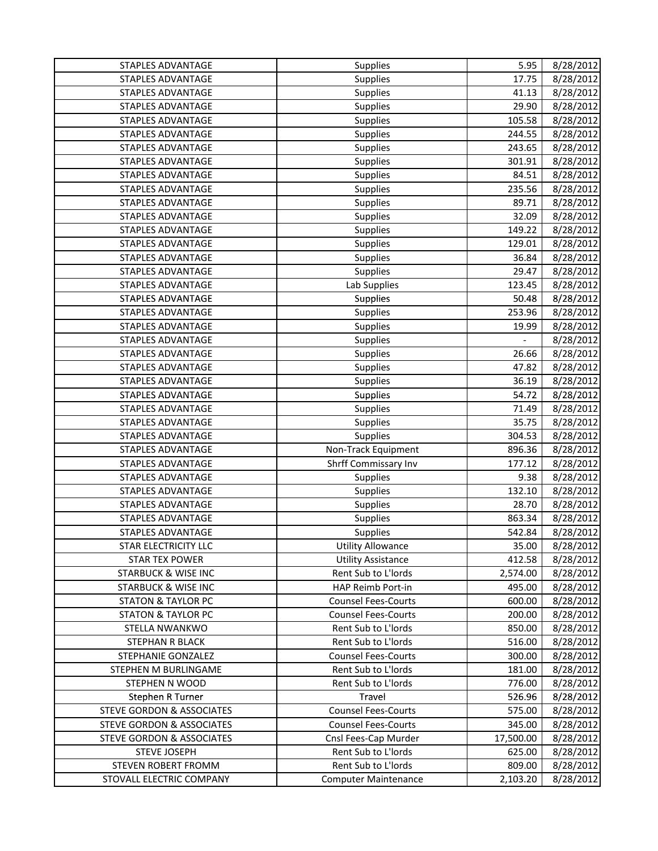| 8/28/2012<br><b>STAPLES ADVANTAGE</b><br><b>Supplies</b><br>17.75<br><b>STAPLES ADVANTAGE</b><br>8/28/2012<br>Supplies<br>41.13<br>8/28/2012<br><b>STAPLES ADVANTAGE</b><br>29.90<br>Supplies<br><b>STAPLES ADVANTAGE</b><br>105.58<br>8/28/2012<br>Supplies<br>8/28/2012<br>STAPLES ADVANTAGE<br>Supplies<br>244.55<br><b>STAPLES ADVANTAGE</b><br>Supplies<br>8/28/2012<br>243.65<br>8/28/2012<br>STAPLES ADVANTAGE<br>Supplies<br>301.91<br>8/28/2012<br><b>STAPLES ADVANTAGE</b><br>Supplies<br>84.51<br>STAPLES ADVANTAGE<br>Supplies<br>235.56<br>8/28/2012<br><b>STAPLES ADVANTAGE</b><br>89.71<br>8/28/2012<br>Supplies<br><b>STAPLES ADVANTAGE</b><br>32.09<br>8/28/2012<br>Supplies<br>149.22<br>8/28/2012<br><b>STAPLES ADVANTAGE</b><br><b>Supplies</b><br><b>STAPLES ADVANTAGE</b><br>Supplies<br>129.01<br>8/28/2012<br><b>STAPLES ADVANTAGE</b><br>8/28/2012<br>Supplies<br>36.84<br>8/28/2012<br><b>STAPLES ADVANTAGE</b><br>Supplies<br>29.47<br>Lab Supplies<br>8/28/2012<br><b>STAPLES ADVANTAGE</b><br>123.45<br>STAPLES ADVANTAGE<br>Supplies<br>50.48<br>8/28/2012<br><b>STAPLES ADVANTAGE</b><br>253.96<br>8/28/2012<br>Supplies<br><b>STAPLES ADVANTAGE</b><br>19.99<br>8/28/2012<br>Supplies<br>8/28/2012<br><b>STAPLES ADVANTAGE</b><br>Supplies<br>26.66<br>STAPLES ADVANTAGE<br>Supplies<br>8/28/2012<br>8/28/2012<br><b>STAPLES ADVANTAGE</b><br>47.82<br>Supplies<br><b>STAPLES ADVANTAGE</b><br>36.19<br>8/28/2012<br>Supplies<br>STAPLES ADVANTAGE<br>54.72<br>8/28/2012<br>Supplies<br><b>STAPLES ADVANTAGE</b><br>8/28/2012<br>Supplies<br>71.49<br><b>STAPLES ADVANTAGE</b><br>35.75<br>8/28/2012<br>Supplies<br><b>STAPLES ADVANTAGE</b><br>304.53<br>8/28/2012<br>Supplies<br>8/28/2012<br>STAPLES ADVANTAGE<br>Non-Track Equipment<br>896.36 |
|------------------------------------------------------------------------------------------------------------------------------------------------------------------------------------------------------------------------------------------------------------------------------------------------------------------------------------------------------------------------------------------------------------------------------------------------------------------------------------------------------------------------------------------------------------------------------------------------------------------------------------------------------------------------------------------------------------------------------------------------------------------------------------------------------------------------------------------------------------------------------------------------------------------------------------------------------------------------------------------------------------------------------------------------------------------------------------------------------------------------------------------------------------------------------------------------------------------------------------------------------------------------------------------------------------------------------------------------------------------------------------------------------------------------------------------------------------------------------------------------------------------------------------------------------------------------------------------------------------------------------------------------------------------------------------------------------------------------------------------------------------------------------------|
|                                                                                                                                                                                                                                                                                                                                                                                                                                                                                                                                                                                                                                                                                                                                                                                                                                                                                                                                                                                                                                                                                                                                                                                                                                                                                                                                                                                                                                                                                                                                                                                                                                                                                                                                                                                    |
|                                                                                                                                                                                                                                                                                                                                                                                                                                                                                                                                                                                                                                                                                                                                                                                                                                                                                                                                                                                                                                                                                                                                                                                                                                                                                                                                                                                                                                                                                                                                                                                                                                                                                                                                                                                    |
|                                                                                                                                                                                                                                                                                                                                                                                                                                                                                                                                                                                                                                                                                                                                                                                                                                                                                                                                                                                                                                                                                                                                                                                                                                                                                                                                                                                                                                                                                                                                                                                                                                                                                                                                                                                    |
|                                                                                                                                                                                                                                                                                                                                                                                                                                                                                                                                                                                                                                                                                                                                                                                                                                                                                                                                                                                                                                                                                                                                                                                                                                                                                                                                                                                                                                                                                                                                                                                                                                                                                                                                                                                    |
|                                                                                                                                                                                                                                                                                                                                                                                                                                                                                                                                                                                                                                                                                                                                                                                                                                                                                                                                                                                                                                                                                                                                                                                                                                                                                                                                                                                                                                                                                                                                                                                                                                                                                                                                                                                    |
|                                                                                                                                                                                                                                                                                                                                                                                                                                                                                                                                                                                                                                                                                                                                                                                                                                                                                                                                                                                                                                                                                                                                                                                                                                                                                                                                                                                                                                                                                                                                                                                                                                                                                                                                                                                    |
|                                                                                                                                                                                                                                                                                                                                                                                                                                                                                                                                                                                                                                                                                                                                                                                                                                                                                                                                                                                                                                                                                                                                                                                                                                                                                                                                                                                                                                                                                                                                                                                                                                                                                                                                                                                    |
|                                                                                                                                                                                                                                                                                                                                                                                                                                                                                                                                                                                                                                                                                                                                                                                                                                                                                                                                                                                                                                                                                                                                                                                                                                                                                                                                                                                                                                                                                                                                                                                                                                                                                                                                                                                    |
|                                                                                                                                                                                                                                                                                                                                                                                                                                                                                                                                                                                                                                                                                                                                                                                                                                                                                                                                                                                                                                                                                                                                                                                                                                                                                                                                                                                                                                                                                                                                                                                                                                                                                                                                                                                    |
|                                                                                                                                                                                                                                                                                                                                                                                                                                                                                                                                                                                                                                                                                                                                                                                                                                                                                                                                                                                                                                                                                                                                                                                                                                                                                                                                                                                                                                                                                                                                                                                                                                                                                                                                                                                    |
|                                                                                                                                                                                                                                                                                                                                                                                                                                                                                                                                                                                                                                                                                                                                                                                                                                                                                                                                                                                                                                                                                                                                                                                                                                                                                                                                                                                                                                                                                                                                                                                                                                                                                                                                                                                    |
|                                                                                                                                                                                                                                                                                                                                                                                                                                                                                                                                                                                                                                                                                                                                                                                                                                                                                                                                                                                                                                                                                                                                                                                                                                                                                                                                                                                                                                                                                                                                                                                                                                                                                                                                                                                    |
|                                                                                                                                                                                                                                                                                                                                                                                                                                                                                                                                                                                                                                                                                                                                                                                                                                                                                                                                                                                                                                                                                                                                                                                                                                                                                                                                                                                                                                                                                                                                                                                                                                                                                                                                                                                    |
|                                                                                                                                                                                                                                                                                                                                                                                                                                                                                                                                                                                                                                                                                                                                                                                                                                                                                                                                                                                                                                                                                                                                                                                                                                                                                                                                                                                                                                                                                                                                                                                                                                                                                                                                                                                    |
|                                                                                                                                                                                                                                                                                                                                                                                                                                                                                                                                                                                                                                                                                                                                                                                                                                                                                                                                                                                                                                                                                                                                                                                                                                                                                                                                                                                                                                                                                                                                                                                                                                                                                                                                                                                    |
|                                                                                                                                                                                                                                                                                                                                                                                                                                                                                                                                                                                                                                                                                                                                                                                                                                                                                                                                                                                                                                                                                                                                                                                                                                                                                                                                                                                                                                                                                                                                                                                                                                                                                                                                                                                    |
|                                                                                                                                                                                                                                                                                                                                                                                                                                                                                                                                                                                                                                                                                                                                                                                                                                                                                                                                                                                                                                                                                                                                                                                                                                                                                                                                                                                                                                                                                                                                                                                                                                                                                                                                                                                    |
|                                                                                                                                                                                                                                                                                                                                                                                                                                                                                                                                                                                                                                                                                                                                                                                                                                                                                                                                                                                                                                                                                                                                                                                                                                                                                                                                                                                                                                                                                                                                                                                                                                                                                                                                                                                    |
|                                                                                                                                                                                                                                                                                                                                                                                                                                                                                                                                                                                                                                                                                                                                                                                                                                                                                                                                                                                                                                                                                                                                                                                                                                                                                                                                                                                                                                                                                                                                                                                                                                                                                                                                                                                    |
|                                                                                                                                                                                                                                                                                                                                                                                                                                                                                                                                                                                                                                                                                                                                                                                                                                                                                                                                                                                                                                                                                                                                                                                                                                                                                                                                                                                                                                                                                                                                                                                                                                                                                                                                                                                    |
|                                                                                                                                                                                                                                                                                                                                                                                                                                                                                                                                                                                                                                                                                                                                                                                                                                                                                                                                                                                                                                                                                                                                                                                                                                                                                                                                                                                                                                                                                                                                                                                                                                                                                                                                                                                    |
|                                                                                                                                                                                                                                                                                                                                                                                                                                                                                                                                                                                                                                                                                                                                                                                                                                                                                                                                                                                                                                                                                                                                                                                                                                                                                                                                                                                                                                                                                                                                                                                                                                                                                                                                                                                    |
|                                                                                                                                                                                                                                                                                                                                                                                                                                                                                                                                                                                                                                                                                                                                                                                                                                                                                                                                                                                                                                                                                                                                                                                                                                                                                                                                                                                                                                                                                                                                                                                                                                                                                                                                                                                    |
|                                                                                                                                                                                                                                                                                                                                                                                                                                                                                                                                                                                                                                                                                                                                                                                                                                                                                                                                                                                                                                                                                                                                                                                                                                                                                                                                                                                                                                                                                                                                                                                                                                                                                                                                                                                    |
|                                                                                                                                                                                                                                                                                                                                                                                                                                                                                                                                                                                                                                                                                                                                                                                                                                                                                                                                                                                                                                                                                                                                                                                                                                                                                                                                                                                                                                                                                                                                                                                                                                                                                                                                                                                    |
|                                                                                                                                                                                                                                                                                                                                                                                                                                                                                                                                                                                                                                                                                                                                                                                                                                                                                                                                                                                                                                                                                                                                                                                                                                                                                                                                                                                                                                                                                                                                                                                                                                                                                                                                                                                    |
|                                                                                                                                                                                                                                                                                                                                                                                                                                                                                                                                                                                                                                                                                                                                                                                                                                                                                                                                                                                                                                                                                                                                                                                                                                                                                                                                                                                                                                                                                                                                                                                                                                                                                                                                                                                    |
|                                                                                                                                                                                                                                                                                                                                                                                                                                                                                                                                                                                                                                                                                                                                                                                                                                                                                                                                                                                                                                                                                                                                                                                                                                                                                                                                                                                                                                                                                                                                                                                                                                                                                                                                                                                    |
| Shrff Commissary Inv<br>8/28/2012<br>STAPLES ADVANTAGE<br>177.12                                                                                                                                                                                                                                                                                                                                                                                                                                                                                                                                                                                                                                                                                                                                                                                                                                                                                                                                                                                                                                                                                                                                                                                                                                                                                                                                                                                                                                                                                                                                                                                                                                                                                                                   |
| 8/28/2012<br><b>STAPLES ADVANTAGE</b><br>Supplies<br>9.38                                                                                                                                                                                                                                                                                                                                                                                                                                                                                                                                                                                                                                                                                                                                                                                                                                                                                                                                                                                                                                                                                                                                                                                                                                                                                                                                                                                                                                                                                                                                                                                                                                                                                                                          |
| 132.10<br>8/28/2012<br><b>STAPLES ADVANTAGE</b><br><b>Supplies</b>                                                                                                                                                                                                                                                                                                                                                                                                                                                                                                                                                                                                                                                                                                                                                                                                                                                                                                                                                                                                                                                                                                                                                                                                                                                                                                                                                                                                                                                                                                                                                                                                                                                                                                                 |
| STAPLES ADVANTAGE<br>28.70<br>8/28/2012<br>Supplies                                                                                                                                                                                                                                                                                                                                                                                                                                                                                                                                                                                                                                                                                                                                                                                                                                                                                                                                                                                                                                                                                                                                                                                                                                                                                                                                                                                                                                                                                                                                                                                                                                                                                                                                |
| <b>STAPLES ADVANTAGE</b><br>863.34<br>8/28/2012<br>Supplies                                                                                                                                                                                                                                                                                                                                                                                                                                                                                                                                                                                                                                                                                                                                                                                                                                                                                                                                                                                                                                                                                                                                                                                                                                                                                                                                                                                                                                                                                                                                                                                                                                                                                                                        |
| <b>STAPLES ADVANTAGE</b><br>542.84<br>8/28/2012<br>Supplies                                                                                                                                                                                                                                                                                                                                                                                                                                                                                                                                                                                                                                                                                                                                                                                                                                                                                                                                                                                                                                                                                                                                                                                                                                                                                                                                                                                                                                                                                                                                                                                                                                                                                                                        |
| <b>Utility Allowance</b><br>8/28/2012<br>STAR ELECTRICITY LLC<br>35.00                                                                                                                                                                                                                                                                                                                                                                                                                                                                                                                                                                                                                                                                                                                                                                                                                                                                                                                                                                                                                                                                                                                                                                                                                                                                                                                                                                                                                                                                                                                                                                                                                                                                                                             |
| <b>Utility Assistance</b><br>412.58<br>8/28/2012<br><b>STAR TEX POWER</b>                                                                                                                                                                                                                                                                                                                                                                                                                                                                                                                                                                                                                                                                                                                                                                                                                                                                                                                                                                                                                                                                                                                                                                                                                                                                                                                                                                                                                                                                                                                                                                                                                                                                                                          |
| Rent Sub to L'Iords<br><b>STARBUCK &amp; WISE INC</b><br>2,574.00<br>8/28/2012                                                                                                                                                                                                                                                                                                                                                                                                                                                                                                                                                                                                                                                                                                                                                                                                                                                                                                                                                                                                                                                                                                                                                                                                                                                                                                                                                                                                                                                                                                                                                                                                                                                                                                     |
| <b>STARBUCK &amp; WISE INC</b><br>HAP Reimb Port-in<br>495.00<br>8/28/2012                                                                                                                                                                                                                                                                                                                                                                                                                                                                                                                                                                                                                                                                                                                                                                                                                                                                                                                                                                                                                                                                                                                                                                                                                                                                                                                                                                                                                                                                                                                                                                                                                                                                                                         |
| <b>Counsel Fees-Courts</b><br>600.00<br>8/28/2012<br><b>STATON &amp; TAYLOR PC</b>                                                                                                                                                                                                                                                                                                                                                                                                                                                                                                                                                                                                                                                                                                                                                                                                                                                                                                                                                                                                                                                                                                                                                                                                                                                                                                                                                                                                                                                                                                                                                                                                                                                                                                 |
| <b>STATON &amp; TAYLOR PC</b><br><b>Counsel Fees-Courts</b><br>200.00<br>8/28/2012                                                                                                                                                                                                                                                                                                                                                                                                                                                                                                                                                                                                                                                                                                                                                                                                                                                                                                                                                                                                                                                                                                                                                                                                                                                                                                                                                                                                                                                                                                                                                                                                                                                                                                 |
| 850.00<br>STELLA NWANKWO<br>Rent Sub to L'Iords<br>8/28/2012                                                                                                                                                                                                                                                                                                                                                                                                                                                                                                                                                                                                                                                                                                                                                                                                                                                                                                                                                                                                                                                                                                                                                                                                                                                                                                                                                                                                                                                                                                                                                                                                                                                                                                                       |
| Rent Sub to L'Iords<br>STEPHAN R BLACK<br>516.00<br>8/28/2012                                                                                                                                                                                                                                                                                                                                                                                                                                                                                                                                                                                                                                                                                                                                                                                                                                                                                                                                                                                                                                                                                                                                                                                                                                                                                                                                                                                                                                                                                                                                                                                                                                                                                                                      |
| STEPHANIE GONZALEZ<br><b>Counsel Fees-Courts</b><br>300.00<br>8/28/2012                                                                                                                                                                                                                                                                                                                                                                                                                                                                                                                                                                                                                                                                                                                                                                                                                                                                                                                                                                                                                                                                                                                                                                                                                                                                                                                                                                                                                                                                                                                                                                                                                                                                                                            |
| Rent Sub to L'Iords<br>STEPHEN M BURLINGAME<br>181.00<br>8/28/2012                                                                                                                                                                                                                                                                                                                                                                                                                                                                                                                                                                                                                                                                                                                                                                                                                                                                                                                                                                                                                                                                                                                                                                                                                                                                                                                                                                                                                                                                                                                                                                                                                                                                                                                 |
| Rent Sub to L'Iords<br>776.00<br>8/28/2012<br>STEPHEN N WOOD                                                                                                                                                                                                                                                                                                                                                                                                                                                                                                                                                                                                                                                                                                                                                                                                                                                                                                                                                                                                                                                                                                                                                                                                                                                                                                                                                                                                                                                                                                                                                                                                                                                                                                                       |
| Travel<br>526.96<br>8/28/2012<br>Stephen R Turner                                                                                                                                                                                                                                                                                                                                                                                                                                                                                                                                                                                                                                                                                                                                                                                                                                                                                                                                                                                                                                                                                                                                                                                                                                                                                                                                                                                                                                                                                                                                                                                                                                                                                                                                  |
| <b>STEVE GORDON &amp; ASSOCIATES</b><br><b>Counsel Fees-Courts</b><br>575.00<br>8/28/2012                                                                                                                                                                                                                                                                                                                                                                                                                                                                                                                                                                                                                                                                                                                                                                                                                                                                                                                                                                                                                                                                                                                                                                                                                                                                                                                                                                                                                                                                                                                                                                                                                                                                                          |
| <b>STEVE GORDON &amp; ASSOCIATES</b><br><b>Counsel Fees-Courts</b><br>345.00<br>8/28/2012                                                                                                                                                                                                                                                                                                                                                                                                                                                                                                                                                                                                                                                                                                                                                                                                                                                                                                                                                                                                                                                                                                                                                                                                                                                                                                                                                                                                                                                                                                                                                                                                                                                                                          |
| Cnsl Fees-Cap Murder<br><b>STEVE GORDON &amp; ASSOCIATES</b><br>17,500.00<br>8/28/2012                                                                                                                                                                                                                                                                                                                                                                                                                                                                                                                                                                                                                                                                                                                                                                                                                                                                                                                                                                                                                                                                                                                                                                                                                                                                                                                                                                                                                                                                                                                                                                                                                                                                                             |
| 625.00<br><b>STEVE JOSEPH</b><br>Rent Sub to L'Iords<br>8/28/2012                                                                                                                                                                                                                                                                                                                                                                                                                                                                                                                                                                                                                                                                                                                                                                                                                                                                                                                                                                                                                                                                                                                                                                                                                                                                                                                                                                                                                                                                                                                                                                                                                                                                                                                  |
| STEVEN ROBERT FROMM<br>Rent Sub to L'Iords<br>809.00<br>8/28/2012                                                                                                                                                                                                                                                                                                                                                                                                                                                                                                                                                                                                                                                                                                                                                                                                                                                                                                                                                                                                                                                                                                                                                                                                                                                                                                                                                                                                                                                                                                                                                                                                                                                                                                                  |
| STOVALL ELECTRIC COMPANY<br><b>Computer Maintenance</b><br>2,103.20<br>8/28/2012                                                                                                                                                                                                                                                                                                                                                                                                                                                                                                                                                                                                                                                                                                                                                                                                                                                                                                                                                                                                                                                                                                                                                                                                                                                                                                                                                                                                                                                                                                                                                                                                                                                                                                   |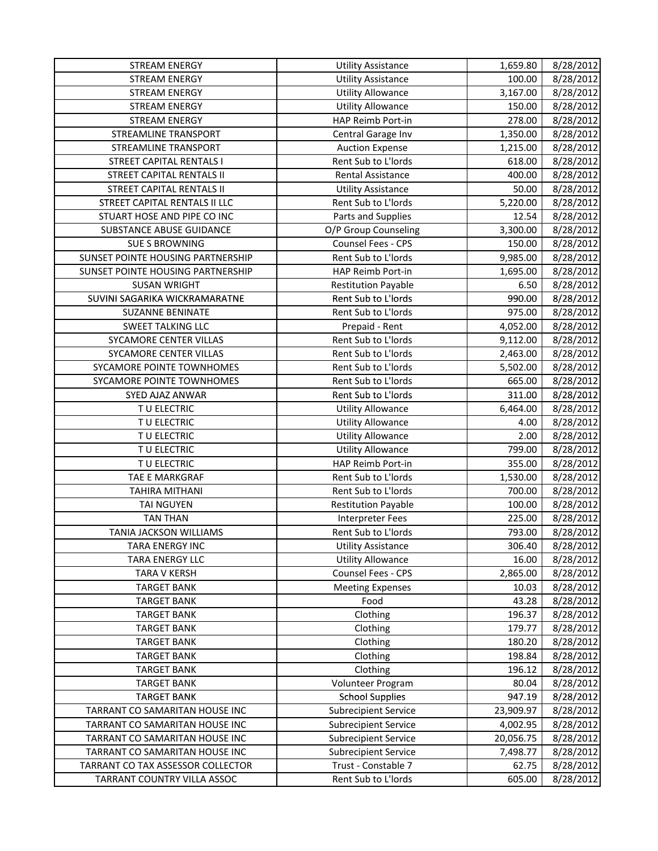| <b>STREAM ENERGY</b>              | <b>Utility Assistance</b>   | 1,659.80  | 8/28/2012 |
|-----------------------------------|-----------------------------|-----------|-----------|
| <b>STREAM ENERGY</b>              | <b>Utility Assistance</b>   | 100.00    | 8/28/2012 |
| <b>STREAM ENERGY</b>              | <b>Utility Allowance</b>    | 3,167.00  | 8/28/2012 |
| <b>STREAM ENERGY</b>              | <b>Utility Allowance</b>    | 150.00    | 8/28/2012 |
| <b>STREAM ENERGY</b>              | HAP Reimb Port-in           | 278.00    | 8/28/2012 |
| <b>STREAMLINE TRANSPORT</b>       | Central Garage Inv          | 1,350.00  | 8/28/2012 |
| STREAMLINE TRANSPORT              | <b>Auction Expense</b>      | 1,215.00  | 8/28/2012 |
| <b>STREET CAPITAL RENTALS I</b>   | Rent Sub to L'Iords         | 618.00    | 8/28/2012 |
| <b>STREET CAPITAL RENTALS II</b>  | Rental Assistance           | 400.00    | 8/28/2012 |
| <b>STREET CAPITAL RENTALS II</b>  | <b>Utility Assistance</b>   | 50.00     | 8/28/2012 |
| STREET CAPITAL RENTALS II LLC     | Rent Sub to L'Iords         | 5,220.00  | 8/28/2012 |
| STUART HOSE AND PIPE CO INC       | Parts and Supplies          | 12.54     | 8/28/2012 |
| SUBSTANCE ABUSE GUIDANCE          | O/P Group Counseling        | 3,300.00  | 8/28/2012 |
| <b>SUE S BROWNING</b>             | Counsel Fees - CPS          | 150.00    | 8/28/2012 |
| SUNSET POINTE HOUSING PARTNERSHIP | Rent Sub to L'Iords         | 9,985.00  | 8/28/2012 |
| SUNSET POINTE HOUSING PARTNERSHIP | HAP Reimb Port-in           | 1,695.00  | 8/28/2012 |
| <b>SUSAN WRIGHT</b>               | <b>Restitution Payable</b>  | 6.50      | 8/28/2012 |
| SUVINI SAGARIKA WICKRAMARATNE     | Rent Sub to L'Iords         | 990.00    | 8/28/2012 |
| <b>SUZANNE BENINATE</b>           | Rent Sub to L'Iords         | 975.00    | 8/28/2012 |
| <b>SWEET TALKING LLC</b>          | Prepaid - Rent              | 4,052.00  | 8/28/2012 |
| SYCAMORE CENTER VILLAS            | Rent Sub to L'Iords         | 9,112.00  | 8/28/2012 |
| SYCAMORE CENTER VILLAS            | Rent Sub to L'Iords         | 2,463.00  | 8/28/2012 |
| SYCAMORE POINTE TOWNHOMES         | Rent Sub to L'Iords         | 5,502.00  | 8/28/2012 |
| SYCAMORE POINTE TOWNHOMES         | Rent Sub to L'Iords         | 665.00    | 8/28/2012 |
| SYED AJAZ ANWAR                   | Rent Sub to L'Iords         | 311.00    | 8/28/2012 |
| T U ELECTRIC                      | <b>Utility Allowance</b>    | 6,464.00  | 8/28/2012 |
| TU ELECTRIC                       | <b>Utility Allowance</b>    | 4.00      | 8/28/2012 |
| TU ELECTRIC                       | <b>Utility Allowance</b>    | 2.00      | 8/28/2012 |
| TU ELECTRIC                       | <b>Utility Allowance</b>    | 799.00    | 8/28/2012 |
| TU ELECTRIC                       | HAP Reimb Port-in           | 355.00    | 8/28/2012 |
| TAE E MARKGRAF                    | Rent Sub to L'Iords         | 1,530.00  | 8/28/2012 |
| TAHIRA MITHANI                    | Rent Sub to L'Iords         | 700.00    | 8/28/2012 |
| <b>TAI NGUYEN</b>                 | <b>Restitution Payable</b>  | 100.00    | 8/28/2012 |
| <b>TAN THAN</b>                   | <b>Interpreter Fees</b>     | 225.00    | 8/28/2012 |
| TANIA JACKSON WILLIAMS            | Rent Sub to L'Iords         | 793.00    | 8/28/2012 |
| TARA ENERGY INC                   | <b>Utility Assistance</b>   | 306.40    | 8/28/2012 |
| <b>TARA ENERGY LLC</b>            | <b>Utility Allowance</b>    | 16.00     | 8/28/2012 |
| <b>TARA V KERSH</b>               | Counsel Fees - CPS          | 2,865.00  | 8/28/2012 |
| <b>TARGET BANK</b>                | <b>Meeting Expenses</b>     | 10.03     | 8/28/2012 |
| <b>TARGET BANK</b>                | Food                        | 43.28     | 8/28/2012 |
| <b>TARGET BANK</b>                | Clothing                    | 196.37    | 8/28/2012 |
| <b>TARGET BANK</b>                | Clothing                    | 179.77    | 8/28/2012 |
| <b>TARGET BANK</b>                | Clothing                    | 180.20    | 8/28/2012 |
| <b>TARGET BANK</b>                | Clothing                    | 198.84    | 8/28/2012 |
| <b>TARGET BANK</b>                | Clothing                    | 196.12    | 8/28/2012 |
| <b>TARGET BANK</b>                | Volunteer Program           | 80.04     | 8/28/2012 |
| <b>TARGET BANK</b>                | <b>School Supplies</b>      | 947.19    | 8/28/2012 |
| TARRANT CO SAMARITAN HOUSE INC    | <b>Subrecipient Service</b> | 23,909.97 | 8/28/2012 |
| TARRANT CO SAMARITAN HOUSE INC    | <b>Subrecipient Service</b> | 4,002.95  | 8/28/2012 |
| TARRANT CO SAMARITAN HOUSE INC    | <b>Subrecipient Service</b> | 20,056.75 | 8/28/2012 |
| TARRANT CO SAMARITAN HOUSE INC    | <b>Subrecipient Service</b> | 7,498.77  | 8/28/2012 |
| TARRANT CO TAX ASSESSOR COLLECTOR | Trust - Constable 7         | 62.75     | 8/28/2012 |
| TARRANT COUNTRY VILLA ASSOC       | Rent Sub to L'Iords         | 605.00    | 8/28/2012 |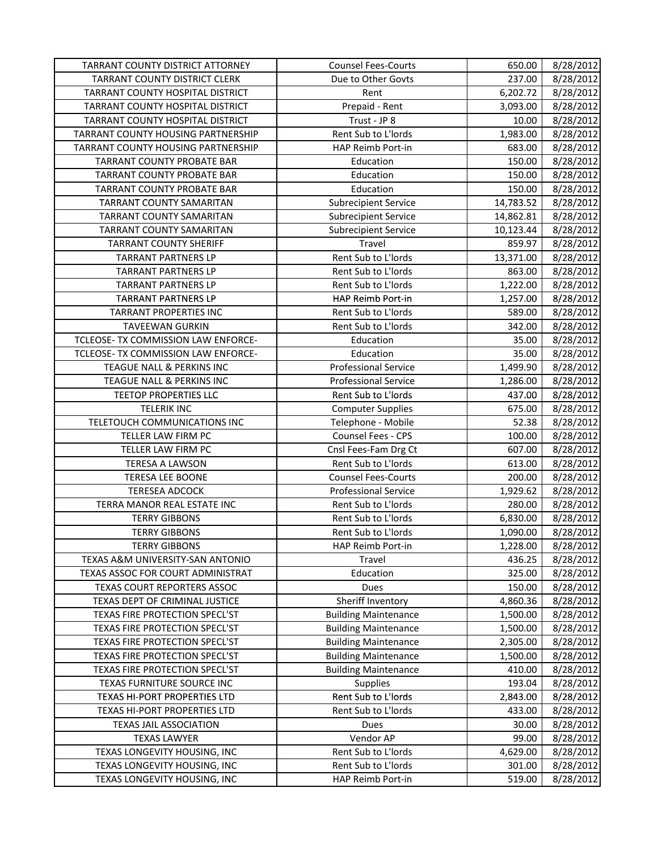| 237.00<br><b>TARRANT COUNTY DISTRICT CLERK</b><br>Due to Other Govts<br>TARRANT COUNTY HOSPITAL DISTRICT<br>Rent<br>6,202.72<br>TARRANT COUNTY HOSPITAL DISTRICT<br>Prepaid - Rent<br>3,093.00 | 8/28/2012<br>8/28/2012 |
|------------------------------------------------------------------------------------------------------------------------------------------------------------------------------------------------|------------------------|
|                                                                                                                                                                                                |                        |
|                                                                                                                                                                                                |                        |
|                                                                                                                                                                                                | 8/28/2012              |
| TARRANT COUNTY HOSPITAL DISTRICT<br>Trust - JP 8<br>10.00                                                                                                                                      | 8/28/2012              |
| Rent Sub to L'Iords<br>1,983.00<br>TARRANT COUNTY HOUSING PARTNERSHIP                                                                                                                          | 8/28/2012              |
| TARRANT COUNTY HOUSING PARTNERSHIP<br>HAP Reimb Port-in<br>683.00                                                                                                                              | 8/28/2012              |
| TARRANT COUNTY PROBATE BAR<br>Education<br>150.00                                                                                                                                              | 8/28/2012              |
| TARRANT COUNTY PROBATE BAR<br>Education<br>150.00                                                                                                                                              | 8/28/2012              |
| Education<br>TARRANT COUNTY PROBATE BAR<br>150.00                                                                                                                                              | 8/28/2012              |
| TARRANT COUNTY SAMARITAN<br><b>Subrecipient Service</b><br>14,783.52                                                                                                                           | 8/28/2012              |
| TARRANT COUNTY SAMARITAN<br><b>Subrecipient Service</b><br>14,862.81                                                                                                                           | 8/28/2012              |
| TARRANT COUNTY SAMARITAN<br>10,123.44<br><b>Subrecipient Service</b>                                                                                                                           | 8/28/2012              |
| <b>TARRANT COUNTY SHERIFF</b><br>Travel<br>859.97                                                                                                                                              | 8/28/2012              |
| Rent Sub to L'Iords<br><b>TARRANT PARTNERS LP</b><br>13,371.00                                                                                                                                 | 8/28/2012              |
| <b>TARRANT PARTNERS LP</b><br>Rent Sub to L'Iords<br>863.00                                                                                                                                    | 8/28/2012              |
| Rent Sub to L'Iords<br>1,222.00<br><b>TARRANT PARTNERS LP</b>                                                                                                                                  | 8/28/2012              |
| <b>TARRANT PARTNERS LP</b><br>HAP Reimb Port-in<br>1,257.00                                                                                                                                    | 8/28/2012              |
| <b>TARRANT PROPERTIES INC</b><br>Rent Sub to L'Iords<br>589.00                                                                                                                                 | 8/28/2012              |
| Rent Sub to L'Iords<br><b>TAVEEWAN GURKIN</b><br>342.00                                                                                                                                        | 8/28/2012              |
| TCLEOSE- TX COMMISSION LAW ENFORCE-<br>35.00<br>Education                                                                                                                                      | 8/28/2012              |
| TCLEOSE- TX COMMISSION LAW ENFORCE-<br>Education<br>35.00                                                                                                                                      | 8/28/2012              |
| TEAGUE NALL & PERKINS INC<br><b>Professional Service</b><br>1,499.90                                                                                                                           | 8/28/2012              |
| TEAGUE NALL & PERKINS INC<br><b>Professional Service</b><br>1,286.00                                                                                                                           | 8/28/2012              |
| TEETOP PROPERTIES LLC<br>Rent Sub to L'Iords<br>437.00                                                                                                                                         | 8/28/2012              |
| <b>TELERIK INC</b><br><b>Computer Supplies</b><br>675.00                                                                                                                                       | 8/28/2012              |
| TELETOUCH COMMUNICATIONS INC<br>Telephone - Mobile<br>52.38                                                                                                                                    | 8/28/2012              |
| TELLER LAW FIRM PC<br>Counsel Fees - CPS<br>100.00                                                                                                                                             | 8/28/2012              |
| TELLER LAW FIRM PC<br>Cnsl Fees-Fam Drg Ct<br>607.00                                                                                                                                           | 8/28/2012              |
| Rent Sub to L'Iords<br><b>TERESA A LAWSON</b><br>613.00                                                                                                                                        | 8/28/2012              |
| <b>TERESA LEE BOONE</b><br><b>Counsel Fees-Courts</b><br>200.00                                                                                                                                | 8/28/2012              |
| <b>TERESEA ADCOCK</b><br><b>Professional Service</b><br>1,929.62                                                                                                                               | 8/28/2012              |
| TERRA MANOR REAL ESTATE INC<br>Rent Sub to L'Iords<br>280.00                                                                                                                                   | 8/28/2012              |
| Rent Sub to L'Iords<br><b>TERRY GIBBONS</b><br>6,830.00                                                                                                                                        | 8/28/2012              |
| Rent Sub to L'Iords<br>1,090.00<br><b>TERRY GIBBONS</b>                                                                                                                                        | 8/28/2012              |
| <b>TERRY GIBBONS</b><br>1,228.00<br>HAP Reimb Port-in                                                                                                                                          | 8/28/2012              |
| TEXAS A&M UNIVERSITY-SAN ANTONIO<br>436.25<br>Travel                                                                                                                                           | 8/28/2012              |
| TEXAS ASSOC FOR COURT ADMINISTRAT<br>Education<br>325.00                                                                                                                                       | 8/28/2012              |
| TEXAS COURT REPORTERS ASSOC<br>150.00<br>Dues                                                                                                                                                  | 8/28/2012              |
| Sheriff Inventory<br>TEXAS DEPT OF CRIMINAL JUSTICE<br>4,860.36                                                                                                                                | 8/28/2012              |
| TEXAS FIRE PROTECTION SPECL'ST<br><b>Building Maintenance</b><br>1,500.00                                                                                                                      | 8/28/2012              |
| TEXAS FIRE PROTECTION SPECL'ST<br><b>Building Maintenance</b><br>1,500.00                                                                                                                      | 8/28/2012              |
| TEXAS FIRE PROTECTION SPECL'ST<br><b>Building Maintenance</b><br>2,305.00                                                                                                                      | 8/28/2012              |
| TEXAS FIRE PROTECTION SPECL'ST<br><b>Building Maintenance</b><br>1,500.00                                                                                                                      | 8/28/2012              |
| TEXAS FIRE PROTECTION SPECL'ST<br><b>Building Maintenance</b><br>410.00                                                                                                                        | 8/28/2012              |
| TEXAS FURNITURE SOURCE INC<br>Supplies<br>193.04                                                                                                                                               | 8/28/2012              |
| Rent Sub to L'Iords<br>TEXAS HI-PORT PROPERTIES LTD<br>2,843.00                                                                                                                                | 8/28/2012              |
| Rent Sub to L'Iords<br>TEXAS HI-PORT PROPERTIES LTD<br>433.00                                                                                                                                  | 8/28/2012              |
| <b>TEXAS JAIL ASSOCIATION</b><br>Dues<br>30.00                                                                                                                                                 | 8/28/2012              |
| <b>TEXAS LAWYER</b><br>Vendor AP<br>99.00                                                                                                                                                      | 8/28/2012              |
| TEXAS LONGEVITY HOUSING, INC<br>Rent Sub to L'Iords<br>4,629.00                                                                                                                                | 8/28/2012              |
| TEXAS LONGEVITY HOUSING, INC<br>Rent Sub to L'Iords<br>301.00                                                                                                                                  | 8/28/2012              |
| HAP Reimb Port-in<br>TEXAS LONGEVITY HOUSING, INC<br>519.00                                                                                                                                    | 8/28/2012              |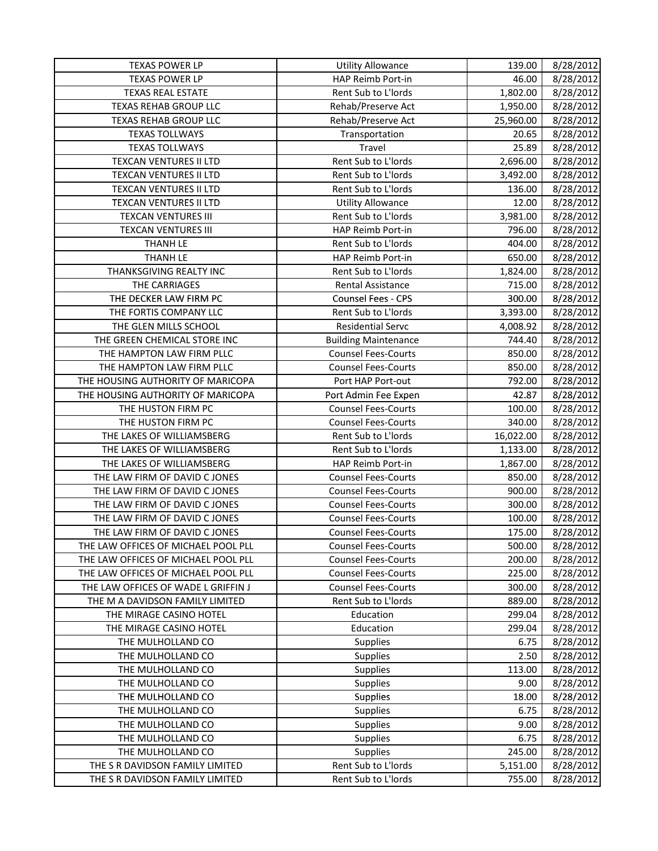| TEXAS POWER LP                      | <b>Utility Allowance</b>    | 139.00    | 8/28/2012 |
|-------------------------------------|-----------------------------|-----------|-----------|
| <b>TEXAS POWER LP</b>               | HAP Reimb Port-in           | 46.00     | 8/28/2012 |
| <b>TEXAS REAL ESTATE</b>            | Rent Sub to L'Iords         | 1,802.00  | 8/28/2012 |
| <b>TEXAS REHAB GROUP LLC</b>        | Rehab/Preserve Act          | 1,950.00  | 8/28/2012 |
| <b>TEXAS REHAB GROUP LLC</b>        | Rehab/Preserve Act          | 25,960.00 | 8/28/2012 |
| <b>TEXAS TOLLWAYS</b>               | Transportation              | 20.65     | 8/28/2012 |
| <b>TEXAS TOLLWAYS</b>               | Travel                      | 25.89     | 8/28/2012 |
| TEXCAN VENTURES II LTD              | Rent Sub to L'Iords         | 2,696.00  | 8/28/2012 |
| TEXCAN VENTURES II LTD              | Rent Sub to L'Iords         | 3,492.00  | 8/28/2012 |
| TEXCAN VENTURES II LTD              | Rent Sub to L'Iords         | 136.00    | 8/28/2012 |
| TEXCAN VENTURES II LTD              | <b>Utility Allowance</b>    | 12.00     | 8/28/2012 |
| <b>TEXCAN VENTURES III</b>          | Rent Sub to L'Iords         | 3,981.00  | 8/28/2012 |
| <b>TEXCAN VENTURES III</b>          | HAP Reimb Port-in           | 796.00    | 8/28/2012 |
| <b>THANH LE</b>                     | Rent Sub to L'Iords         | 404.00    | 8/28/2012 |
| <b>THANH LE</b>                     | HAP Reimb Port-in           | 650.00    | 8/28/2012 |
| THANKSGIVING REALTY INC             | Rent Sub to L'Iords         | 1,824.00  | 8/28/2012 |
| THE CARRIAGES                       | Rental Assistance           | 715.00    | 8/28/2012 |
| THE DECKER LAW FIRM PC              | Counsel Fees - CPS          | 300.00    | 8/28/2012 |
| THE FORTIS COMPANY LLC              | Rent Sub to L'Iords         | 3,393.00  | 8/28/2012 |
| THE GLEN MILLS SCHOOL               | <b>Residential Servc</b>    | 4,008.92  | 8/28/2012 |
| THE GREEN CHEMICAL STORE INC        | <b>Building Maintenance</b> | 744.40    | 8/28/2012 |
| THE HAMPTON LAW FIRM PLLC           | <b>Counsel Fees-Courts</b>  | 850.00    | 8/28/2012 |
| THE HAMPTON LAW FIRM PLLC           | <b>Counsel Fees-Courts</b>  | 850.00    | 8/28/2012 |
| THE HOUSING AUTHORITY OF MARICOPA   | Port HAP Port-out           | 792.00    | 8/28/2012 |
| THE HOUSING AUTHORITY OF MARICOPA   | Port Admin Fee Expen        | 42.87     | 8/28/2012 |
| THE HUSTON FIRM PC                  | <b>Counsel Fees-Courts</b>  | 100.00    | 8/28/2012 |
| THE HUSTON FIRM PC                  | <b>Counsel Fees-Courts</b>  | 340.00    | 8/28/2012 |
| THE LAKES OF WILLIAMSBERG           | Rent Sub to L'Iords         | 16,022.00 | 8/28/2012 |
| THE LAKES OF WILLIAMSBERG           | Rent Sub to L'Iords         | 1,133.00  | 8/28/2012 |
| THE LAKES OF WILLIAMSBERG           | HAP Reimb Port-in           | 1,867.00  | 8/28/2012 |
| THE LAW FIRM OF DAVID C JONES       | <b>Counsel Fees-Courts</b>  | 850.00    | 8/28/2012 |
| THE LAW FIRM OF DAVID C JONES       | <b>Counsel Fees-Courts</b>  | 900.00    | 8/28/2012 |
| THE LAW FIRM OF DAVID C JONES       | <b>Counsel Fees-Courts</b>  | 300.00    | 8/28/2012 |
| THE LAW FIRM OF DAVID C JONES       | <b>Counsel Fees-Courts</b>  | 100.00    | 8/28/2012 |
| THE LAW FIRM OF DAVID C JONES       | <b>Counsel Fees-Courts</b>  | 175.00    | 8/28/2012 |
| THE LAW OFFICES OF MICHAEL POOL PLL | Counsel Fees-Courts         | 500.00    | 8/28/2012 |
| THE LAW OFFICES OF MICHAEL POOL PLL | <b>Counsel Fees-Courts</b>  | 200.00    | 8/28/2012 |
| THE LAW OFFICES OF MICHAEL POOL PLL | <b>Counsel Fees-Courts</b>  | 225.00    | 8/28/2012 |
| THE LAW OFFICES OF WADE L GRIFFIN J | <b>Counsel Fees-Courts</b>  | 300.00    | 8/28/2012 |
| THE M A DAVIDSON FAMILY LIMITED     | Rent Sub to L'Iords         | 889.00    | 8/28/2012 |
| THE MIRAGE CASINO HOTEL             | Education                   | 299.04    | 8/28/2012 |
| THE MIRAGE CASINO HOTEL             | Education                   | 299.04    | 8/28/2012 |
| THE MULHOLLAND CO                   | Supplies                    | 6.75      | 8/28/2012 |
| THE MULHOLLAND CO                   | <b>Supplies</b>             | 2.50      | 8/28/2012 |
| THE MULHOLLAND CO                   | <b>Supplies</b>             | 113.00    | 8/28/2012 |
| THE MULHOLLAND CO                   | <b>Supplies</b>             | 9.00      | 8/28/2012 |
| THE MULHOLLAND CO                   | <b>Supplies</b>             | 18.00     | 8/28/2012 |
| THE MULHOLLAND CO                   | <b>Supplies</b>             | 6.75      | 8/28/2012 |
| THE MULHOLLAND CO                   | <b>Supplies</b>             | 9.00      | 8/28/2012 |
| THE MULHOLLAND CO                   | <b>Supplies</b>             | 6.75      | 8/28/2012 |
| THE MULHOLLAND CO                   | <b>Supplies</b>             | 245.00    | 8/28/2012 |
| THE S R DAVIDSON FAMILY LIMITED     | Rent Sub to L'Iords         | 5,151.00  | 8/28/2012 |
| THE S R DAVIDSON FAMILY LIMITED     | Rent Sub to L'Iords         | 755.00    | 8/28/2012 |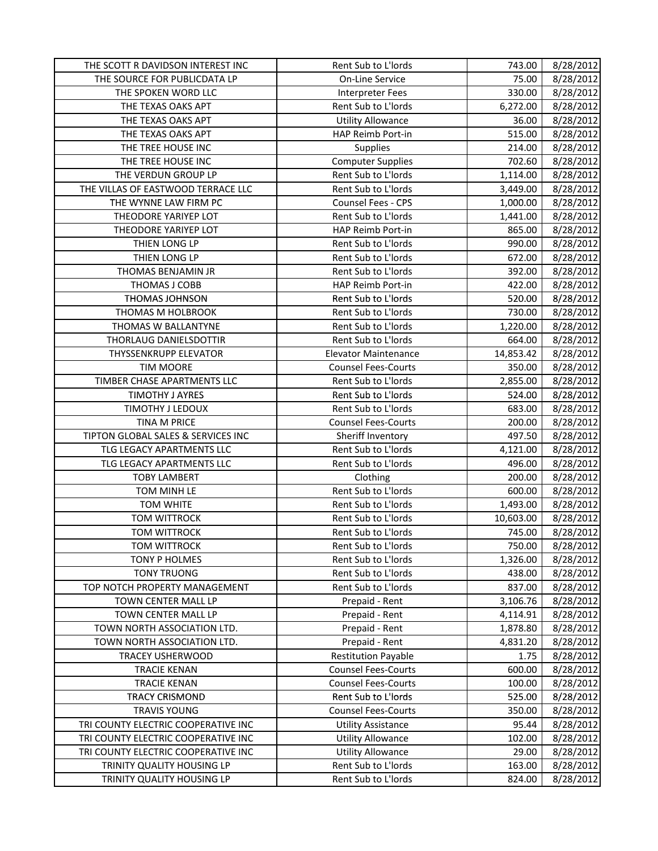| THE SCOTT R DAVIDSON INTEREST INC   | Rent Sub to L'Iords         | 743.00    | 8/28/2012 |
|-------------------------------------|-----------------------------|-----------|-----------|
| THE SOURCE FOR PUBLICDATA LP        | On-Line Service             | 75.00     | 8/28/2012 |
| THE SPOKEN WORD LLC                 | Interpreter Fees            | 330.00    | 8/28/2012 |
| THE TEXAS OAKS APT                  | Rent Sub to L'Iords         | 6,272.00  | 8/28/2012 |
| THE TEXAS OAKS APT                  | <b>Utility Allowance</b>    | 36.00     | 8/28/2012 |
| THE TEXAS OAKS APT                  | HAP Reimb Port-in           | 515.00    | 8/28/2012 |
| THE TREE HOUSE INC                  | Supplies                    | 214.00    | 8/28/2012 |
| THE TREE HOUSE INC                  | <b>Computer Supplies</b>    | 702.60    | 8/28/2012 |
| THE VERDUN GROUP LP                 | Rent Sub to L'Iords         | 1,114.00  | 8/28/2012 |
| THE VILLAS OF EASTWOOD TERRACE LLC  | Rent Sub to L'Iords         | 3,449.00  | 8/28/2012 |
| THE WYNNE LAW FIRM PC               | Counsel Fees - CPS          | 1,000.00  | 8/28/2012 |
| THEODORE YARIYEP LOT                | Rent Sub to L'Iords         | 1,441.00  | 8/28/2012 |
| THEODORE YARIYEP LOT                | HAP Reimb Port-in           | 865.00    | 8/28/2012 |
| THIEN LONG LP                       | Rent Sub to L'Iords         | 990.00    | 8/28/2012 |
| THIEN LONG LP                       | Rent Sub to L'Iords         | 672.00    | 8/28/2012 |
| THOMAS BENJAMIN JR                  | Rent Sub to L'Iords         | 392.00    | 8/28/2012 |
| THOMAS J COBB                       | HAP Reimb Port-in           | 422.00    | 8/28/2012 |
| THOMAS JOHNSON                      | Rent Sub to L'Iords         | 520.00    | 8/28/2012 |
| THOMAS M HOLBROOK                   | Rent Sub to L'Iords         | 730.00    | 8/28/2012 |
| THOMAS W BALLANTYNE                 | Rent Sub to L'Iords         | 1,220.00  | 8/28/2012 |
| THORLAUG DANIELSDOTTIR              | Rent Sub to L'Iords         | 664.00    | 8/28/2012 |
| THYSSENKRUPP ELEVATOR               | <b>Elevator Maintenance</b> | 14,853.42 | 8/28/2012 |
| <b>TIM MOORE</b>                    | <b>Counsel Fees-Courts</b>  | 350.00    | 8/28/2012 |
| TIMBER CHASE APARTMENTS LLC         | Rent Sub to L'Iords         | 2,855.00  | 8/28/2012 |
| TIMOTHY J AYRES                     | Rent Sub to L'Iords         | 524.00    | 8/28/2012 |
| TIMOTHY J LEDOUX                    | Rent Sub to L'Iords         | 683.00    | 8/28/2012 |
| <b>TINA M PRICE</b>                 | <b>Counsel Fees-Courts</b>  | 200.00    | 8/28/2012 |
| TIPTON GLOBAL SALES & SERVICES INC  | Sheriff Inventory           | 497.50    | 8/28/2012 |
| TLG LEGACY APARTMENTS LLC           | Rent Sub to L'Iords         | 4,121.00  | 8/28/2012 |
| TLG LEGACY APARTMENTS LLC           | Rent Sub to L'Iords         | 496.00    | 8/28/2012 |
| <b>TOBY LAMBERT</b>                 | Clothing                    | 200.00    | 8/28/2012 |
| TOM MINH LE                         | Rent Sub to L'Iords         | 600.00    | 8/28/2012 |
| TOM WHITE                           | Rent Sub to L'Iords         | 1,493.00  | 8/28/2012 |
| <b>TOM WITTROCK</b>                 | Rent Sub to L'Iords         | 10,603.00 | 8/28/2012 |
| <b>TOM WITTROCK</b>                 | Rent Sub to L'Iords         | 745.00    | 8/28/2012 |
| <b>TOM WITTROCK</b>                 | Rent Sub to L'Iords         | 750.00    | 8/28/2012 |
| TONY P HOLMES                       | Rent Sub to L'Iords         | 1,326.00  | 8/28/2012 |
| <b>TONY TRUONG</b>                  | Rent Sub to L'Iords         | 438.00    | 8/28/2012 |
| TOP NOTCH PROPERTY MANAGEMENT       | Rent Sub to L'Iords         | 837.00    | 8/28/2012 |
| TOWN CENTER MALL LP                 | Prepaid - Rent              | 3,106.76  | 8/28/2012 |
| TOWN CENTER MALL LP                 | Prepaid - Rent              | 4,114.91  | 8/28/2012 |
| TOWN NORTH ASSOCIATION LTD.         | Prepaid - Rent              | 1,878.80  | 8/28/2012 |
| TOWN NORTH ASSOCIATION LTD.         | Prepaid - Rent              | 4,831.20  | 8/28/2012 |
| TRACEY USHERWOOD                    | <b>Restitution Payable</b>  | 1.75      | 8/28/2012 |
| <b>TRACIE KENAN</b>                 | <b>Counsel Fees-Courts</b>  | 600.00    | 8/28/2012 |
| <b>TRACIE KENAN</b>                 | <b>Counsel Fees-Courts</b>  | 100.00    | 8/28/2012 |
| <b>TRACY CRISMOND</b>               | Rent Sub to L'Iords         | 525.00    | 8/28/2012 |
| <b>TRAVIS YOUNG</b>                 | <b>Counsel Fees-Courts</b>  | 350.00    | 8/28/2012 |
| TRI COUNTY ELECTRIC COOPERATIVE INC | <b>Utility Assistance</b>   | 95.44     | 8/28/2012 |
| TRI COUNTY ELECTRIC COOPERATIVE INC | <b>Utility Allowance</b>    | 102.00    | 8/28/2012 |
| TRI COUNTY ELECTRIC COOPERATIVE INC | <b>Utility Allowance</b>    | 29.00     | 8/28/2012 |
| TRINITY QUALITY HOUSING LP          | Rent Sub to L'Iords         | 163.00    | 8/28/2012 |
| TRINITY QUALITY HOUSING LP          | Rent Sub to L'Iords         | 824.00    | 8/28/2012 |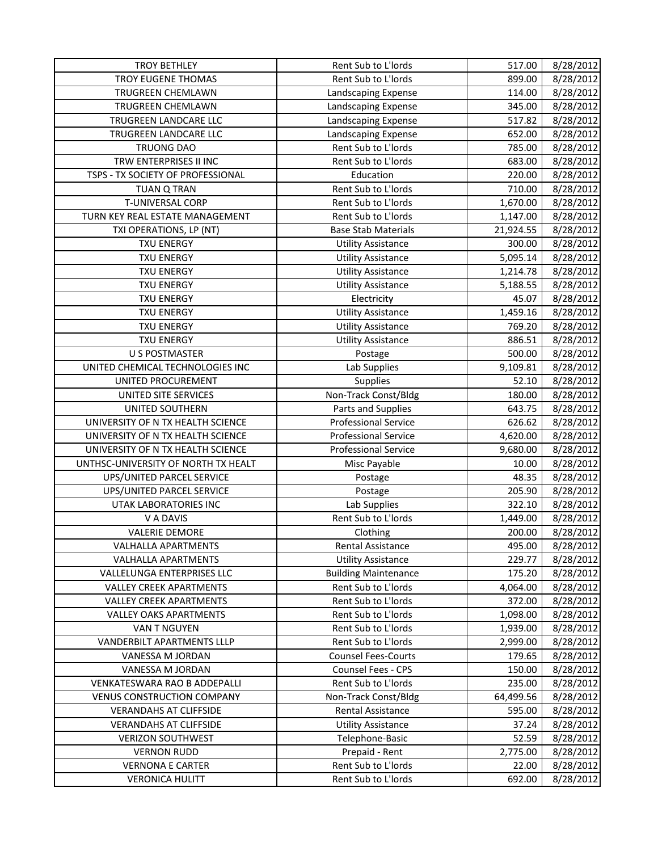| <b>TROY BETHLEY</b>                 | Rent Sub to L'Iords         | 517.00    | 8/28/2012 |
|-------------------------------------|-----------------------------|-----------|-----------|
| <b>TROY EUGENE THOMAS</b>           | Rent Sub to L'Iords         | 899.00    | 8/28/2012 |
| TRUGREEN CHEMLAWN                   | Landscaping Expense         | 114.00    | 8/28/2012 |
| TRUGREEN CHEMLAWN                   | Landscaping Expense         | 345.00    | 8/28/2012 |
| TRUGREEN LANDCARE LLC               | Landscaping Expense         | 517.82    | 8/28/2012 |
| TRUGREEN LANDCARE LLC               | Landscaping Expense         | 652.00    | 8/28/2012 |
| <b>TRUONG DAO</b>                   | Rent Sub to L'Iords         | 785.00    | 8/28/2012 |
| TRW ENTERPRISES II INC              | Rent Sub to L'Iords         | 683.00    | 8/28/2012 |
| TSPS - TX SOCIETY OF PROFESSIONAL   | Education                   | 220.00    | 8/28/2012 |
| TUAN Q TRAN                         | Rent Sub to L'Iords         | 710.00    | 8/28/2012 |
| T-UNIVERSAL CORP                    | Rent Sub to L'Iords         | 1,670.00  | 8/28/2012 |
| TURN KEY REAL ESTATE MANAGEMENT     | Rent Sub to L'Iords         | 1,147.00  | 8/28/2012 |
| TXI OPERATIONS, LP (NT)             | <b>Base Stab Materials</b>  | 21,924.55 | 8/28/2012 |
| <b>TXU ENERGY</b>                   | <b>Utility Assistance</b>   | 300.00    | 8/28/2012 |
| <b>TXU ENERGY</b>                   | <b>Utility Assistance</b>   | 5,095.14  | 8/28/2012 |
| <b>TXU ENERGY</b>                   | <b>Utility Assistance</b>   | 1,214.78  | 8/28/2012 |
| <b>TXU ENERGY</b>                   | <b>Utility Assistance</b>   | 5,188.55  | 8/28/2012 |
| <b>TXU ENERGY</b>                   | Electricity                 | 45.07     | 8/28/2012 |
| <b>TXU ENERGY</b>                   | <b>Utility Assistance</b>   | 1,459.16  | 8/28/2012 |
| <b>TXU ENERGY</b>                   | <b>Utility Assistance</b>   | 769.20    | 8/28/2012 |
| <b>TXU ENERGY</b>                   | <b>Utility Assistance</b>   | 886.51    | 8/28/2012 |
| <b>U S POSTMASTER</b>               | Postage                     | 500.00    | 8/28/2012 |
| UNITED CHEMICAL TECHNOLOGIES INC    | Lab Supplies                | 9,109.81  | 8/28/2012 |
| UNITED PROCUREMENT                  | <b>Supplies</b>             | 52.10     | 8/28/2012 |
| UNITED SITE SERVICES                | Non-Track Const/Bldg        | 180.00    | 8/28/2012 |
| UNITED SOUTHERN                     | Parts and Supplies          | 643.75    | 8/28/2012 |
| UNIVERSITY OF N TX HEALTH SCIENCE   | Professional Service        | 626.62    | 8/28/2012 |
| UNIVERSITY OF N TX HEALTH SCIENCE   | <b>Professional Service</b> | 4,620.00  | 8/28/2012 |
| UNIVERSITY OF N TX HEALTH SCIENCE   | <b>Professional Service</b> | 9,680.00  | 8/28/2012 |
| UNTHSC-UNIVERSITY OF NORTH TX HEALT | Misc Payable                | 10.00     | 8/28/2012 |
| UPS/UNITED PARCEL SERVICE           | Postage                     | 48.35     | 8/28/2012 |
| UPS/UNITED PARCEL SERVICE           | Postage                     | 205.90    | 8/28/2012 |
| UTAK LABORATORIES INC               | Lab Supplies                | 322.10    | 8/28/2012 |
| V A DAVIS                           | Rent Sub to L'Iords         | 1,449.00  | 8/28/2012 |
| <b>VALERIE DEMORE</b>               | Clothing                    | 200.00    | 8/28/2012 |
| VALHALLA APARTMENTS                 | Rental Assistance           | 495.00    | 8/28/2012 |
| <b>VALHALLA APARTMENTS</b>          | <b>Utility Assistance</b>   | 229.77    | 8/28/2012 |
| VALLELUNGA ENTERPRISES LLC          | <b>Building Maintenance</b> | 175.20    | 8/28/2012 |
| <b>VALLEY CREEK APARTMENTS</b>      | Rent Sub to L'Iords         | 4,064.00  | 8/28/2012 |
| <b>VALLEY CREEK APARTMENTS</b>      | Rent Sub to L'Iords         | 372.00    | 8/28/2012 |
| <b>VALLEY OAKS APARTMENTS</b>       | Rent Sub to L'Iords         | 1,098.00  | 8/28/2012 |
| VAN T NGUYEN                        | Rent Sub to L'Iords         | 1,939.00  | 8/28/2012 |
| VANDERBILT APARTMENTS LLLP          | Rent Sub to L'Iords         | 2,999.00  | 8/28/2012 |
| VANESSA M JORDAN                    | <b>Counsel Fees-Courts</b>  | 179.65    | 8/28/2012 |
| VANESSA M JORDAN                    | Counsel Fees - CPS          | 150.00    | 8/28/2012 |
| VENKATESWARA RAO B ADDEPALLI        | Rent Sub to L'Iords         | 235.00    | 8/28/2012 |
| <b>VENUS CONSTRUCTION COMPANY</b>   | Non-Track Const/Bldg        | 64,499.56 | 8/28/2012 |
| <b>VERANDAHS AT CLIFFSIDE</b>       | Rental Assistance           | 595.00    | 8/28/2012 |
| <b>VERANDAHS AT CLIFFSIDE</b>       | <b>Utility Assistance</b>   | 37.24     | 8/28/2012 |
| <b>VERIZON SOUTHWEST</b>            | Telephone-Basic             | 52.59     | 8/28/2012 |
| <b>VERNON RUDD</b>                  | Prepaid - Rent              | 2,775.00  | 8/28/2012 |
| <b>VERNONA E CARTER</b>             | Rent Sub to L'Iords         | 22.00     | 8/28/2012 |
| <b>VERONICA HULITT</b>              | Rent Sub to L'Iords         | 692.00    | 8/28/2012 |
|                                     |                             |           |           |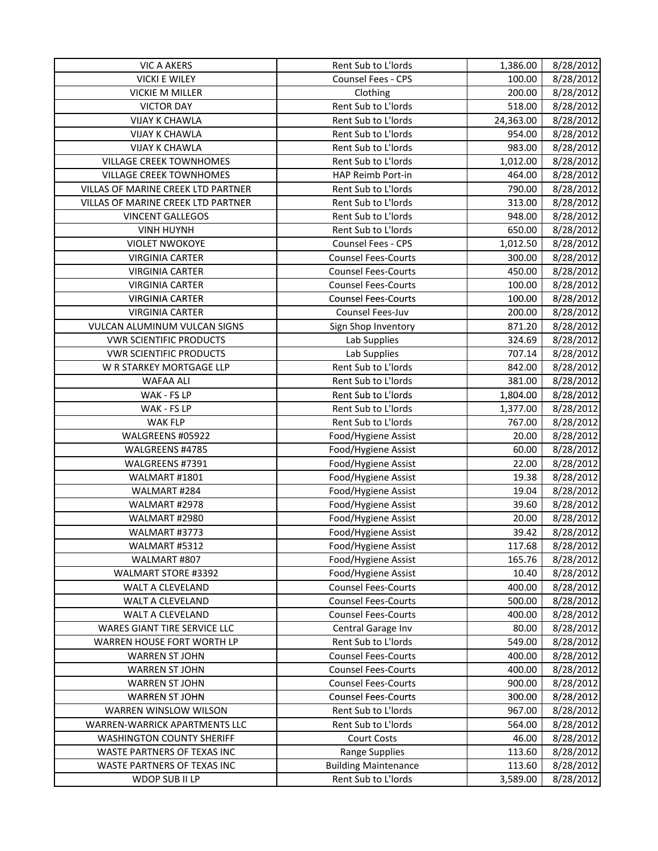| <b>VIC A AKERS</b>                 | Rent Sub to L'Iords         | 1,386.00  | 8/28/2012 |
|------------------------------------|-----------------------------|-----------|-----------|
| <b>VICKI E WILEY</b>               | Counsel Fees - CPS          | 100.00    | 8/28/2012 |
| <b>VICKIE M MILLER</b>             | Clothing                    | 200.00    | 8/28/2012 |
| <b>VICTOR DAY</b>                  | Rent Sub to L'Iords         | 518.00    | 8/28/2012 |
| <b>VIJAY K CHAWLA</b>              | Rent Sub to L'Iords         | 24,363.00 | 8/28/2012 |
| <b>VIJAY K CHAWLA</b>              | Rent Sub to L'Iords         | 954.00    | 8/28/2012 |
| <b>VIJAY K CHAWLA</b>              | Rent Sub to L'Iords         | 983.00    | 8/28/2012 |
| <b>VILLAGE CREEK TOWNHOMES</b>     | Rent Sub to L'Iords         | 1,012.00  | 8/28/2012 |
| <b>VILLAGE CREEK TOWNHOMES</b>     | HAP Reimb Port-in           | 464.00    | 8/28/2012 |
| VILLAS OF MARINE CREEK LTD PARTNER | Rent Sub to L'Iords         | 790.00    | 8/28/2012 |
| VILLAS OF MARINE CREEK LTD PARTNER | Rent Sub to L'Iords         | 313.00    | 8/28/2012 |
| <b>VINCENT GALLEGOS</b>            | Rent Sub to L'Iords         | 948.00    | 8/28/2012 |
| <b>VINH HUYNH</b>                  | Rent Sub to L'Iords         | 650.00    | 8/28/2012 |
| <b>VIOLET NWOKOYE</b>              | Counsel Fees - CPS          | 1,012.50  | 8/28/2012 |
| <b>VIRGINIA CARTER</b>             | <b>Counsel Fees-Courts</b>  | 300.00    | 8/28/2012 |
| <b>VIRGINIA CARTER</b>             | <b>Counsel Fees-Courts</b>  | 450.00    | 8/28/2012 |
| <b>VIRGINIA CARTER</b>             | <b>Counsel Fees-Courts</b>  | 100.00    | 8/28/2012 |
| <b>VIRGINIA CARTER</b>             | <b>Counsel Fees-Courts</b>  | 100.00    | 8/28/2012 |
| <b>VIRGINIA CARTER</b>             | Counsel Fees-Juv            | 200.00    | 8/28/2012 |
| VULCAN ALUMINUM VULCAN SIGNS       | Sign Shop Inventory         | 871.20    | 8/28/2012 |
| <b>VWR SCIENTIFIC PRODUCTS</b>     | Lab Supplies                | 324.69    | 8/28/2012 |
| <b>VWR SCIENTIFIC PRODUCTS</b>     | Lab Supplies                | 707.14    | 8/28/2012 |
| W R STARKEY MORTGAGE LLP           | Rent Sub to L'Iords         | 842.00    | 8/28/2012 |
| WAFAA ALI                          | Rent Sub to L'Iords         | 381.00    | 8/28/2012 |
| WAK - FS LP                        | Rent Sub to L'Iords         | 1,804.00  | 8/28/2012 |
| WAK - FS LP                        | Rent Sub to L'Iords         | 1,377.00  | 8/28/2012 |
| WAK FLP                            | Rent Sub to L'Iords         | 767.00    | 8/28/2012 |
| WALGREENS #05922                   | Food/Hygiene Assist         | 20.00     | 8/28/2012 |
| WALGREENS #4785                    | Food/Hygiene Assist         | 60.00     | 8/28/2012 |
| WALGREENS #7391                    | Food/Hygiene Assist         | 22.00     | 8/28/2012 |
| WALMART #1801                      | Food/Hygiene Assist         | 19.38     | 8/28/2012 |
| WALMART #284                       | Food/Hygiene Assist         | 19.04     | 8/28/2012 |
| WALMART #2978                      | Food/Hygiene Assist         | 39.60     | 8/28/2012 |
| WALMART #2980                      | Food/Hygiene Assist         | 20.00     | 8/28/2012 |
| WALMART #3773                      | Food/Hygiene Assist         | 39.42     | 8/28/2012 |
| WALMART #5312                      | Food/Hygiene Assist         | 117.68    | 8/28/2012 |
| WALMART #807                       | Food/Hygiene Assist         | 165.76    | 8/28/2012 |
| WALMART STORE #3392                | Food/Hygiene Assist         | 10.40     | 8/28/2012 |
| WALT A CLEVELAND                   | <b>Counsel Fees-Courts</b>  | 400.00    | 8/28/2012 |
| WALT A CLEVELAND                   | <b>Counsel Fees-Courts</b>  | 500.00    | 8/28/2012 |
| WALT A CLEVELAND                   | <b>Counsel Fees-Courts</b>  | 400.00    | 8/28/2012 |
| WARES GIANT TIRE SERVICE LLC       | Central Garage Inv          | 80.00     | 8/28/2012 |
| WARREN HOUSE FORT WORTH LP         | Rent Sub to L'Iords         | 549.00    | 8/28/2012 |
| <b>WARREN ST JOHN</b>              | <b>Counsel Fees-Courts</b>  | 400.00    | 8/28/2012 |
| <b>WARREN ST JOHN</b>              | <b>Counsel Fees-Courts</b>  | 400.00    | 8/28/2012 |
| <b>WARREN ST JOHN</b>              | <b>Counsel Fees-Courts</b>  | 900.00    | 8/28/2012 |
| WARREN ST JOHN                     | <b>Counsel Fees-Courts</b>  | 300.00    | 8/28/2012 |
| WARREN WINSLOW WILSON              | Rent Sub to L'Iords         | 967.00    | 8/28/2012 |
| WARREN-WARRICK APARTMENTS LLC      | Rent Sub to L'Iords         | 564.00    | 8/28/2012 |
| <b>WASHINGTON COUNTY SHERIFF</b>   | <b>Court Costs</b>          | 46.00     | 8/28/2012 |
| WASTE PARTNERS OF TEXAS INC        | Range Supplies              | 113.60    | 8/28/2012 |
| WASTE PARTNERS OF TEXAS INC        | <b>Building Maintenance</b> | 113.60    | 8/28/2012 |
| WDOP SUB II LP                     | Rent Sub to L'Iords         | 3,589.00  | 8/28/2012 |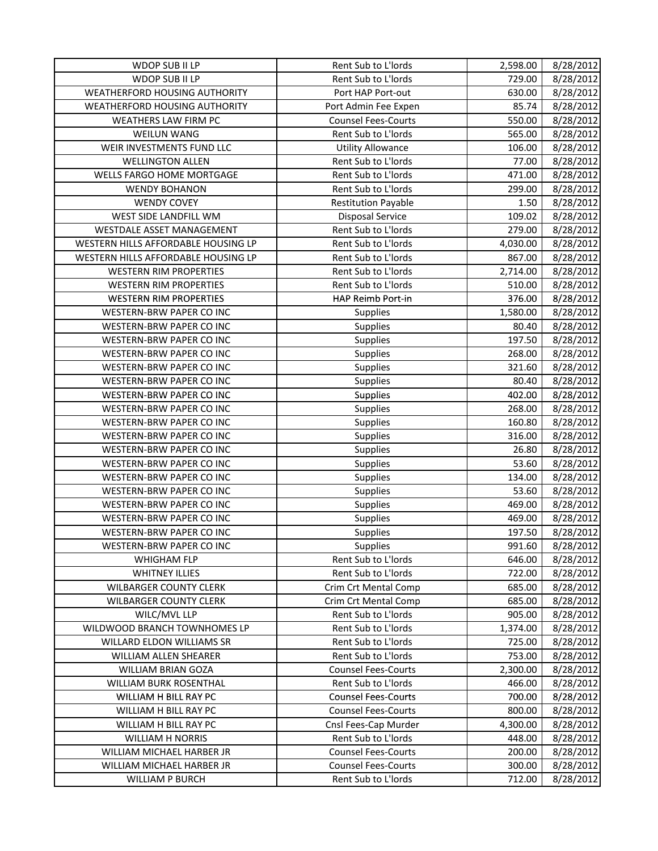| WDOP SUB II LP                      | Rent Sub to L'Iords         | 2,598.00 | 8/28/2012 |
|-------------------------------------|-----------------------------|----------|-----------|
| WDOP SUB II LP                      | Rent Sub to L'Iords         | 729.00   | 8/28/2012 |
| WEATHERFORD HOUSING AUTHORITY       | Port HAP Port-out           | 630.00   | 8/28/2012 |
| WEATHERFORD HOUSING AUTHORITY       | Port Admin Fee Expen        | 85.74    | 8/28/2012 |
| WEATHERS LAW FIRM PC                | <b>Counsel Fees-Courts</b>  | 550.00   | 8/28/2012 |
| <b>WEILUN WANG</b>                  | Rent Sub to L'Iords         | 565.00   | 8/28/2012 |
| WEIR INVESTMENTS FUND LLC           | <b>Utility Allowance</b>    | 106.00   | 8/28/2012 |
| <b>WELLINGTON ALLEN</b>             | Rent Sub to L'Iords         | 77.00    | 8/28/2012 |
| WELLS FARGO HOME MORTGAGE           | Rent Sub to L'Iords         | 471.00   | 8/28/2012 |
| <b>WENDY BOHANON</b>                | Rent Sub to L'Iords         | 299.00   | 8/28/2012 |
| <b>WENDY COVEY</b>                  | <b>Restitution Payable</b>  | 1.50     | 8/28/2012 |
| WEST SIDE LANDFILL WM               | <b>Disposal Service</b>     | 109.02   | 8/28/2012 |
| WESTDALE ASSET MANAGEMENT           | Rent Sub to L'Iords         | 279.00   | 8/28/2012 |
| WESTERN HILLS AFFORDABLE HOUSING LP | Rent Sub to L'Iords         | 4,030.00 | 8/28/2012 |
| WESTERN HILLS AFFORDABLE HOUSING LP | Rent Sub to L'Iords         | 867.00   | 8/28/2012 |
| <b>WESTERN RIM PROPERTIES</b>       | Rent Sub to L'Iords         | 2,714.00 | 8/28/2012 |
| <b>WESTERN RIM PROPERTIES</b>       | Rent Sub to L'Iords         | 510.00   | 8/28/2012 |
| <b>WESTERN RIM PROPERTIES</b>       | HAP Reimb Port-in           | 376.00   | 8/28/2012 |
| WESTERN-BRW PAPER CO INC            | Supplies                    | 1,580.00 | 8/28/2012 |
| <b>WESTERN-BRW PAPER CO INC</b>     | <b>Supplies</b>             | 80.40    | 8/28/2012 |
| WESTERN-BRW PAPER CO INC            | Supplies                    | 197.50   | 8/28/2012 |
| <b>WESTERN-BRW PAPER CO INC</b>     | Supplies                    | 268.00   | 8/28/2012 |
| WESTERN-BRW PAPER CO INC            | Supplies                    | 321.60   | 8/28/2012 |
| WESTERN-BRW PAPER CO INC            | <b>Supplies</b>             | 80.40    | 8/28/2012 |
| WESTERN-BRW PAPER CO INC            | Supplies                    | 402.00   | 8/28/2012 |
| WESTERN-BRW PAPER CO INC            | Supplies                    | 268.00   | 8/28/2012 |
| WESTERN-BRW PAPER CO INC            | <b>Supplies</b>             | 160.80   | 8/28/2012 |
| WESTERN-BRW PAPER CO INC            | <b>Supplies</b>             | 316.00   | 8/28/2012 |
| WESTERN-BRW PAPER CO INC            | Supplies                    | 26.80    | 8/28/2012 |
| WESTERN-BRW PAPER CO INC            | Supplies                    | 53.60    | 8/28/2012 |
| WESTERN-BRW PAPER CO INC            | <b>Supplies</b>             | 134.00   | 8/28/2012 |
| WESTERN-BRW PAPER CO INC            | <b>Supplies</b>             | 53.60    | 8/28/2012 |
| WESTERN-BRW PAPER CO INC            | <b>Supplies</b>             | 469.00   | 8/28/2012 |
| WESTERN-BRW PAPER CO INC            | Supplies                    | 469.00   | 8/28/2012 |
| WESTERN-BRW PAPER CO INC            | Supplies                    | 197.50   | 8/28/2012 |
| WESTERN-BRW PAPER CO INC            | Supplies                    | 991.60   | 8/28/2012 |
| <b>WHIGHAM FLP</b>                  | Rent Sub to L'Iords         | 646.00   | 8/28/2012 |
| <b>WHITNEY ILLIES</b>               | Rent Sub to L'Iords         | 722.00   | 8/28/2012 |
| <b>WILBARGER COUNTY CLERK</b>       | <b>Crim Crt Mental Comp</b> | 685.00   | 8/28/2012 |
| <b>WILBARGER COUNTY CLERK</b>       | <b>Crim Crt Mental Comp</b> | 685.00   | 8/28/2012 |
| WILC/MVL LLP                        | Rent Sub to L'Iords         | 905.00   | 8/28/2012 |
| WILDWOOD BRANCH TOWNHOMES LP        | Rent Sub to L'Iords         | 1,374.00 | 8/28/2012 |
| WILLARD ELDON WILLIAMS SR           | Rent Sub to L'Iords         | 725.00   | 8/28/2012 |
| WILLIAM ALLEN SHEARER               | Rent Sub to L'Iords         | 753.00   | 8/28/2012 |
| <b>WILLIAM BRIAN GOZA</b>           | <b>Counsel Fees-Courts</b>  | 2,300.00 | 8/28/2012 |
| WILLIAM BURK ROSENTHAL              | Rent Sub to L'Iords         | 466.00   | 8/28/2012 |
| WILLIAM H BILL RAY PC               | <b>Counsel Fees-Courts</b>  | 700.00   | 8/28/2012 |
| WILLIAM H BILL RAY PC               | <b>Counsel Fees-Courts</b>  | 800.00   | 8/28/2012 |
| WILLIAM H BILL RAY PC               | Cnsl Fees-Cap Murder        | 4,300.00 | 8/28/2012 |
| <b>WILLIAM H NORRIS</b>             | Rent Sub to L'Iords         | 448.00   | 8/28/2012 |
| WILLIAM MICHAEL HARBER JR           | <b>Counsel Fees-Courts</b>  | 200.00   | 8/28/2012 |
| WILLIAM MICHAEL HARBER JR           | <b>Counsel Fees-Courts</b>  | 300.00   | 8/28/2012 |
| WILLIAM P BURCH                     | Rent Sub to L'Iords         | 712.00   | 8/28/2012 |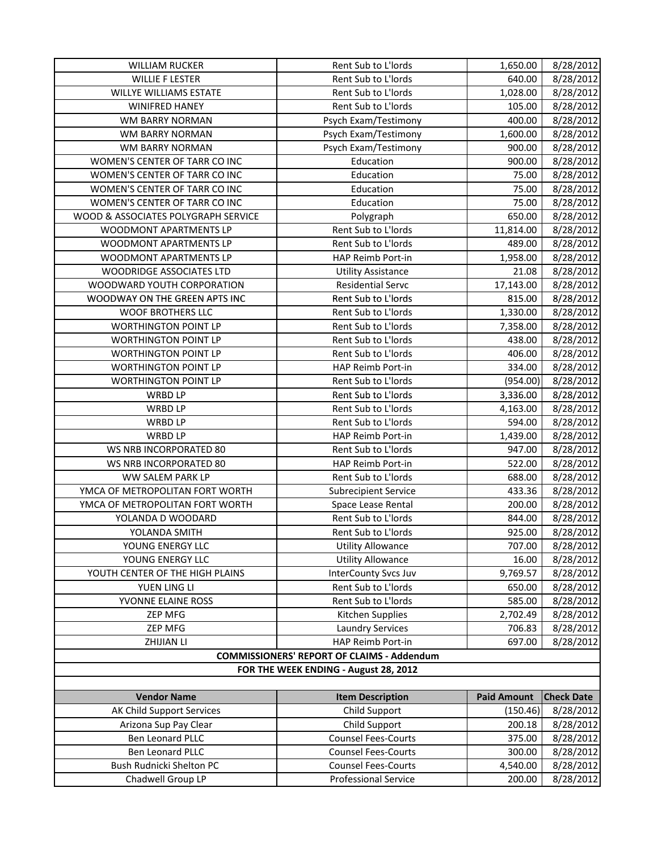| <b>WILLIAM RUCKER</b>                 | Rent Sub to L'Iords                               | 1,650.00           | 8/28/2012         |
|---------------------------------------|---------------------------------------------------|--------------------|-------------------|
| <b>WILLIE F LESTER</b>                | Rent Sub to L'Iords                               | 640.00             | 8/28/2012         |
| WILLYE WILLIAMS ESTATE                | Rent Sub to L'Iords                               | 1,028.00           | 8/28/2012         |
| <b>WINIFRED HANEY</b>                 | Rent Sub to L'Iords                               | 105.00             | 8/28/2012         |
| WM BARRY NORMAN                       | Psych Exam/Testimony                              | 400.00             | 8/28/2012         |
| WM BARRY NORMAN                       | Psych Exam/Testimony                              | 1,600.00           | 8/28/2012         |
| WM BARRY NORMAN                       | Psych Exam/Testimony                              | 900.00             | 8/28/2012         |
| WOMEN'S CENTER OF TARR CO INC         | Education                                         | 900.00             | 8/28/2012         |
| WOMEN'S CENTER OF TARR CO INC         | Education                                         | 75.00              | 8/28/2012         |
| WOMEN'S CENTER OF TARR CO INC         | Education                                         | 75.00              | 8/28/2012         |
| WOMEN'S CENTER OF TARR CO INC         | Education                                         | 75.00              | 8/28/2012         |
| WOOD & ASSOCIATES POLYGRAPH SERVICE   | Polygraph                                         | 650.00             | 8/28/2012         |
| WOODMONT APARTMENTS LP                | Rent Sub to L'Iords                               | 11,814.00          | 8/28/2012         |
| WOODMONT APARTMENTS LP                | Rent Sub to L'Iords                               | 489.00             | 8/28/2012         |
| WOODMONT APARTMENTS LP                | HAP Reimb Port-in                                 | 1,958.00           | 8/28/2012         |
| <b>WOODRIDGE ASSOCIATES LTD</b>       | <b>Utility Assistance</b>                         | 21.08              | 8/28/2012         |
| WOODWARD YOUTH CORPORATION            | <b>Residential Servc</b>                          | 17,143.00          | 8/28/2012         |
| WOODWAY ON THE GREEN APTS INC         | Rent Sub to L'Iords                               | 815.00             | 8/28/2012         |
| <b>WOOF BROTHERS LLC</b>              | Rent Sub to L'Iords                               | 1,330.00           | 8/28/2012         |
| WORTHINGTON POINT LP                  | Rent Sub to L'Iords                               | 7,358.00           | 8/28/2012         |
| <b>WORTHINGTON POINT LP</b>           | Rent Sub to L'Iords                               | 438.00             | 8/28/2012         |
| <b>WORTHINGTON POINT LP</b>           | Rent Sub to L'Iords                               | 406.00             | 8/28/2012         |
| <b>WORTHINGTON POINT LP</b>           | HAP Reimb Port-in                                 | 334.00             | 8/28/2012         |
| <b>WORTHINGTON POINT LP</b>           | Rent Sub to L'Iords                               | (954.00)           | 8/28/2012         |
| <b>WRBD LP</b>                        | Rent Sub to L'Iords                               | 3,336.00           | 8/28/2012         |
| <b>WRBD LP</b>                        | Rent Sub to L'Iords                               | 4,163.00           | 8/28/2012         |
| <b>WRBD LP</b>                        | Rent Sub to L'Iords                               | 594.00             | 8/28/2012         |
| <b>WRBD LP</b>                        | HAP Reimb Port-in                                 | 1,439.00           | 8/28/2012         |
| WS NRB INCORPORATED 80                | Rent Sub to L'Iords                               | 947.00             | 8/28/2012         |
| WS NRB INCORPORATED 80                | HAP Reimb Port-in                                 | 522.00             | 8/28/2012         |
| WW SALEM PARK LP                      | Rent Sub to L'Iords                               | 688.00             | 8/28/2012         |
| YMCA OF METROPOLITAN FORT WORTH       | <b>Subrecipient Service</b>                       | 433.36             | 8/28/2012         |
| YMCA OF METROPOLITAN FORT WORTH       | Space Lease Rental                                | 200.00             | 8/28/2012         |
| YOLANDA D WOODARD                     | Rent Sub to L'Iords                               | 844.00             | 8/28/2012         |
| YOLANDA SMITH                         | Rent Sub to L'Iords                               | 925.00             | 8/28/2012         |
| YOUNG ENERGY LLC                      | <b>Utility Allowance</b>                          | 707.00             | 8/28/2012         |
| YOUNG ENERGY LLC                      | <b>Utility Allowance</b>                          | 16.00              | 8/28/2012         |
| YOUTH CENTER OF THE HIGH PLAINS       | <b>InterCounty Svcs Juv</b>                       | 9,769.57           | 8/28/2012         |
| YUEN LING LI                          | Rent Sub to L'Iords                               | 650.00             | 8/28/2012         |
| YVONNE ELAINE ROSS                    | Rent Sub to L'Iords                               | 585.00             | 8/28/2012         |
| <b>ZEP MFG</b>                        | Kitchen Supplies                                  | 2,702.49           | 8/28/2012         |
| ZEP MFG                               | <b>Laundry Services</b>                           | 706.83             | 8/28/2012         |
| ZHIJIAN LI                            | HAP Reimb Port-in                                 | 697.00             | 8/28/2012         |
|                                       | <b>COMMISSIONERS' REPORT OF CLAIMS - Addendum</b> |                    |                   |
| FOR THE WEEK ENDING - August 28, 2012 |                                                   |                    |                   |
|                                       |                                                   |                    |                   |
| <b>Vendor Name</b>                    | <b>Item Description</b>                           | <b>Paid Amount</b> | <b>Check Date</b> |
| AK Child Support Services             | Child Support                                     | (150.46)           | 8/28/2012         |
| Arizona Sup Pay Clear                 | Child Support                                     | 200.18             | 8/28/2012         |
| Ben Leonard PLLC                      | <b>Counsel Fees-Courts</b>                        | 375.00             | 8/28/2012         |
| Ben Leonard PLLC                      | <b>Counsel Fees-Courts</b>                        | 300.00             | 8/28/2012         |
| Bush Rudnicki Shelton PC              | <b>Counsel Fees-Courts</b>                        | 4,540.00           | 8/28/2012         |
| Chadwell Group LP                     | <b>Professional Service</b>                       | 200.00             | 8/28/2012         |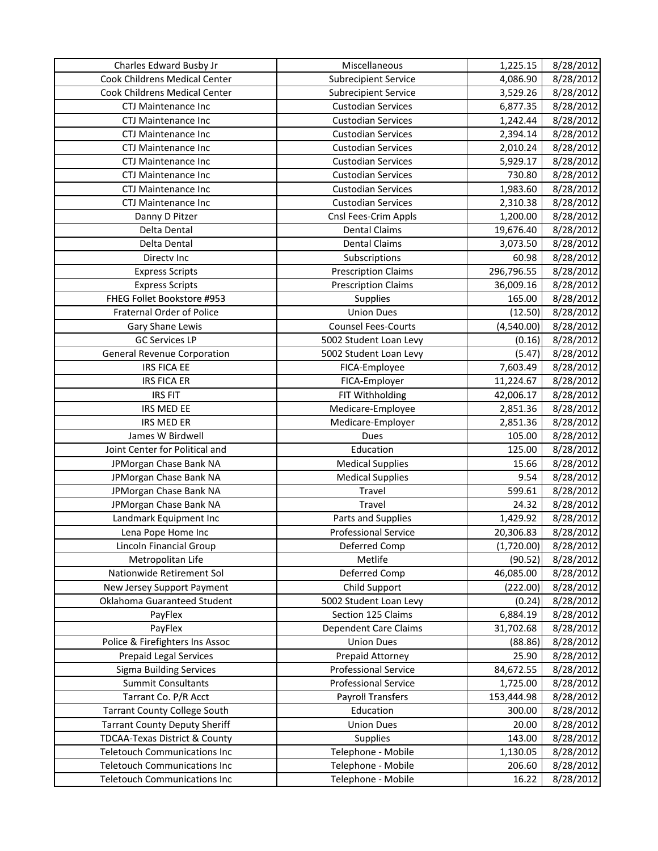| Charles Edward Busby Jr              | Miscellaneous                | 1,225.15   | 8/28/2012 |
|--------------------------------------|------------------------------|------------|-----------|
| <b>Cook Childrens Medical Center</b> | <b>Subrecipient Service</b>  | 4,086.90   | 8/28/2012 |
| Cook Childrens Medical Center        | <b>Subrecipient Service</b>  | 3,529.26   | 8/28/2012 |
| CTJ Maintenance Inc                  | <b>Custodian Services</b>    | 6,877.35   | 8/28/2012 |
| <b>CTJ Maintenance Inc</b>           | <b>Custodian Services</b>    | 1,242.44   | 8/28/2012 |
| CTJ Maintenance Inc                  | <b>Custodian Services</b>    | 2,394.14   | 8/28/2012 |
| CTJ Maintenance Inc                  | <b>Custodian Services</b>    | 2,010.24   | 8/28/2012 |
| CTJ Maintenance Inc                  | <b>Custodian Services</b>    | 5,929.17   | 8/28/2012 |
| CTJ Maintenance Inc                  | <b>Custodian Services</b>    | 730.80     | 8/28/2012 |
| <b>CTJ Maintenance Inc</b>           | <b>Custodian Services</b>    | 1,983.60   | 8/28/2012 |
| CTJ Maintenance Inc                  | <b>Custodian Services</b>    | 2,310.38   | 8/28/2012 |
| Danny D Pitzer                       | Cnsl Fees-Crim Appls         | 1,200.00   | 8/28/2012 |
| Delta Dental                         | <b>Dental Claims</b>         | 19,676.40  | 8/28/2012 |
| Delta Dental                         | <b>Dental Claims</b>         | 3,073.50   | 8/28/2012 |
| Directv Inc                          | Subscriptions                | 60.98      | 8/28/2012 |
| <b>Express Scripts</b>               | <b>Prescription Claims</b>   | 296,796.55 | 8/28/2012 |
| <b>Express Scripts</b>               | <b>Prescription Claims</b>   | 36,009.16  | 8/28/2012 |
| FHEG Follet Bookstore #953           | <b>Supplies</b>              | 165.00     | 8/28/2012 |
| Fraternal Order of Police            | <b>Union Dues</b>            | (12.50)    | 8/28/2012 |
| Gary Shane Lewis                     | <b>Counsel Fees-Courts</b>   | (4,540.00) | 8/28/2012 |
| <b>GC Services LP</b>                | 5002 Student Loan Levy       | (0.16)     | 8/28/2012 |
| <b>General Revenue Corporation</b>   | 5002 Student Loan Levy       | (5.47)     | 8/28/2012 |
| <b>IRS FICA EE</b>                   | FICA-Employee                | 7,603.49   | 8/28/2012 |
| <b>IRS FICA ER</b>                   | FICA-Employer                | 11,224.67  | 8/28/2012 |
| <b>IRS FIT</b>                       | FIT Withholding              | 42,006.17  | 8/28/2012 |
| IRS MED EE                           | Medicare-Employee            | 2,851.36   | 8/28/2012 |
| <b>IRS MED ER</b>                    | Medicare-Employer            | 2,851.36   | 8/28/2012 |
| James W Birdwell                     | Dues                         | 105.00     | 8/28/2012 |
| Joint Center for Political and       | Education                    | 125.00     | 8/28/2012 |
| JPMorgan Chase Bank NA               | <b>Medical Supplies</b>      | 15.66      | 8/28/2012 |
| JPMorgan Chase Bank NA               | <b>Medical Supplies</b>      | 9.54       | 8/28/2012 |
| JPMorgan Chase Bank NA               | Travel                       | 599.61     | 8/28/2012 |
| JPMorgan Chase Bank NA               | Travel                       | 24.32      | 8/28/2012 |
| Landmark Equipment Inc               | Parts and Supplies           | 1,429.92   | 8/28/2012 |
| Lena Pope Home Inc                   | <b>Professional Service</b>  | 20,306.83  | 8/28/2012 |
| Lincoln Financial Group              | Deferred Comp                | (1,720.00) | 8/28/2012 |
| Metropolitan Life                    | Metlife                      | (90.52)    | 8/28/2012 |
| Nationwide Retirement Sol            | Deferred Comp                | 46,085.00  | 8/28/2012 |
| New Jersey Support Payment           | Child Support                | (222.00)   | 8/28/2012 |
| Oklahoma Guaranteed Student          | 5002 Student Loan Levy       | (0.24)     | 8/28/2012 |
| PayFlex                              | Section 125 Claims           | 6,884.19   | 8/28/2012 |
| PayFlex                              | <b>Dependent Care Claims</b> | 31,702.68  | 8/28/2012 |
| Police & Firefighters Ins Assoc      | <b>Union Dues</b>            | (88.86)    | 8/28/2012 |
| <b>Prepaid Legal Services</b>        | Prepaid Attorney             | 25.90      | 8/28/2012 |
| <b>Sigma Building Services</b>       | <b>Professional Service</b>  | 84,672.55  | 8/28/2012 |
| <b>Summit Consultants</b>            | <b>Professional Service</b>  | 1,725.00   | 8/28/2012 |
| Tarrant Co. P/R Acct                 | <b>Payroll Transfers</b>     | 153,444.98 | 8/28/2012 |
| <b>Tarrant County College South</b>  | Education                    | 300.00     | 8/28/2012 |
| <b>Tarrant County Deputy Sheriff</b> | <b>Union Dues</b>            | 20.00      | 8/28/2012 |
| TDCAA-Texas District & County        | <b>Supplies</b>              | 143.00     | 8/28/2012 |
| <b>Teletouch Communications Inc</b>  | Telephone - Mobile           | 1,130.05   | 8/28/2012 |
| <b>Teletouch Communications Inc</b>  | Telephone - Mobile           | 206.60     | 8/28/2012 |
| <b>Teletouch Communications Inc</b>  | Telephone - Mobile           | 16.22      | 8/28/2012 |